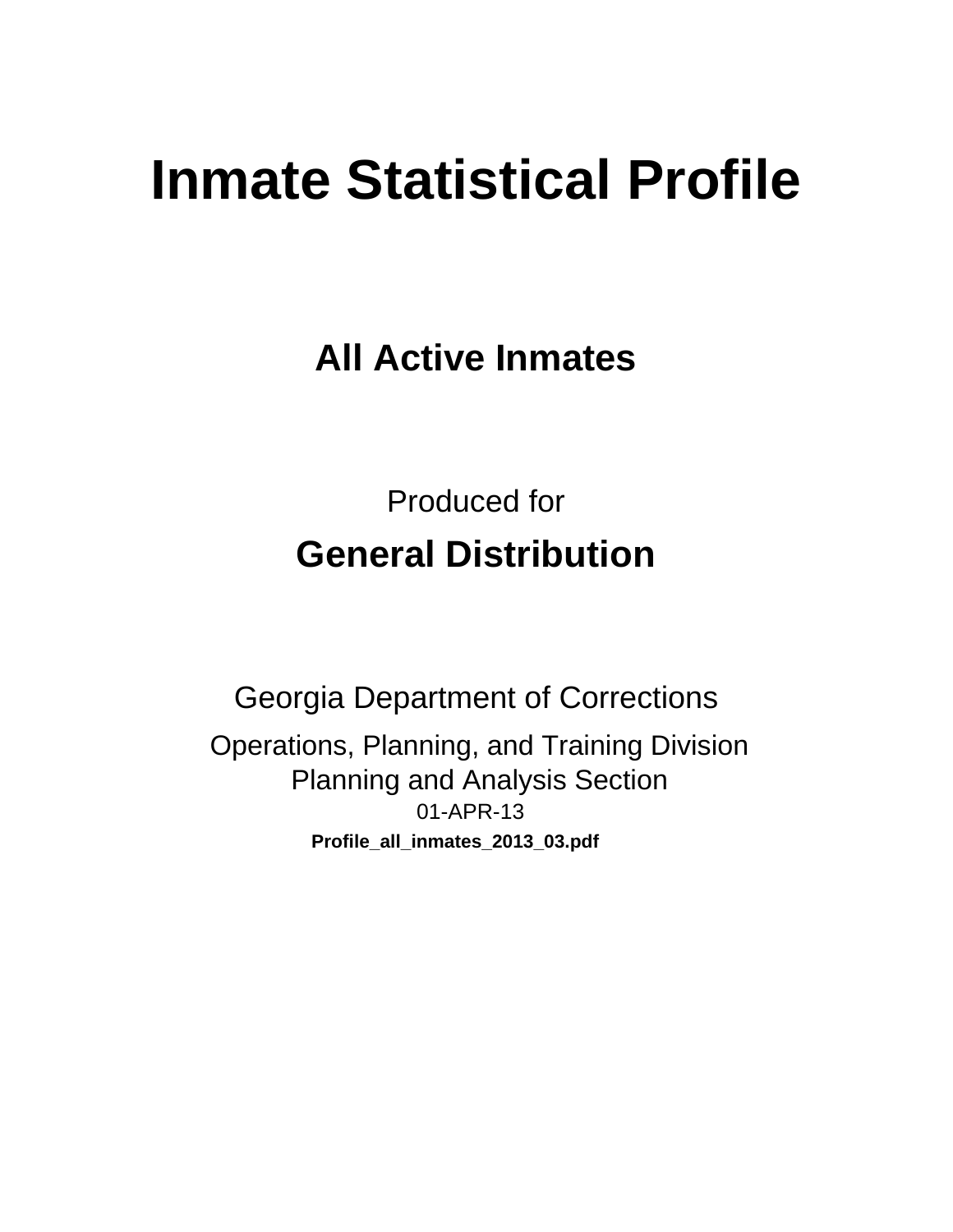# **Inmate Statistical Profile**

**All Active Inmates** 

**Produced for General Distribution** 

**Georgia Department of Corrections** Operations, Planning, and Training Division **Planning and Analysis Section** 01-APR-13 Profile\_all\_inmates\_2013\_03.pdf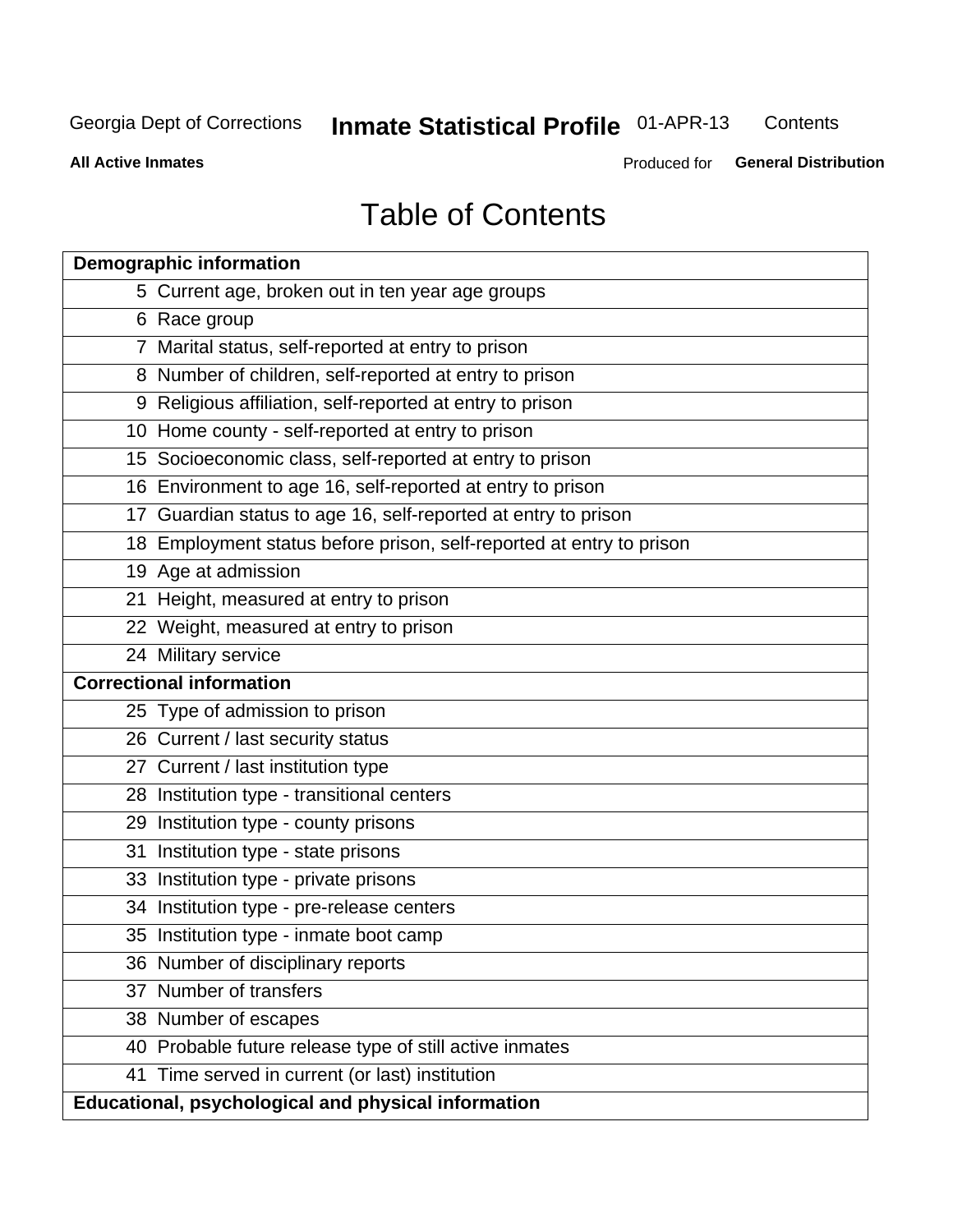#### **Inmate Statistical Profile 01-APR-13** Contents

**All Active Inmates** 

Produced for General Distribution

# **Table of Contents**

|    | <b>Demographic information</b>                                       |
|----|----------------------------------------------------------------------|
|    | 5 Current age, broken out in ten year age groups                     |
|    | 6 Race group                                                         |
|    | 7 Marital status, self-reported at entry to prison                   |
|    | 8 Number of children, self-reported at entry to prison               |
|    | 9 Religious affiliation, self-reported at entry to prison            |
|    | 10 Home county - self-reported at entry to prison                    |
|    | 15 Socioeconomic class, self-reported at entry to prison             |
|    | 16 Environment to age 16, self-reported at entry to prison           |
|    | 17 Guardian status to age 16, self-reported at entry to prison       |
|    | 18 Employment status before prison, self-reported at entry to prison |
|    | 19 Age at admission                                                  |
|    | 21 Height, measured at entry to prison                               |
|    | 22 Weight, measured at entry to prison                               |
|    | 24 Military service                                                  |
|    | <b>Correctional information</b>                                      |
|    | 25 Type of admission to prison                                       |
|    | 26 Current / last security status                                    |
|    | 27 Current / last institution type                                   |
|    | 28 Institution type - transitional centers                           |
|    | 29 Institution type - county prisons                                 |
| 31 | Institution type - state prisons                                     |
|    | 33 Institution type - private prisons                                |
|    | 34 Institution type - pre-release centers                            |
|    | 35 Institution type - inmate boot camp                               |
|    | 36 Number of disciplinary reports                                    |
|    | 37 Number of transfers                                               |
|    | 38 Number of escapes                                                 |
|    | 40 Probable future release type of still active inmates              |
|    | 41 Time served in current (or last) institution                      |
|    | Educational, psychological and physical information                  |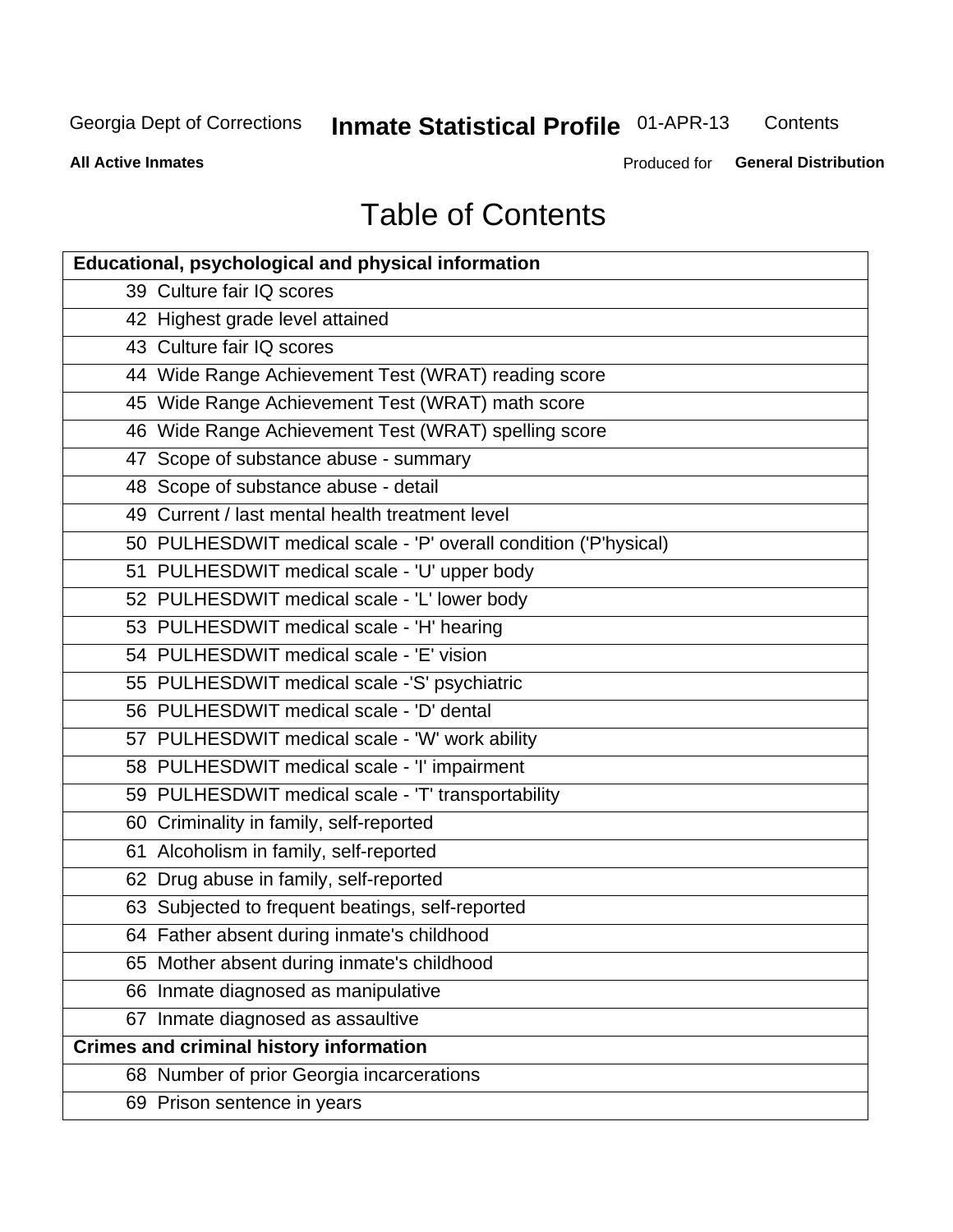# **Inmate Statistical Profile 01-APR-13**

Contents

**All Active Inmates** 

Produced for General Distribution

# **Table of Contents**

| <b>Educational, psychological and physical information</b>       |
|------------------------------------------------------------------|
| 39 Culture fair IQ scores                                        |
| 42 Highest grade level attained                                  |
| 43 Culture fair IQ scores                                        |
| 44 Wide Range Achievement Test (WRAT) reading score              |
| 45 Wide Range Achievement Test (WRAT) math score                 |
| 46 Wide Range Achievement Test (WRAT) spelling score             |
| 47 Scope of substance abuse - summary                            |
| 48 Scope of substance abuse - detail                             |
| 49 Current / last mental health treatment level                  |
| 50 PULHESDWIT medical scale - 'P' overall condition ('P'hysical) |
| 51 PULHESDWIT medical scale - 'U' upper body                     |
| 52 PULHESDWIT medical scale - 'L' lower body                     |
| 53 PULHESDWIT medical scale - 'H' hearing                        |
| 54 PULHESDWIT medical scale - 'E' vision                         |
| 55 PULHESDWIT medical scale -'S' psychiatric                     |
| 56 PULHESDWIT medical scale - 'D' dental                         |
| 57 PULHESDWIT medical scale - 'W' work ability                   |
| 58 PULHESDWIT medical scale - 'I' impairment                     |
| 59 PULHESDWIT medical scale - 'T' transportability               |
| 60 Criminality in family, self-reported                          |
| 61 Alcoholism in family, self-reported                           |
| 62 Drug abuse in family, self-reported                           |
| 63 Subjected to frequent beatings, self-reported                 |
| 64 Father absent during inmate's childhood                       |
| 65 Mother absent during inmate's childhood                       |
| 66 Inmate diagnosed as manipulative                              |
| 67 Inmate diagnosed as assaultive                                |
| <b>Crimes and criminal history information</b>                   |
| 68 Number of prior Georgia incarcerations                        |
| 69 Prison sentence in years                                      |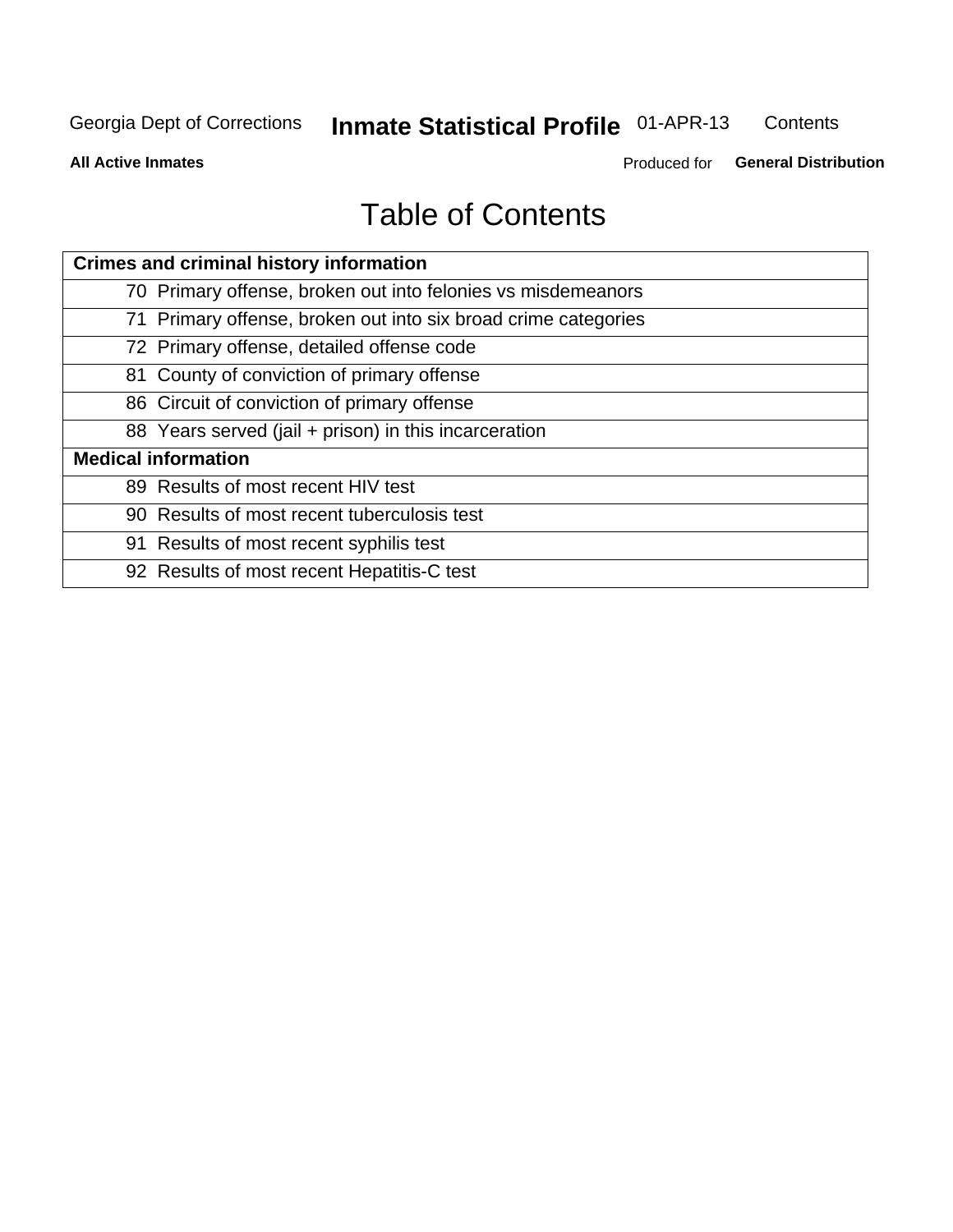#### **Inmate Statistical Profile 01-APR-13** Contents

**All Active Inmates** 

Produced for General Distribution

# **Table of Contents**

| <b>Crimes and criminal history information</b>                 |
|----------------------------------------------------------------|
| 70 Primary offense, broken out into felonies vs misdemeanors   |
| 71 Primary offense, broken out into six broad crime categories |
| 72 Primary offense, detailed offense code                      |
| 81 County of conviction of primary offense                     |
| 86 Circuit of conviction of primary offense                    |
| 88 Years served (jail + prison) in this incarceration          |
| <b>Medical information</b>                                     |
| 89 Results of most recent HIV test                             |
| 90 Results of most recent tuberculosis test                    |
| 91 Results of most recent syphilis test                        |
| 92 Results of most recent Hepatitis-C test                     |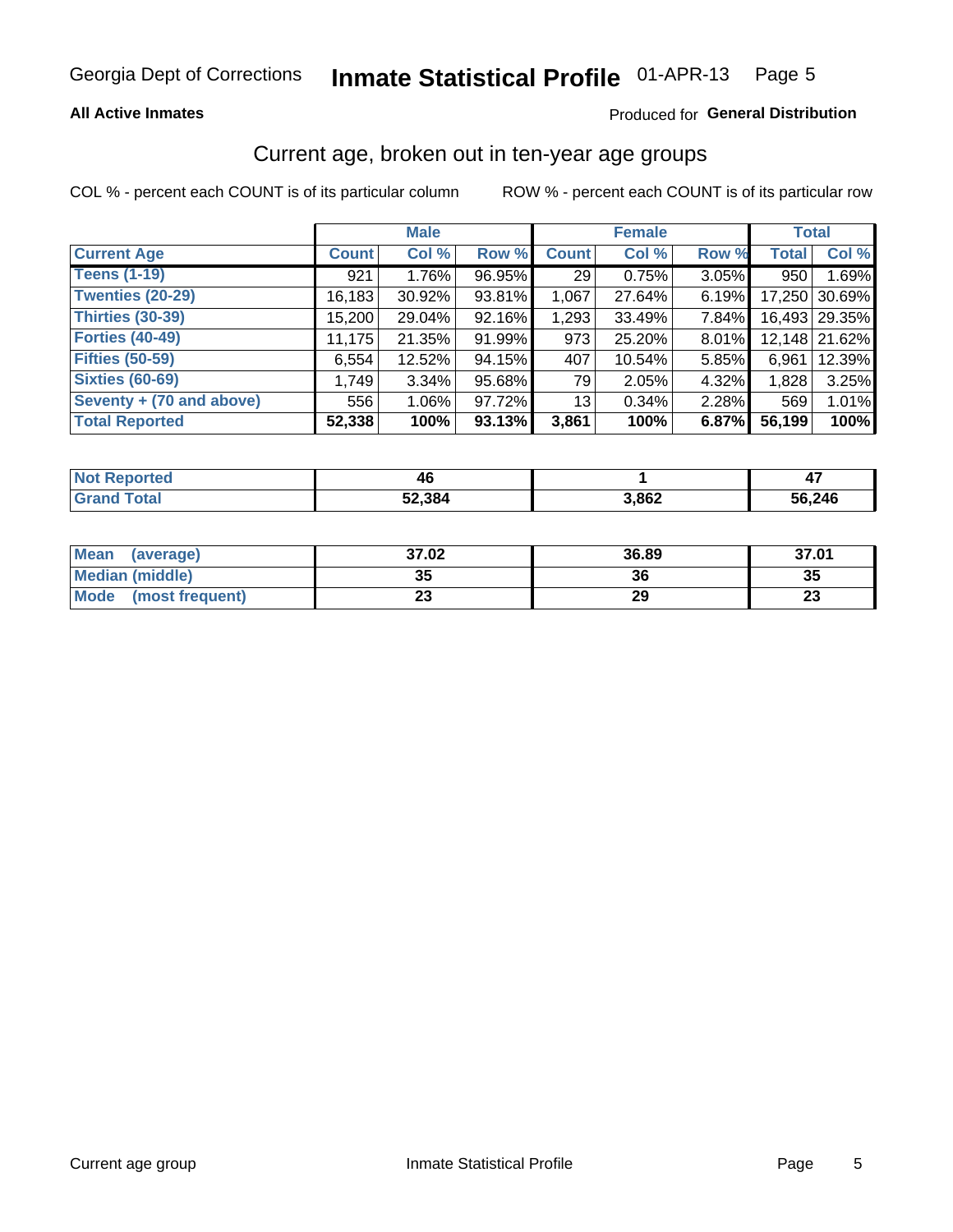#### **All Active Inmates**

#### Produced for General Distribution

### Current age, broken out in ten-year age groups

COL % - percent each COUNT is of its particular column

|                          |              | <b>Male</b> |        |                 | <b>Female</b> |          |              | <b>Total</b>  |
|--------------------------|--------------|-------------|--------|-----------------|---------------|----------|--------------|---------------|
| <b>Current Age</b>       | <b>Count</b> | Col %       | Row %  | <b>Count</b>    | Col %         | Row %    | <b>Total</b> | Col %         |
| <b>Teens (1-19)</b>      | 921          | 1.76%       | 96.95% | 29              | 0.75%         | $3.05\%$ | 950          | 1.69%         |
| <b>Twenties (20-29)</b>  | 16,183       | 30.92%      | 93.81% | 1,067           | 27.64%        | 6.19%    | 17,250       | 30.69%        |
| <b>Thirties (30-39)</b>  | 15,200       | 29.04%      | 92.16% | 1,293           | 33.49%        | $7.84\%$ |              | 16,493 29.35% |
| <b>Forties (40-49)</b>   | 11,175       | 21.35%      | 91.99% | 973             | 25.20%        | 8.01%    |              | 12,148 21.62% |
| <b>Fifties (50-59)</b>   | 6,554        | 12.52%      | 94.15% | 407             | 10.54%        | 5.85%    | 6.961        | 12.39%        |
| <b>Sixties (60-69)</b>   | 1,749        | $3.34\%$    | 95.68% | 79              | 2.05%         | 4.32%    | 1,828        | 3.25%         |
| Seventy + (70 and above) | 556          | $1.06\%$    | 97.72% | 13 <sub>1</sub> | 0.34%         | 2.28%    | 569          | 1.01%         |
| <b>Total Reported</b>    | 52,338       | 100%        | 93.13% | 3,861           | 100%          | 6.87%    | 56,199       | 100%          |

| <b>Not Reported</b> | 46     |       |        |
|---------------------|--------|-------|--------|
| <b>Grand Total</b>  | 52,384 | 3,862 | 56,246 |

| <b>Mean</b><br>(average) | 37.02    | 36.89 | 37.01                          |
|--------------------------|----------|-------|--------------------------------|
| Median (middle)          | つん<br>vu | 36    | 35                             |
| Mode<br>(most frequent)  | n.<br>w  | 29    | $\overline{\phantom{a}}$<br>∠J |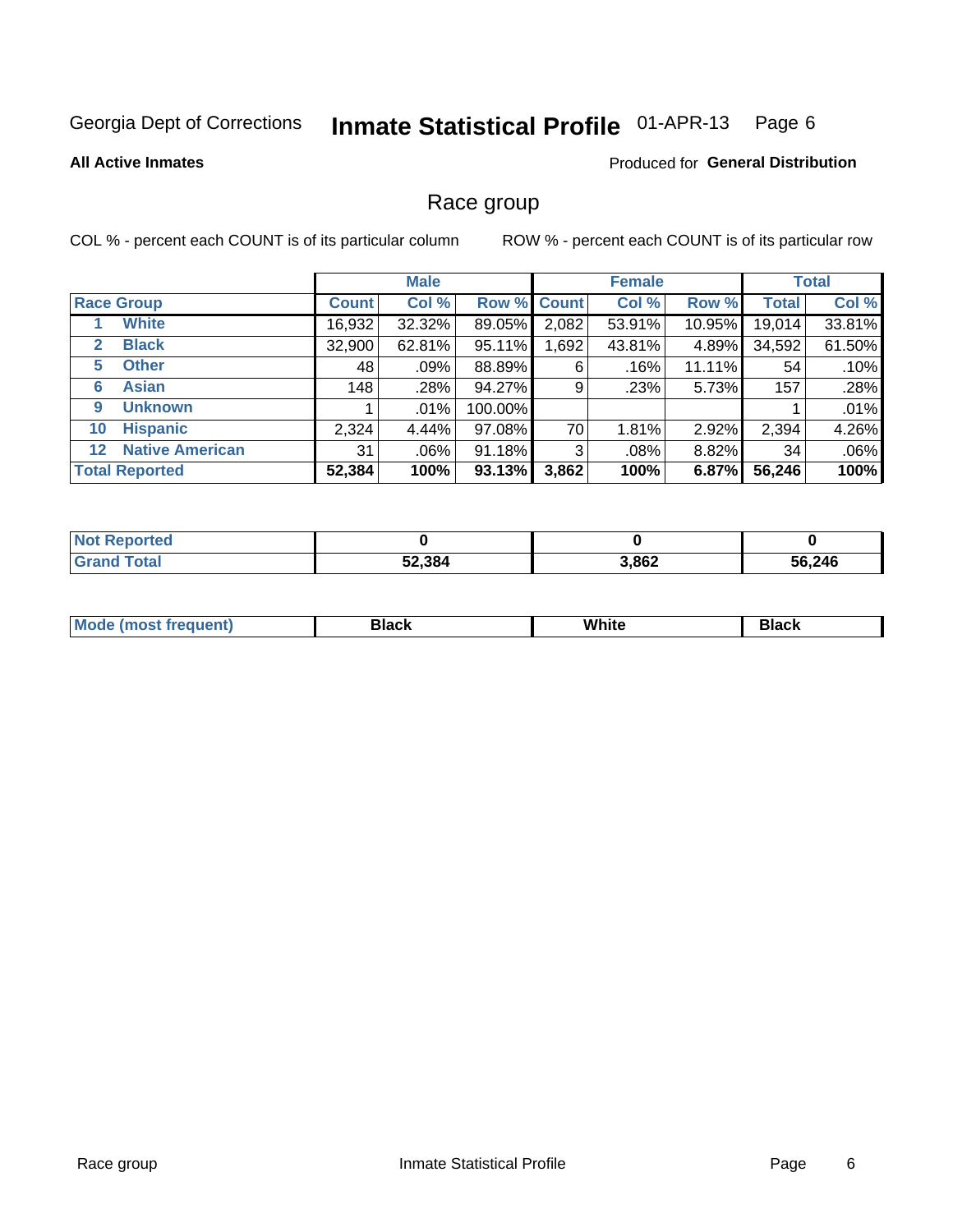#### Inmate Statistical Profile 01-APR-13 Page 6

#### **All Active Inmates**

#### Produced for General Distribution

#### Race group

COL % - percent each COUNT is of its particular column

|                                   |              | <b>Male</b> |         |             | <b>Female</b> |          |              | <b>Total</b> |
|-----------------------------------|--------------|-------------|---------|-------------|---------------|----------|--------------|--------------|
| <b>Race Group</b>                 | <b>Count</b> | Col %       |         | Row % Count | Col %         | Row %    | <b>Total</b> | Col %        |
| <b>White</b>                      | 16,932       | 32.32%      | 89.05%  | 2,082       | 53.91%        | 10.95%   | 19,014       | 33.81%       |
| <b>Black</b><br>2                 | 32,900       | 62.81%      | 95.11%  | ,692        | 43.81%        | 4.89%    | 34,592       | 61.50%       |
| <b>Other</b><br>5.                | 48           | .09%        | 88.89%  | 6           | .16%          | 11.11%   | 54           | .10%         |
| <b>Asian</b><br>6                 | 148          | .28%        | 94.27%  | 9           | .23%          | 5.73%    | 157          | .28%         |
| <b>Unknown</b><br>9               |              | $.01\%$     | 100.00% |             |               |          |              | .01%         |
| <b>Hispanic</b><br>10             | 2,324        | 4.44%       | 97.08%  | 70          | 1.81%         | 2.92%    | 2,394        | 4.26%        |
| <b>Native American</b><br>$12 \,$ | 31           | $.06\%$     | 91.18%  | 3           | .08%          | $8.82\%$ | 34           | .06%         |
| <b>Total Reported</b>             | 52,384       | 100%        | 93.13%  | 3,862       | 100%          | 6.87%    | 56,246       | 100%         |

| Reported<br><b>Not</b>             |        |       |        |
|------------------------------------|--------|-------|--------|
| <b>Total</b><br>"Gran <sub>"</sub> | 52,384 | 3,862 | 56,246 |

| M.<br>____ | . | ------- |
|------------|---|---------|
|            |   |         |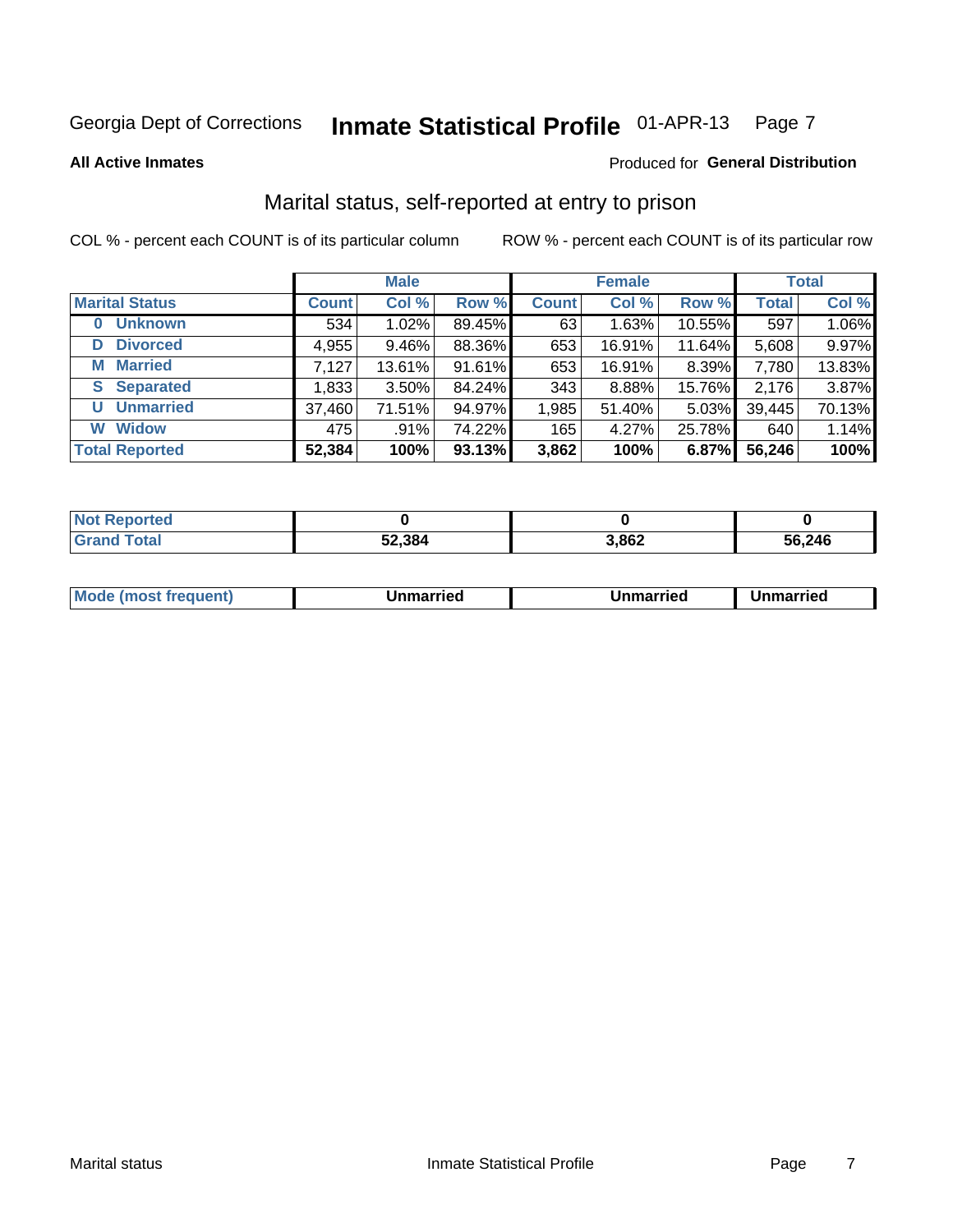#### Inmate Statistical Profile 01-APR-13 Page 7

**All Active Inmates** 

#### Produced for General Distribution

### Marital status, self-reported at entry to prison

COL % - percent each COUNT is of its particular column

|                            |              | <b>Male</b> |        |              | <b>Female</b> |        |              | <b>Total</b> |
|----------------------------|--------------|-------------|--------|--------------|---------------|--------|--------------|--------------|
| <b>Marital Status</b>      | <b>Count</b> | Col %       | Row %  | <b>Count</b> | Col %         | Row %  | <b>Total</b> | Col %        |
| <b>Unknown</b><br>$\bf{0}$ | 534          | 1.02%       | 89.45% | 63           | 1.63%         | 10.55% | 597          | 1.06%        |
| <b>Divorced</b><br>D       | 4,955        | $9.46\%$    | 88.36% | 653          | 16.91%        | 11.64% | 5,608        | 9.97%        |
| <b>Married</b><br>M        | 7,127        | 13.61%      | 91.61% | 653          | 16.91%        | 8.39%  | 7,780        | 13.83%       |
| <b>S</b> Separated         | 1,833        | $3.50\%$    | 84.24% | 343          | 8.88%         | 15.76% | 2,176        | 3.87%        |
| <b>Unmarried</b><br>U      | 37,460       | 71.51%      | 94.97% | 1,985        | 51.40%        | 5.03%  | 39,445       | 70.13%       |
| <b>Widow</b><br>W          | 475          | .91%        | 74.22% | 165          | 4.27%         | 25.78% | 640          | 1.14%        |
| <b>Total Reported</b>      | 52,384       | 100%        | 93.13% | 3,862        | 100%          | 6.87%  | 56,246       | 100%         |

| <b>Not Repo</b><br><b>oorted</b> |        |       |        |
|----------------------------------|--------|-------|--------|
| Гоtal                            | 52,384 | 8,862 | 56,246 |

|--|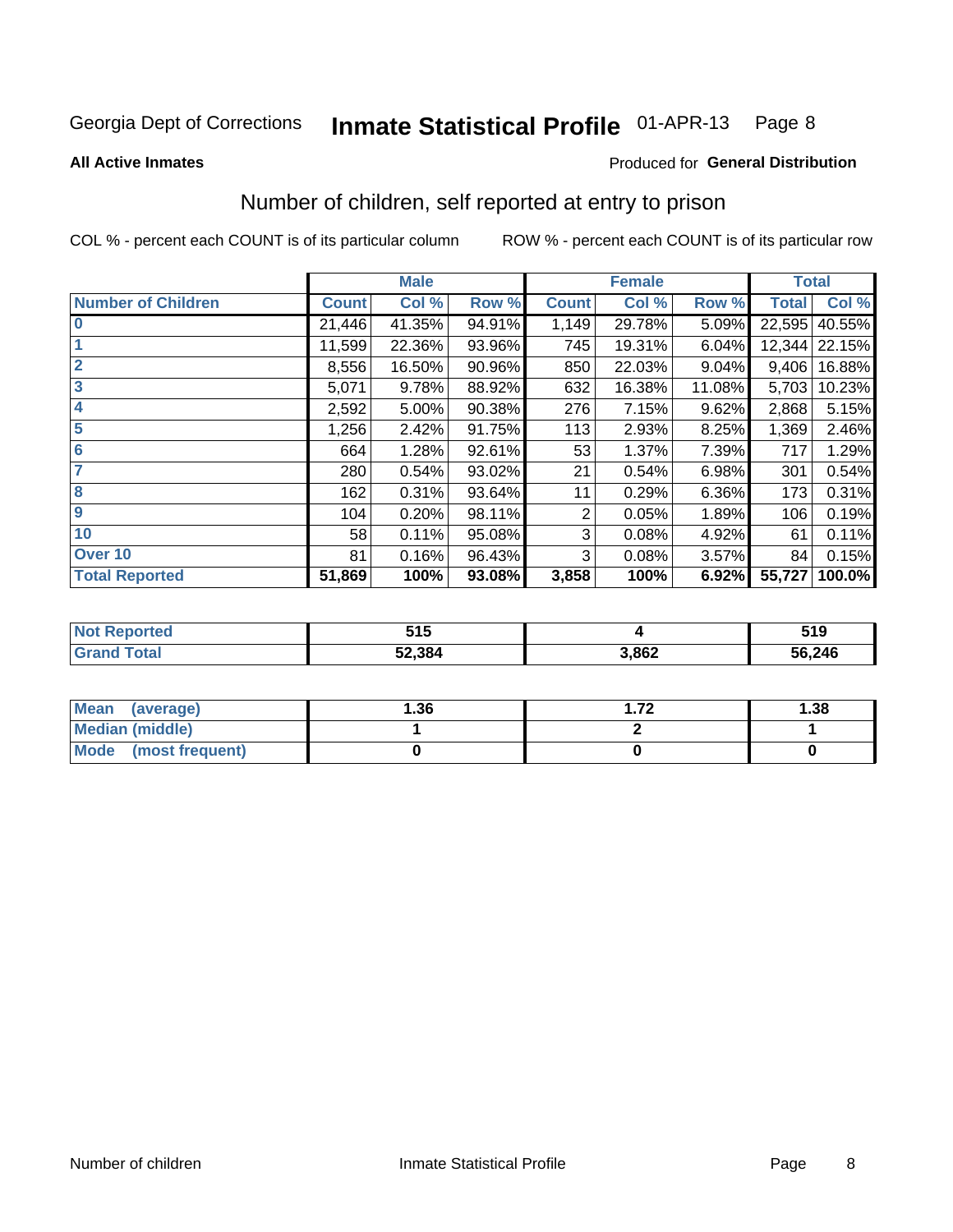#### Inmate Statistical Profile 01-APR-13 Page 8

#### **All Active Inmates**

#### **Produced for General Distribution**

# Number of children, self reported at entry to prison

COL % - percent each COUNT is of its particular column

|                           |              | <b>Male</b> |        |              | <b>Female</b> |        | <b>Total</b> |        |
|---------------------------|--------------|-------------|--------|--------------|---------------|--------|--------------|--------|
| <b>Number of Children</b> | <b>Count</b> | Col %       | Row %  | <b>Count</b> | Col %         | Row %  | <b>Total</b> | Col %  |
| $\bf{0}$                  | 21,446       | 41.35%      | 94.91% | 1,149        | 29.78%        | 5.09%  | 22,595       | 40.55% |
|                           | 11,599       | 22.36%      | 93.96% | 745          | 19.31%        | 6.04%  | 12,344       | 22.15% |
| $\overline{2}$            | 8,556        | 16.50%      | 90.96% | 850          | 22.03%        | 9.04%  | 9,406        | 16.88% |
| 3                         | 5,071        | 9.78%       | 88.92% | 632          | 16.38%        | 11.08% | 5,703        | 10.23% |
| 4                         | 2,592        | 5.00%       | 90.38% | 276          | 7.15%         | 9.62%  | 2,868        | 5.15%  |
| 5                         | 1,256        | 2.42%       | 91.75% | 113          | 2.93%         | 8.25%  | 1,369        | 2.46%  |
| $6\phantom{1}6$           | 664          | 1.28%       | 92.61% | 53           | 1.37%         | 7.39%  | 717          | 1.29%  |
| 7                         | 280          | 0.54%       | 93.02% | 21           | 0.54%         | 6.98%  | 301          | 0.54%  |
| 8                         | 162          | 0.31%       | 93.64% | 11           | 0.29%         | 6.36%  | 173          | 0.31%  |
| $\boldsymbol{9}$          | 104          | 0.20%       | 98.11% | 2            | 0.05%         | 1.89%  | 106          | 0.19%  |
| 10                        | 58           | 0.11%       | 95.08% | 3            | 0.08%         | 4.92%  | 61           | 0.11%  |
| Over 10                   | 81           | 0.16%       | 96.43% | 3            | 0.08%         | 3.57%  | 84           | 0.15%  |
| <b>Total Reported</b>     | 51,869       | 100%        | 93.08% | 3,858        | 100%          | 6.92%  | 55,727       | 100.0% |

| -45<br><b>UIV</b> |       | 519    |
|-------------------|-------|--------|
| 52,384            | 3,862 | 56,246 |

| <b>Mean</b><br>(average)       | 1.36 | 72 | 1.38 |
|--------------------------------|------|----|------|
| Median (middle)                |      |    |      |
| <b>Mode</b><br>(most frequent) |      |    |      |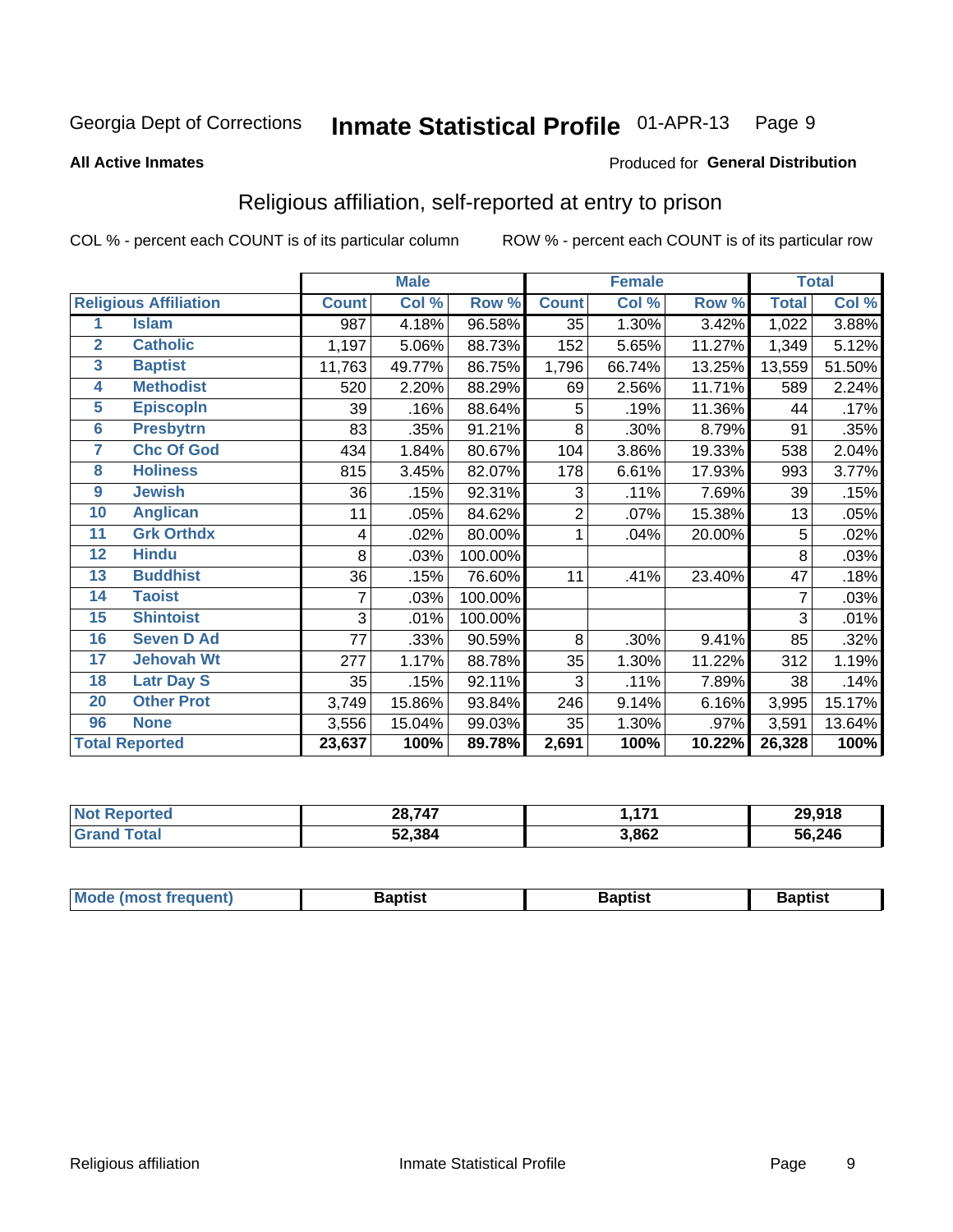#### Inmate Statistical Profile 01-APR-13 Page 9

#### **All Active Inmates**

#### Produced for General Distribution

### Religious affiliation, self-reported at entry to prison

COL % - percent each COUNT is of its particular column

|                 |                              |              | <b>Male</b> |         |                | <b>Female</b> |        |              | <b>Total</b> |
|-----------------|------------------------------|--------------|-------------|---------|----------------|---------------|--------|--------------|--------------|
|                 | <b>Religious Affiliation</b> | <b>Count</b> | Col %       | Row %   | <b>Count</b>   | Col %         | Row %  | <b>Total</b> | Col %        |
| 1               | <b>Islam</b>                 | 987          | 4.18%       | 96.58%  | 35             | 1.30%         | 3.42%  | 1,022        | 3.88%        |
| $\overline{2}$  | <b>Catholic</b>              | 1,197        | 5.06%       | 88.73%  | 152            | 5.65%         | 11.27% | 1,349        | 5.12%        |
| $\mathbf{3}$    | <b>Baptist</b>               | 11,763       | 49.77%      | 86.75%  | 1,796          | 66.74%        | 13.25% | 13,559       | 51.50%       |
| 4               | <b>Methodist</b>             | 520          | 2.20%       | 88.29%  | 69             | 2.56%         | 11.71% | 589          | 2.24%        |
| 5               | <b>EpiscopIn</b>             | 39           | .16%        | 88.64%  | 5              | .19%          | 11.36% | 44           | .17%         |
| $6\phantom{a}$  | <b>Presbytrn</b>             | 83           | .35%        | 91.21%  | 8              | .30%          | 8.79%  | 91           | .35%         |
| 7               | <b>Chc Of God</b>            | 434          | 1.84%       | 80.67%  | 104            | 3.86%         | 19.33% | 538          | 2.04%        |
| 8               | <b>Holiness</b>              | 815          | 3.45%       | 82.07%  | 178            | 6.61%         | 17.93% | 993          | 3.77%        |
| $\overline{9}$  | <b>Jewish</b>                | 36           | .15%        | 92.31%  | 3              | .11%          | 7.69%  | 39           | .15%         |
| 10              | <b>Anglican</b>              | 11           | .05%        | 84.62%  | $\overline{2}$ | .07%          | 15.38% | 13           | .05%         |
| 11              | <b>Grk Orthdx</b>            | 4            | .02%        | 80.00%  | 1              | .04%          | 20.00% | 5            | .02%         |
| 12              | <b>Hindu</b>                 | 8            | .03%        | 100.00% |                |               |        | 8            | .03%         |
| 13              | <b>Buddhist</b>              | 36           | .15%        | 76.60%  | 11             | .41%          | 23.40% | 47           | .18%         |
| 14              | <b>Taoist</b>                | 7            | .03%        | 100.00% |                |               |        | 7            | .03%         |
| 15              | <b>Shintoist</b>             | 3            | .01%        | 100.00% |                |               |        | 3            | .01%         |
| 16              | <b>Seven D Ad</b>            | 77           | .33%        | 90.59%  | 8              | .30%          | 9.41%  | 85           | .32%         |
| 17 <sub>2</sub> | <b>Jehovah Wt</b>            | 277          | 1.17%       | 88.78%  | 35             | 1.30%         | 11.22% | 312          | 1.19%        |
| 18              | <b>Latr Day S</b>            | 35           | .15%        | 92.11%  | 3              | .11%          | 7.89%  | 38           | .14%         |
| 20              | <b>Other Prot</b>            | 3,749        | 15.86%      | 93.84%  | 246            | 9.14%         | 6.16%  | 3,995        | 15.17%       |
| 96              | <b>None</b>                  | 3,556        | 15.04%      | 99.03%  | 35             | 1.30%         | .97%   | 3,591        | 13.64%       |
|                 | <b>Total Reported</b>        | 23,637       | 100%        | 89.78%  | 2,691          | 100%          | 10.22% | 26,328       | 100%         |

| oorted        | 28,747 | 474   | 29,918 |
|---------------|--------|-------|--------|
| <i>i</i> otal | 52,384 | 3,862 | 56,246 |

|  | Mode (most frequent) | Baptist | Baptist | <b>Baptist</b> |
|--|----------------------|---------|---------|----------------|
|--|----------------------|---------|---------|----------------|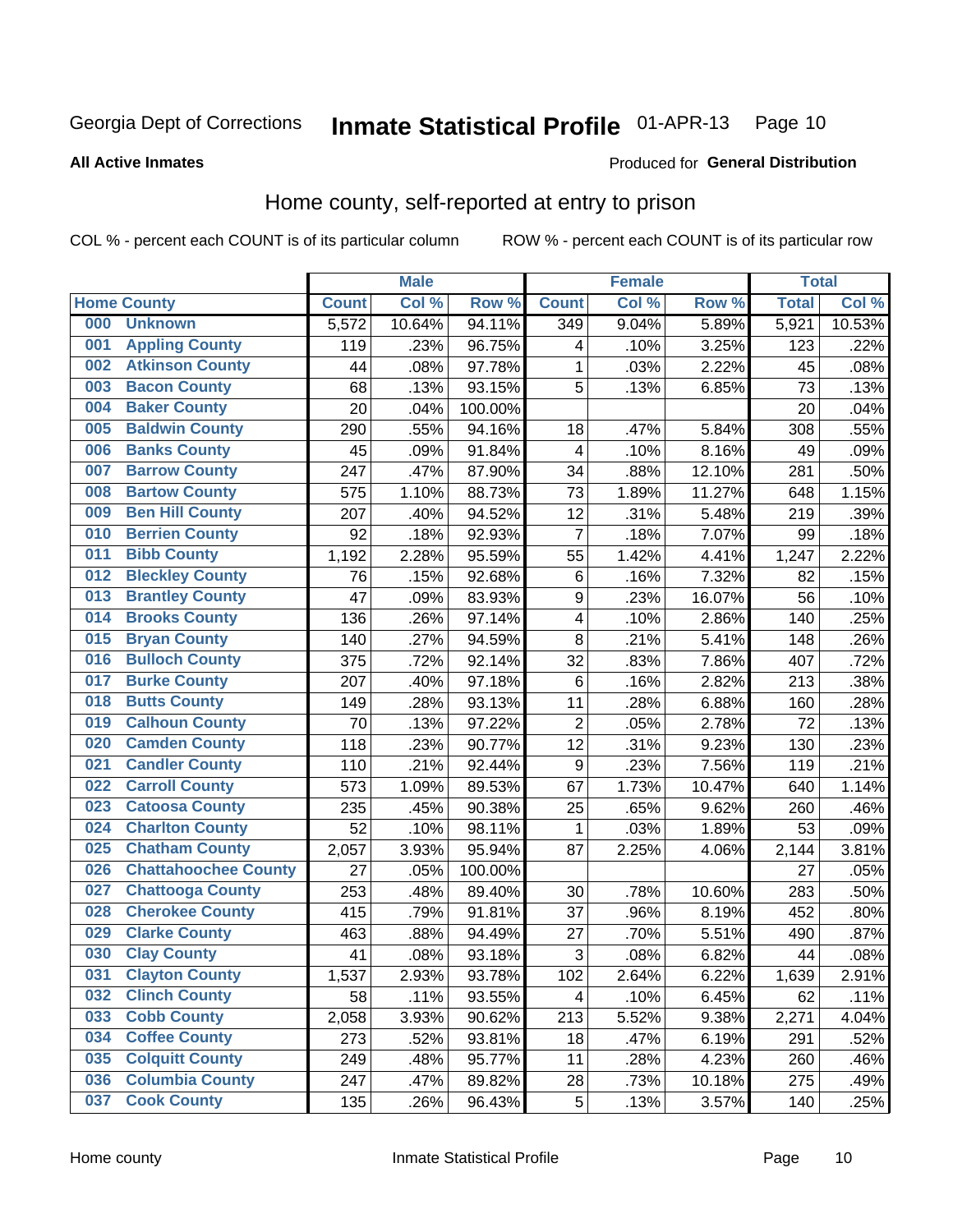#### Inmate Statistical Profile 01-APR-13 Page 10

Produced for General Distribution

#### **All Active Inmates**

#### Home county, self-reported at entry to prison

COL % - percent each COUNT is of its particular column

|     |                             |              | <b>Male</b> |         |                  | <b>Female</b> |        | <b>Total</b> |        |
|-----|-----------------------------|--------------|-------------|---------|------------------|---------------|--------|--------------|--------|
|     | <b>Home County</b>          | <b>Count</b> | Col %       | Row %   | <b>Count</b>     | Col %         | Row %  | <b>Total</b> | Col %  |
| 000 | <b>Unknown</b>              | 5,572        | 10.64%      | 94.11%  | 349              | 9.04%         | 5.89%  | 5,921        | 10.53% |
| 001 | <b>Appling County</b>       | 119          | .23%        | 96.75%  | 4                | .10%          | 3.25%  | 123          | .22%   |
| 002 | <b>Atkinson County</b>      | 44           | .08%        | 97.78%  | 1                | .03%          | 2.22%  | 45           | .08%   |
| 003 | <b>Bacon County</b>         | 68           | .13%        | 93.15%  | 5                | .13%          | 6.85%  | 73           | .13%   |
| 004 | <b>Baker County</b>         | 20           | .04%        | 100.00% |                  |               |        | 20           | .04%   |
| 005 | <b>Baldwin County</b>       | 290          | .55%        | 94.16%  | 18               | .47%          | 5.84%  | 308          | .55%   |
| 006 | <b>Banks County</b>         | 45           | .09%        | 91.84%  | 4                | .10%          | 8.16%  | 49           | .09%   |
| 007 | <b>Barrow County</b>        | 247          | .47%        | 87.90%  | 34               | .88%          | 12.10% | 281          | .50%   |
| 008 | <b>Bartow County</b>        | 575          | 1.10%       | 88.73%  | 73               | 1.89%         | 11.27% | 648          | 1.15%  |
| 009 | <b>Ben Hill County</b>      | 207          | .40%        | 94.52%  | 12               | .31%          | 5.48%  | 219          | .39%   |
| 010 | <b>Berrien County</b>       | 92           | .18%        | 92.93%  | 7                | .18%          | 7.07%  | 99           | .18%   |
| 011 | <b>Bibb County</b>          | 1,192        | 2.28%       | 95.59%  | 55               | 1.42%         | 4.41%  | 1,247        | 2.22%  |
| 012 | <b>Bleckley County</b>      | 76           | .15%        | 92.68%  | $\,6$            | .16%          | 7.32%  | 82           | .15%   |
| 013 | <b>Brantley County</b>      | 47           | .09%        | 83.93%  | $\boldsymbol{9}$ | .23%          | 16.07% | 56           | .10%   |
| 014 | <b>Brooks County</b>        | 136          | .26%        | 97.14%  | 4                | .10%          | 2.86%  | 140          | .25%   |
| 015 | <b>Bryan County</b>         | 140          | .27%        | 94.59%  | 8                | .21%          | 5.41%  | 148          | .26%   |
| 016 | <b>Bulloch County</b>       | 375          | .72%        | 92.14%  | 32               | .83%          | 7.86%  | 407          | .72%   |
| 017 | <b>Burke County</b>         | 207          | .40%        | 97.18%  | 6                | .16%          | 2.82%  | 213          | .38%   |
| 018 | <b>Butts County</b>         | 149          | .28%        | 93.13%  | 11               | .28%          | 6.88%  | 160          | .28%   |
| 019 | <b>Calhoun County</b>       | 70           | .13%        | 97.22%  | $\overline{2}$   | .05%          | 2.78%  | 72           | .13%   |
| 020 | <b>Camden County</b>        | 118          | .23%        | 90.77%  | 12               | .31%          | 9.23%  | 130          | .23%   |
| 021 | <b>Candler County</b>       | 110          | .21%        | 92.44%  | 9                | .23%          | 7.56%  | 119          | .21%   |
| 022 | <b>Carroll County</b>       | 573          | 1.09%       | 89.53%  | 67               | 1.73%         | 10.47% | 640          | 1.14%  |
| 023 | <b>Catoosa County</b>       | 235          | .45%        | 90.38%  | 25               | .65%          | 9.62%  | 260          | .46%   |
| 024 | <b>Charlton County</b>      | 52           | .10%        | 98.11%  | 1                | .03%          | 1.89%  | 53           | .09%   |
| 025 | <b>Chatham County</b>       | 2,057        | 3.93%       | 95.94%  | 87               | 2.25%         | 4.06%  | 2,144        | 3.81%  |
| 026 | <b>Chattahoochee County</b> | 27           | .05%        | 100.00% |                  |               |        | 27           | .05%   |
| 027 | <b>Chattooga County</b>     | 253          | .48%        | 89.40%  | 30               | .78%          | 10.60% | 283          | .50%   |
| 028 | <b>Cherokee County</b>      | 415          | .79%        | 91.81%  | 37               | .96%          | 8.19%  | 452          | .80%   |
| 029 | <b>Clarke County</b>        | 463          | .88%        | 94.49%  | 27               | .70%          | 5.51%  | 490          | .87%   |
| 030 | <b>Clay County</b>          | 41           | .08%        | 93.18%  | $\overline{3}$   | .08%          | 6.82%  | 44           | .08%   |
| 031 | <b>Clayton County</b>       | 1,537        | 2.93%       | 93.78%  | 102              | 2.64%         | 6.22%  | 1,639        | 2.91%  |
| 032 | <b>Clinch County</b>        | 58           | .11%        | 93.55%  | 4                | .10%          | 6.45%  | 62           | .11%   |
| 033 | <b>Cobb County</b>          | 2,058        | 3.93%       | 90.62%  | 213              | 5.52%         | 9.38%  | 2,271        | 4.04%  |
| 034 | <b>Coffee County</b>        | 273          | .52%        | 93.81%  | 18               | .47%          | 6.19%  | 291          | .52%   |
| 035 | <b>Colquitt County</b>      | 249          | .48%        | 95.77%  | 11               | .28%          | 4.23%  | 260          | .46%   |
| 036 | <b>Columbia County</b>      | 247          | .47%        | 89.82%  | 28               | .73%          | 10.18% | 275          | .49%   |
| 037 | <b>Cook County</b>          | 135          | .26%        | 96.43%  | $\sqrt{5}$       | .13%          | 3.57%  | 140          | .25%   |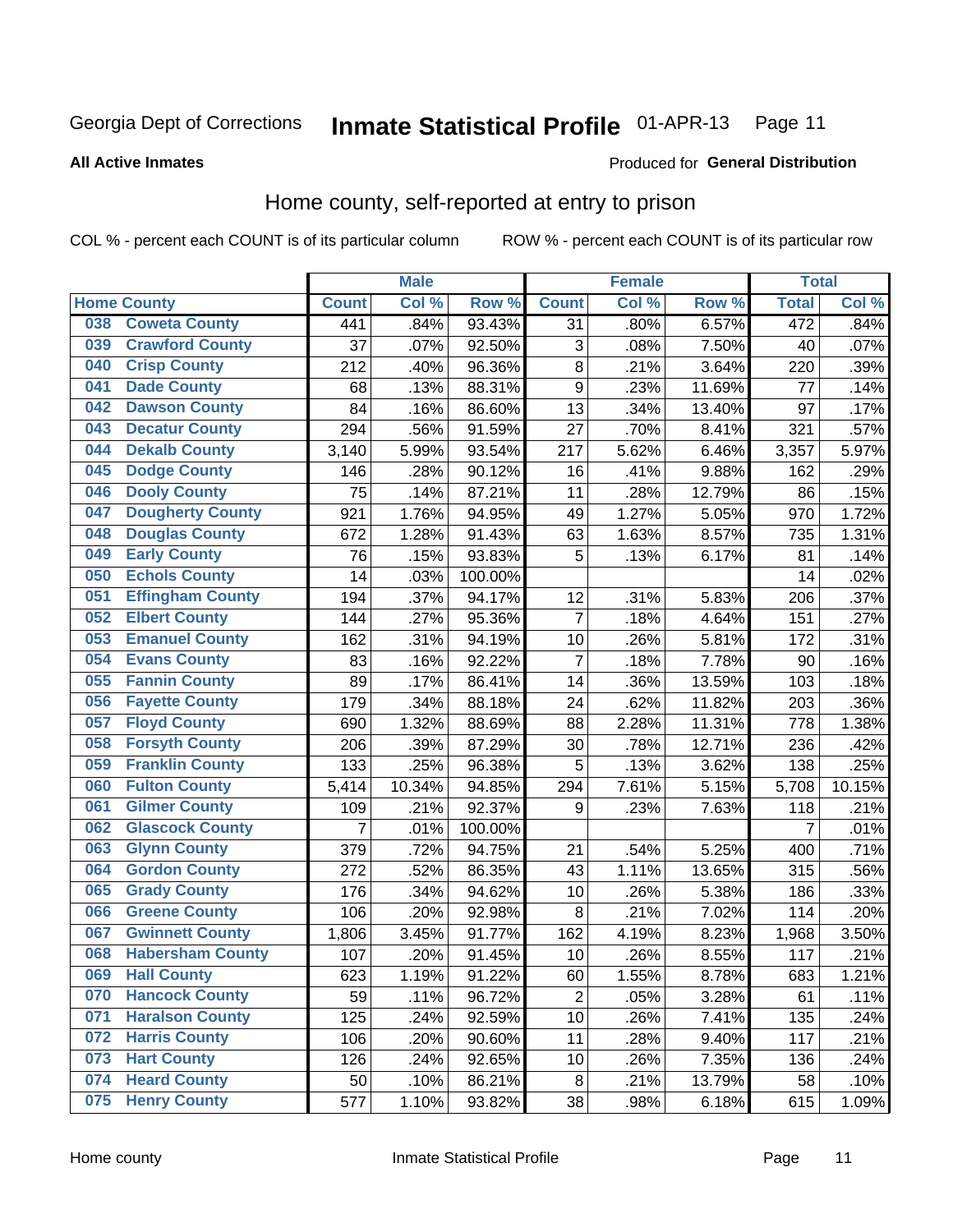#### Inmate Statistical Profile 01-APR-13 Page 11

#### **All Active Inmates**

#### Produced for General Distribution

### Home county, self-reported at entry to prison

COL % - percent each COUNT is of its particular column

|     |                         |                | <b>Male</b> |         |                  | <b>Female</b> |        | <b>Total</b>   |        |
|-----|-------------------------|----------------|-------------|---------|------------------|---------------|--------|----------------|--------|
|     | <b>Home County</b>      | <b>Count</b>   | Col %       | Row %   | <b>Count</b>     | Col %         | Row %  | <b>Total</b>   | Col %  |
| 038 | <b>Coweta County</b>    | 441            | .84%        | 93.43%  | 31               | .80%          | 6.57%  | 472            | .84%   |
| 039 | <b>Crawford County</b>  | 37             | .07%        | 92.50%  | 3                | .08%          | 7.50%  | 40             | .07%   |
| 040 | <b>Crisp County</b>     | 212            | .40%        | 96.36%  | $\bf 8$          | .21%          | 3.64%  | 220            | .39%   |
| 041 | <b>Dade County</b>      | 68             | .13%        | 88.31%  | $\boldsymbol{9}$ | .23%          | 11.69% | 77             | .14%   |
| 042 | <b>Dawson County</b>    | 84             | .16%        | 86.60%  | 13               | .34%          | 13.40% | 97             | .17%   |
| 043 | <b>Decatur County</b>   | 294            | .56%        | 91.59%  | 27               | .70%          | 8.41%  | 321            | .57%   |
| 044 | <b>Dekalb County</b>    | 3,140          | 5.99%       | 93.54%  | 217              | 5.62%         | 6.46%  | 3,357          | 5.97%  |
| 045 | <b>Dodge County</b>     | 146            | .28%        | 90.12%  | 16               | .41%          | 9.88%  | 162            | .29%   |
| 046 | <b>Dooly County</b>     | 75             | .14%        | 87.21%  | 11               | .28%          | 12.79% | 86             | .15%   |
| 047 | <b>Dougherty County</b> | 921            | 1.76%       | 94.95%  | 49               | 1.27%         | 5.05%  | 970            | 1.72%  |
| 048 | <b>Douglas County</b>   | 672            | 1.28%       | 91.43%  | 63               | 1.63%         | 8.57%  | 735            | 1.31%  |
| 049 | <b>Early County</b>     | 76             | .15%        | 93.83%  | 5                | .13%          | 6.17%  | 81             | .14%   |
| 050 | <b>Echols County</b>    | 14             | .03%        | 100.00% |                  |               |        | 14             | .02%   |
| 051 | <b>Effingham County</b> | 194            | .37%        | 94.17%  | 12               | .31%          | 5.83%  | 206            | .37%   |
| 052 | <b>Elbert County</b>    | 144            | .27%        | 95.36%  | $\overline{7}$   | .18%          | 4.64%  | 151            | .27%   |
| 053 | <b>Emanuel County</b>   | 162            | .31%        | 94.19%  | 10               | .26%          | 5.81%  | 172            | .31%   |
| 054 | <b>Evans County</b>     | 83             | .16%        | 92.22%  | $\overline{7}$   | .18%          | 7.78%  | 90             | .16%   |
| 055 | <b>Fannin County</b>    | 89             | .17%        | 86.41%  | 14               | .36%          | 13.59% | 103            | .18%   |
| 056 | <b>Fayette County</b>   | 179            | .34%        | 88.18%  | 24               | .62%          | 11.82% | 203            | .36%   |
| 057 | <b>Floyd County</b>     | 690            | 1.32%       | 88.69%  | 88               | 2.28%         | 11.31% | 778            | 1.38%  |
| 058 | <b>Forsyth County</b>   | 206            | .39%        | 87.29%  | 30               | .78%          | 12.71% | 236            | .42%   |
| 059 | <b>Franklin County</b>  | 133            | .25%        | 96.38%  | 5                | .13%          | 3.62%  | 138            | .25%   |
| 060 | <b>Fulton County</b>    | 5,414          | 10.34%      | 94.85%  | 294              | 7.61%         | 5.15%  | 5,708          | 10.15% |
| 061 | <b>Gilmer County</b>    | 109            | .21%        | 92.37%  | 9                | .23%          | 7.63%  | 118            | .21%   |
| 062 | <b>Glascock County</b>  | $\overline{7}$ | .01%        | 100.00% |                  |               |        | $\overline{7}$ | .01%   |
| 063 | <b>Glynn County</b>     | 379            | .72%        | 94.75%  | 21               | .54%          | 5.25%  | 400            | .71%   |
| 064 | <b>Gordon County</b>    | 272            | .52%        | 86.35%  | 43               | 1.11%         | 13.65% | 315            | .56%   |
| 065 | <b>Grady County</b>     | 176            | .34%        | 94.62%  | 10               | .26%          | 5.38%  | 186            | .33%   |
| 066 | <b>Greene County</b>    | 106            | .20%        | 92.98%  | $\bf 8$          | .21%          | 7.02%  | 114            | .20%   |
| 067 | <b>Gwinnett County</b>  | 1,806          | 3.45%       | 91.77%  | 162              | 4.19%         | 8.23%  | 1,968          | 3.50%  |
| 068 | <b>Habersham County</b> | 107            | .20%        | 91.45%  | 10               | .26%          | 8.55%  | 117            | .21%   |
| 069 | <b>Hall County</b>      | 623            | 1.19%       | 91.22%  | 60               | 1.55%         | 8.78%  | 683            | 1.21%  |
| 070 | <b>Hancock County</b>   | 59             | .11%        | 96.72%  | $\overline{2}$   | .05%          | 3.28%  | 61             | .11%   |
| 071 | <b>Haralson County</b>  | 125            | .24%        | 92.59%  | 10               | .26%          | 7.41%  | 135            | .24%   |
| 072 | <b>Harris County</b>    | 106            | .20%        | 90.60%  | 11               | .28%          | 9.40%  | 117            | .21%   |
| 073 | <b>Hart County</b>      | 126            | .24%        | 92.65%  | 10               | .26%          | 7.35%  | 136            | .24%   |
| 074 | <b>Heard County</b>     | 50             | .10%        | 86.21%  | 8                | .21%          | 13.79% | 58             | .10%   |
| 075 | <b>Henry County</b>     | 577            | 1.10%       | 93.82%  | 38               | .98%          | 6.18%  | 615            | 1.09%  |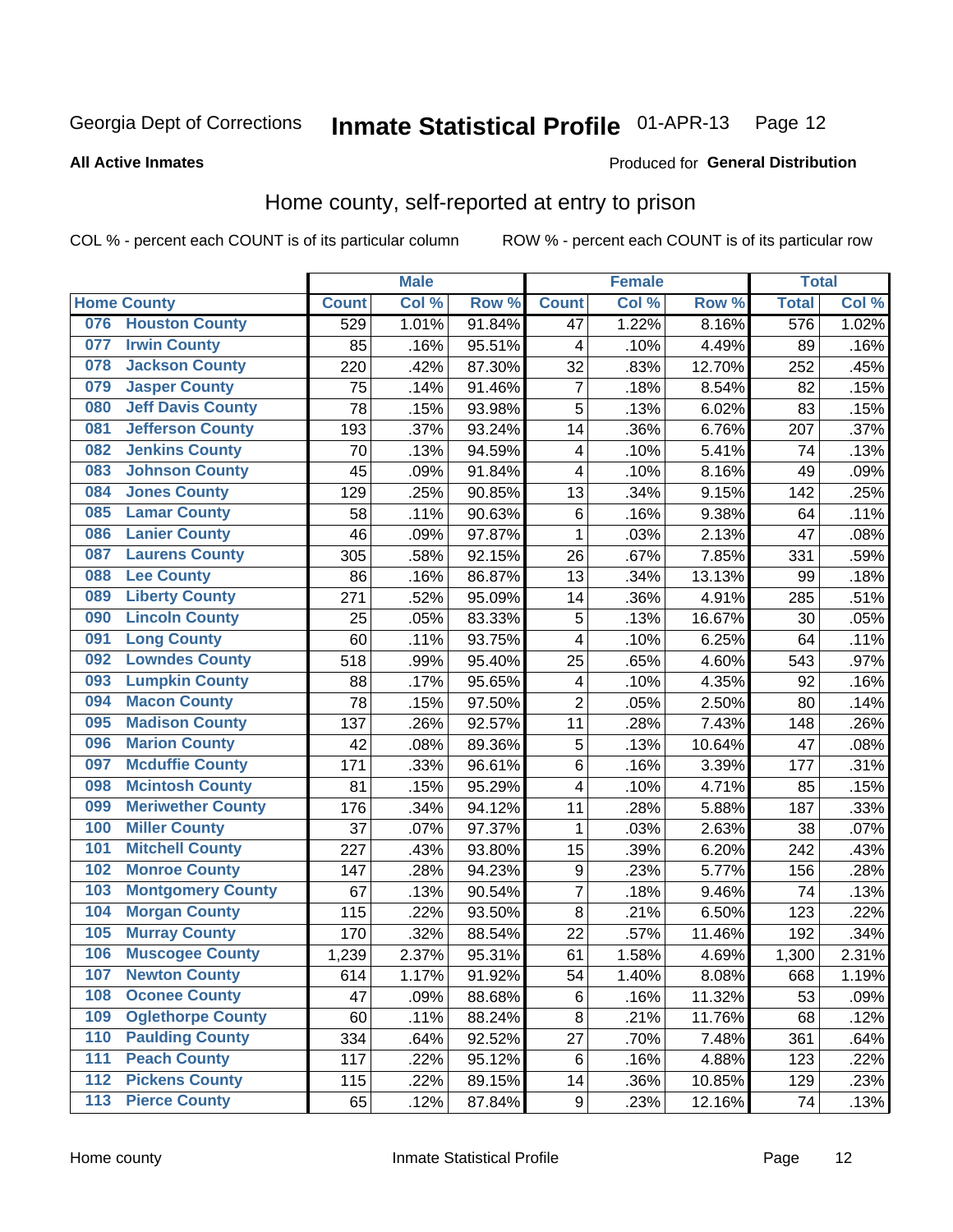#### Inmate Statistical Profile 01-APR-13 Page 12

#### **All Active Inmates**

#### Produced for General Distribution

## Home county, self-reported at entry to prison

COL % - percent each COUNT is of its particular column

|                  |                          |              | <b>Male</b> |                  |                         | <b>Female</b> |        | <b>Total</b> |       |
|------------------|--------------------------|--------------|-------------|------------------|-------------------------|---------------|--------|--------------|-------|
|                  | <b>Home County</b>       | <b>Count</b> | Col %       | Row <sup>%</sup> | <b>Count</b>            | Col %         | Row %  | <b>Total</b> | Col % |
| 076              | <b>Houston County</b>    | 529          | 1.01%       | 91.84%           | 47                      | 1.22%         | 8.16%  | 576          | 1.02% |
| 077              | <b>Irwin County</b>      | 85           | .16%        | 95.51%           | 4                       | .10%          | 4.49%  | 89           | .16%  |
| 078              | <b>Jackson County</b>    | 220          | .42%        | 87.30%           | 32                      | .83%          | 12.70% | 252          | .45%  |
| 079              | <b>Jasper County</b>     | 75           | .14%        | 91.46%           | $\overline{7}$          | .18%          | 8.54%  | 82           | .15%  |
| 080              | <b>Jeff Davis County</b> | 78           | .15%        | 93.98%           | 5                       | .13%          | 6.02%  | 83           | .15%  |
| 081              | <b>Jefferson County</b>  | 193          | .37%        | 93.24%           | 14                      | .36%          | 6.76%  | 207          | .37%  |
| 082              | <b>Jenkins County</b>    | 70           | .13%        | 94.59%           | $\overline{\mathbf{4}}$ | .10%          | 5.41%  | 74           | .13%  |
| 083              | <b>Johnson County</b>    | 45           | .09%        | 91.84%           | $\overline{\mathbf{4}}$ | .10%          | 8.16%  | 49           | .09%  |
| 084              | <b>Jones County</b>      | 129          | .25%        | 90.85%           | 13                      | .34%          | 9.15%  | 142          | .25%  |
| 085              | <b>Lamar County</b>      | 58           | .11%        | 90.63%           | $\,6$                   | .16%          | 9.38%  | 64           | .11%  |
| 086              | <b>Lanier County</b>     | 46           | .09%        | 97.87%           | 1                       | .03%          | 2.13%  | 47           | .08%  |
| 087              | <b>Laurens County</b>    | 305          | .58%        | 92.15%           | 26                      | .67%          | 7.85%  | 331          | .59%  |
| 088              | <b>Lee County</b>        | 86           | .16%        | 86.87%           | 13                      | .34%          | 13.13% | 99           | .18%  |
| 089              | <b>Liberty County</b>    | 271          | .52%        | 95.09%           | 14                      | .36%          | 4.91%  | 285          | .51%  |
| 090              | <b>Lincoln County</b>    | 25           | .05%        | 83.33%           | 5                       | .13%          | 16.67% | 30           | .05%  |
| 091              | <b>Long County</b>       | 60           | .11%        | 93.75%           | $\overline{\mathbf{4}}$ | .10%          | 6.25%  | 64           | .11%  |
| 092              | <b>Lowndes County</b>    | 518          | .99%        | 95.40%           | 25                      | .65%          | 4.60%  | 543          | .97%  |
| 093              | <b>Lumpkin County</b>    | 88           | .17%        | 95.65%           | 4                       | .10%          | 4.35%  | 92           | .16%  |
| 094              | <b>Macon County</b>      | 78           | .15%        | 97.50%           | $\overline{2}$          | .05%          | 2.50%  | 80           | .14%  |
| 095              | <b>Madison County</b>    | 137          | .26%        | 92.57%           | 11                      | .28%          | 7.43%  | 148          | .26%  |
| 096              | <b>Marion County</b>     | 42           | .08%        | 89.36%           | 5                       | .13%          | 10.64% | 47           | .08%  |
| 097              | <b>Mcduffie County</b>   | 171          | .33%        | 96.61%           | 6                       | .16%          | 3.39%  | 177          | .31%  |
| 098              | <b>Mcintosh County</b>   | 81           | .15%        | 95.29%           | $\overline{\mathbf{4}}$ | .10%          | 4.71%  | 85           | .15%  |
| 099              | <b>Meriwether County</b> | 176          | .34%        | 94.12%           | 11                      | .28%          | 5.88%  | 187          | .33%  |
| 100              | <b>Miller County</b>     | 37           | .07%        | 97.37%           | 1                       | .03%          | 2.63%  | 38           | .07%  |
| 101              | <b>Mitchell County</b>   | 227          | .43%        | 93.80%           | 15                      | .39%          | 6.20%  | 242          | .43%  |
| 102              | <b>Monroe County</b>     | 147          | .28%        | 94.23%           | $\boldsymbol{9}$        | .23%          | 5.77%  | 156          | .28%  |
| 103              | <b>Montgomery County</b> | 67           | .13%        | 90.54%           | $\overline{7}$          | .18%          | 9.46%  | 74           | .13%  |
| 104              | <b>Morgan County</b>     | 115          | .22%        | 93.50%           | 8                       | .21%          | 6.50%  | 123          | .22%  |
| 105              | <b>Murray County</b>     | 170          | .32%        | 88.54%           | 22                      | .57%          | 11.46% | 192          | .34%  |
| 106              | <b>Muscogee County</b>   | 1,239        | 2.37%       | 95.31%           | 61                      | 1.58%         | 4.69%  | 1,300        | 2.31% |
| 107              | <b>Newton County</b>     | 614          | 1.17%       | 91.92%           | 54                      | 1.40%         | 8.08%  | 668          | 1.19% |
| 108              | <b>Oconee County</b>     | 47           | .09%        | 88.68%           | 6                       | .16%          | 11.32% | 53           | .09%  |
| 109              | <b>Oglethorpe County</b> | 60           | .11%        | 88.24%           | 8                       | .21%          | 11.76% | 68           | .12%  |
| 110              | <b>Paulding County</b>   | 334          | .64%        | 92.52%           | 27                      | .70%          | 7.48%  | 361          | .64%  |
| 111              | <b>Peach County</b>      | 117          | .22%        | 95.12%           | 6                       | .16%          | 4.88%  | 123          | .22%  |
| $\overline{112}$ | <b>Pickens County</b>    | 115          | .22%        | 89.15%           | 14                      | .36%          | 10.85% | 129          | .23%  |
| 113              | <b>Pierce County</b>     | 65           | .12%        | 87.84%           | $\boldsymbol{9}$        | .23%          | 12.16% | 74           | .13%  |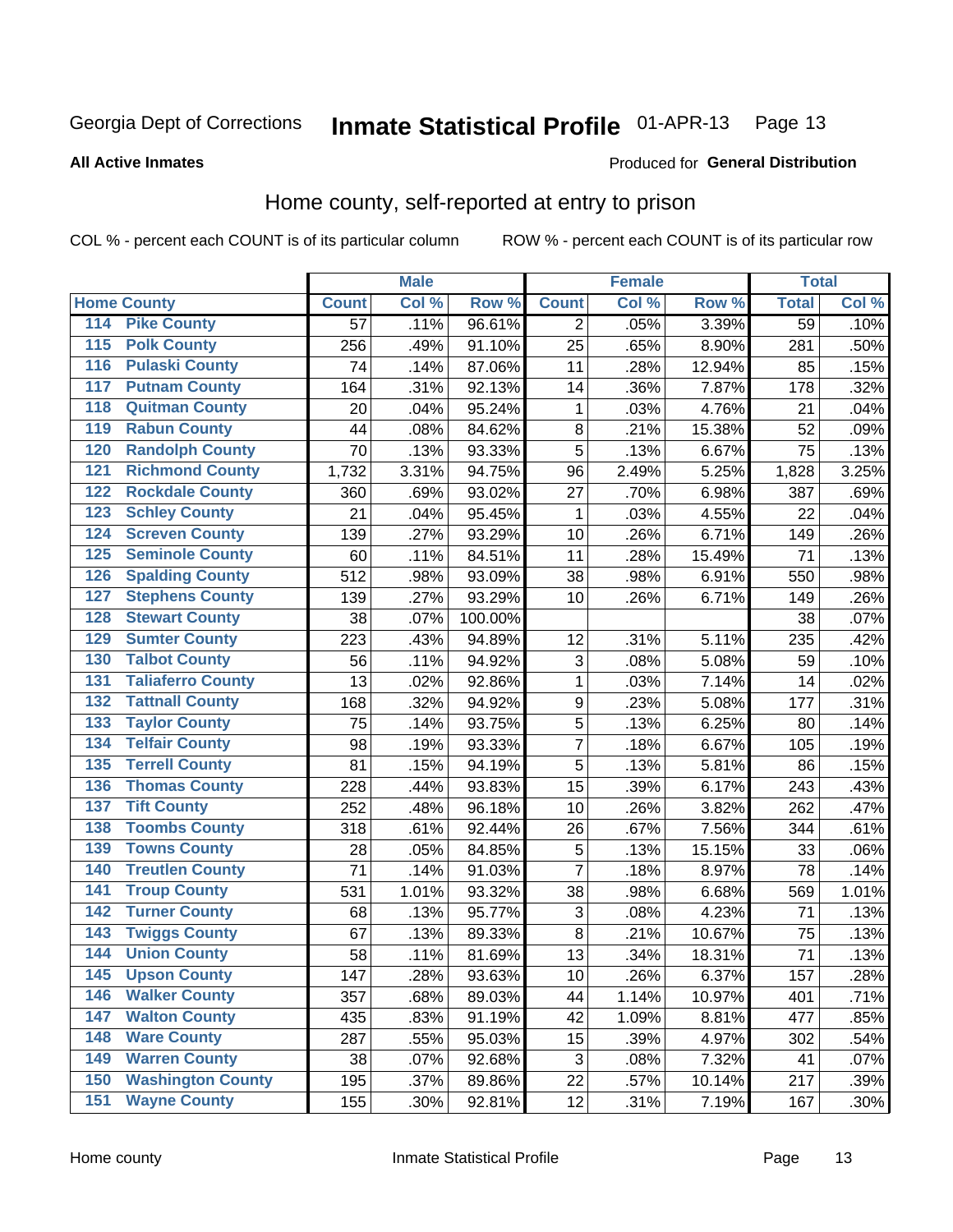#### Inmate Statistical Profile 01-APR-13 Page 13

**All Active Inmates** 

#### Produced for General Distribution

### Home county, self-reported at entry to prison

COL % - percent each COUNT is of its particular column

|                  |                          |              | <b>Male</b> |                  |                  | <b>Female</b> |        | <b>Total</b>    |       |
|------------------|--------------------------|--------------|-------------|------------------|------------------|---------------|--------|-----------------|-------|
|                  | <b>Home County</b>       | <b>Count</b> | Col %       | Row <sup>%</sup> | <b>Count</b>     | Col %         | Row %  | <b>Total</b>    | Col % |
| 114              | <b>Pike County</b>       | 57           | .11%        | 96.61%           | 2                | .05%          | 3.39%  | $\overline{59}$ | .10%  |
| 115              | <b>Polk County</b>       | 256          | .49%        | 91.10%           | 25               | .65%          | 8.90%  | 281             | .50%  |
| 116              | <b>Pulaski County</b>    | 74           | .14%        | 87.06%           | 11               | .28%          | 12.94% | 85              | .15%  |
| 117              | <b>Putnam County</b>     | 164          | .31%        | 92.13%           | 14               | .36%          | 7.87%  | 178             | .32%  |
| 118              | <b>Quitman County</b>    | 20           | .04%        | 95.24%           | 1                | .03%          | 4.76%  | 21              | .04%  |
| 119              | <b>Rabun County</b>      | 44           | .08%        | 84.62%           | 8                | .21%          | 15.38% | 52              | .09%  |
| 120              | <b>Randolph County</b>   | 70           | .13%        | 93.33%           | 5                | .13%          | 6.67%  | 75              | .13%  |
| 121              | <b>Richmond County</b>   | 1,732        | 3.31%       | 94.75%           | 96               | 2.49%         | 5.25%  | 1,828           | 3.25% |
| 122              | <b>Rockdale County</b>   | 360          | .69%        | 93.02%           | 27               | .70%          | 6.98%  | 387             | .69%  |
| 123              | <b>Schley County</b>     | 21           | .04%        | 95.45%           | 1                | .03%          | 4.55%  | 22              | .04%  |
| 124              | <b>Screven County</b>    | 139          | .27%        | 93.29%           | 10               | .26%          | 6.71%  | 149             | .26%  |
| 125              | <b>Seminole County</b>   | 60           | .11%        | 84.51%           | 11               | .28%          | 15.49% | 71              | .13%  |
| 126              | <b>Spalding County</b>   | 512          | .98%        | 93.09%           | 38               | .98%          | 6.91%  | 550             | .98%  |
| 127              | <b>Stephens County</b>   | 139          | .27%        | 93.29%           | 10               | .26%          | 6.71%  | 149             | .26%  |
| 128              | <b>Stewart County</b>    | 38           | .07%        | 100.00%          |                  |               |        | 38              | .07%  |
| 129              | <b>Sumter County</b>     | 223          | .43%        | 94.89%           | 12               | .31%          | 5.11%  | 235             | .42%  |
| 130              | <b>Talbot County</b>     | 56           | .11%        | 94.92%           | 3                | .08%          | 5.08%  | 59              | .10%  |
| 131              | <b>Taliaferro County</b> | 13           | .02%        | 92.86%           | $\mathbf{1}$     | .03%          | 7.14%  | 14              | .02%  |
| 132              | <b>Tattnall County</b>   | 168          | .32%        | 94.92%           | $\boldsymbol{9}$ | .23%          | 5.08%  | 177             | .31%  |
| 133              | <b>Taylor County</b>     | 75           | .14%        | 93.75%           | 5                | .13%          | 6.25%  | 80              | .14%  |
| 134              | <b>Telfair County</b>    | 98           | .19%        | 93.33%           | $\overline{7}$   | .18%          | 6.67%  | 105             | .19%  |
| $\overline{135}$ | <b>Terrell County</b>    | 81           | .15%        | 94.19%           | 5                | .13%          | 5.81%  | 86              | .15%  |
| 136              | <b>Thomas County</b>     | 228          | .44%        | 93.83%           | 15               | .39%          | 6.17%  | 243             | .43%  |
| 137              | <b>Tift County</b>       | 252          | .48%        | 96.18%           | 10               | .26%          | 3.82%  | 262             | .47%  |
| 138              | <b>Toombs County</b>     | 318          | .61%        | 92.44%           | 26               | .67%          | 7.56%  | 344             | .61%  |
| 139              | <b>Towns County</b>      | 28           | .05%        | 84.85%           | 5                | .13%          | 15.15% | 33              | .06%  |
| 140              | <b>Treutlen County</b>   | 71           | .14%        | 91.03%           | 7                | .18%          | 8.97%  | 78              | .14%  |
| 141              | <b>Troup County</b>      | 531          | 1.01%       | 93.32%           | 38               | .98%          | 6.68%  | 569             | 1.01% |
| 142              | <b>Turner County</b>     | 68           | .13%        | 95.77%           | 3                | .08%          | 4.23%  | 71              | .13%  |
| 143              | <b>Twiggs County</b>     | 67           | .13%        | 89.33%           | $\bf 8$          | .21%          | 10.67% | 75              | .13%  |
| 144              | <b>Union County</b>      | 58           | .11%        | 81.69%           | 13               | .34%          | 18.31% | 71              | .13%  |
| 145              | <b>Upson County</b>      | 147          | .28%        | 93.63%           | 10               | .26%          | 6.37%  | 157             | .28%  |
| 146              | <b>Walker County</b>     | 357          | .68%        | 89.03%           | 44               | 1.14%         | 10.97% | 401             | .71%  |
| 147              | <b>Walton County</b>     | 435          | .83%        | 91.19%           | 42               | 1.09%         | 8.81%  | 477             | .85%  |
| 148              | <b>Ware County</b>       | 287          | .55%        | 95.03%           | 15               | .39%          | 4.97%  | 302             | .54%  |
| 149              | <b>Warren County</b>     | 38           | .07%        | 92.68%           | 3                | .08%          | 7.32%  | 41              | .07%  |
| 150              | <b>Washington County</b> | 195          | .37%        | 89.86%           | 22               | .57%          | 10.14% | 217             | .39%  |
| 151              | <b>Wayne County</b>      | 155          | .30%        | 92.81%           | 12               | .31%          | 7.19%  | 167             | .30%  |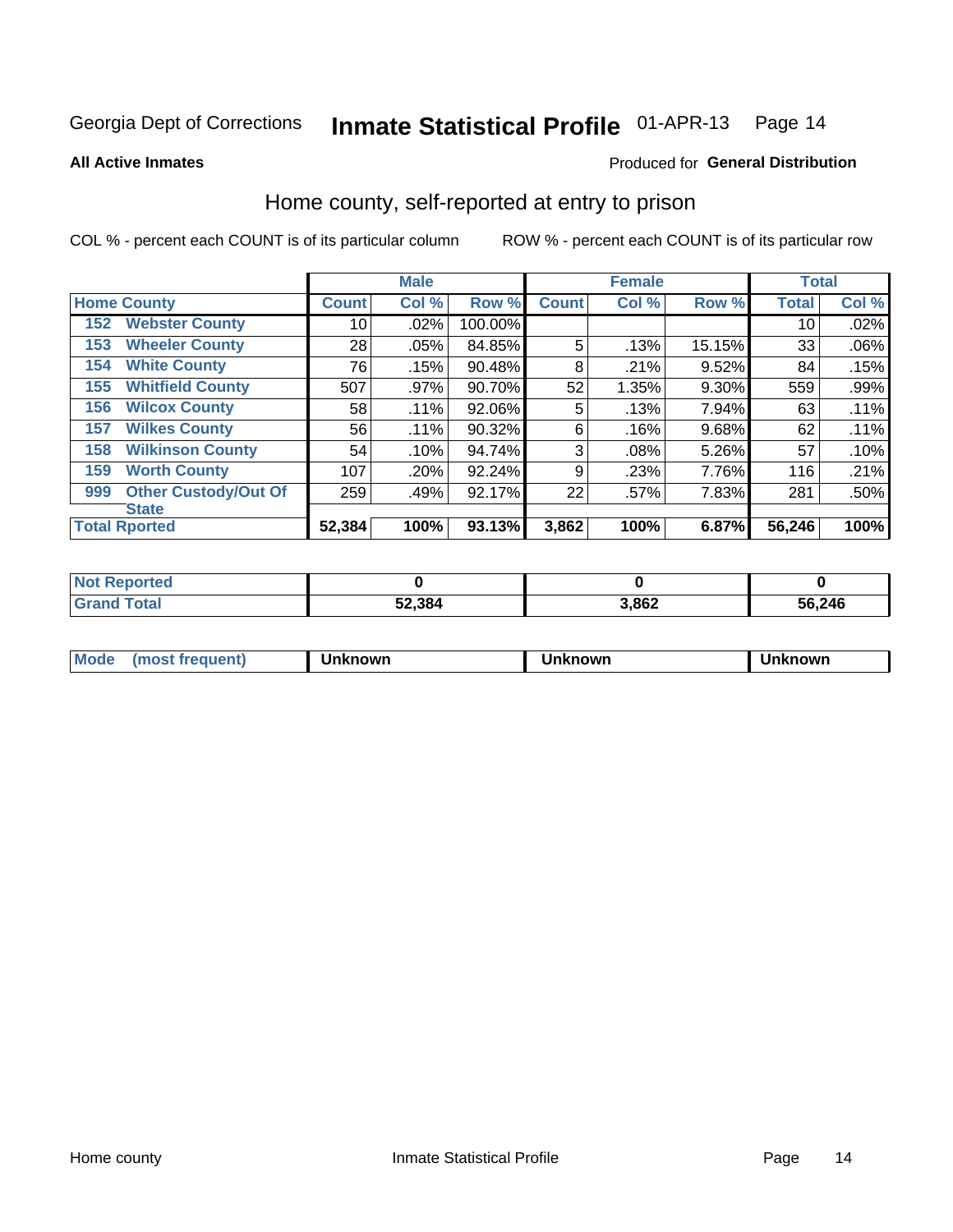#### Inmate Statistical Profile 01-APR-13 Page 14

**All Active Inmates** 

#### Produced for General Distribution

### Home county, self-reported at entry to prison

COL % - percent each COUNT is of its particular column

|     |                             |              | <b>Male</b> |         |              | <b>Female</b> |        | <b>Total</b> |       |
|-----|-----------------------------|--------------|-------------|---------|--------------|---------------|--------|--------------|-------|
|     | <b>Home County</b>          | <b>Count</b> | Col %       | Row %   | <b>Count</b> | Col %         | Row %  | <b>Total</b> | Col % |
| 152 | <b>Webster County</b>       | 10           | .02%        | 100.00% |              |               |        | 10           | .02%  |
| 153 | <b>Wheeler County</b>       | 28           | .05%        | 84.85%  | 5            | .13%          | 15.15% | 33           | .06%  |
| 154 | <b>White County</b>         | 76           | .15%        | 90.48%  | 8            | .21%          | 9.52%  | 84           | .15%  |
| 155 | <b>Whitfield County</b>     | 507          | .97%        | 90.70%  | 52           | 1.35%         | 9.30%  | 559          | .99%  |
| 156 | <b>Wilcox County</b>        | 58           | .11%        | 92.06%  | 5            | .13%          | 7.94%  | 63           | .11%  |
| 157 | <b>Wilkes County</b>        | 56           | .11%        | 90.32%  | 6            | .16%          | 9.68%  | 62           | .11%  |
| 158 | <b>Wilkinson County</b>     | 54           | .10%        | 94.74%  | 3            | .08%          | 5.26%  | 57           | .10%  |
| 159 | <b>Worth County</b>         | 107          | .20%        | 92.24%  | 9            | .23%          | 7.76%  | 116          | .21%  |
| 999 | <b>Other Custody/Out Of</b> | 259          | .49%        | 92.17%  | 22           | .57%          | 7.83%  | 281          | .50%  |
|     | <b>State</b>                |              |             |         |              |               |        |              |       |
|     | <b>Total Rported</b>        | 52,384       | 100%        | 93.13%  | 3,862        | 100%          | 6.87%  | 56,246       | 100%  |

| <b>Not</b><br>Reported |        |       |        |
|------------------------|--------|-------|--------|
| Total                  | 52,384 | 3,862 | 56,246 |

| Mode<br><b>Tequent)</b><br>ns | nown | mown | เทown |
|-------------------------------|------|------|-------|
|                               |      |      |       |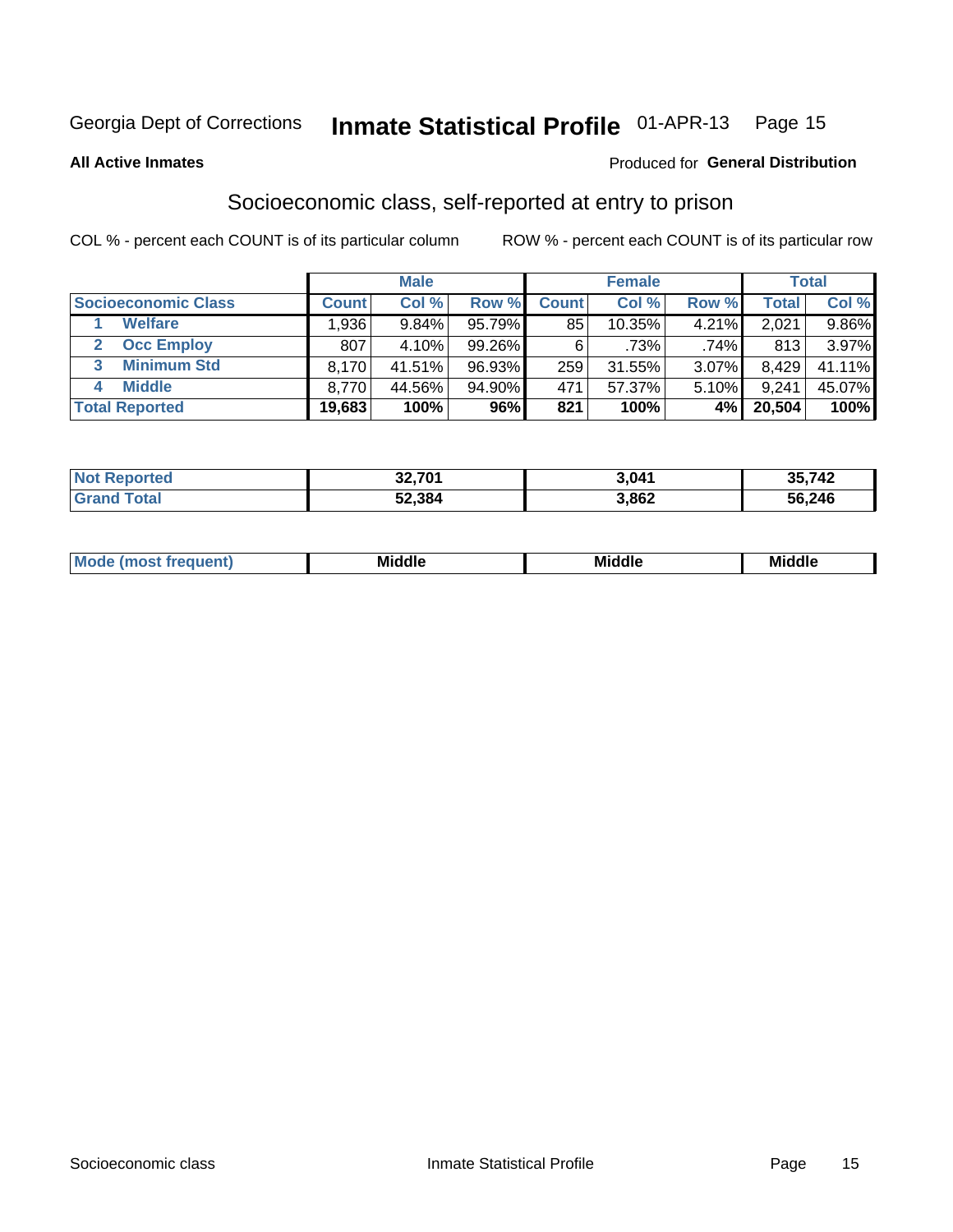# Inmate Statistical Profile 01-APR-13 Page 15

#### **All Active Inmates**

#### **Produced for General Distribution**

### Socioeconomic class, self-reported at entry to prison

COL % - percent each COUNT is of its particular column

|                            |        | <b>Male</b> |        |              | <b>Female</b> |       |        | <b>Total</b> |
|----------------------------|--------|-------------|--------|--------------|---------------|-------|--------|--------------|
| <b>Socioeconomic Class</b> | Count⊺ | Col %       | Row %  | <b>Count</b> | Col %         | Row % | Total  | Col %        |
| <b>Welfare</b>             | .936   | 9.84%       | 95.79% | 85           | $10.35\%$     | 4.21% | 2,021  | 9.86%        |
| <b>Occ Employ</b>          | 807    | 4.10%       | 99.26% | 6            | $.73\%$       | .74%  | 813    | 3.97%        |
| <b>Minimum Std</b><br>3    | 8,170  | 41.51%      | 96.93% | 259          | $31.55\%$     | 3.07% | 8,429  | 41.11%       |
| <b>Middle</b>              | 8.770  | 44.56%      | 94.90% | 471          | 57.37%        | 5.10% | 9,241  | 45.07%       |
| <b>Total Reported</b>      | 19,683 | 100%        | 96%    | 821          | 100%          | 4%    | 20,504 | 100%         |

| <b>Not Reported</b>     | <b>22.704</b><br>34.7UT | 3,041 | 35,742 |
|-------------------------|-------------------------|-------|--------|
| T <sub>1</sub><br>Grang | 52,384                  | 3,862 | 56,246 |

|  | M. | <b>Middle</b><br>____ | <b>Middle</b><br>____ | ---<br>____ |
|--|----|-----------------------|-----------------------|-------------|
|--|----|-----------------------|-----------------------|-------------|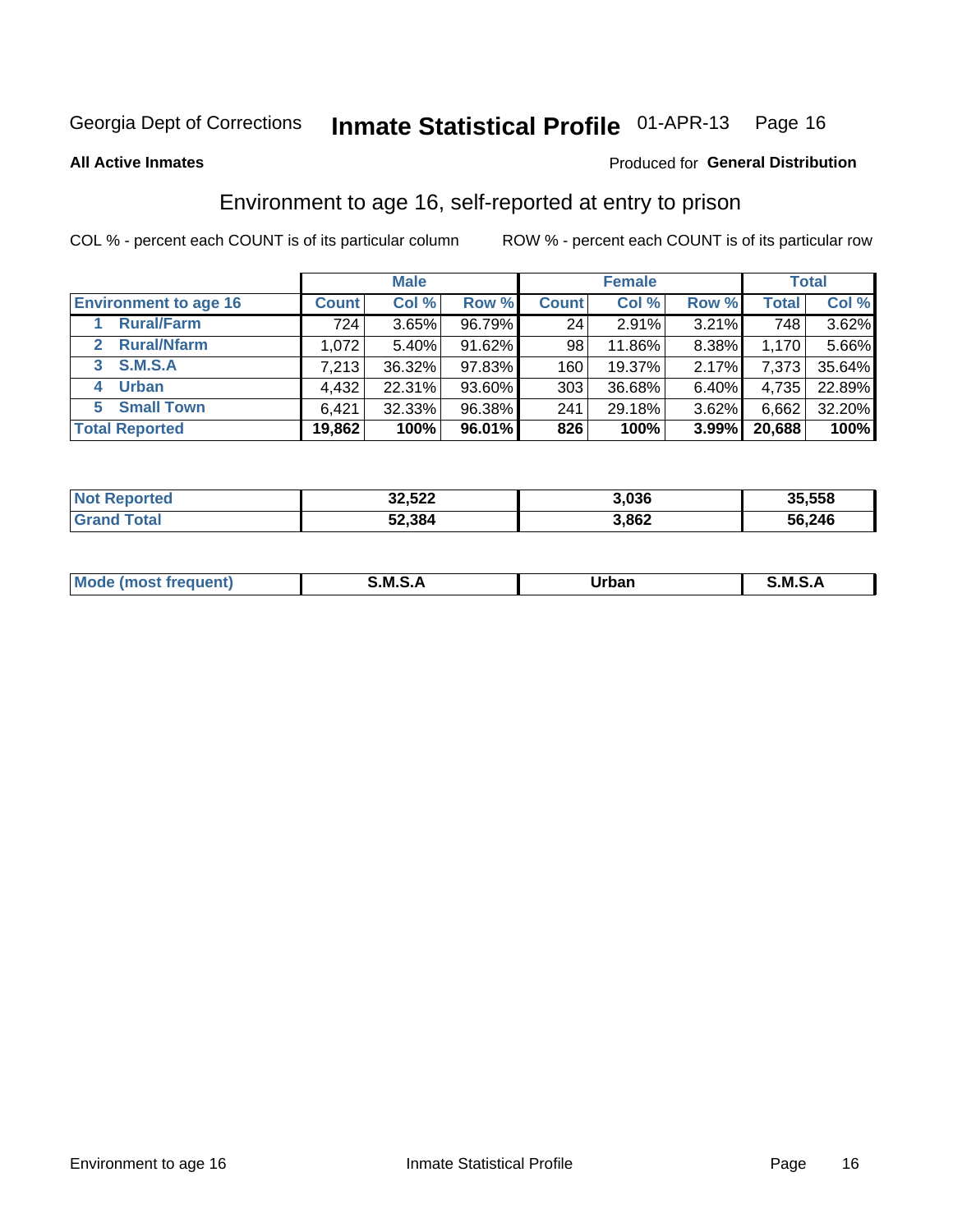# Inmate Statistical Profile 01-APR-13 Page 16

**All Active Inmates** 

#### Produced for General Distribution

## Environment to age 16, self-reported at entry to prison

COL % - percent each COUNT is of its particular column

|                                    |              | <b>Male</b> |        |                  | <b>Female</b> |       |              | <b>Total</b> |
|------------------------------------|--------------|-------------|--------|------------------|---------------|-------|--------------|--------------|
| <b>Environment to age 16</b>       | <b>Count</b> | Col %       | Row %  | <b>Count</b>     | Col %         | Row % | <b>Total</b> | Col %        |
| <b>Rural/Farm</b>                  | 724          | 3.65%       | 96.79% | 24               | 2.91%         | 3.21% | 748          | 3.62%        |
| <b>Rural/Nfarm</b><br>$\mathbf{2}$ | 1.072        | 5.40%       | 91.62% | 98               | 11.86%        | 8.38% | 1.170        | 5.66%        |
| 3 S.M.S.A                          | 7,213        | 36.32%      | 97.83% | 160 <sub>1</sub> | 19.37%        | 2.17% | 7,373        | 35.64%       |
| <b>Urban</b><br>4                  | 4,432        | 22.31%      | 93.60% | 303 <sub>1</sub> | 36.68%        | 6.40% | 4,735        | 22.89%       |
| 5 Small Town                       | 6,421        | 32.33%      | 96.38% | 241              | 29.18%        | 3.62% | 6,662        | 32.20%       |
| <b>Total Reported</b>              | 19,862       | 100%        | 96.01% | 826              | 100%          | 3.99% | 20,688       | 100%         |

| <b>Not Reported</b>   | 32,522 | 3.036 | 35,558 |
|-----------------------|--------|-------|--------|
| Total<br><b>Grand</b> | 52,384 | 3,862 | 56,246 |

| Mo | M | Irhan<br>rva<br>______ | M<br>______ |
|----|---|------------------------|-------------|
|    |   |                        |             |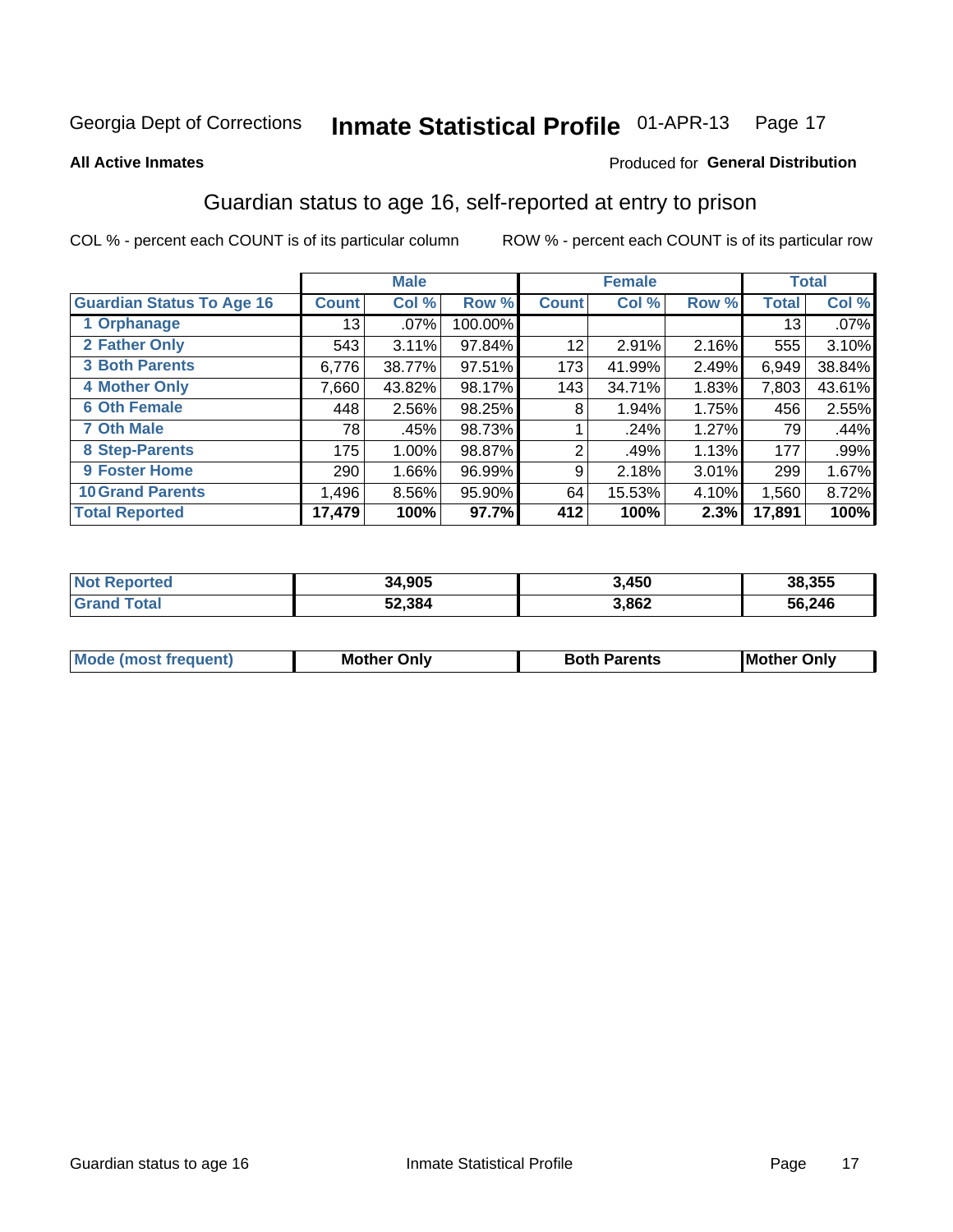# Inmate Statistical Profile 01-APR-13 Page 17

#### **All Active Inmates**

#### Produced for General Distribution

### Guardian status to age 16, self-reported at entry to prison

COL % - percent each COUNT is of its particular column

|                                  |                 | <b>Male</b> |         |              | <b>Female</b> |       |        | <b>Total</b> |
|----------------------------------|-----------------|-------------|---------|--------------|---------------|-------|--------|--------------|
| <b>Guardian Status To Age 16</b> | <b>Count!</b>   | Col %       | Row %   | <b>Count</b> | Col %         | Row % | Total  | Col %        |
| 1 Orphanage                      | 13 <sup>1</sup> | $.07\%$     | 100.00% |              |               |       | 13     | $.07\%$      |
| 2 Father Only                    | 543             | 3.11%       | 97.84%  | 12           | 2.91%         | 2.16% | 555    | 3.10%        |
| <b>3 Both Parents</b>            | 6,776           | 38.77%      | 97.51%  | 173          | 41.99%        | 2.49% | 6,949  | 38.84%       |
| <b>4 Mother Only</b>             | 7,660           | 43.82%      | 98.17%  | 143          | 34.71%        | 1.83% | 7,803  | 43.61%       |
| <b>6 Oth Female</b>              | 448             | 2.56%       | 98.25%  | 8            | 1.94%         | 1.75% | 456    | 2.55%        |
| <b>7 Oth Male</b>                | 781             | .45%        | 98.73%  |              | .24%          | 1.27% | 79     | .44%         |
| 8 Step-Parents                   | 175             | 1.00%       | 98.87%  | 2            | .49%          | 1.13% | 177    | $.99\%$      |
| 9 Foster Home                    | 290             | 1.66%       | 96.99%  | 9            | 2.18%         | 3.01% | 299    | 1.67%        |
| <b>10 Grand Parents</b>          | 1,496           | 8.56%       | 95.90%  | 64           | 15.53%        | 4.10% | 1,560  | 8.72%        |
| <b>Total Reported</b>            | 17,479          | 100%        | 97.7%   | 412          | 100%          | 2.3%  | 17,891 | 100%         |

| <b>Reported</b><br><b>Not</b> | 34,905 | 3,450 | 38,355 |
|-------------------------------|--------|-------|--------|
| ⊺otai                         | 52,384 | 3,862 | 56,246 |

| Mode | วทIv<br>Mot | <b>Both Parents</b><br>Parents | lM.<br>Only<br>. |
|------|-------------|--------------------------------|------------------|
|      |             |                                |                  |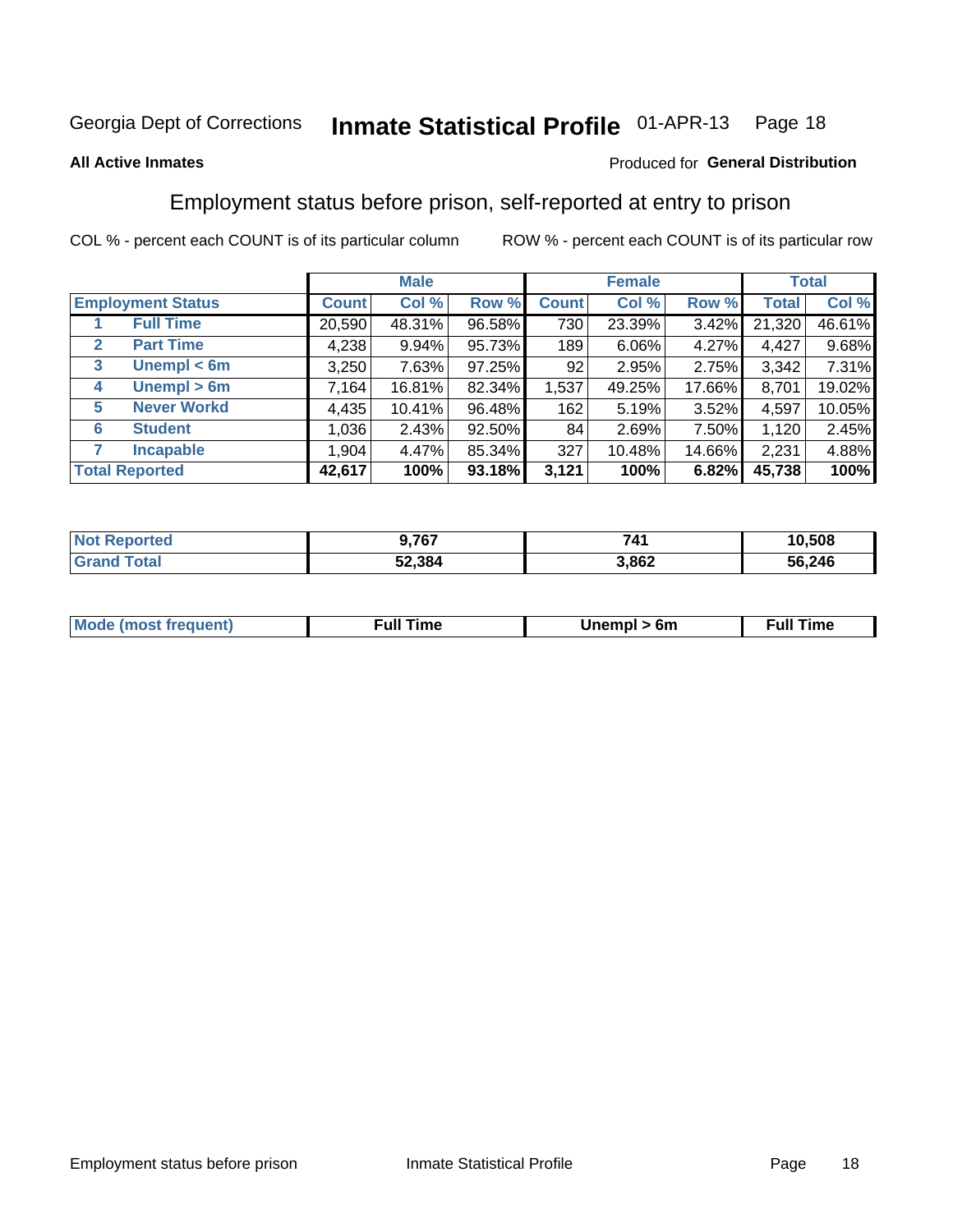#### Inmate Statistical Profile 01-APR-13 Page 18

#### **All Active Inmates**

#### Produced for General Distribution

### Employment status before prison, self-reported at entry to prison

COL % - percent each COUNT is of its particular column

|                                  |         | <b>Male</b> |        |              | <b>Female</b> |        |        | <b>Total</b> |
|----------------------------------|---------|-------------|--------|--------------|---------------|--------|--------|--------------|
| <b>Employment Status</b>         | Count l | Col %       | Row %  | <b>Count</b> | Col %         | Row %  | Total  | Col %        |
| <b>Full Time</b>                 | 20,590  | 48.31%      | 96.58% | 730          | 23.39%        | 3.42%  | 21,320 | 46.61%       |
| <b>Part Time</b><br>$\mathbf{2}$ | 4,238   | $9.94\%$    | 95.73% | 189          | 6.06%         | 4.27%  | 4,427  | 9.68%        |
| Unempl $<$ 6m<br>3               | 3,250   | 7.63%       | 97.25% | 92           | 2.95%         | 2.75%  | 3,342  | 7.31%        |
| Unempl > 6m<br>4                 | 7,164   | 16.81%      | 82.34% | 1,537        | 49.25%        | 17.66% | 8,701  | 19.02%       |
| <b>Never Workd</b><br>5          | 4,435   | 10.41%      | 96.48% | 162          | 5.19%         | 3.52%  | 4,597  | 10.05%       |
| <b>Student</b><br>6              | 1,036   | 2.43%       | 92.50% | 84           | 2.69%         | 7.50%  | 1,120  | 2.45%        |
| <b>Incapable</b>                 | 1,904   | 4.47%       | 85.34% | 327          | 10.48%        | 14.66% | 2,231  | 4.88%        |
| <b>Total Reported</b>            | 42,617  | 100%        | 93.18% | 3,121        | 100%          | 6.82%  | 45,738 | 100%         |

| <b>TAG</b><br>NO | ),767  | 741   | 10,508 |
|------------------|--------|-------|--------|
|                  | 52,384 | 3,862 | 56,246 |

| <b>Mou</b><br>זווניווו<br>$\cdots$ | 6m<br>____ | ∙ull<br>⊺ime<br>the contract of the contract of the contract of the contract of the contract of the contract of the contract of |
|------------------------------------|------------|---------------------------------------------------------------------------------------------------------------------------------|
|                                    |            |                                                                                                                                 |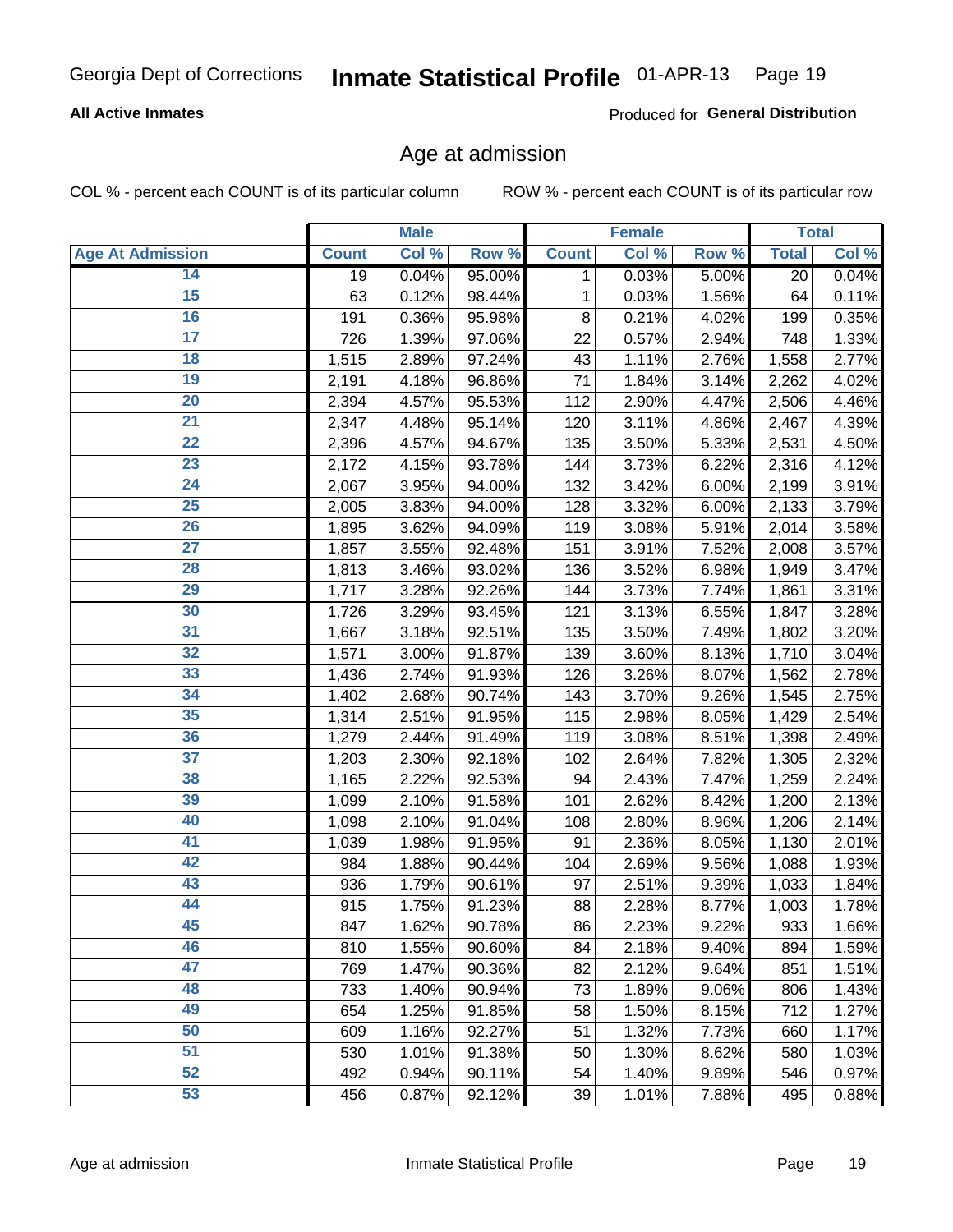#### **All Active Inmates**

Produced for General Distribution

### Age at admission

COL % - percent each COUNT is of its particular column

|                         |              | <b>Male</b> |        |              | <b>Female</b> |       |              | <b>Total</b> |
|-------------------------|--------------|-------------|--------|--------------|---------------|-------|--------------|--------------|
| <b>Age At Admission</b> | <b>Count</b> | Col %       | Row %  | <b>Count</b> | Col %         | Row % | <b>Total</b> | Col %        |
| 14                      | 19           | 0.04%       | 95.00% | 1            | 0.03%         | 5.00% | 20           | 0.04%        |
| $\overline{15}$         | 63           | 0.12%       | 98.44% | 1            | 0.03%         | 1.56% | 64           | 0.11%        |
| 16                      | 191          | 0.36%       | 95.98% | 8            | 0.21%         | 4.02% | 199          | 0.35%        |
| $\overline{17}$         | 726          | 1.39%       | 97.06% | 22           | 0.57%         | 2.94% | 748          | 1.33%        |
| $\overline{18}$         | 1,515        | 2.89%       | 97.24% | 43           | 1.11%         | 2.76% | 1,558        | 2.77%        |
| 19                      | 2,191        | 4.18%       | 96.86% | 71           | 1.84%         | 3.14% | 2,262        | 4.02%        |
| 20                      | 2,394        | 4.57%       | 95.53% | 112          | 2.90%         | 4.47% | 2,506        | 4.46%        |
| $\overline{21}$         | 2,347        | 4.48%       | 95.14% | 120          | 3.11%         | 4.86% | 2,467        | 4.39%        |
| $\overline{22}$         | 2,396        | 4.57%       | 94.67% | 135          | 3.50%         | 5.33% | 2,531        | 4.50%        |
| 23                      | 2,172        | 4.15%       | 93.78% | 144          | 3.73%         | 6.22% | 2,316        | 4.12%        |
| 24                      | 2,067        | 3.95%       | 94.00% | 132          | 3.42%         | 6.00% | 2,199        | 3.91%        |
| $\overline{25}$         | 2,005        | 3.83%       | 94.00% | 128          | 3.32%         | 6.00% | 2,133        | 3.79%        |
| 26                      | 1,895        | 3.62%       | 94.09% | 119          | 3.08%         | 5.91% | 2,014        | 3.58%        |
| $\overline{27}$         | 1,857        | 3.55%       | 92.48% | 151          | 3.91%         | 7.52% | 2,008        | 3.57%        |
| 28                      | 1,813        | 3.46%       | 93.02% | 136          | 3.52%         | 6.98% | 1,949        | 3.47%        |
| 29                      | 1,717        | 3.28%       | 92.26% | 144          | 3.73%         | 7.74% | 1,861        | 3.31%        |
| 30                      | 1,726        | 3.29%       | 93.45% | 121          | 3.13%         | 6.55% | 1,847        | 3.28%        |
| 31                      | 1,667        | 3.18%       | 92.51% | 135          | 3.50%         | 7.49% | 1,802        | 3.20%        |
| 32                      | 1,571        | 3.00%       | 91.87% | 139          | 3.60%         | 8.13% | 1,710        | 3.04%        |
| 33                      | 1,436        | 2.74%       | 91.93% | 126          | 3.26%         | 8.07% | 1,562        | 2.78%        |
| 34                      | 1,402        | 2.68%       | 90.74% | 143          | 3.70%         | 9.26% | 1,545        | 2.75%        |
| 35                      | 1,314        | 2.51%       | 91.95% | 115          | 2.98%         | 8.05% | 1,429        | 2.54%        |
| 36                      | 1,279        | 2.44%       | 91.49% | 119          | 3.08%         | 8.51% | 1,398        | 2.49%        |
| 37                      | 1,203        | 2.30%       | 92.18% | 102          | 2.64%         | 7.82% | 1,305        | 2.32%        |
| 38                      | 1,165        | 2.22%       | 92.53% | 94           | 2.43%         | 7.47% | 1,259        | 2.24%        |
| 39                      | 1,099        | 2.10%       | 91.58% | 101          | 2.62%         | 8.42% | 1,200        | 2.13%        |
| 40                      | 1,098        | 2.10%       | 91.04% | 108          | 2.80%         | 8.96% | 1,206        | 2.14%        |
| 41                      | 1,039        | 1.98%       | 91.95% | 91           | 2.36%         | 8.05% | 1,130        | 2.01%        |
| 42                      | 984          | 1.88%       | 90.44% | 104          | 2.69%         | 9.56% | 1,088        | 1.93%        |
| 43                      | 936          | 1.79%       | 90.61% | 97           | 2.51%         | 9.39% | 1,033        | 1.84%        |
| 44                      | 915          | 1.75%       | 91.23% | 88           | 2.28%         | 8.77% | 1,003        | 1.78%        |
| 45                      | 847          | 1.62%       | 90.78% | 86           | 2.23%         | 9.22% | 933          | 1.66%        |
| 46                      | 810          | 1.55%       | 90.60% | 84           | 2.18%         | 9.40% | 894          | 1.59%        |
| 47                      | 769          | 1.47%       | 90.36% | 82           | 2.12%         | 9.64% | 851          | 1.51%        |
| 48                      | 733          | 1.40%       | 90.94% | 73           | 1.89%         | 9.06% | 806          | 1.43%        |
| 49                      | 654          | 1.25%       | 91.85% | 58           | 1.50%         | 8.15% | 712          | 1.27%        |
| 50                      | 609          | 1.16%       | 92.27% | 51           | 1.32%         | 7.73% | 660          | 1.17%        |
| 51                      | 530          | 1.01%       | 91.38% | 50           | 1.30%         | 8.62% | 580          | 1.03%        |
| 52                      | 492          | 0.94%       | 90.11% | 54           | 1.40%         | 9.89% | 546          | 0.97%        |
| 53                      | 456          | 0.87%       | 92.12% | 39           | 1.01%         | 7.88% | 495          | 0.88%        |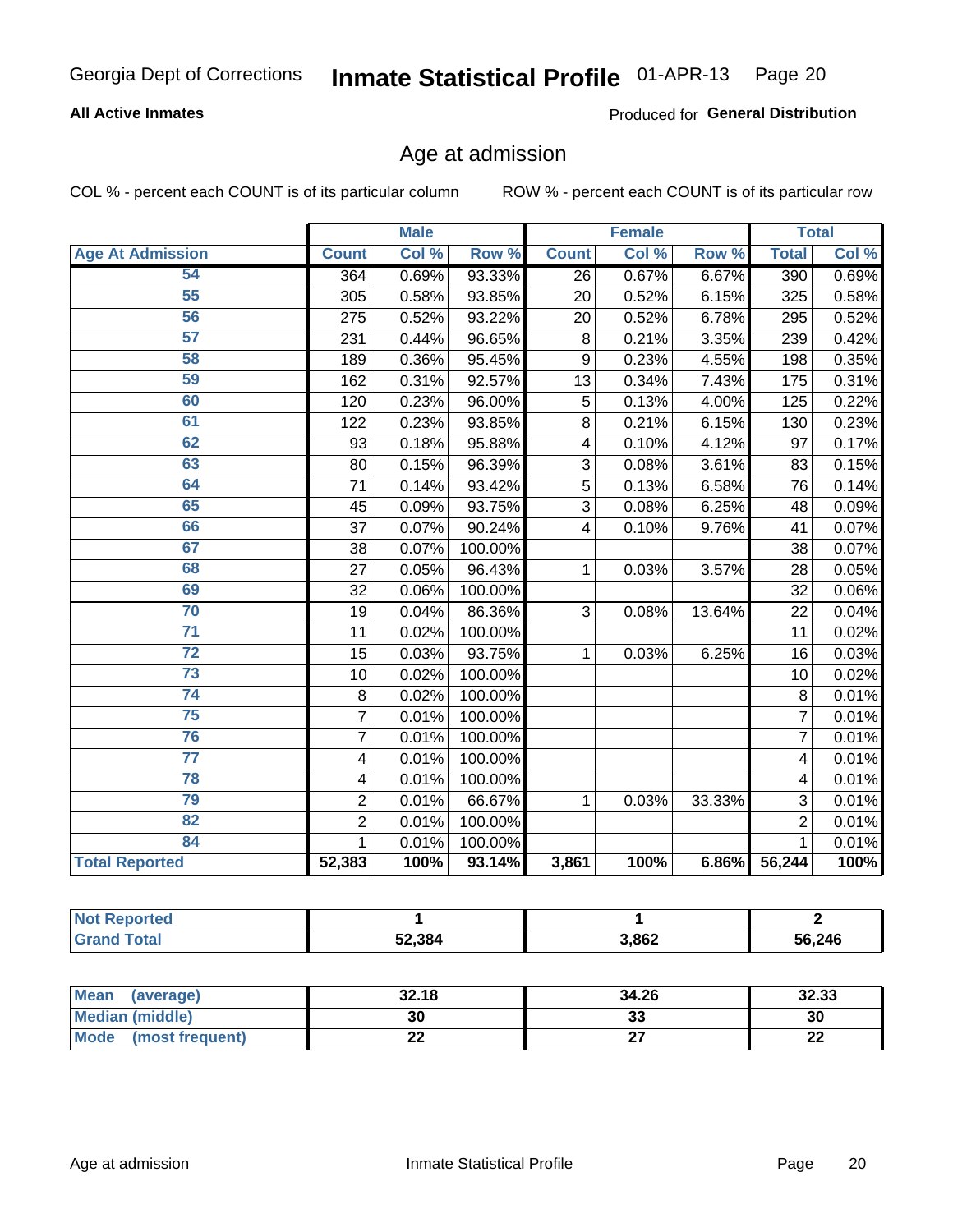#### **All Active Inmates**

Produced for General Distribution

# Age at admission

COL % - percent each COUNT is of its particular column

|                         | <b>Male</b>    |       | <b>Female</b>    |              |       | <b>Total</b> |                 |       |
|-------------------------|----------------|-------|------------------|--------------|-------|--------------|-----------------|-------|
| <b>Age At Admission</b> | <b>Count</b>   | Col % | Row <sup>%</sup> | <b>Count</b> | Col % | Row %        | <b>Total</b>    | Col%  |
| 54                      | 364            | 0.69% | 93.33%           | 26           | 0.67% | 6.67%        | 390             | 0.69% |
| 55                      | 305            | 0.58% | 93.85%           | 20           | 0.52% | 6.15%        | 325             | 0.58% |
| 56                      | 275            | 0.52% | 93.22%           | 20           | 0.52% | 6.78%        | 295             | 0.52% |
| 57                      | 231            | 0.44% | 96.65%           | 8            | 0.21% | 3.35%        | 239             | 0.42% |
| 58                      | 189            | 0.36% | 95.45%           | 9            | 0.23% | 4.55%        | 198             | 0.35% |
| 59                      | 162            | 0.31% | 92.57%           | 13           | 0.34% | 7.43%        | 175             | 0.31% |
| 60                      | 120            | 0.23% | 96.00%           | 5            | 0.13% | 4.00%        | 125             | 0.22% |
| 61                      | 122            | 0.23% | 93.85%           | 8            | 0.21% | 6.15%        | 130             | 0.23% |
| 62                      | 93             | 0.18% | 95.88%           | 4            | 0.10% | 4.12%        | 97              | 0.17% |
| 63                      | 80             | 0.15% | 96.39%           | 3            | 0.08% | 3.61%        | 83              | 0.15% |
| 64                      | 71             | 0.14% | 93.42%           | 5            | 0.13% | 6.58%        | $\overline{76}$ | 0.14% |
| 65                      | 45             | 0.09% | 93.75%           | 3            | 0.08% | 6.25%        | 48              | 0.09% |
| 66                      | 37             | 0.07% | 90.24%           | 4            | 0.10% | 9.76%        | 41              | 0.07% |
| 67                      | 38             | 0.07% | 100.00%          |              |       |              | 38              | 0.07% |
| 68                      | 27             | 0.05% | 96.43%           | $\mathbf{1}$ | 0.03% | 3.57%        | 28              | 0.05% |
| 69                      | 32             | 0.06% | 100.00%          |              |       |              | $\overline{32}$ | 0.06% |
| 70                      | 19             | 0.04% | 86.36%           | 3            | 0.08% | 13.64%       | 22              | 0.04% |
| $\overline{71}$         | 11             | 0.02% | 100.00%          |              |       |              | 11              | 0.02% |
| $\overline{72}$         | 15             | 0.03% | 93.75%           | 1            | 0.03% | 6.25%        | 16              | 0.03% |
| $\overline{73}$         | 10             | 0.02% | 100.00%          |              |       |              | 10              | 0.02% |
| $\overline{74}$         | 8              | 0.02% | 100.00%          |              |       |              | 8               | 0.01% |
| $\overline{75}$         | $\overline{7}$ | 0.01% | 100.00%          |              |       |              | $\overline{7}$  | 0.01% |
| 76                      | $\overline{7}$ | 0.01% | 100.00%          |              |       |              | $\overline{7}$  | 0.01% |
| 77                      | 4              | 0.01% | 100.00%          |              |       |              | 4               | 0.01% |
| 78                      | 4              | 0.01% | 100.00%          |              |       |              | 4               | 0.01% |
| 79                      | $\overline{2}$ | 0.01% | 66.67%           | $\mathbf{1}$ | 0.03% | 33.33%       | 3               | 0.01% |
| 82                      | $\overline{2}$ | 0.01% | 100.00%          |              |       |              | $\overline{2}$  | 0.01% |
| 84                      | $\mathbf{1}$   | 0.01% | 100.00%          |              |       |              | $\mathbf{1}$    | 0.01% |
| <b>Total Reported</b>   | 52,383         | 100%  | 93.14%           | 3,861        | 100%  | 6.86%        | 56,244          | 100%  |

| <b>\rten</b><br>NI. |        |       |        |
|---------------------|--------|-------|--------|
| <b>otal</b>         | 52,384 | 3,862 | 56,246 |

| <b>Mean</b><br>(average) | 32.18 | 34.26   | 32.33     |
|--------------------------|-------|---------|-----------|
| Median (middle)          | 30    | ົ<br>აა | 30        |
| Mode<br>(most frequent)  | ∸∸    |         | ne.<br>LL |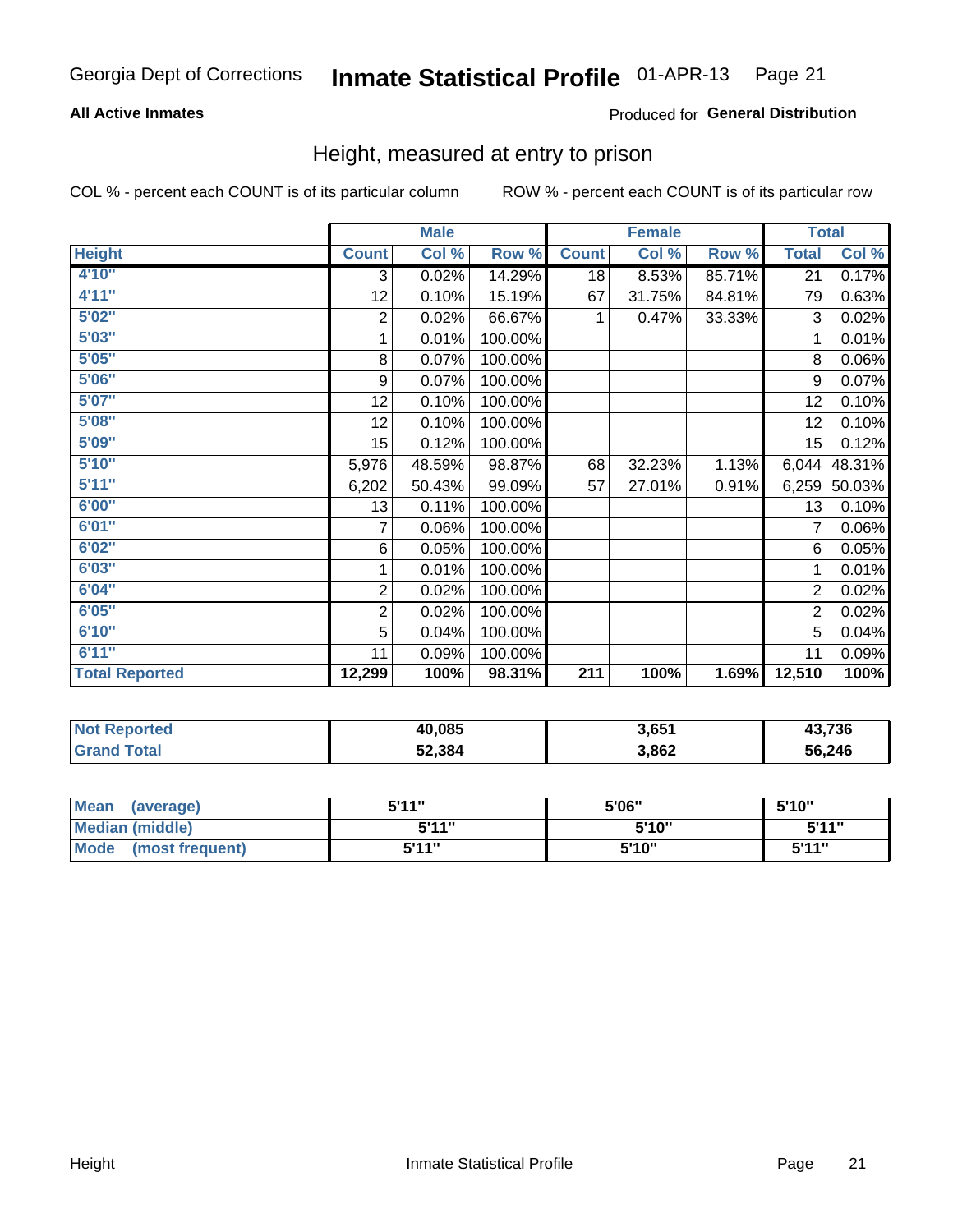#### **All Active Inmates**

#### Produced for General Distribution

### Height, measured at entry to prison

COL % - percent each COUNT is of its particular column

|                       |                         | <b>Male</b>               |         |                  | <b>Female</b> |        | <b>Total</b>     |          |
|-----------------------|-------------------------|---------------------------|---------|------------------|---------------|--------|------------------|----------|
| <b>Height</b>         | <b>Count</b>            | $\overline{\text{Col}}$ % | Row %   | <b>Count</b>     | Col %         | Row %  | <b>Total</b>     | Col %    |
| 4'10''                | 3                       | 0.02%                     | 14.29%  | 18               | 8.53%         | 85.71% | 21               | 0.17%    |
| 4'11''                | 12                      | 0.10%                     | 15.19%  | 67               | 31.75%        | 84.81% | 79               | 0.63%    |
| 5'02''                | $\overline{\mathbf{c}}$ | 0.02%                     | 66.67%  | 1                | 0.47%         | 33.33% | 3                | 0.02%    |
| 5'03''                | 1                       | 0.01%                     | 100.00% |                  |               |        | 1                | 0.01%    |
| 5'05''                | 8                       | 0.07%                     | 100.00% |                  |               |        | 8                | $0.06\%$ |
| 5'06''                | 9                       | 0.07%                     | 100.00% |                  |               |        | 9                | 0.07%    |
| 5'07''                | 12                      | 0.10%                     | 100.00% |                  |               |        | 12               | 0.10%    |
| 5'08''                | 12                      | 0.10%                     | 100.00% |                  |               |        | 12               | 0.10%    |
| 5'09''                | 15 <sub>1</sub>         | 0.12%                     | 100.00% |                  |               |        | 15               | 0.12%    |
| 5'10''                | 5,976                   | 48.59%                    | 98.87%  | 68               | 32.23%        | 1.13%  | 6,044            | 48.31%   |
| 5'11''                | 6,202                   | 50.43%                    | 99.09%  | 57               | 27.01%        | 0.91%  | 6,259            | 50.03%   |
| 6'00''                | 13                      | 0.11%                     | 100.00% |                  |               |        | 13               | 0.10%    |
| 6'01''                | 7                       | 0.06%                     | 100.00% |                  |               |        | 7                | 0.06%    |
| 6'02"                 | 6                       | 0.05%                     | 100.00% |                  |               |        | 6                | 0.05%    |
| 6'03''                | 1                       | 0.01%                     | 100.00% |                  |               |        | 1                | 0.01%    |
| 6'04''                | $\mathbf 2$             | 0.02%                     | 100.00% |                  |               |        | $\overline{2}$   | 0.02%    |
| 6'05''                | $\boldsymbol{2}$        | 0.02%                     | 100.00% |                  |               |        | $\boldsymbol{2}$ | 0.02%    |
| 6'10''                | 5                       | 0.04%                     | 100.00% |                  |               |        | 5                | 0.04%    |
| 6'11''                | 11                      | 0.09%                     | 100.00% |                  |               |        | 11               | 0.09%    |
| <b>Total Reported</b> | 12,299                  | 100%                      | 98.31%  | $\overline{211}$ | 100%          | 1.69%  | 12,510           | 100%     |

| <b>Not</b><br><b>Reported</b> | 40,085 | 3,651 | 13,736 |
|-------------------------------|--------|-------|--------|
| ™otal                         | 52,384 | 3,862 | 56,246 |

| <b>Mean</b><br>(average)       | 544"<br>JII | 5'06" | 5'10"        |
|--------------------------------|-------------|-------|--------------|
| <b>Median (middle)</b>         | 544"        | 5'10" | 5'11"        |
| <b>Mode</b><br>(most frequent) | 544"        | 5'10" | <b>5'44"</b> |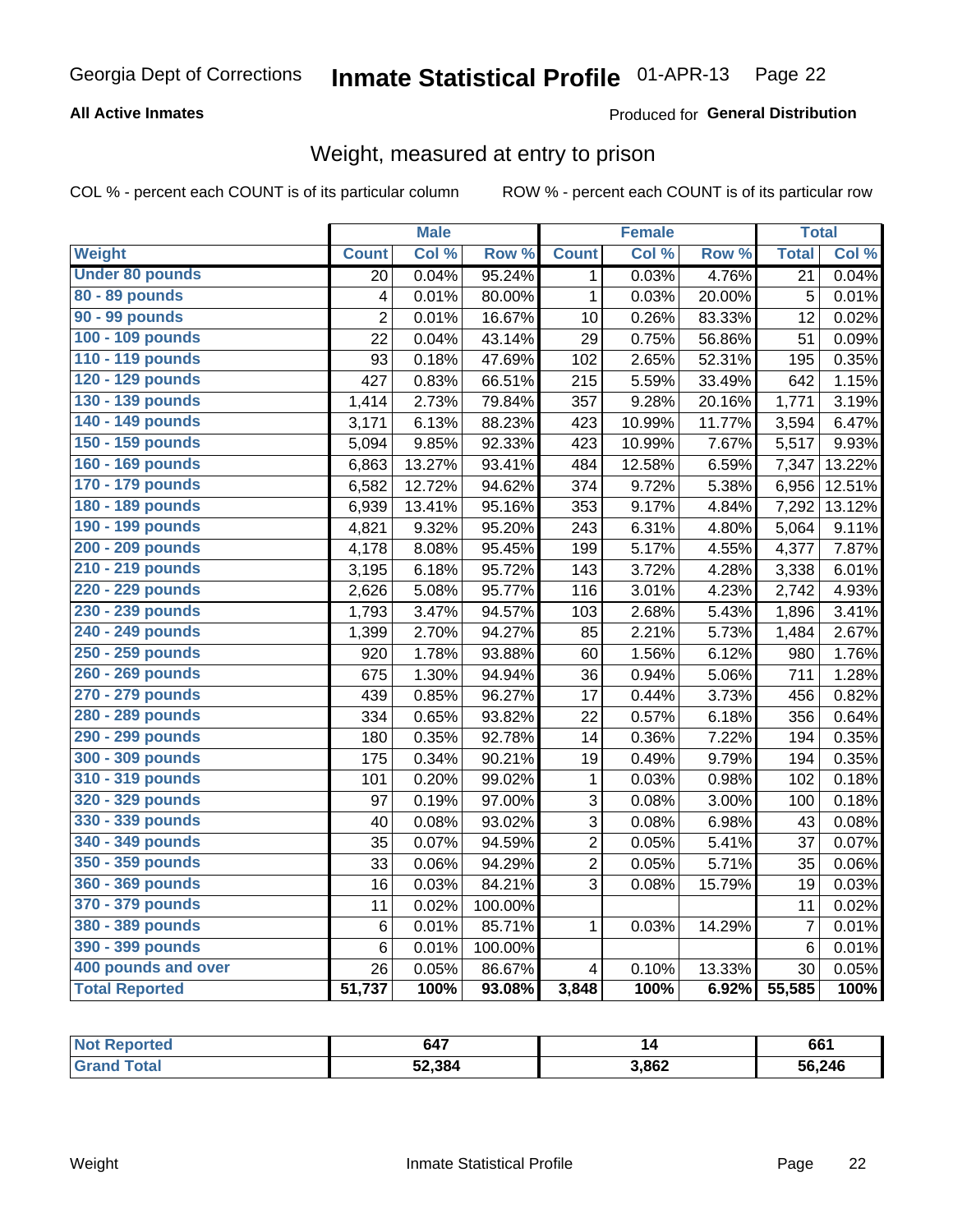#### **All Active Inmates**

#### Produced for General Distribution

# Weight, measured at entry to prison

COL % - percent each COUNT is of its particular column

|                        |                         | <b>Male</b> |                  |                         | <b>Female</b> |        | <b>Total</b>    |        |
|------------------------|-------------------------|-------------|------------------|-------------------------|---------------|--------|-----------------|--------|
| Weight                 | <b>Count</b>            | Col %       | Row <sup>%</sup> | <b>Count</b>            | CoI%          | Row %  | <b>Total</b>    | Col %  |
| <b>Under 80 pounds</b> | 20                      | 0.04%       | 95.24%           | 1                       | 0.03%         | 4.76%  | $\overline{21}$ | 0.04%  |
| 80 - 89 pounds         | $\overline{\mathbf{4}}$ | 0.01%       | 80.00%           | $\mathbf{1}$            | 0.03%         | 20.00% | 5               | 0.01%  |
| 90 - 99 pounds         | $\overline{2}$          | 0.01%       | 16.67%           | 10                      | 0.26%         | 83.33% | 12              | 0.02%  |
| 100 - 109 pounds       | 22                      | 0.04%       | 43.14%           | 29                      | 0.75%         | 56.86% | 51              | 0.09%  |
| 110 - 119 pounds       | 93                      | 0.18%       | 47.69%           | 102                     | 2.65%         | 52.31% | 195             | 0.35%  |
| 120 - 129 pounds       | 427                     | 0.83%       | 66.51%           | 215                     | 5.59%         | 33.49% | 642             | 1.15%  |
| 130 - 139 pounds       | 1,414                   | 2.73%       | 79.84%           | 357                     | 9.28%         | 20.16% | 1,771           | 3.19%  |
| 140 - 149 pounds       | 3,171                   | 6.13%       | 88.23%           | 423                     | 10.99%        | 11.77% | 3,594           | 6.47%  |
| 150 - 159 pounds       | 5,094                   | 9.85%       | 92.33%           | 423                     | 10.99%        | 7.67%  | 5,517           | 9.93%  |
| 160 - 169 pounds       | 6,863                   | 13.27%      | 93.41%           | 484                     | 12.58%        | 6.59%  | 7,347           | 13.22% |
| 170 - 179 pounds       | 6,582                   | 12.72%      | 94.62%           | 374                     | 9.72%         | 5.38%  | 6,956           | 12.51% |
| 180 - 189 pounds       | 6,939                   | 13.41%      | 95.16%           | 353                     | 9.17%         | 4.84%  | 7,292           | 13.12% |
| 190 - 199 pounds       | 4,821                   | 9.32%       | 95.20%           | 243                     | 6.31%         | 4.80%  | 5,064           | 9.11%  |
| 200 - 209 pounds       | 4,178                   | 8.08%       | 95.45%           | 199                     | 5.17%         | 4.55%  | 4,377           | 7.87%  |
| 210 - 219 pounds       | 3,195                   | 6.18%       | 95.72%           | 143                     | 3.72%         | 4.28%  | 3,338           | 6.01%  |
| 220 - 229 pounds       | 2,626                   | 5.08%       | 95.77%           | 116                     | 3.01%         | 4.23%  | 2,742           | 4.93%  |
| 230 - 239 pounds       | 1,793                   | 3.47%       | 94.57%           | 103                     | 2.68%         | 5.43%  | 1,896           | 3.41%  |
| 240 - 249 pounds       | 1,399                   | 2.70%       | 94.27%           | 85                      | 2.21%         | 5.73%  | 1,484           | 2.67%  |
| 250 - 259 pounds       | 920                     | 1.78%       | 93.88%           | 60                      | 1.56%         | 6.12%  | 980             | 1.76%  |
| 260 - 269 pounds       | 675                     | 1.30%       | 94.94%           | 36                      | 0.94%         | 5.06%  | 711             | 1.28%  |
| 270 - 279 pounds       | 439                     | 0.85%       | 96.27%           | 17                      | 0.44%         | 3.73%  | 456             | 0.82%  |
| 280 - 289 pounds       | 334                     | 0.65%       | 93.82%           | 22                      | 0.57%         | 6.18%  | 356             | 0.64%  |
| 290 - 299 pounds       | 180                     | 0.35%       | 92.78%           | 14                      | 0.36%         | 7.22%  | 194             | 0.35%  |
| 300 - 309 pounds       | 175                     | 0.34%       | 90.21%           | 19                      | 0.49%         | 9.79%  | 194             | 0.35%  |
| 310 - 319 pounds       | 101                     | 0.20%       | 99.02%           | $\mathbf{1}$            | 0.03%         | 0.98%  | 102             | 0.18%  |
| 320 - 329 pounds       | 97                      | 0.19%       | 97.00%           | 3                       | 0.08%         | 3.00%  | 100             | 0.18%  |
| 330 - 339 pounds       | 40                      | 0.08%       | 93.02%           | 3                       | 0.08%         | 6.98%  | 43              | 0.08%  |
| 340 - 349 pounds       | 35                      | 0.07%       | 94.59%           | $\overline{2}$          | 0.05%         | 5.41%  | 37              | 0.07%  |
| 350 - 359 pounds       | 33                      | 0.06%       | 94.29%           | $\overline{2}$          | 0.05%         | 5.71%  | 35              | 0.06%  |
| 360 - 369 pounds       | 16                      | 0.03%       | 84.21%           | 3                       | 0.08%         | 15.79% | 19              | 0.03%  |
| 370 - 379 pounds       | 11                      | 0.02%       | 100.00%          |                         |               |        | 11              | 0.02%  |
| 380 - 389 pounds       | 6                       | 0.01%       | 85.71%           | $\mathbf{1}$            | 0.03%         | 14.29% | $\overline{7}$  | 0.01%  |
| 390 - 399 pounds       | 6                       | 0.01%       | 100.00%          |                         |               |        | $6\phantom{1}6$ | 0.01%  |
| 400 pounds and over    | 26                      | 0.05%       | 86.67%           | $\overline{\mathbf{4}}$ | 0.10%         | 13.33% | 30              | 0.05%  |
| <b>Total Reported</b>  | 51,737                  | 100%        | 93.08%           | 3,848                   | 100%          | 6.92%  | 55,585          | 100%   |

| <b>Not</b><br><b>Reported</b> | 647    |       | 661    |
|-------------------------------|--------|-------|--------|
| Total<br>' Grand              | 52,384 | 3,862 | 56,246 |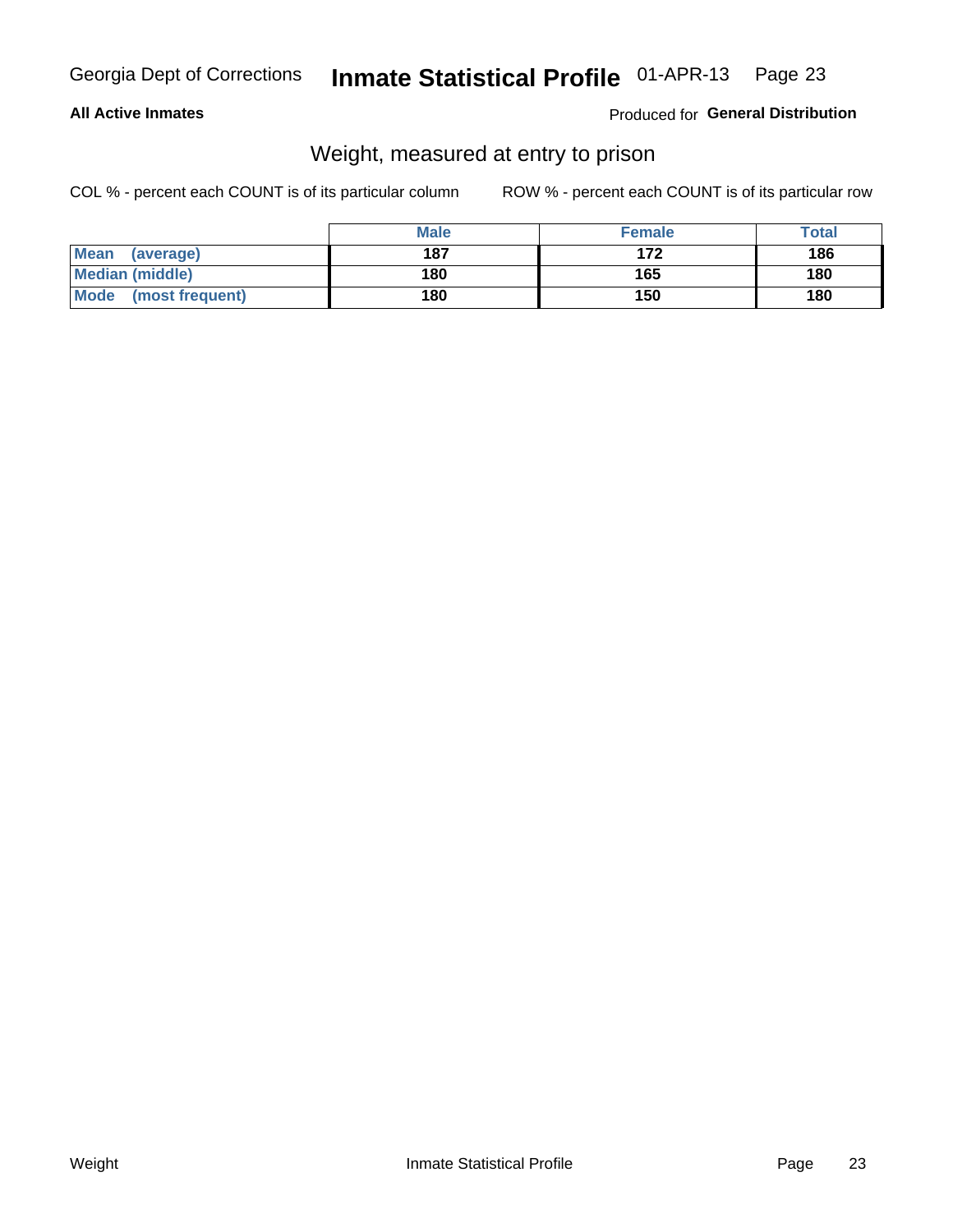#### **All Active Inmates**

#### Produced for General Distribution

# Weight, measured at entry to prison

COL % - percent each COUNT is of its particular column

|                          | <b>Male</b> | <b>Female</b> | Total |
|--------------------------|-------------|---------------|-------|
| <b>Mean</b><br>(average) | 187         | 172           | 186   |
| <b>Median (middle)</b>   | 180         | 165           | 180   |
| Mode<br>(most frequent)  | 180         | 150           | 180   |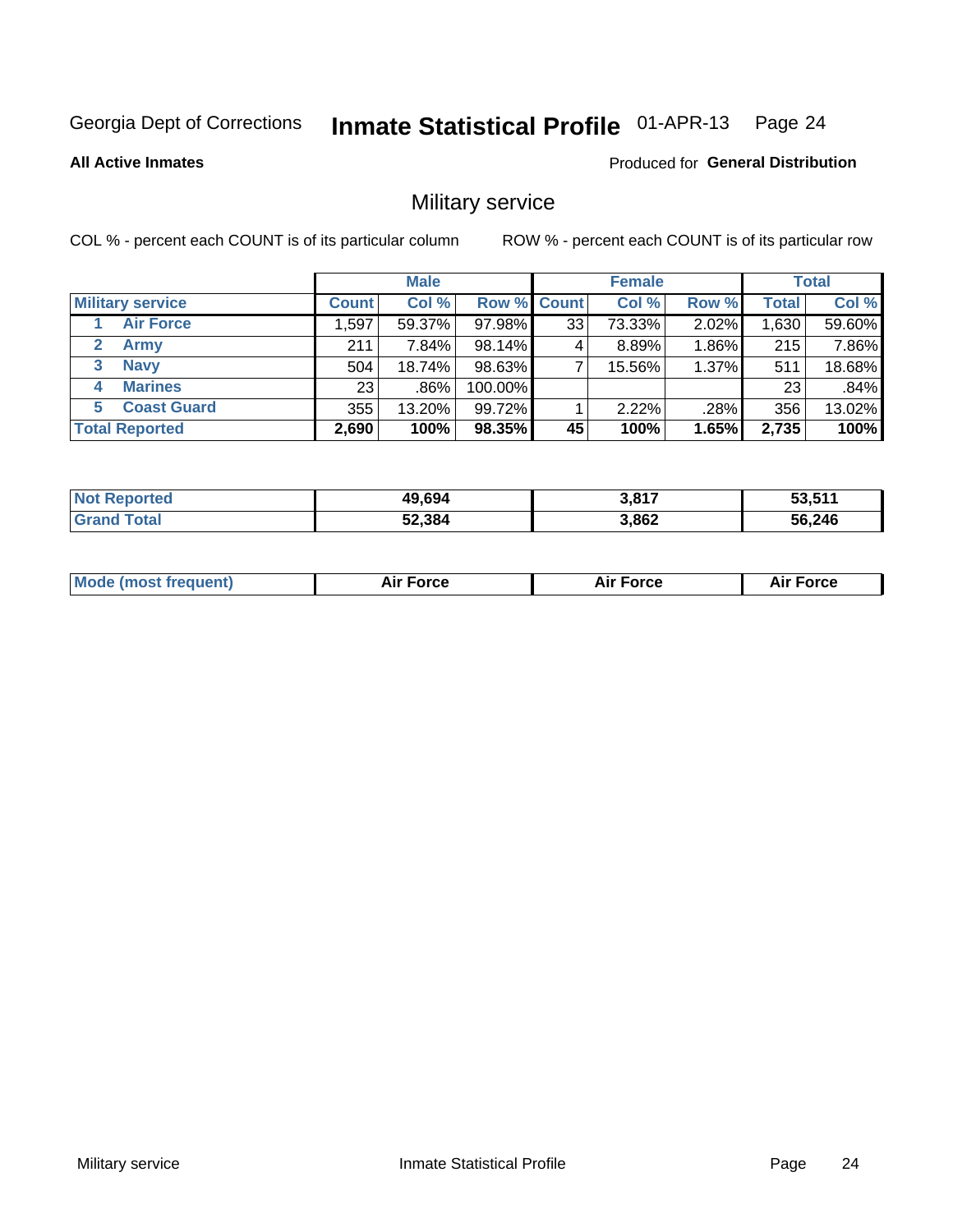#### Inmate Statistical Profile 01-APR-13 Page 24

**All Active Inmates** 

**Produced for General Distribution** 

### Military service

COL % - percent each COUNT is of its particular column

|                               | <b>Male</b>  |          |         | <b>Female</b> |        |          | <b>Total</b> |        |
|-------------------------------|--------------|----------|---------|---------------|--------|----------|--------------|--------|
| <b>Military service</b>       | <b>Count</b> | Col %    |         | Row % Count   | Col %  | Row %    | <b>Total</b> | Col %  |
| <b>Air Force</b>              | 1,597        | 59.37%   | 97.98%  | 33            | 73.33% | 2.02%    | 1,630        | 59.60% |
| $\mathbf{2}^-$<br><b>Army</b> | 211          | $7.84\%$ | 98.14%  |               | 8.89%  | 1.86%    | 215          | 7.86%  |
| <b>Navy</b><br>3              | 504          | 18.74%   | 98.63%  |               | 15.56% | $1.37\%$ | 511          | 18.68% |
| <b>Marines</b><br>4           | 23           | $.86\%$  | 100.00% |               |        |          | 23           | .84%   |
| <b>Coast Guard</b><br>5.      | 355          | 13.20%   | 99.72%  |               | 2.22%  | .28%     | 356          | 13.02% |
| <b>Total Reported</b>         | 2,690        | 100%     | 98.35%  | 45            | 100%   | 1.65%    | 2,735        | 100%   |

| <b>Not Reported</b> | 49,694 | 3,817 | 53,511 |
|---------------------|--------|-------|--------|
| Total               | 52,384 | 3,862 | 56,246 |

| Mo | <br>ъc | . |
|----|--------|---|
|    |        |   |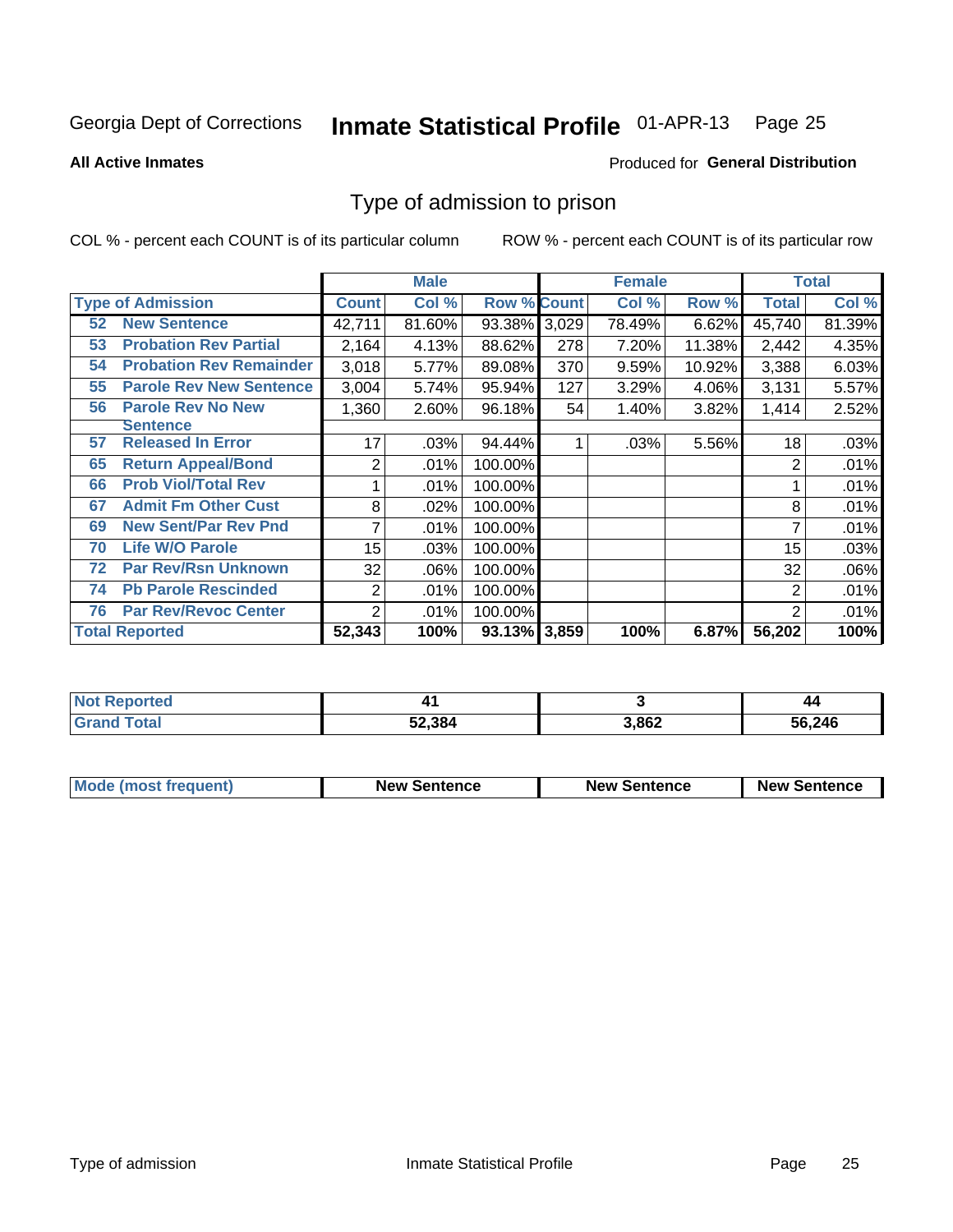#### Inmate Statistical Profile 01-APR-13 Page 25

**All Active Inmates** 

#### Produced for General Distribution

### Type of admission to prison

COL % - percent each COUNT is of its particular column

|    |                                |                  | <b>Male</b> |                    |     | <b>Female</b> | <b>Total</b> |                |        |
|----|--------------------------------|------------------|-------------|--------------------|-----|---------------|--------------|----------------|--------|
|    | <b>Type of Admission</b>       | <b>Count</b>     | Col %       | <b>Row % Count</b> |     | Col %         | Row %        | Total          | Col %  |
| 52 | <b>New Sentence</b>            | 42,711           | 81.60%      | 93.38% 3,029       |     | 78.49%        | 6.62%        | 45,740         | 81.39% |
| 53 | <b>Probation Rev Partial</b>   | 2,164            | 4.13%       | 88.62%             | 278 | 7.20%         | 11.38%       | 2,442          | 4.35%  |
| 54 | <b>Probation Rev Remainder</b> | 3,018            | 5.77%       | 89.08%             | 370 | 9.59%         | 10.92%       | 3,388          | 6.03%  |
| 55 | <b>Parole Rev New Sentence</b> | 3,004            | 5.74%       | 95.94%             | 127 | 3.29%         | 4.06%        | 3,131          | 5.57%  |
| 56 | <b>Parole Rev No New</b>       | 1,360            | 2.60%       | 96.18%             | 54  | 1.40%         | 3.82%        | 1,414          | 2.52%  |
|    | <b>Sentence</b>                |                  |             |                    |     |               |              |                |        |
| 57 | <b>Released In Error</b>       | 17               | .03%        | 94.44%             |     | .03%          | 5.56%        | 18             | .03%   |
| 65 | <b>Return Appeal/Bond</b>      | 2                | .01%        | 100.00%            |     |               |              | 2              | .01%   |
| 66 | <b>Prob Viol/Total Rev</b>     |                  | .01%        | 100.00%            |     |               |              |                | .01%   |
| 67 | <b>Admit Fm Other Cust</b>     | 8                | .02%        | 100.00%            |     |               |              | 8              | .01%   |
| 69 | <b>New Sent/Par Rev Pnd</b>    | 7                | .01%        | 100.00%            |     |               |              |                | .01%   |
| 70 | <b>Life W/O Parole</b>         | 15 <sub>15</sub> | .03%        | 100.00%            |     |               |              | 15             | .03%   |
| 72 | <b>Par Rev/Rsn Unknown</b>     | 32               | .06%        | 100.00%            |     |               |              | 32             | .06%   |
| 74 | <b>Pb Parole Rescinded</b>     | $\overline{2}$   | .01%        | 100.00%            |     |               |              | 2              | .01%   |
| 76 | <b>Par Rev/Revoc Center</b>    | 2                | .01%        | 100.00%            |     |               |              | $\overline{2}$ | .01%   |
|    | <b>Total Reported</b>          | 52,343           | 100%        | 93.13% 3,859       |     | 100%          | 6.87%        | 56,202         | 100%   |

| N <sub>of</sub><br>morted | $\sim$ $\sim$ |      | 44     |
|---------------------------|---------------|------|--------|
| $f$ oto $f$               | 52,384        | ,862 | 56,246 |

| <b>Mode (most frequent)</b> | <b>New Sentence</b> | <b>New Sentence</b> | <b>New Sentence</b> |
|-----------------------------|---------------------|---------------------|---------------------|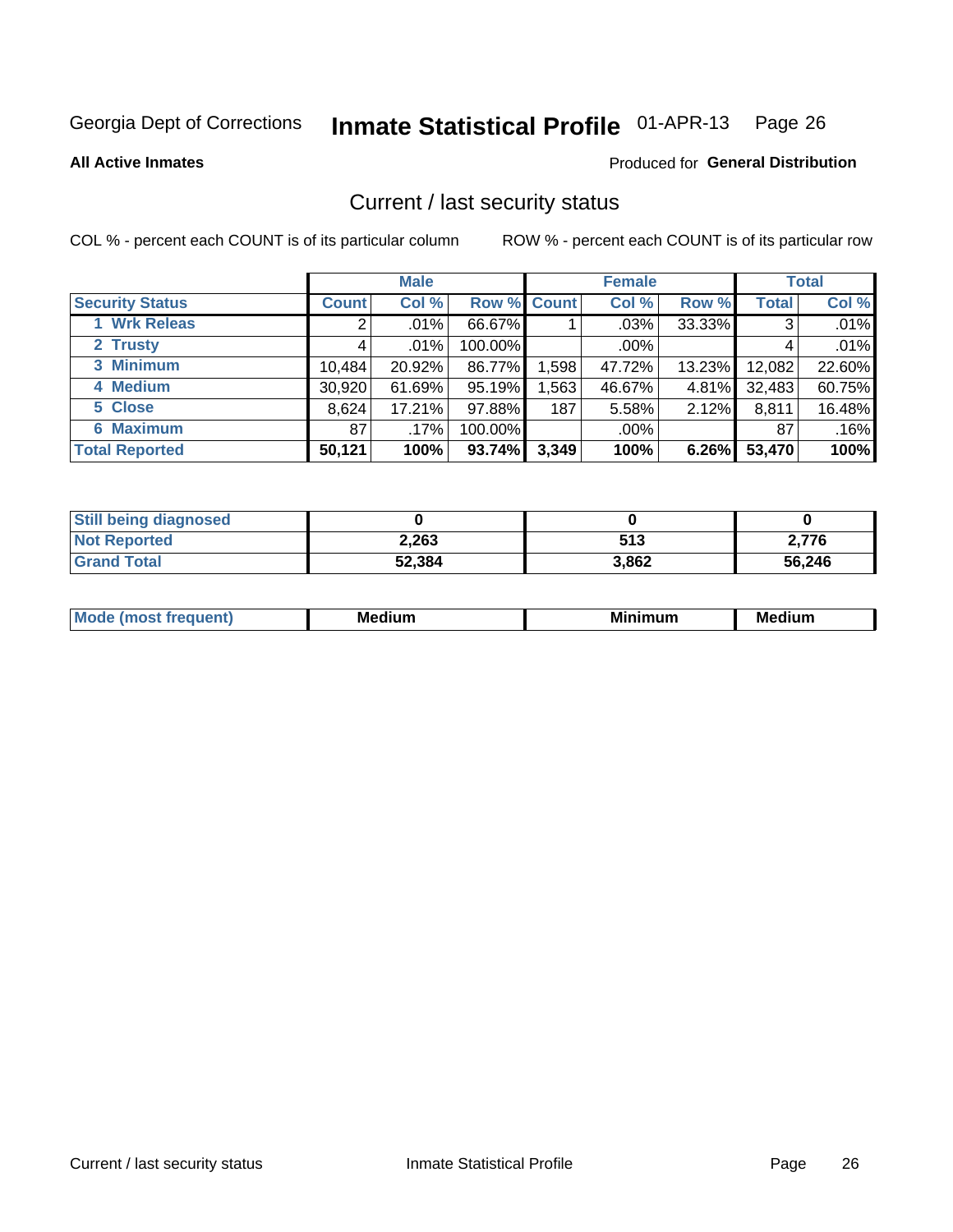# Inmate Statistical Profile 01-APR-13 Page 26

**All Active Inmates** 

#### Produced for General Distribution

### Current / last security status

COL % - percent each COUNT is of its particular column

|                        |              | <b>Male</b> |                    |       | <b>Female</b> |        |              | <b>Total</b> |
|------------------------|--------------|-------------|--------------------|-------|---------------|--------|--------------|--------------|
| <b>Security Status</b> | <b>Count</b> | Col %       | <b>Row % Count</b> |       | Col %         | Row %  | <b>Total</b> | Col %        |
| 1 Wrk Releas           | 2            | $.01\%$     | 66.67%             |       | .03%          | 33.33% | 3            | .01%         |
| 2 Trusty               |              | $.01\%$     | 100.00%            |       | .00%          |        |              | .01%         |
| 3 Minimum              | 10,484       | 20.92%      | 86.77%             | 1,598 | 47.72%        | 13.23% | 12,082       | 22.60%       |
| 4 Medium               | 30,920       | 61.69%      | 95.19%             | 1,563 | 46.67%        | 4.81%  | 32,483       | 60.75%       |
| 5 Close                | 8,624        | 17.21%      | 97.88%             | 187   | 5.58%         | 2.12%  | 8,811        | 16.48%       |
| <b>6 Maximum</b>       | 87           | .17%        | 100.00%            |       | .00%          |        | 87           | .16%         |
| <b>Total Reported</b>  | 50,121       | 100%        | 93.74%             | 3,349 | 100%          | 6.26%  | 53,470       | 100%         |

| <b>Still being diagnosed</b> |        |       |        |
|------------------------------|--------|-------|--------|
| <b>Not Reported</b>          | 2,263  | 513   | 2.776  |
| <b>Grand Total</b>           | 52,384 | 3,862 | 56,246 |

| M | NЛ<br>. .<br>dilim<br>_____ | ---<br>-- | . .<br>Medium<br>Me |
|---|-----------------------------|-----------|---------------------|
|   |                             |           |                     |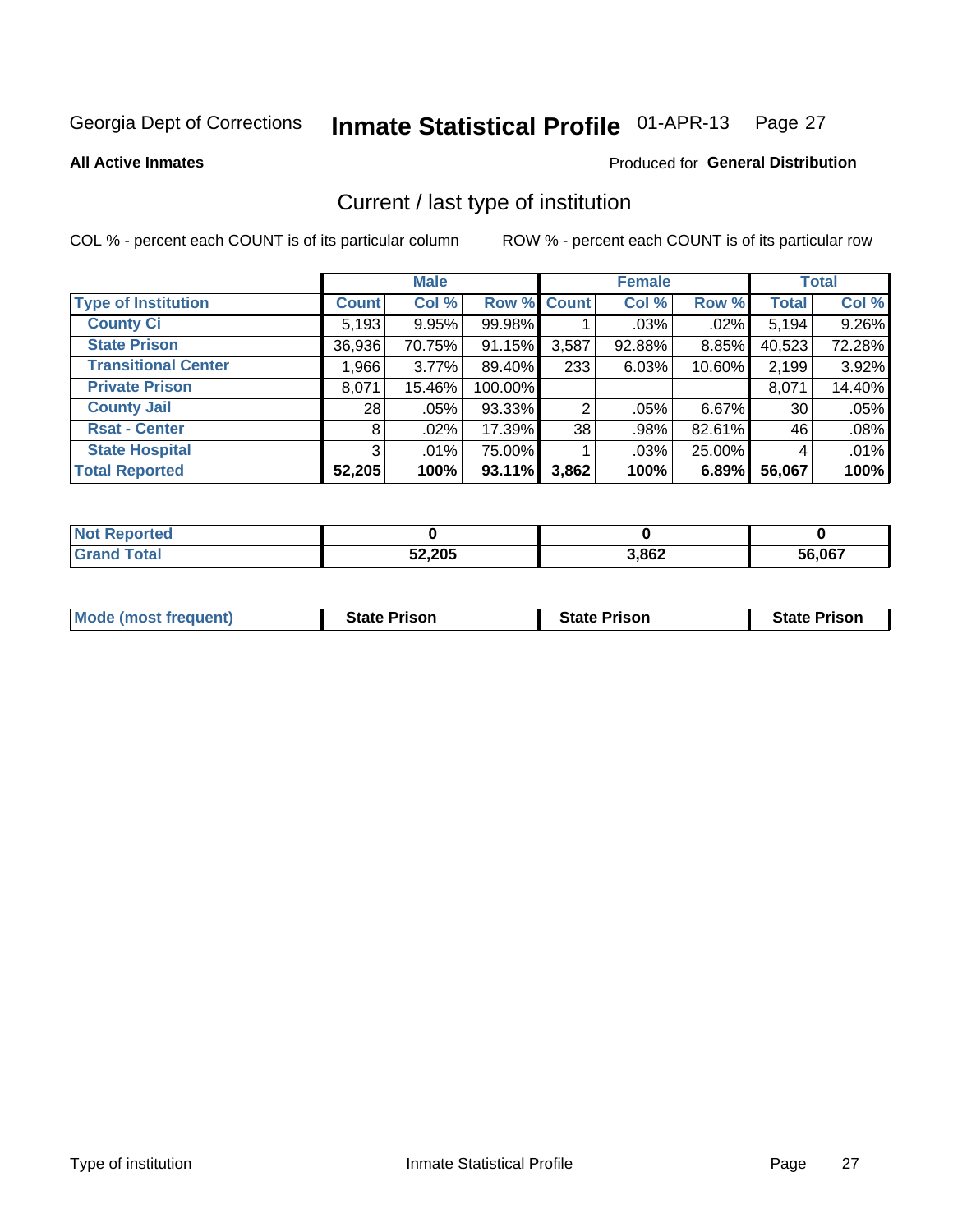#### Inmate Statistical Profile 01-APR-13 Page 27

**All Active Inmates** 

#### Produced for General Distribution

# Current / last type of institution

COL % - percent each COUNT is of its particular column

|                            |                 | <b>Male</b> |             |       | <b>Female</b> |         |              | <b>Total</b> |
|----------------------------|-----------------|-------------|-------------|-------|---------------|---------|--------------|--------------|
| <b>Type of Institution</b> | <b>Count</b>    | Col %       | Row % Count |       | Col %         | Row %   | <b>Total</b> | Col %        |
| <b>County Ci</b>           | 5,193           | 9.95%       | 99.98%      |       | $.03\%$       | $.02\%$ | 5,194        | 9.26%        |
| <b>State Prison</b>        | 36,936          | 70.75%      | 91.15%      | 3,587 | 92.88%        | 8.85%   | 40,523       | 72.28%       |
| <b>Transitional Center</b> | 1.9661          | $3.77\%$    | 89.40%      | 233   | 6.03%         | 10.60%  | 2,199        | 3.92%        |
| <b>Private Prison</b>      | 8,071           | 15.46%      | 100.00%     |       |               |         | 8,071        | 14.40%       |
| <b>County Jail</b>         | 28 <sup>1</sup> | $.05\%$     | 93.33%      | 2     | $.05\%$       | 6.67%   | 30           | .05%         |
| <b>Rsat - Center</b>       | 8 <sup>1</sup>  | .02%        | 17.39%      | 38    | .98%          | 82.61%  | 46           | .08%         |
| <b>State Hospital</b>      | 3 <sup>1</sup>  | $.01\%$     | 75.00%      |       | .03%          | 25.00%  | 4            | .01%         |
| <b>Total Reported</b>      | 52,205          | 100%        | 93.11%      | 3,862 | 100%          | 6.89%   | 56,067       | 100%         |

| porteg    |        |       |        |
|-----------|--------|-------|--------|
| $\sim$ 40 | 52,205 | 3,862 | 56,067 |

| <b>Mode (most frequent)</b> | <b>State Prison</b> | <b>State Prison</b> | <b>State Prison</b> |
|-----------------------------|---------------------|---------------------|---------------------|
|                             |                     |                     |                     |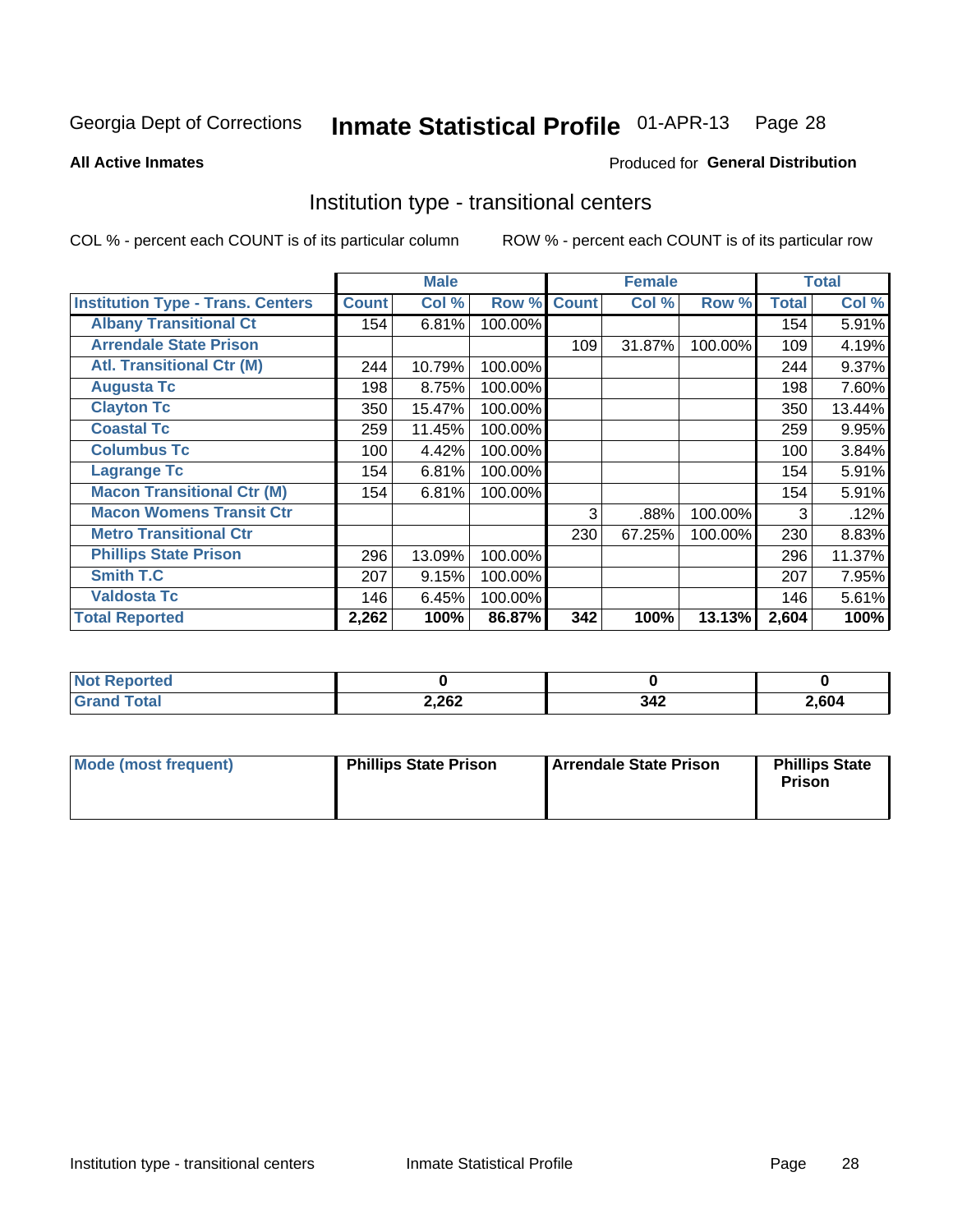#### Inmate Statistical Profile 01-APR-13 Page 28

**All Active Inmates** 

#### Produced for General Distribution

### Institution type - transitional centers

COL % - percent each COUNT is of its particular column

|                                          |              | <b>Male</b> |         |              | <b>Female</b> |         |              | <b>Total</b> |
|------------------------------------------|--------------|-------------|---------|--------------|---------------|---------|--------------|--------------|
| <b>Institution Type - Trans. Centers</b> | <b>Count</b> | Col %       | Row %   | <b>Count</b> | Col %         | Row %   | <b>Total</b> | Col %        |
| <b>Albany Transitional Ct</b>            | 154          | 6.81%       | 100.00% |              |               |         | 154          | 5.91%        |
| <b>Arrendale State Prison</b>            |              |             |         | 109          | 31.87%        | 100.00% | 109          | 4.19%        |
| <b>Atl. Transitional Ctr (M)</b>         | 244          | 10.79%      | 100.00% |              |               |         | 244          | 9.37%        |
| <b>Augusta Tc</b>                        | 198          | 8.75%       | 100.00% |              |               |         | 198          | 7.60%        |
| <b>Clayton Tc</b>                        | 350          | 15.47%      | 100.00% |              |               |         | 350          | 13.44%       |
| <b>Coastal Tc</b>                        | 259          | 11.45%      | 100.00% |              |               |         | 259          | 9.95%        |
| <b>Columbus Tc</b>                       | 100          | 4.42%       | 100.00% |              |               |         | 100          | 3.84%        |
| <b>Lagrange Tc</b>                       | 154          | 6.81%       | 100.00% |              |               |         | 154          | 5.91%        |
| <b>Macon Transitional Ctr (M)</b>        | 154          | 6.81%       | 100.00% |              |               |         | 154          | 5.91%        |
| <b>Macon Womens Transit Ctr</b>          |              |             |         | 3            | .88%          | 100.00% | 3            | .12%         |
| <b>Metro Transitional Ctr</b>            |              |             |         | 230          | 67.25%        | 100.00% | 230          | 8.83%        |
| <b>Phillips State Prison</b>             | 296          | 13.09%      | 100.00% |              |               |         | 296          | 11.37%       |
| Smith T.C                                | 207          | 9.15%       | 100.00% |              |               |         | 207          | 7.95%        |
| <b>Valdosta Tc</b>                       | 146          | 6.45%       | 100.00% |              |               |         | 146          | 5.61%        |
| <b>Total Reported</b>                    | 2,262        | 100%        | 86.87%  | 342          | 100%          | 13.13%  | 2,604        | 100%         |

| orted<br>. |       |                      |       |
|------------|-------|----------------------|-------|
| 'ota.      | 2,262 | 342<br>$\sim$ $\sim$ | 2,604 |

| Mode (most frequent) | <b>Phillips State Prison</b> | Arrendale State Prison | <b>Phillips State</b><br><b>Prison</b> |
|----------------------|------------------------------|------------------------|----------------------------------------|
|                      |                              |                        |                                        |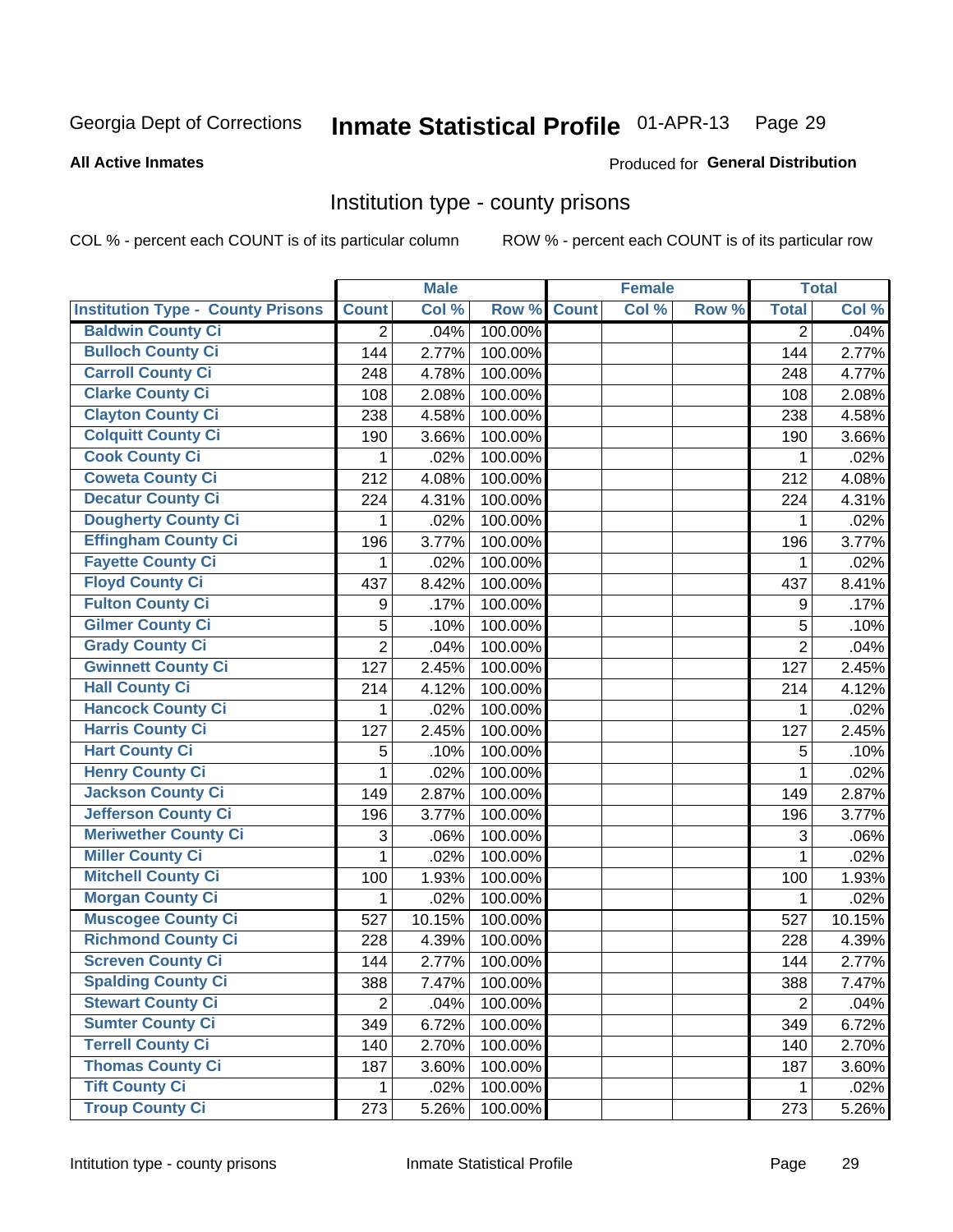# Inmate Statistical Profile 01-APR-13 Page 29

#### **All Active Inmates**

#### Produced for General Distribution

#### Institution type - county prisons

COL % - percent each COUNT is of its particular column

|                                          |                | <b>Male</b> |         |              | <b>Female</b> |       |                | <b>Total</b> |
|------------------------------------------|----------------|-------------|---------|--------------|---------------|-------|----------------|--------------|
| <b>Institution Type - County Prisons</b> | <b>Count</b>   | Col %       | Row %   | <b>Count</b> | Col %         | Row % | <b>Total</b>   | Col %        |
| <b>Baldwin County Ci</b>                 | $\overline{2}$ | .04%        | 100.00% |              |               |       | $\overline{2}$ | .04%         |
| <b>Bulloch County Ci</b>                 | 144            | 2.77%       | 100.00% |              |               |       | 144            | 2.77%        |
| <b>Carroll County Ci</b>                 | 248            | 4.78%       | 100.00% |              |               |       | 248            | 4.77%        |
| <b>Clarke County Ci</b>                  | 108            | 2.08%       | 100.00% |              |               |       | 108            | 2.08%        |
| <b>Clayton County Ci</b>                 | 238            | 4.58%       | 100.00% |              |               |       | 238            | 4.58%        |
| <b>Colquitt County Ci</b>                | 190            | 3.66%       | 100.00% |              |               |       | 190            | 3.66%        |
| <b>Cook County Ci</b>                    | 1              | .02%        | 100.00% |              |               |       | 1              | .02%         |
| <b>Coweta County Ci</b>                  | 212            | 4.08%       | 100.00% |              |               |       | 212            | 4.08%        |
| <b>Decatur County Ci</b>                 | 224            | 4.31%       | 100.00% |              |               |       | 224            | 4.31%        |
| <b>Dougherty County Ci</b>               | 1              | .02%        | 100.00% |              |               |       | 1              | .02%         |
| <b>Effingham County Ci</b>               | 196            | 3.77%       | 100.00% |              |               |       | 196            | 3.77%        |
| <b>Fayette County Ci</b>                 | 1              | .02%        | 100.00% |              |               |       | 1              | .02%         |
| <b>Floyd County Ci</b>                   | 437            | 8.42%       | 100.00% |              |               |       | 437            | 8.41%        |
| <b>Fulton County Ci</b>                  | 9              | .17%        | 100.00% |              |               |       | 9              | .17%         |
| <b>Gilmer County Ci</b>                  | 5              | .10%        | 100.00% |              |               |       | 5              | .10%         |
| <b>Grady County Ci</b>                   | $\overline{2}$ | .04%        | 100.00% |              |               |       | $\overline{2}$ | .04%         |
| <b>Gwinnett County Ci</b>                | 127            | 2.45%       | 100.00% |              |               |       | 127            | 2.45%        |
| <b>Hall County Ci</b>                    | 214            | 4.12%       | 100.00% |              |               |       | 214            | 4.12%        |
| <b>Hancock County Ci</b>                 | 1              | .02%        | 100.00% |              |               |       | 1              | .02%         |
| <b>Harris County Ci</b>                  | 127            | 2.45%       | 100.00% |              |               |       | 127            | 2.45%        |
| <b>Hart County Ci</b>                    | 5              | .10%        | 100.00% |              |               |       | 5              | .10%         |
| <b>Henry County Ci</b>                   | 1              | .02%        | 100.00% |              |               |       | 1              | .02%         |
| <b>Jackson County Ci</b>                 | 149            | 2.87%       | 100.00% |              |               |       | 149            | 2.87%        |
| <b>Jefferson County Ci</b>               | 196            | 3.77%       | 100.00% |              |               |       | 196            | 3.77%        |
| <b>Meriwether County Ci</b>              | 3              | .06%        | 100.00% |              |               |       | 3              | .06%         |
| <b>Miller County Ci</b>                  | 1              | .02%        | 100.00% |              |               |       | 1              | .02%         |
| <b>Mitchell County Ci</b>                | 100            | 1.93%       | 100.00% |              |               |       | 100            | 1.93%        |
| <b>Morgan County Ci</b>                  | 1              | .02%        | 100.00% |              |               |       | 1              | .02%         |
| <b>Muscogee County Ci</b>                | 527            | 10.15%      | 100.00% |              |               |       | 527            | 10.15%       |
| <b>Richmond County Ci</b>                | 228            | 4.39%       | 100.00% |              |               |       | 228            | 4.39%        |
| <b>Screven County Ci</b>                 | 144            | 2.77%       | 100.00% |              |               |       | 144            | 2.77%        |
| <b>Spalding County Ci</b>                | 388            | 7.47%       | 100.00% |              |               |       | 388            | 7.47%        |
| <b>Stewart County Ci</b>                 | $\overline{2}$ | .04%        | 100.00% |              |               |       | $\overline{2}$ | .04%         |
| <b>Sumter County Ci</b>                  | 349            | 6.72%       | 100.00% |              |               |       | 349            | 6.72%        |
| <b>Terrell County Ci</b>                 | 140            | 2.70%       | 100.00% |              |               |       | 140            | 2.70%        |
| <b>Thomas County Ci</b>                  | 187            | 3.60%       | 100.00% |              |               |       | 187            | 3.60%        |
| <b>Tift County Ci</b>                    | 1              | .02%        | 100.00% |              |               |       | 1              | .02%         |
| <b>Troup County Ci</b>                   | 273            | 5.26%       | 100.00% |              |               |       | 273            | 5.26%        |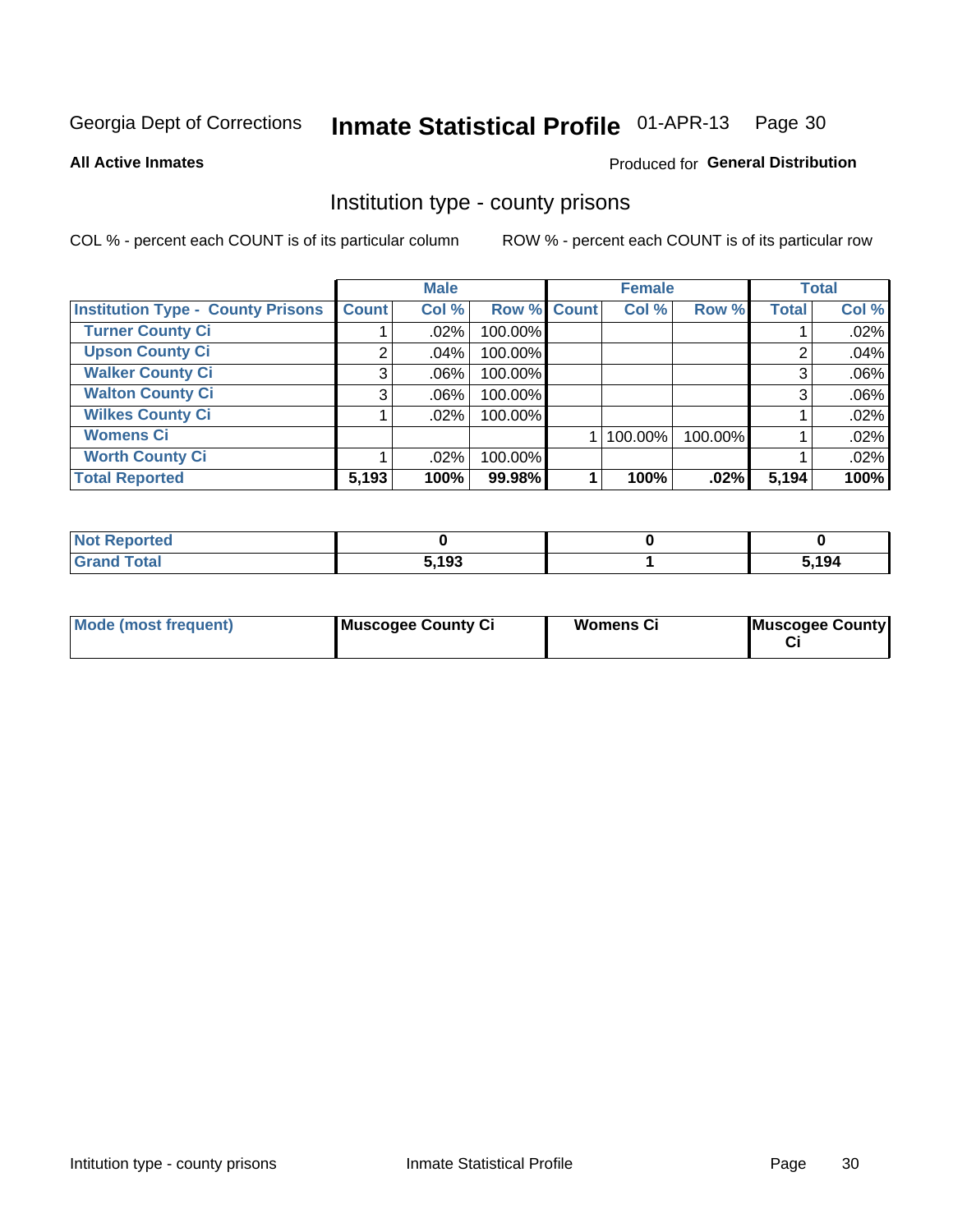# Inmate Statistical Profile 01-APR-13 Page 30

Produced for General Distribution

#### **All Active Inmates**

# Institution type - county prisons

COL % - percent each COUNT is of its particular column

|                                          |              | <b>Male</b> |             | <b>Female</b> |         |              | <b>Total</b> |
|------------------------------------------|--------------|-------------|-------------|---------------|---------|--------------|--------------|
| <b>Institution Type - County Prisons</b> | <b>Count</b> | Col %       | Row % Count | Col %         | Row %   | <b>Total</b> | Col %        |
| <b>Turner County Ci</b>                  |              | .02%        | 100.00%     |               |         |              | .02%         |
| <b>Upson County Ci</b>                   | 2            | .04%        | 100.00%     |               |         | 2            | .04%         |
| <b>Walker County Ci</b>                  | 3            | $.06\%$     | 100.00%     |               |         | 3            | .06%         |
| <b>Walton County Ci</b>                  | 3            | .06%        | 100.00%     |               |         | 3            | .06%         |
| <b>Wilkes County Ci</b>                  |              | $.02\%$     | 100.00%     |               |         |              | .02%         |
| <b>Womens Ci</b>                         |              |             |             | 100.00%       | 100.00% |              | .02%         |
| <b>Worth County Ci</b>                   |              | .02%        | 100.00%     |               |         |              | .02%         |
| <b>Total Reported</b>                    | 5,193        | 100%        | 99.98%      | 100%          | .02%    | 5,194        | 100%         |

| <b>Not Reported</b> |                   |       |
|---------------------|-------------------|-------|
| <b>Total</b>        | 5,193<br><u>.</u> | ស.194 |

| <b>Mode (most frequent)</b> | Muscogee County Ci | <b>Womens Ci</b> | Muscogee County |
|-----------------------------|--------------------|------------------|-----------------|
|-----------------------------|--------------------|------------------|-----------------|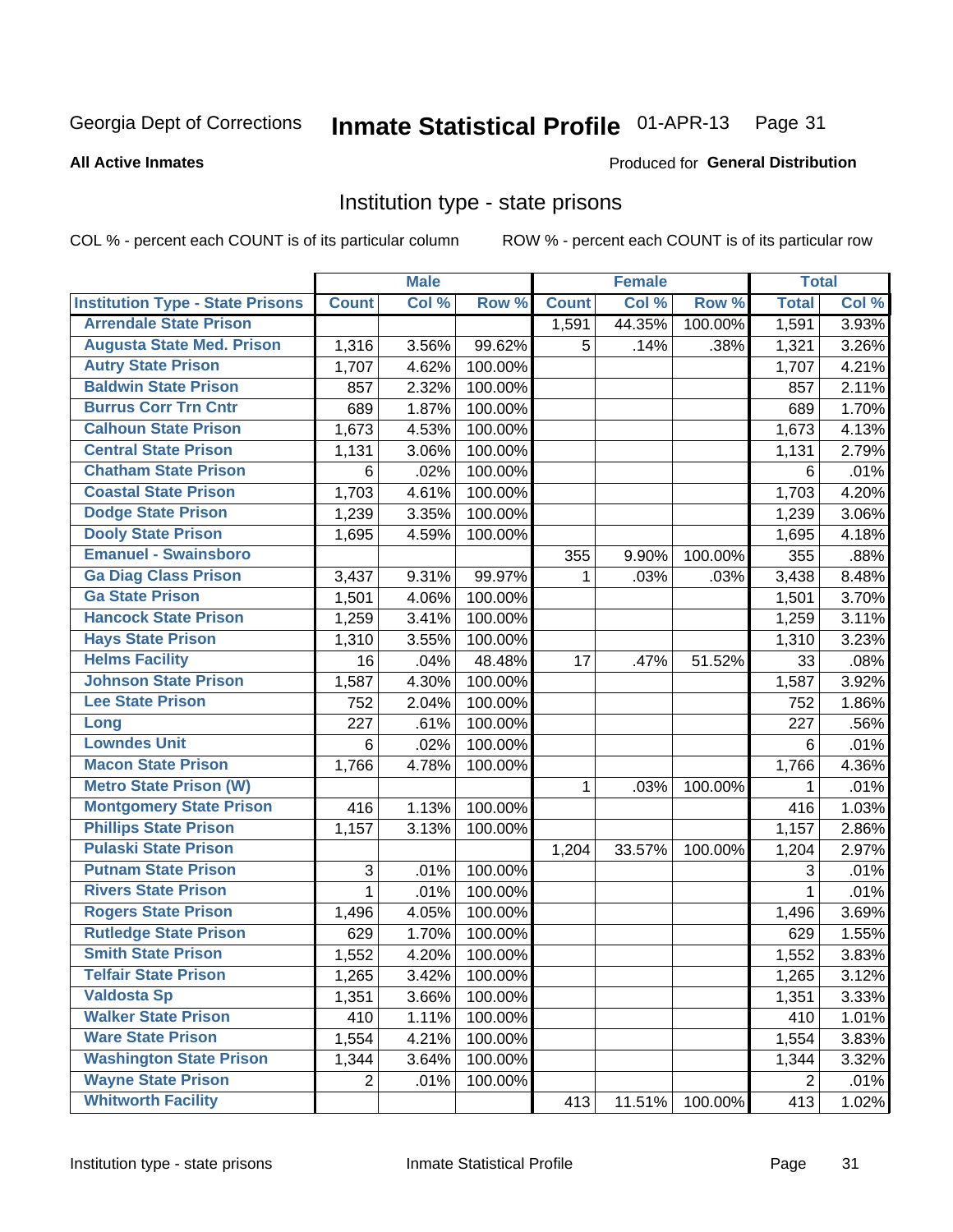#### Inmate Statistical Profile 01-APR-13 Page 31

#### **All Active Inmates**

#### Produced for General Distribution

#### Institution type - state prisons

COL % - percent each COUNT is of its particular column

|                                         |                 | <b>Male</b> |         |              | <b>Female</b> |         | <b>Total</b>   |       |
|-----------------------------------------|-----------------|-------------|---------|--------------|---------------|---------|----------------|-------|
| <b>Institution Type - State Prisons</b> | <b>Count</b>    | Col %       | Row %   | <b>Count</b> | Col %         | Row %   | <b>Total</b>   | Col % |
| <b>Arrendale State Prison</b>           |                 |             |         | 1,591        | 44.35%        | 100.00% | 1,591          | 3.93% |
| <b>Augusta State Med. Prison</b>        | 1,316           | 3.56%       | 99.62%  | 5            | .14%          | .38%    | 1,321          | 3.26% |
| <b>Autry State Prison</b>               | 1,707           | 4.62%       | 100.00% |              |               |         | 1,707          | 4.21% |
| <b>Baldwin State Prison</b>             | 857             | 2.32%       | 100.00% |              |               |         | 857            | 2.11% |
| <b>Burrus Corr Trn Cntr</b>             | 689             | 1.87%       | 100.00% |              |               |         | 689            | 1.70% |
| <b>Calhoun State Prison</b>             | 1,673           | 4.53%       | 100.00% |              |               |         | 1,673          | 4.13% |
| <b>Central State Prison</b>             | 1,131           | 3.06%       | 100.00% |              |               |         | 1,131          | 2.79% |
| <b>Chatham State Prison</b>             | $\,6$           | .02%        | 100.00% |              |               |         | 6              | .01%  |
| <b>Coastal State Prison</b>             | 1,703           | 4.61%       | 100.00% |              |               |         | 1,703          | 4.20% |
| <b>Dodge State Prison</b>               | 1,239           | 3.35%       | 100.00% |              |               |         | 1,239          | 3.06% |
| <b>Dooly State Prison</b>               | 1,695           | 4.59%       | 100.00% |              |               |         | 1,695          | 4.18% |
| <b>Emanuel - Swainsboro</b>             |                 |             |         | 355          | 9.90%         | 100.00% | 355            | .88%  |
| <b>Ga Diag Class Prison</b>             | 3,437           | 9.31%       | 99.97%  | $\mathbf 1$  | .03%          | .03%    | 3,438          | 8.48% |
| <b>Ga State Prison</b>                  | 1,501           | 4.06%       | 100.00% |              |               |         | 1,501          | 3.70% |
| <b>Hancock State Prison</b>             | 1,259           | 3.41%       | 100.00% |              |               |         | 1,259          | 3.11% |
| <b>Hays State Prison</b>                | 1,310           | 3.55%       | 100.00% |              |               |         | 1,310          | 3.23% |
| <b>Helms Facility</b>                   | 16              | .04%        | 48.48%  | 17           | .47%          | 51.52%  | 33             | .08%  |
| <b>Johnson State Prison</b>             | 1,587           | 4.30%       | 100.00% |              |               |         | 1,587          | 3.92% |
| <b>Lee State Prison</b>                 | 752             | 2.04%       | 100.00% |              |               |         | 752            | 1.86% |
| Long                                    | 227             | .61%        | 100.00% |              |               |         | 227            | .56%  |
| <b>Lowndes Unit</b>                     | $6\phantom{1}6$ | .02%        | 100.00% |              |               |         | 6              | .01%  |
| <b>Macon State Prison</b>               | 1,766           | 4.78%       | 100.00% |              |               |         | 1,766          | 4.36% |
| <b>Metro State Prison (W)</b>           |                 |             |         | 1            | .03%          | 100.00% | 1              | .01%  |
| <b>Montgomery State Prison</b>          | 416             | 1.13%       | 100.00% |              |               |         | 416            | 1.03% |
| <b>Phillips State Prison</b>            | 1,157           | 3.13%       | 100.00% |              |               |         | 1,157          | 2.86% |
| <b>Pulaski State Prison</b>             |                 |             |         | 1,204        | 33.57%        | 100.00% | 1,204          | 2.97% |
| <b>Putnam State Prison</b>              | $\sqrt{3}$      | .01%        | 100.00% |              |               |         | 3              | .01%  |
| <b>Rivers State Prison</b>              | 1               | .01%        | 100.00% |              |               |         | 1              | .01%  |
| <b>Rogers State Prison</b>              | 1,496           | 4.05%       | 100.00% |              |               |         | 1,496          | 3.69% |
| <b>Rutledge State Prison</b>            | 629             | 1.70%       | 100.00% |              |               |         | 629            | 1.55% |
| <b>Smith State Prison</b>               | 1,552           | 4.20%       | 100.00% |              |               |         | 1,552          | 3.83% |
| <b>Telfair State Prison</b>             | 1,265           | 3.42%       | 100.00% |              |               |         | 1,265          | 3.12% |
| <b>Valdosta Sp</b>                      | 1,351           | 3.66%       | 100.00% |              |               |         | 1,351          | 3.33% |
| <b>Walker State Prison</b>              | 410             | 1.11%       | 100.00% |              |               |         | 410            | 1.01% |
| <b>Ware State Prison</b>                | 1,554           | 4.21%       | 100.00% |              |               |         | 1,554          | 3.83% |
| <b>Washington State Prison</b>          | 1,344           | 3.64%       | 100.00% |              |               |         | 1,344          | 3.32% |
| <b>Wayne State Prison</b>               | $\overline{2}$  | .01%        | 100.00% |              |               |         | $\overline{2}$ | .01%  |
| <b>Whitworth Facility</b>               |                 |             |         | 413          | 11.51%        | 100.00% | 413            | 1.02% |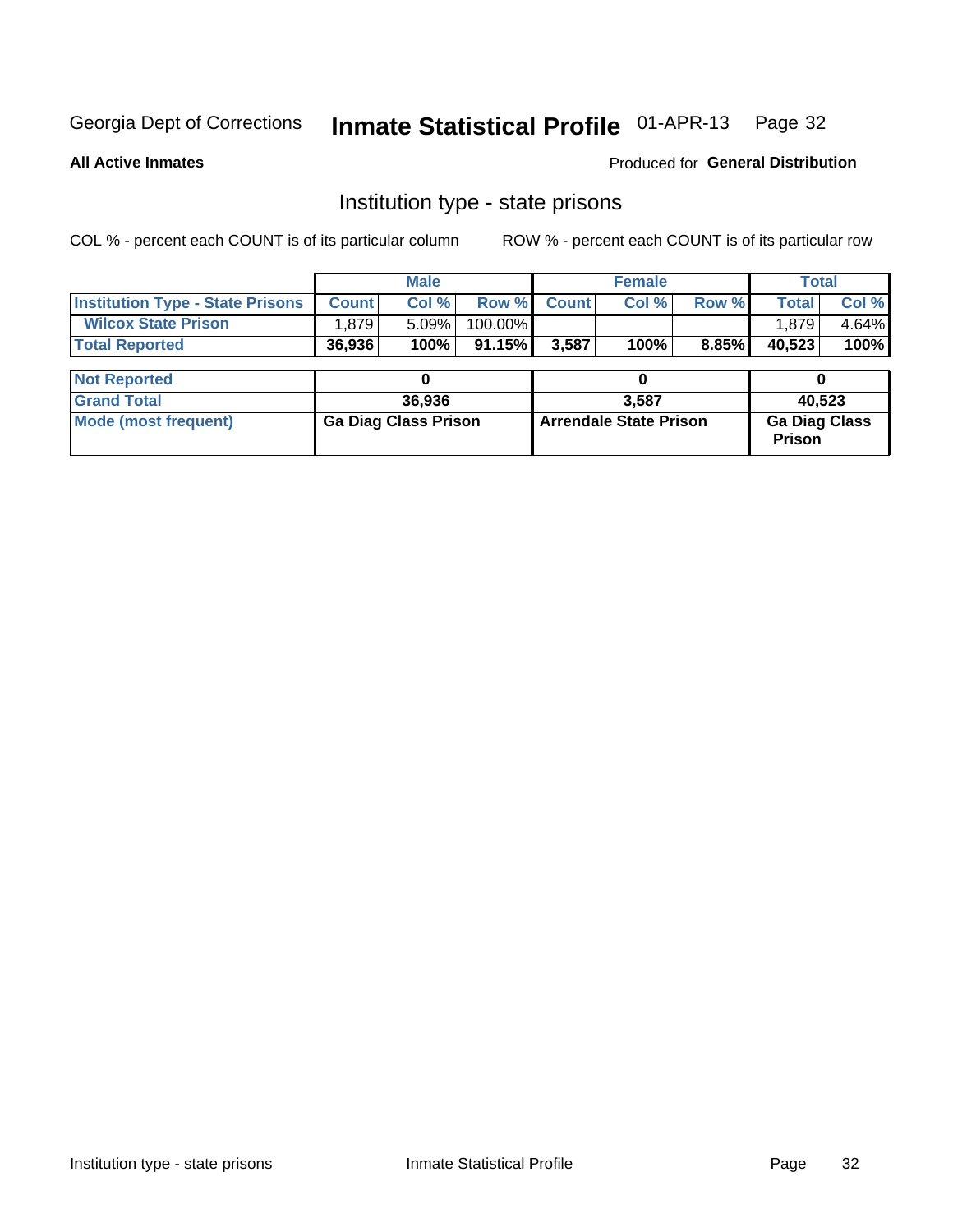# Inmate Statistical Profile 01-APR-13 Page 32

**All Active Inmates** 

Produced for General Distribution

### Institution type - state prisons

COL % - percent each COUNT is of its particular column ROW % - percent each COUNT is of its particular row

|                                         |              | <b>Male</b>                 |         |                               | <b>Female</b> |       |                                       | <b>Total</b> |  |  |
|-----------------------------------------|--------------|-----------------------------|---------|-------------------------------|---------------|-------|---------------------------------------|--------------|--|--|
| <b>Institution Type - State Prisons</b> | <b>Count</b> | Col %                       | Row %   | <b>Count</b>                  | Col %         | Row % | <b>Total</b>                          | Col %        |  |  |
| <b>Wilcox State Prison</b>              | 1,879        | 5.09%                       | 100.00% |                               |               |       | 1,879                                 | 4.64%        |  |  |
| <b>Total Reported</b>                   | 36,936       | 100%                        | 91.15%  | 3,587                         | 100%          | 8.85% | 40,523                                | 100%         |  |  |
|                                         |              |                             |         |                               |               |       |                                       |              |  |  |
| <b>Not Reported</b>                     |              |                             |         | 0                             |               |       |                                       |              |  |  |
| <b>Grand Total</b>                      |              | 36,936                      |         |                               | 3.587         |       |                                       | 40,523       |  |  |
| <b>Mode (most frequent)</b>             |              | <b>Ga Diag Class Prison</b> |         | <b>Arrendale State Prison</b> |               |       | <b>Ga Diag Class</b><br><b>Prison</b> |              |  |  |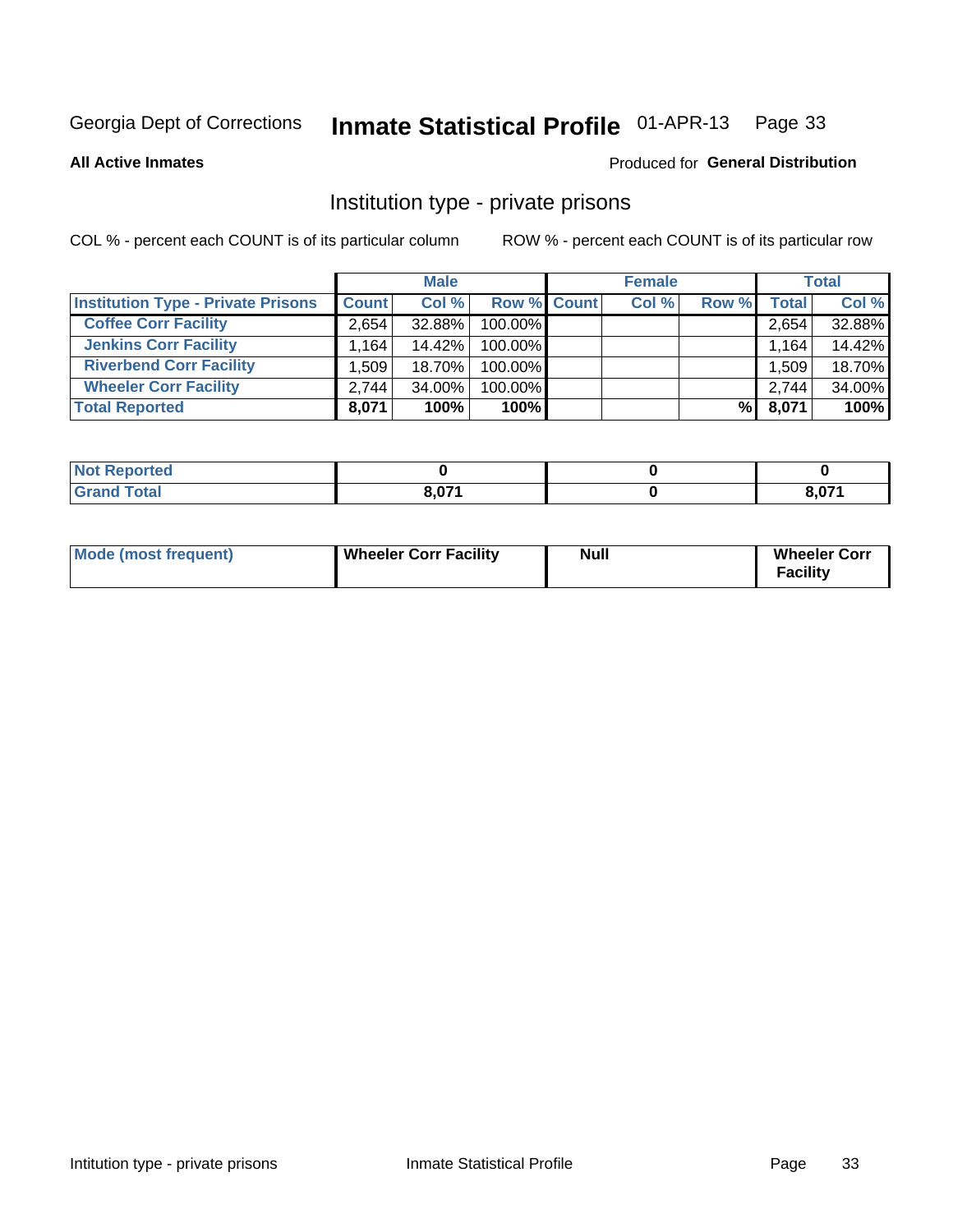# Inmate Statistical Profile 01-APR-13 Page 33

**All Active Inmates** 

#### Produced for General Distribution

### Institution type - private prisons

COL % - percent each COUNT is of its particular column

|                                           |                      | <b>Male</b> |                    | <b>Female</b> |       |       | <b>Total</b> |
|-------------------------------------------|----------------------|-------------|--------------------|---------------|-------|-------|--------------|
| <b>Institution Type - Private Prisons</b> | <b>Count</b>         | Col %       | <b>Row % Count</b> | Col %         | Row % | Total | Col %        |
| <b>Coffee Corr Facility</b>               | 2.654                | 32.88%      | 100.00%            |               |       | 2,654 | 32.88%       |
| <b>Jenkins Corr Facility</b>              | $1,164$ <sup>1</sup> | 14.42%      | 100.00%            |               |       | 1,164 | 14.42%       |
| <b>Riverbend Corr Facility</b>            | .509                 | 18.70%      | 100.00%            |               |       | 1,509 | 18.70%       |
| <b>Wheeler Corr Facility</b>              | 2.744                | $34.00\%$   | 100.00%            |               |       | 2,744 | 34.00%       |
| <b>Total Reported</b>                     | 8,071                | 100%        | $100\%$            |               | %I    | 8,071 | 100%         |

| ported<br>-m                  |                          |       |
|-------------------------------|--------------------------|-------|
| $\sim$ $\sim$ $\sim$<br>_____ | 0.074<br>$-$ , $-$ , $-$ | גדה כ |

| Mode (most frequent) | <b>Wheeler Corr Facility</b> | <b>Null</b> | <b>Wheeler Corr</b><br><b>Facility</b> |
|----------------------|------------------------------|-------------|----------------------------------------|
|----------------------|------------------------------|-------------|----------------------------------------|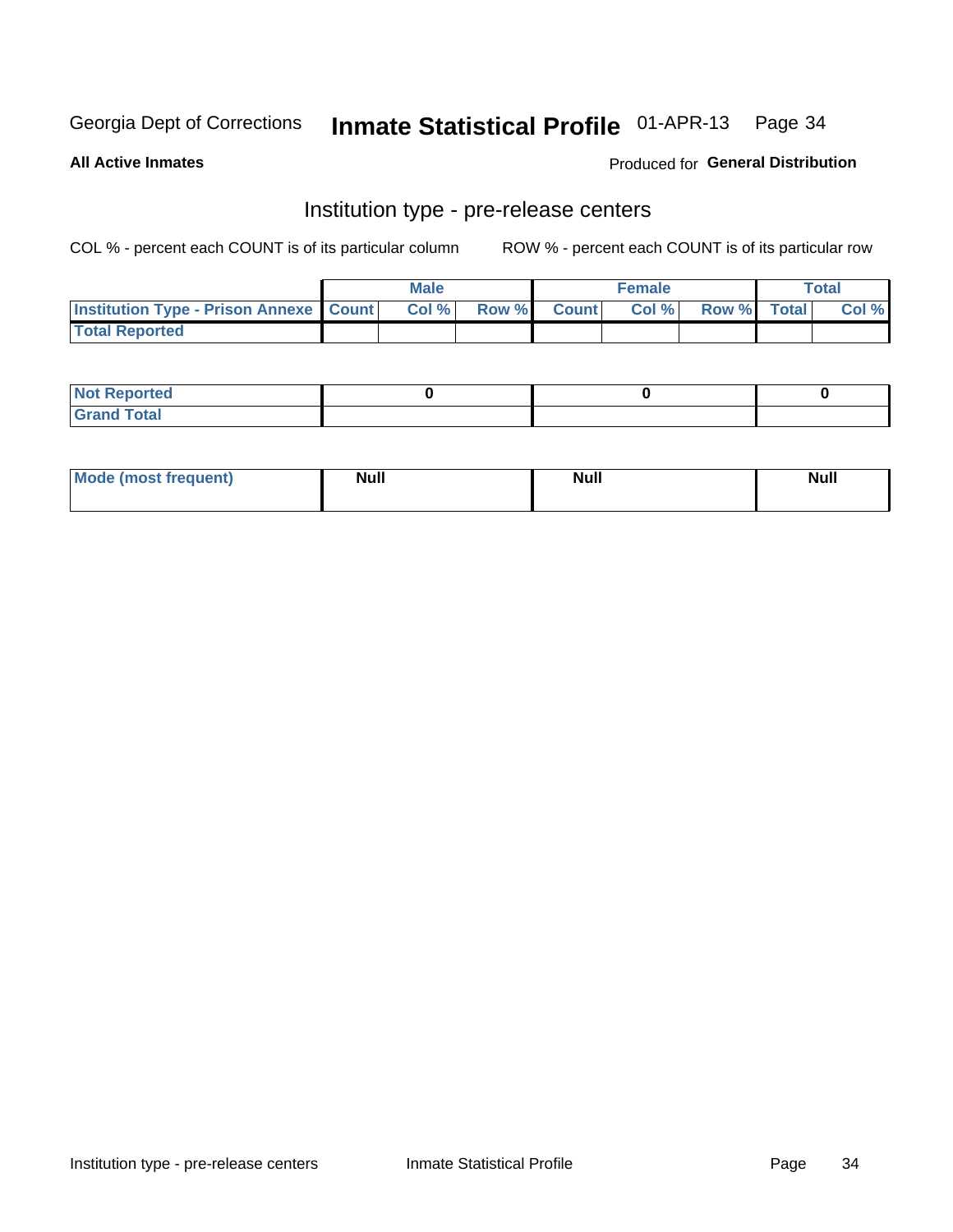# Inmate Statistical Profile 01-APR-13 Page 34

**All Active Inmates** 

Produced for General Distribution

# Institution type - pre-release centers

COL % - percent each COUNT is of its particular column

|                                                   | <b>Male</b> |             | <b>Female</b> |             | <b>Total</b> |
|---------------------------------------------------|-------------|-------------|---------------|-------------|--------------|
| <b>Institution Type - Prison Annexe   Count  </b> | Col%        | Row % Count | Col%          | Row % Total | Col %        |
| <b>Total Reported</b>                             |             |             |               |             |              |

| <b>Reported</b><br>I NOT |  |  |
|--------------------------|--|--|
| <b>Total</b><br>$C$ ren  |  |  |

| Mor<br><b>ruent</b> )<br>rea<br>nos | <b>Null</b> | <b>Moll</b><br>_____ | . .<br><b>Null</b> |
|-------------------------------------|-------------|----------------------|--------------------|
|                                     |             |                      |                    |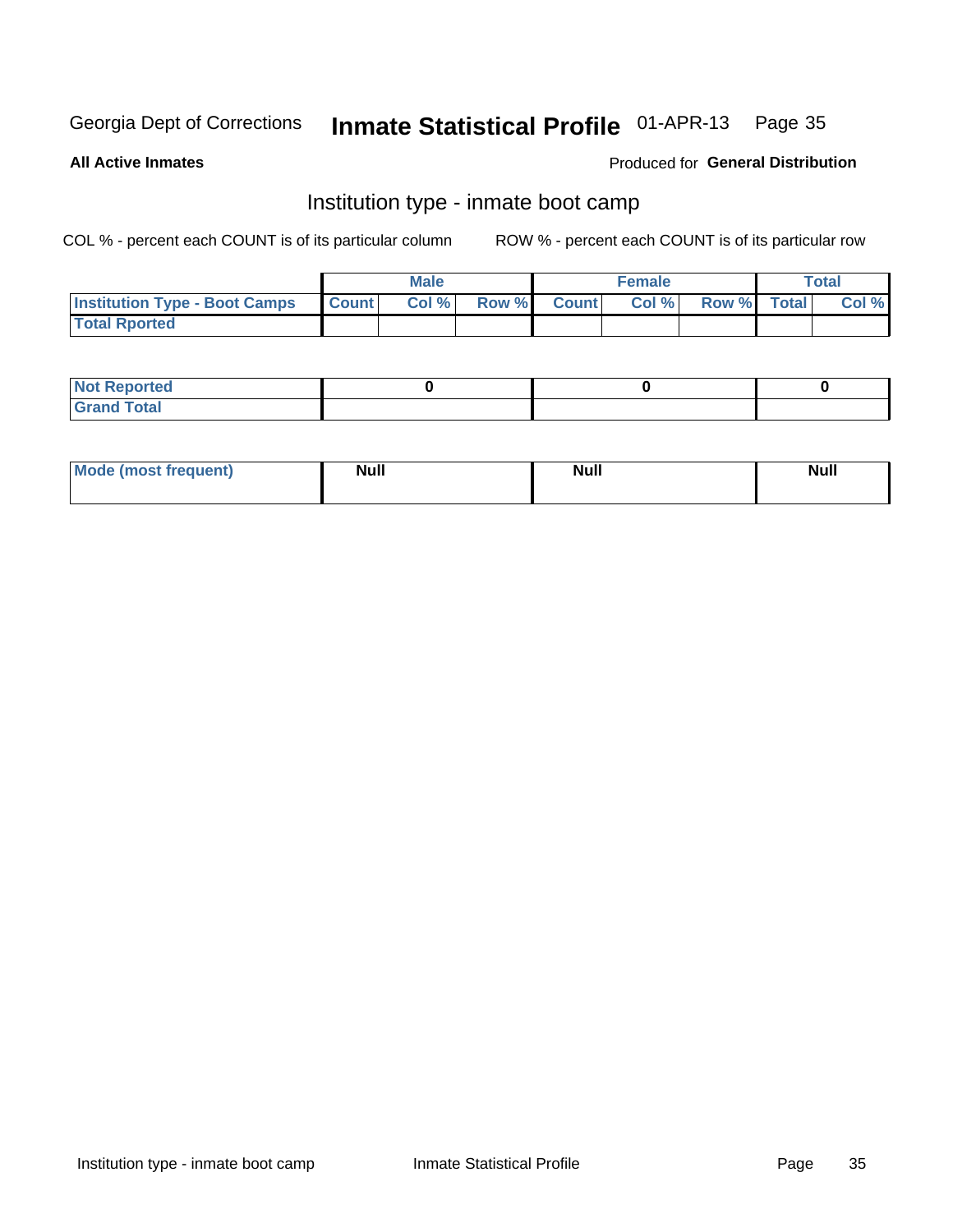# Inmate Statistical Profile 01-APR-13 Page 35

**All Active Inmates** 

#### Produced for General Distribution

## Institution type - inmate boot camp

COL % - percent each COUNT is of its particular column

|                                      |                  | <b>Male</b> |              |              | <b>Female</b> |             | <b>Total</b> |
|--------------------------------------|------------------|-------------|--------------|--------------|---------------|-------------|--------------|
| <b>Institution Type - Boot Camps</b> | <b>I</b> Count I | Col %       | <b>Row %</b> | <b>Count</b> | Col %         | Row % Total | Col %        |
| <b>Total Rported</b>                 |                  |             |              |              |               |             |              |

| <b>Not Reported</b>            |  |  |
|--------------------------------|--|--|
| <b>Total</b><br>C <sub>r</sub> |  |  |

| <b>I Mode (most frequent)</b> | <b>Null</b> | <b>Null</b> | <b>Null</b> |
|-------------------------------|-------------|-------------|-------------|
|                               |             |             |             |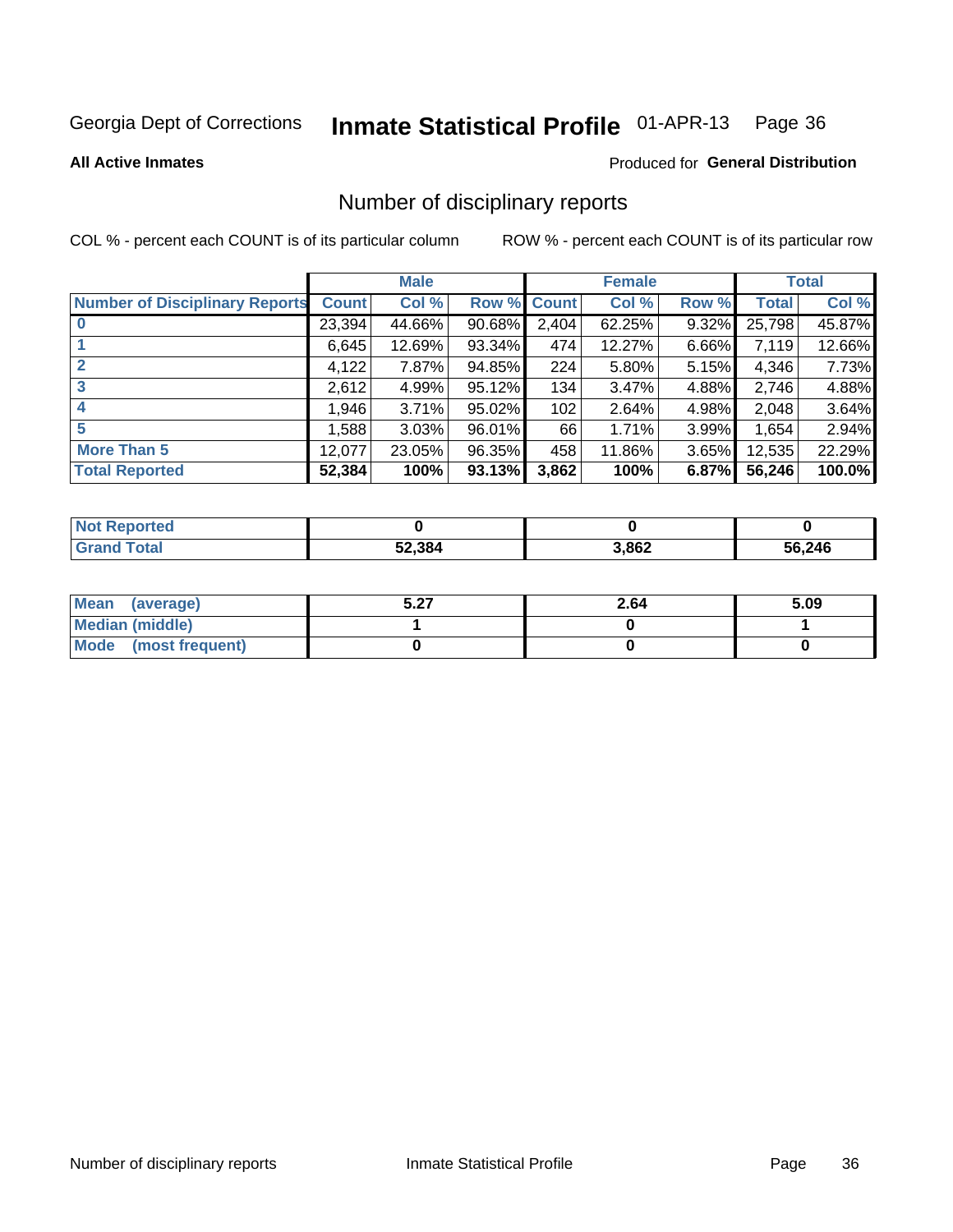#### Inmate Statistical Profile 01-APR-13 Page 36

**All Active Inmates** 

#### Produced for General Distribution

### Number of disciplinary reports

COL % - percent each COUNT is of its particular column

|                                       |              | <b>Male</b> |        |              | <b>Female</b> |       |              | <b>Total</b> |
|---------------------------------------|--------------|-------------|--------|--------------|---------------|-------|--------------|--------------|
| <b>Number of Disciplinary Reports</b> | <b>Count</b> | Col %       | Row %  | <b>Count</b> | Col %         | Row % | <b>Total</b> | Col %        |
| $\bf{0}$                              | 23,394       | 44.66%      | 90.68% | 2,404        | 62.25%        | 9.32% | 25,798       | 45.87%       |
|                                       | 6,645        | 12.69%      | 93.34% | 474          | 12.27%        | 6.66% | 7,119        | 12.66%       |
| $\mathbf{2}$                          | 4,122        | 7.87%       | 94.85% | 224          | 5.80%         | 5.15% | 4,346        | 7.73%        |
| 3                                     | 2,612        | 4.99%       | 95.12% | 134          | 3.47%         | 4.88% | 2,746        | 4.88%        |
| 4                                     | 1,946        | 3.71%       | 95.02% | 102          | 2.64%         | 4.98% | 2,048        | 3.64%        |
| 5                                     | 1,588        | 3.03%       | 96.01% | 66           | 1.71%         | 3.99% | 1,654        | 2.94%        |
| <b>More Than 5</b>                    | 12,077       | 23.05%      | 96.35% | 458          | 11.86%        | 3.65% | 12,535       | 22.29%       |
| <b>Total Reported</b>                 | 52,384       | 100%        | 93.13% | 3,862        | 100%          | 6.87% | 56,246       | 100.0%       |

| <b>oorted</b><br>Not <b>F</b> |        |       |        |
|-------------------------------|--------|-------|--------|
| Total                         | 52,384 | 3,862 | 56,246 |

| Mean (average)         | דה ב<br>J.Z1 | 2.64 | 5.09 |
|------------------------|--------------|------|------|
| <b>Median (middle)</b> |              |      |      |
| Mode (most frequent)   |              |      |      |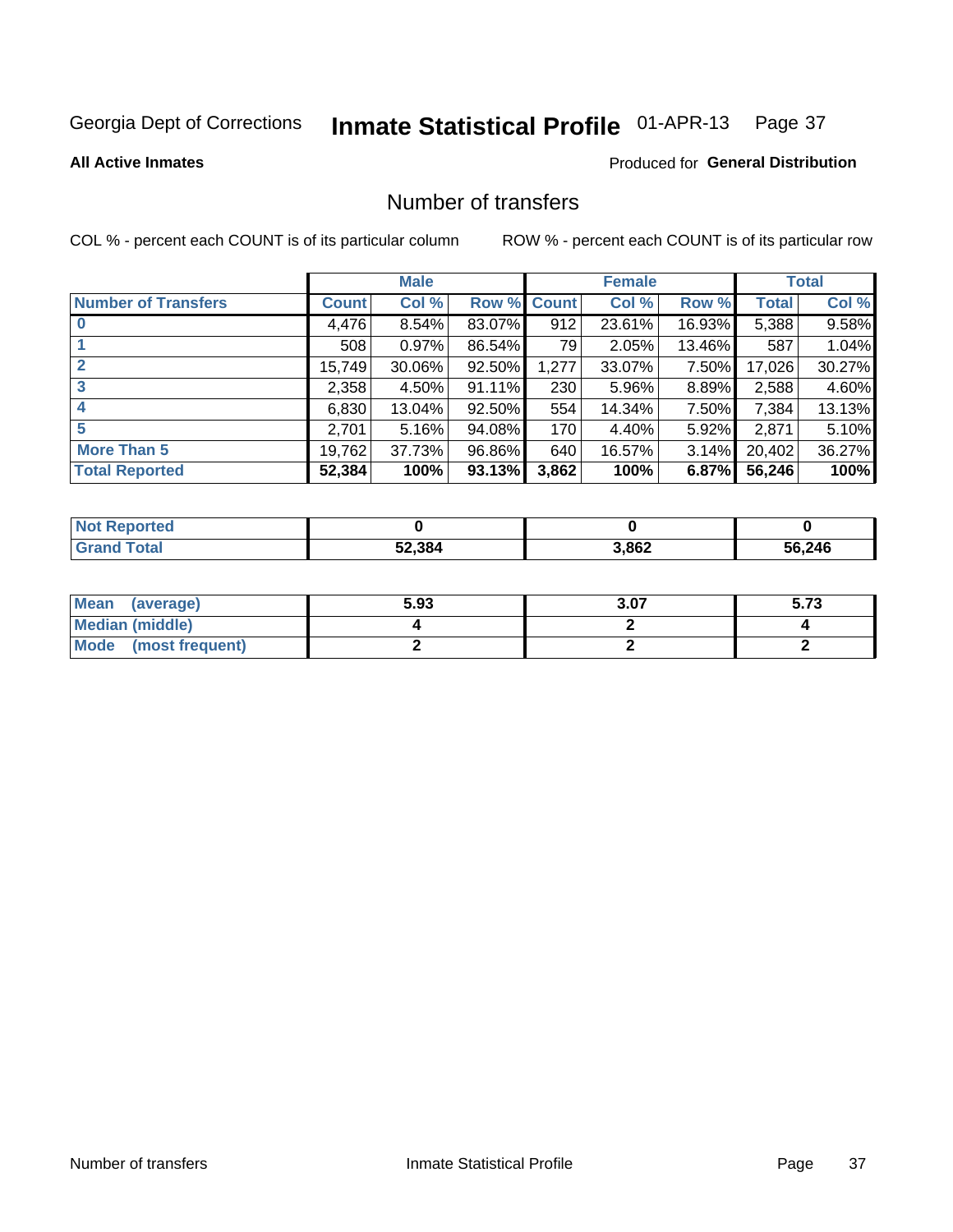# Inmate Statistical Profile 01-APR-13 Page 37

#### **All Active Inmates**

### **Produced for General Distribution**

## Number of transfers

COL % - percent each COUNT is of its particular column

|                            |         | <b>Male</b> |        |              | <b>Female</b> |          |              | <b>Total</b> |
|----------------------------|---------|-------------|--------|--------------|---------------|----------|--------------|--------------|
| <b>Number of Transfers</b> | Count l | Col %       | Row %  | <b>Count</b> | Col %         | Row %    | <b>Total</b> | Col %        |
|                            | 4,476   | 8.54%       | 83.07% | 912          | 23.61%        | 16.93%   | 5,388        | 9.58%        |
|                            | 508     | 0.97%       | 86.54% | 79           | 2.05%         | 13.46%   | 587          | 1.04%        |
| $\mathbf{2}$               | 15,749  | 30.06%      | 92.50% | 1,277        | 33.07%        | 7.50%    | 17,026       | 30.27%       |
| 3                          | 2,358   | $4.50\%$    | 91.11% | 230          | 5.96%         | 8.89%    | 2,588        | 4.60%        |
| 4                          | 6,830   | 13.04%      | 92.50% | 554          | 14.34%        | 7.50%    | 7,384        | 13.13%       |
| 5                          | 2,701   | 5.16%       | 94.08% | 170          | 4.40%         | $5.92\%$ | 2,871        | 5.10%        |
| <b>More Than 5</b>         | 19,762  | 37.73%      | 96.86% | 640          | 16.57%        | $3.14\%$ | 20,402       | 36.27%       |
| <b>Total Reported</b>      | 52,384  | 100%        | 93.13% | 3,862        | 100%          | 6.87%    | 56,246       | 100%         |

| <b>Not Reported</b> |        |       |        |
|---------------------|--------|-------|--------|
| <b>Total</b>        | 52,384 | 3,862 | 56,246 |

| Mean (average)       | 5.93 | 3.07 | - 70<br>ว. เ ง |
|----------------------|------|------|----------------|
| Median (middle)      |      |      |                |
| Mode (most frequent) |      |      |                |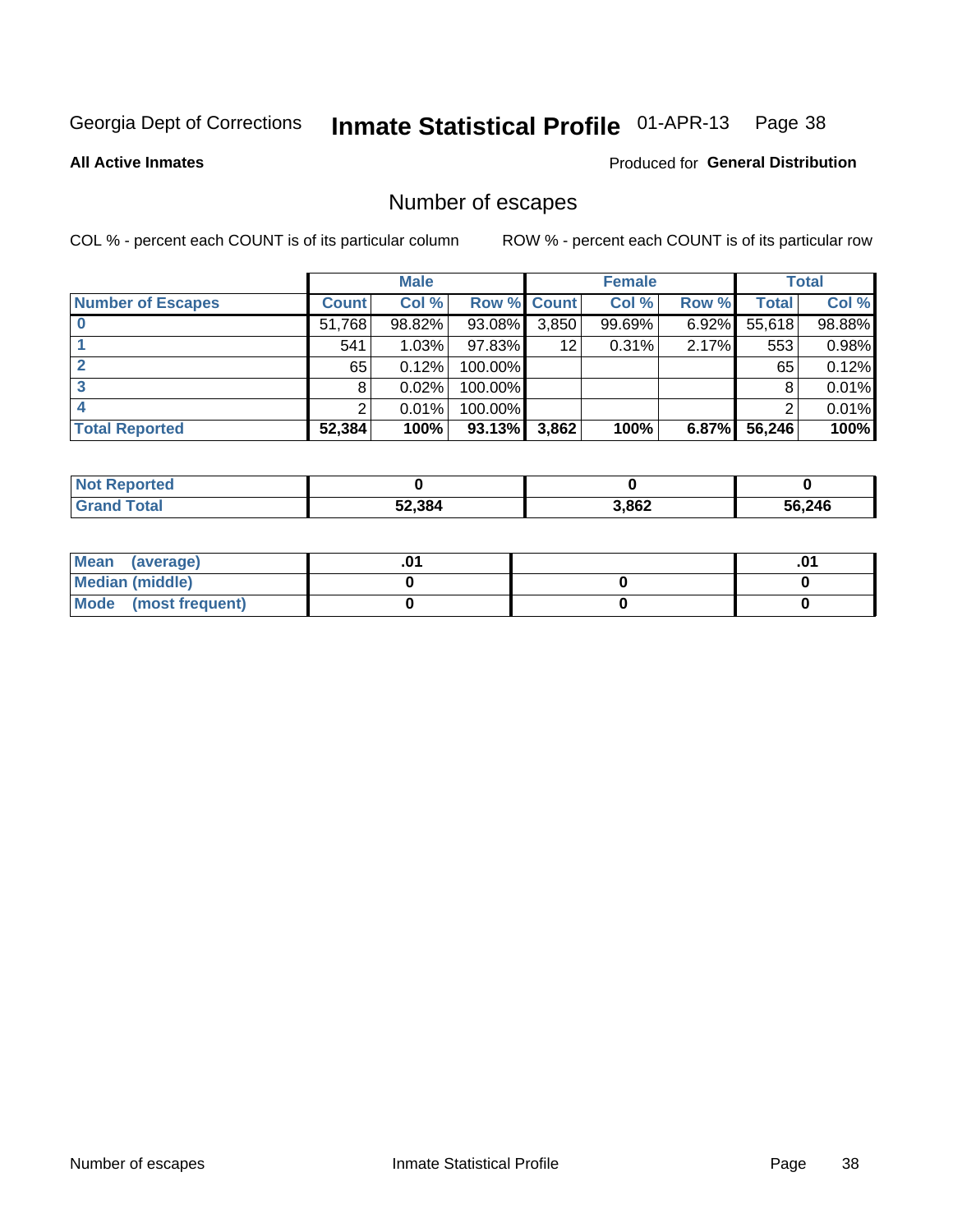# Inmate Statistical Profile 01-APR-13 Page 38

**All Active Inmates** 

## **Produced for General Distribution**

# Number of escapes

COL % - percent each COUNT is of its particular column

|                          |              | <b>Male</b> |             |       | <b>Female</b> |       |        | <b>Total</b> |
|--------------------------|--------------|-------------|-------------|-------|---------------|-------|--------|--------------|
| <b>Number of Escapes</b> | <b>Count</b> | Col %       | Row % Count |       | Col %         | Row % | Total  | Col %        |
|                          | 51,768       | 98.82%      | 93.08%      | 3,850 | 99.69%        | 6.92% | 55,618 | 98.88%       |
|                          | 541          | 1.03%       | 97.83%      | 12    | 0.31%         | 2.17% | 553    | 0.98%        |
|                          | 65           | 0.12%       | 100.00%     |       |               |       | 65     | 0.12%        |
|                          | 8            | 0.02%       | 100.00%     |       |               |       | 8      | 0.01%        |
|                          |              | 0.01%       | 100.00%     |       |               |       |        | 0.01%        |
| <b>Total Reported</b>    | 52,384       | 100%        | $93.13\%$   | 3,862 | 100%          | 6.87% | 56,246 | 100%         |

| <b>Not Reported</b> |        |       |        |
|---------------------|--------|-------|--------|
| Total               | 52,384 | 3,862 | 56,246 |

| Mean<br>(average)    |  | .0 |
|----------------------|--|----|
| Median (middle)      |  |    |
| Mode (most frequent) |  |    |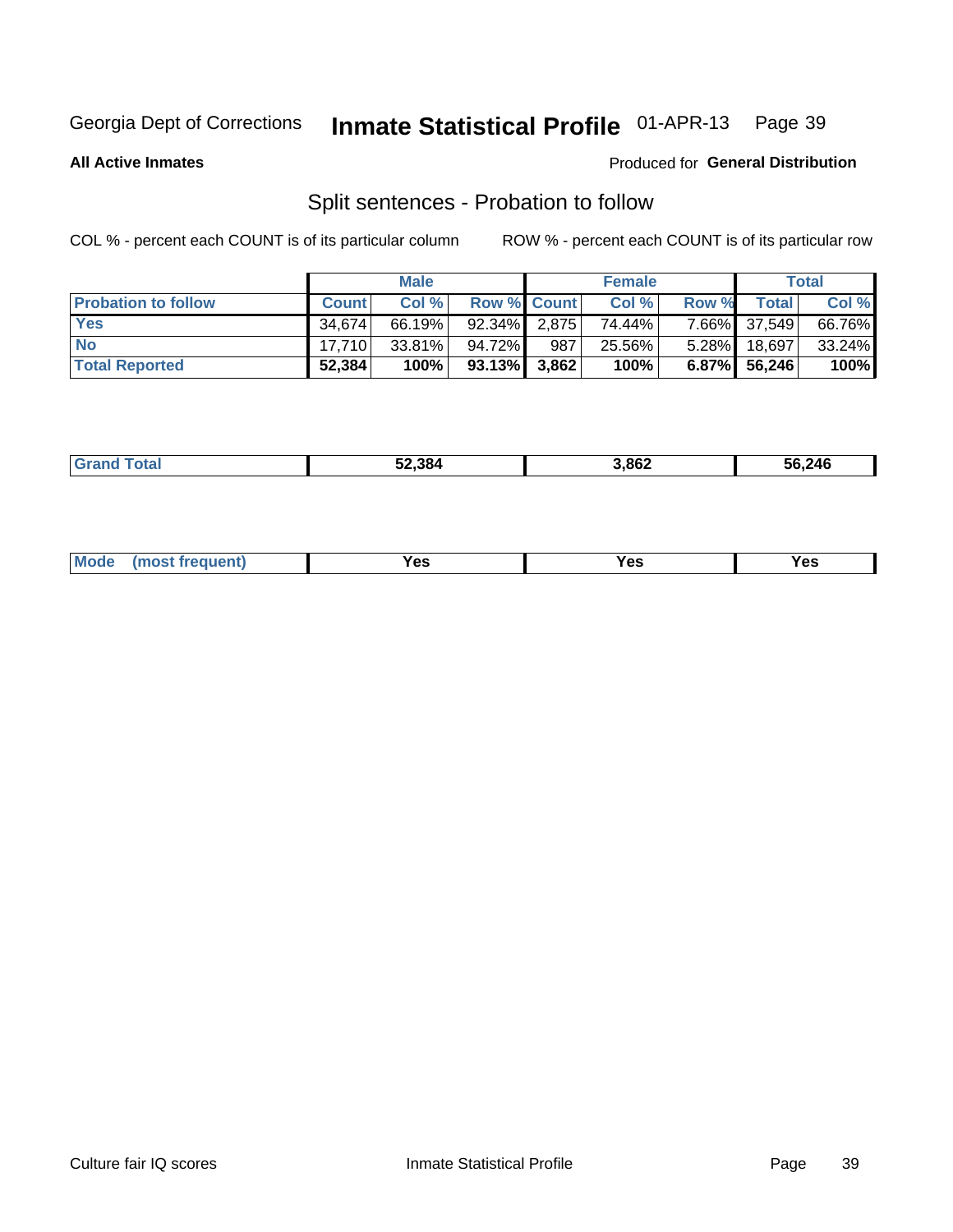#### Inmate Statistical Profile 01-APR-13 Page 39

**All Active Inmates** 

#### Produced for General Distribution

# Split sentences - Probation to follow

COL % - percent each COUNT is of its particular column

|                            |              | <b>Male</b> |                    |     | <b>Female</b> |          |              | <b>Total</b> |
|----------------------------|--------------|-------------|--------------------|-----|---------------|----------|--------------|--------------|
| <b>Probation to follow</b> | <b>Count</b> | Col%        | <b>Row % Count</b> |     | Col %         | Row %    | Total        | Col %        |
| <b>Yes</b>                 | 34.674       | 66.19%      | $92.34\%$ 2.875    |     | 74.44%        |          | 7.66% 37,549 | 66.76%       |
| <b>No</b>                  | 17.710       | $33.81\%$   | 94.72%             | 987 | 25.56%        | $5.28\%$ | 18,697       | $33.24\%$    |
| <b>Total Reported</b>      | 52,384       | 100%        | $93.13\%$ 3,862    |     | 100%          |          | 6.87% 56,246 | 100%         |

|  | Grs | 52.384 | 3,862 | 56,246 |
|--|-----|--------|-------|--------|
|--|-----|--------|-------|--------|

| M<br>reauent)<br>/٥<br>$\sim$<br>v.,<br>.<br>$\ddotsc$<br>$\cdot$ - $\cdot$ |
|-----------------------------------------------------------------------------|
|-----------------------------------------------------------------------------|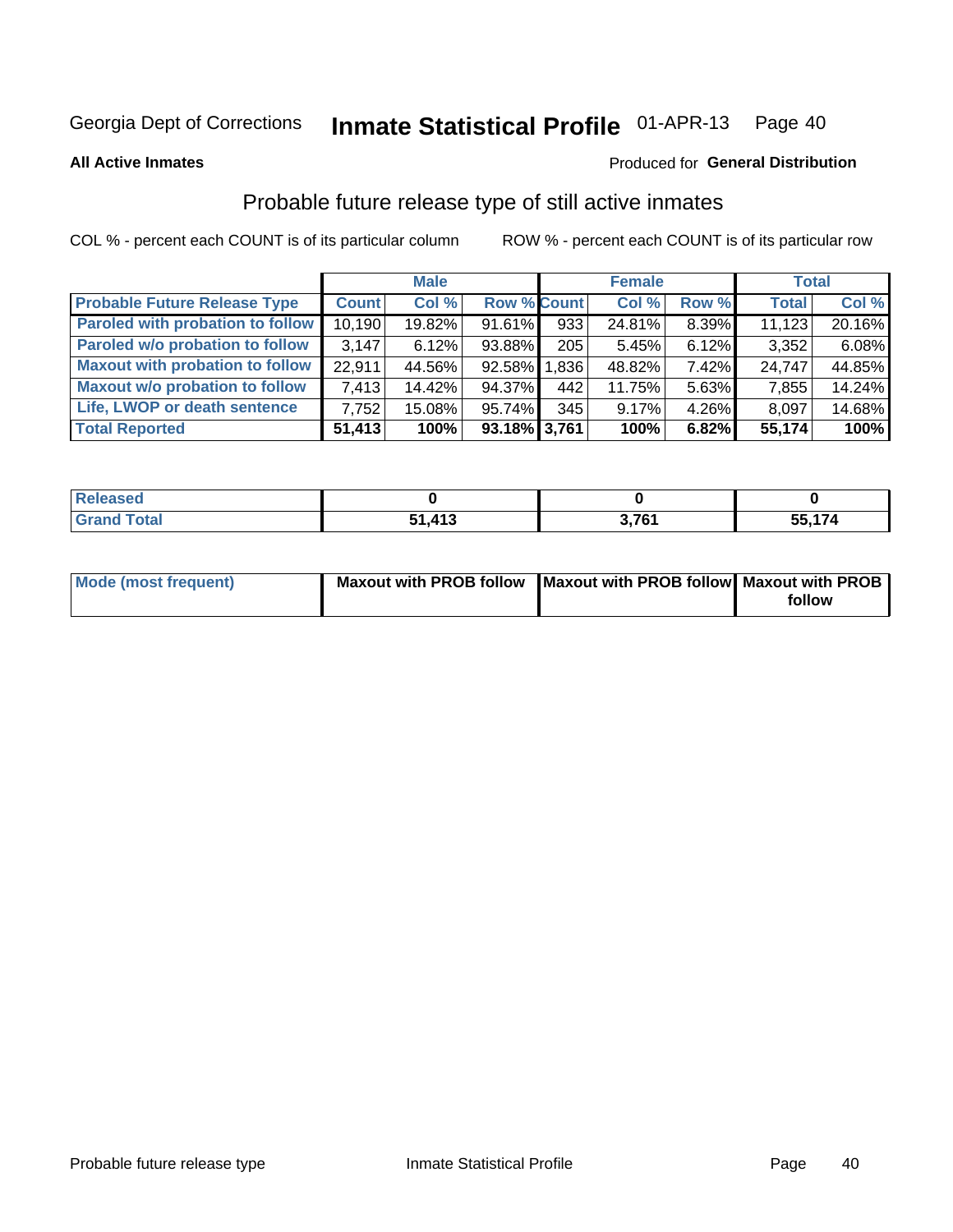#### Inmate Statistical Profile 01-APR-13 Page 40

**All Active Inmates** 

#### Produced for General Distribution

# Probable future release type of still active inmates

COL % - percent each COUNT is of its particular column

|                                         |              | <b>Male</b> |                    |            | <b>Female</b> |       | <b>Total</b> |        |
|-----------------------------------------|--------------|-------------|--------------------|------------|---------------|-------|--------------|--------|
| <b>Probable Future Release Type</b>     | <b>Count</b> | Col %       | <b>Row % Count</b> |            | Col %         | Row % | <b>Total</b> | Col %  |
| <b>Paroled with probation to follow</b> | 10,190       | 19.82%      | 91.61%             | 933        | 24.81%        | 8.39% | 11,123       | 20.16% |
| Paroled w/o probation to follow         | 3.147        | 6.12%       | 93.88%             | $205 \mid$ | 5.45%         | 6.12% | 3,352        | 6.08%  |
| <b>Maxout with probation to follow</b>  | 22.911       | 44.56%      | 92.58% 1.836       |            | 48.82%        | 7.42% | 24,747       | 44.85% |
| <b>Maxout w/o probation to follow</b>   | 7,413        | 14.42%      | 94.37%             | 442        | 11.75%        | 5.63% | 7,855        | 14.24% |
| Life, LWOP or death sentence            | 7.752        | 15.08%      | 95.74%             | 345        | 9.17%         | 4.26% | 8,097        | 14.68% |
| <b>Total Reported</b>                   | 51,413       | 100%        | 93.18% 3,761       |            | 100%          | 6.82% | 55,174       | 100%   |

| seo         |                  |     |      |
|-------------|------------------|-----|------|
| <b>otal</b> | $\overline{112}$ | 704 | .174 |
|             | cл               |     | 55   |

| <b>Mode (most frequent)</b> | Maxout with PROB follow   Maxout with PROB follow   Maxout with PROB |        |
|-----------------------------|----------------------------------------------------------------------|--------|
|                             |                                                                      | follow |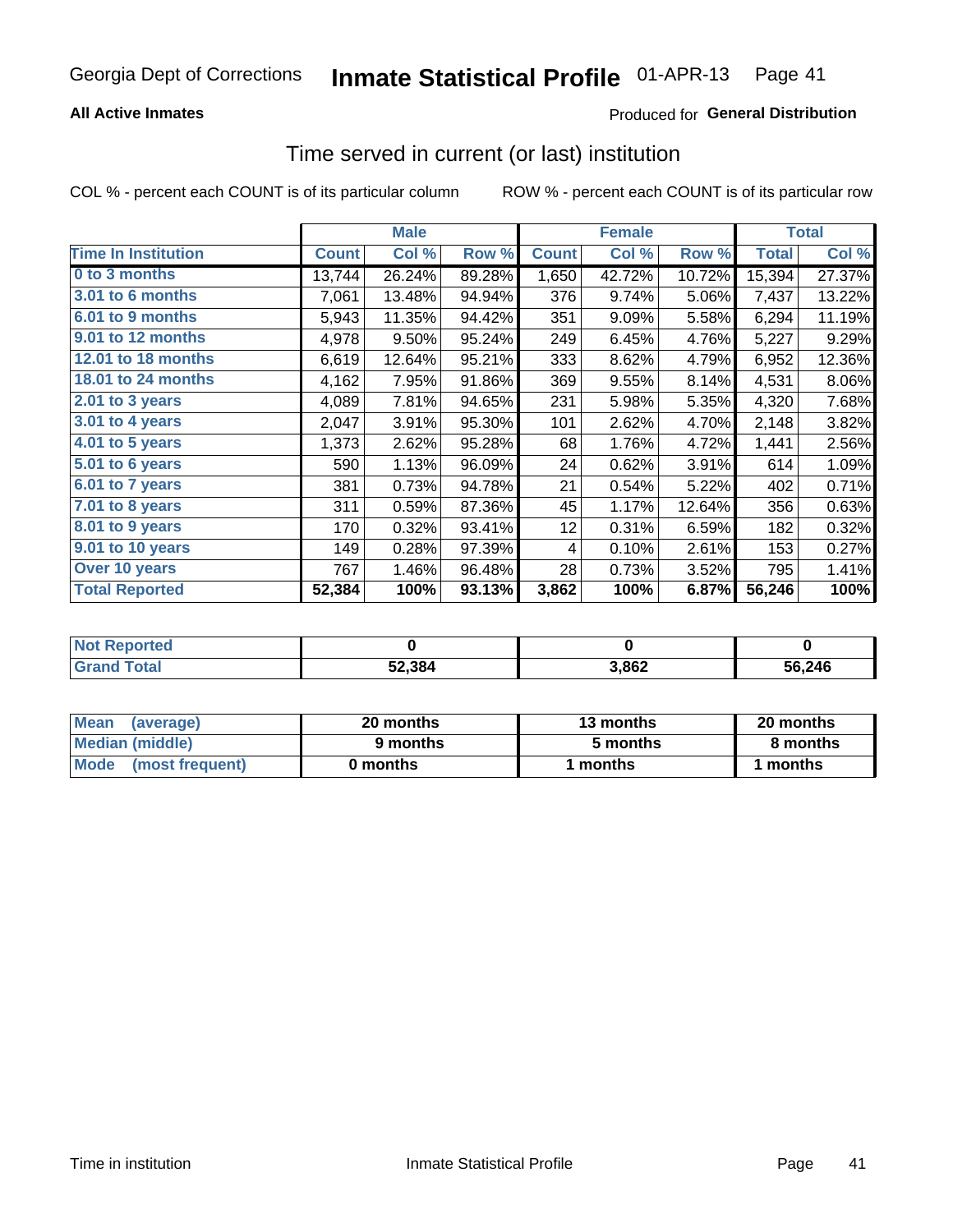### **All Active Inmates**

## **Produced for General Distribution**

## Time served in current (or last) institution

COL % - percent each COUNT is of its particular column

|                            |              | <b>Male</b> |        |              | <b>Female</b> |        |              | <b>Total</b> |
|----------------------------|--------------|-------------|--------|--------------|---------------|--------|--------------|--------------|
| <b>Time In Institution</b> | <b>Count</b> | Col %       | Row %  | <b>Count</b> | Col %         | Row %  | <b>Total</b> | Col %        |
| 0 to 3 months              | 13,744       | 26.24%      | 89.28% | 1,650        | 42.72%        | 10.72% | 15,394       | 27.37%       |
| 3.01 to 6 months           | 7,061        | 13.48%      | 94.94% | 376          | 9.74%         | 5.06%  | 7,437        | 13.22%       |
| 6.01 to 9 months           | 5,943        | 11.35%      | 94.42% | 351          | 9.09%         | 5.58%  | 6,294        | 11.19%       |
| 9.01 to 12 months          | 4,978        | 9.50%       | 95.24% | 249          | 6.45%         | 4.76%  | 5,227        | 9.29%        |
| 12.01 to 18 months         | 6,619        | 12.64%      | 95.21% | 333          | 8.62%         | 4.79%  | 6,952        | 12.36%       |
| <b>18.01 to 24 months</b>  | 4,162        | 7.95%       | 91.86% | 369          | 9.55%         | 8.14%  | 4,531        | 8.06%        |
| 2.01 to 3 years            | 4,089        | 7.81%       | 94.65% | 231          | 5.98%         | 5.35%  | 4,320        | 7.68%        |
| $3.01$ to 4 years          | 2,047        | 3.91%       | 95.30% | 101          | 2.62%         | 4.70%  | 2,148        | 3.82%        |
| 4.01 to 5 years            | 1,373        | 2.62%       | 95.28% | 68           | 1.76%         | 4.72%  | 1,441        | 2.56%        |
| 5.01 to 6 years            | 590          | 1.13%       | 96.09% | 24           | 0.62%         | 3.91%  | 614          | 1.09%        |
| 6.01 to 7 years            | 381          | 0.73%       | 94.78% | 21           | 0.54%         | 5.22%  | 402          | 0.71%        |
| 7.01 to 8 years            | 311          | 0.59%       | 87.36% | 45           | 1.17%         | 12.64% | 356          | 0.63%        |
| $8.01$ to 9 years          | 170          | 0.32%       | 93.41% | 12           | 0.31%         | 6.59%  | 182          | 0.32%        |
| 9.01 to 10 years           | 149          | 0.28%       | 97.39% | 4            | 0.10%         | 2.61%  | 153          | 0.27%        |
| Over 10 years              | 767          | 1.46%       | 96.48% | 28           | 0.73%         | 3.52%  | 795          | 1.41%        |
| <b>Total Reported</b>      | 52,384       | 100%        | 93.13% | 3,862        | 100%          | 6.87%  | 56,246       | 100%         |

| <b>Not</b><br>Reported |        |       |        |
|------------------------|--------|-------|--------|
| .'otal                 | 52,384 | 3,862 | 56,246 |

| <b>Mean</b><br>(average) | 20 months | 13 months | 20 months |  |
|--------------------------|-----------|-----------|-----------|--|
| Median (middle)          | 9 months  | 5 months  | 8 months  |  |
| Mode<br>(most frequent)  | 0 months  | months    | ∖ months  |  |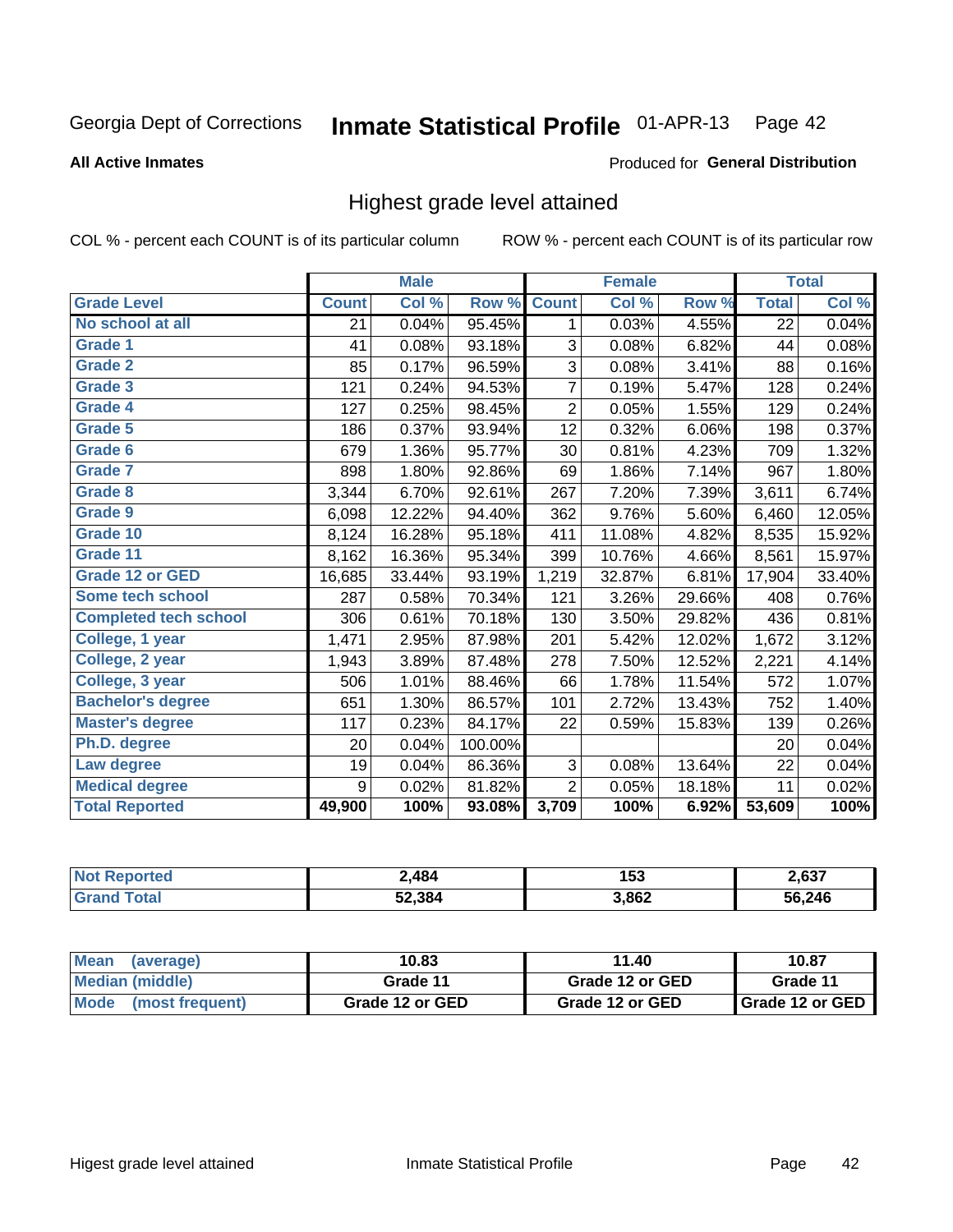#### Inmate Statistical Profile 01-APR-13 Page 42

#### **All Active Inmates**

#### Produced for General Distribution

## Highest grade level attained

COL % - percent each COUNT is of its particular column

|                              |              | <b>Male</b> |         |                | <b>Female</b> |        |              | <b>Total</b> |
|------------------------------|--------------|-------------|---------|----------------|---------------|--------|--------------|--------------|
| <b>Grade Level</b>           | <b>Count</b> | Col %       | Row %   | <b>Count</b>   | Col %         | Row %  | <b>Total</b> | Col %        |
| No school at all             | 21           | 0.04%       | 95.45%  | 1              | 0.03%         | 4.55%  | 22           | 0.04%        |
| <b>Grade 1</b>               | 41           | 0.08%       | 93.18%  | $\mathbf{3}$   | 0.08%         | 6.82%  | 44           | 0.08%        |
| <b>Grade 2</b>               | 85           | 0.17%       | 96.59%  | 3              | 0.08%         | 3.41%  | 88           | 0.16%        |
| Grade 3                      | 121          | 0.24%       | 94.53%  | 7              | 0.19%         | 5.47%  | 128          | 0.24%        |
| Grade 4                      | 127          | 0.25%       | 98.45%  | $\overline{2}$ | 0.05%         | 1.55%  | 129          | 0.24%        |
| Grade 5                      | 186          | 0.37%       | 93.94%  | 12             | 0.32%         | 6.06%  | 198          | 0.37%        |
| <b>Grade 6</b>               | 679          | 1.36%       | 95.77%  | 30             | 0.81%         | 4.23%  | 709          | 1.32%        |
| <b>Grade 7</b>               | 898          | 1.80%       | 92.86%  | 69             | 1.86%         | 7.14%  | 967          | 1.80%        |
| <b>Grade 8</b>               | 3,344        | 6.70%       | 92.61%  | 267            | 7.20%         | 7.39%  | 3,611        | 6.74%        |
| Grade 9                      | 6,098        | 12.22%      | 94.40%  | 362            | 9.76%         | 5.60%  | 6,460        | 12.05%       |
| Grade 10                     | 8,124        | 16.28%      | 95.18%  | 411            | 11.08%        | 4.82%  | 8,535        | 15.92%       |
| Grade 11                     | 8,162        | 16.36%      | 95.34%  | 399            | 10.76%        | 4.66%  | 8,561        | 15.97%       |
| <b>Grade 12 or GED</b>       | 16,685       | 33.44%      | 93.19%  | 1,219          | 32.87%        | 6.81%  | 17,904       | 33.40%       |
| Some tech school             | 287          | 0.58%       | 70.34%  | 121            | 3.26%         | 29.66% | 408          | 0.76%        |
| <b>Completed tech school</b> | 306          | 0.61%       | 70.18%  | 130            | 3.50%         | 29.82% | 436          | 0.81%        |
| College, 1 year              | 1,471        | 2.95%       | 87.98%  | 201            | 5.42%         | 12.02% | 1,672        | 3.12%        |
| College, 2 year              | 1,943        | 3.89%       | 87.48%  | 278            | 7.50%         | 12.52% | 2,221        | 4.14%        |
| College, 3 year              | 506          | 1.01%       | 88.46%  | 66             | 1.78%         | 11.54% | 572          | 1.07%        |
| <b>Bachelor's degree</b>     | 651          | 1.30%       | 86.57%  | 101            | 2.72%         | 13.43% | 752          | 1.40%        |
| <b>Master's degree</b>       | 117          | 0.23%       | 84.17%  | 22             | 0.59%         | 15.83% | 139          | 0.26%        |
| Ph.D. degree                 | 20           | 0.04%       | 100.00% |                |               |        | 20           | 0.04%        |
| Law degree                   | 19           | 0.04%       | 86.36%  | 3              | 0.08%         | 13.64% | 22           | 0.04%        |
| <b>Medical degree</b>        | 9            | 0.02%       | 81.82%  | $\overline{2}$ | 0.05%         | 18.18% | 11           | 0.02%        |
| <b>Total Reported</b>        | 49,900       | 100%        | 93.08%  | 3,709          | 100%          | 6.92%  | 53,609       | 100%         |

| 484    | .<br>153<br>__ | 2,637  |
|--------|----------------|--------|
| 52.384 | 3,862          | 56.246 |

| <b>Mean</b><br>(average)       | 10.83           | 11.40           | 10.87             |
|--------------------------------|-----------------|-----------------|-------------------|
| Median (middle)                | Grade 11        | Grade 12 or GED | Grade 11          |
| <b>Mode</b><br>(most frequent) | Grade 12 or GED | Grade 12 or GED | I Grade 12 or GED |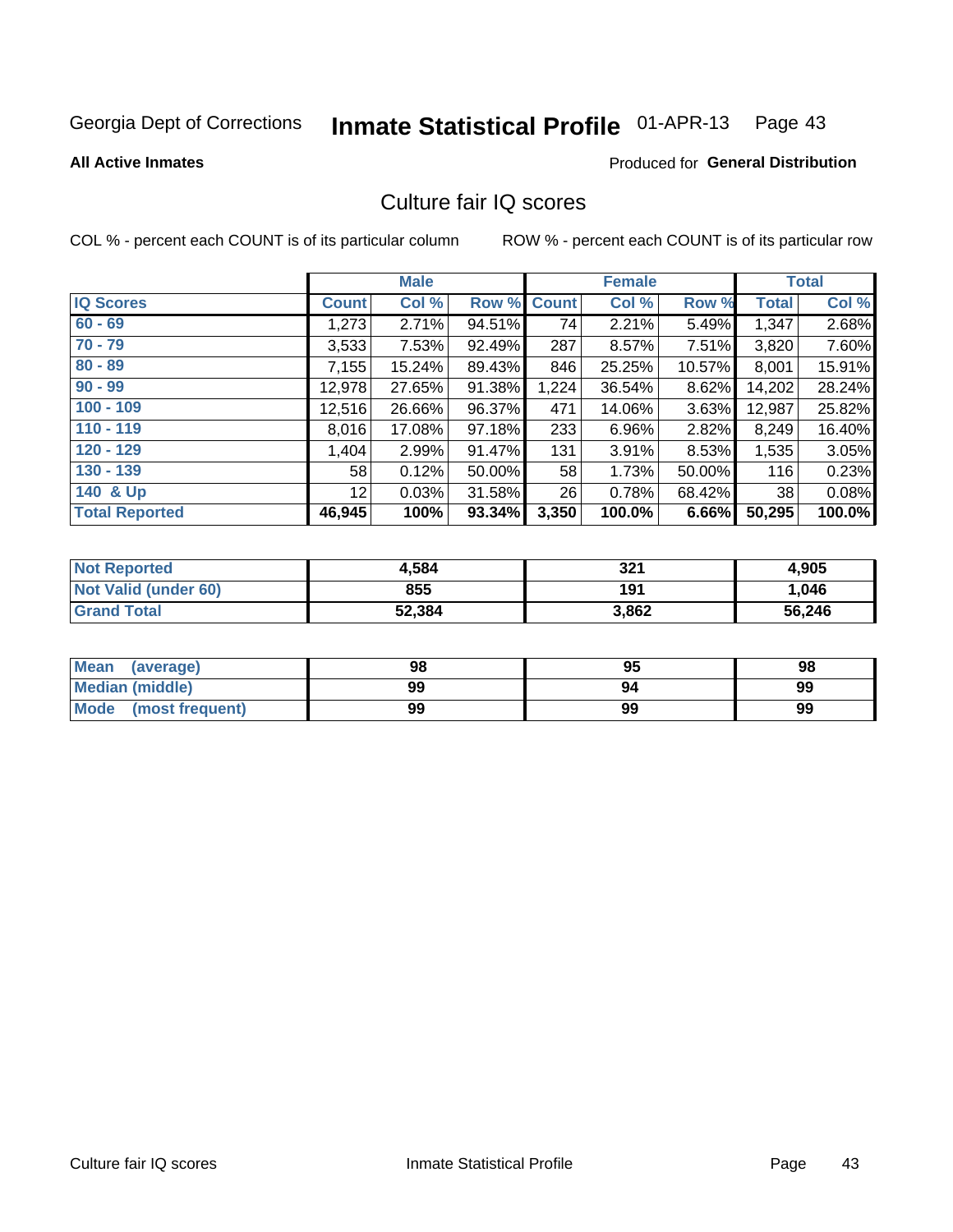#### Inmate Statistical Profile 01-APR-13 Page 43

**All Active Inmates** 

### **Produced for General Distribution**

## Culture fair IQ scores

COL % - percent each COUNT is of its particular column

|                       |                 | <b>Male</b> |             |       | <b>Female</b> |        |              | <b>Total</b> |
|-----------------------|-----------------|-------------|-------------|-------|---------------|--------|--------------|--------------|
| <b>IQ Scores</b>      | <b>Count</b>    | Col %       | Row % Count |       | Col %         | Row %  | <b>Total</b> | Col %        |
| $60 - 69$             | 1,273           | 2.71%       | 94.51%      | 74    | 2.21%         | 5.49%  | 1,347        | 2.68%        |
| $70 - 79$             | 3,533           | 7.53%       | 92.49%      | 287   | 8.57%         | 7.51%  | 3,820        | 7.60%        |
| $80 - 89$             | 7,155           | 15.24%      | 89.43%      | 846   | 25.25%        | 10.57% | 8,001        | 15.91%       |
| $90 - 99$             | 12,978          | 27.65%      | 91.38%      | 1,224 | 36.54%        | 8.62%  | 14,202       | 28.24%       |
| $100 - 109$           | 12,516          | 26.66%      | 96.37%      | 471   | 14.06%        | 3.63%  | 12,987       | 25.82%       |
| $110 - 119$           | 8,016           | 17.08%      | 97.18%      | 233   | 6.96%         | 2.82%  | 8,249        | 16.40%       |
| $120 - 129$           | 1,404           | 2.99%       | 91.47%      | 131   | 3.91%         | 8.53%  | 1,535        | 3.05%        |
| $130 - 139$           | 58              | 0.12%       | 50.00%      | 58    | 1.73%         | 50.00% | 116          | 0.23%        |
| 140 & Up              | 12 <sup>°</sup> | 0.03%       | 31.58%      | 26    | 0.78%         | 68.42% | 38           | 0.08%        |
| <b>Total Reported</b> | 46,945          | 100%        | 93.34%      | 3,350 | 100.0%        | 6.66%  | 50,295       | 100.0%       |

| <b>Not Reported</b>  | 4,584  | 321   | 4,905  |
|----------------------|--------|-------|--------|
| Not Valid (under 60) | 855    | 191   | 1,046  |
| <b>Grand Total</b>   | 52,384 | 3,862 | 56,246 |

| Mean<br>(average)              | 98 | 95 | 98 |
|--------------------------------|----|----|----|
| Median (middle)                | 99 | 94 | 99 |
| <b>Mode</b><br>(most frequent) | 99 | 99 | 99 |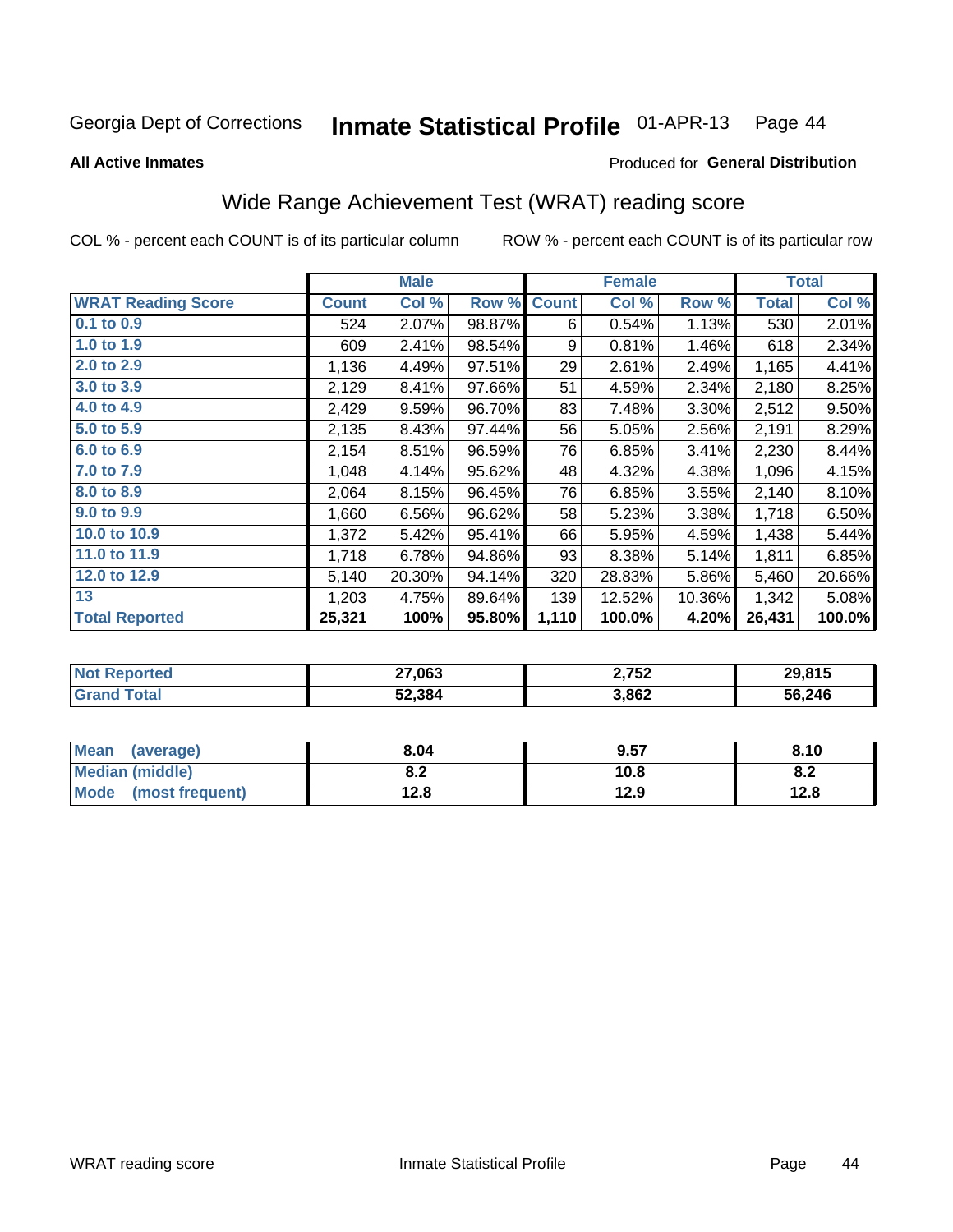#### Inmate Statistical Profile 01-APR-13 Page 44

**All Active Inmates** 

#### Produced for General Distribution

# Wide Range Achievement Test (WRAT) reading score

COL % - percent each COUNT is of its particular column

|                           |              | <b>Male</b> |        |              | <b>Female</b> |        |              | <b>Total</b> |
|---------------------------|--------------|-------------|--------|--------------|---------------|--------|--------------|--------------|
| <b>WRAT Reading Score</b> | <b>Count</b> | Col %       | Row %  | <b>Count</b> | Col %         | Row %  | <b>Total</b> | Col %        |
| $0.1$ to $0.9$            | 524          | 2.07%       | 98.87% | 6            | 0.54%         | 1.13%  | 530          | 2.01%        |
| 1.0 to 1.9                | 609          | 2.41%       | 98.54% | 9            | 0.81%         | 1.46%  | 618          | 2.34%        |
| 2.0 to 2.9                | 1,136        | 4.49%       | 97.51% | 29           | 2.61%         | 2.49%  | 1,165        | 4.41%        |
| 3.0 to 3.9                | 2,129        | 8.41%       | 97.66% | 51           | 4.59%         | 2.34%  | 2,180        | 8.25%        |
| 4.0 to 4.9                | 2,429        | 9.59%       | 96.70% | 83           | 7.48%         | 3.30%  | 2,512        | 9.50%        |
| 5.0 to 5.9                | 2,135        | 8.43%       | 97.44% | 56           | 5.05%         | 2.56%  | 2,191        | 8.29%        |
| 6.0 to 6.9                | 2,154        | 8.51%       | 96.59% | 76           | 6.85%         | 3.41%  | 2,230        | 8.44%        |
| 7.0 to 7.9                | 1,048        | 4.14%       | 95.62% | 48           | 4.32%         | 4.38%  | 1,096        | 4.15%        |
| 8.0 to 8.9                | 2,064        | 8.15%       | 96.45% | 76           | 6.85%         | 3.55%  | 2,140        | 8.10%        |
| 9.0 to 9.9                | 1,660        | 6.56%       | 96.62% | 58           | 5.23%         | 3.38%  | 1,718        | 6.50%        |
| 10.0 to 10.9              | 1,372        | 5.42%       | 95.41% | 66           | 5.95%         | 4.59%  | 1,438        | 5.44%        |
| 11.0 to 11.9              | 1,718        | 6.78%       | 94.86% | 93           | 8.38%         | 5.14%  | 1,811        | 6.85%        |
| 12.0 to 12.9              | 5,140        | 20.30%      | 94.14% | 320          | 28.83%        | 5.86%  | 5,460        | 20.66%       |
| 13                        | 1,203        | 4.75%       | 89.64% | 139          | 12.52%        | 10.36% | 1,342        | 5.08%        |
| <b>Total Reported</b>     | 25,321       | 100%        | 95.80% | 1,110        | 100.0%        | 4.20%  | 26,431       | 100.0%       |

| <b>TEL</b><br>NO | 27,063 | 2,752 | 29.815 |
|------------------|--------|-------|--------|
|                  | 52,384 | 3,862 | 56,246 |

| Mean<br>(average)              | 8.04         | 9.57 | 8.10 |
|--------------------------------|--------------|------|------|
| Median (middle)                | י ה<br>0.Z   | 10.8 | o.z  |
| <b>Mode</b><br>(most frequent) | 19 Q<br>14.O | 12.9 | 12.8 |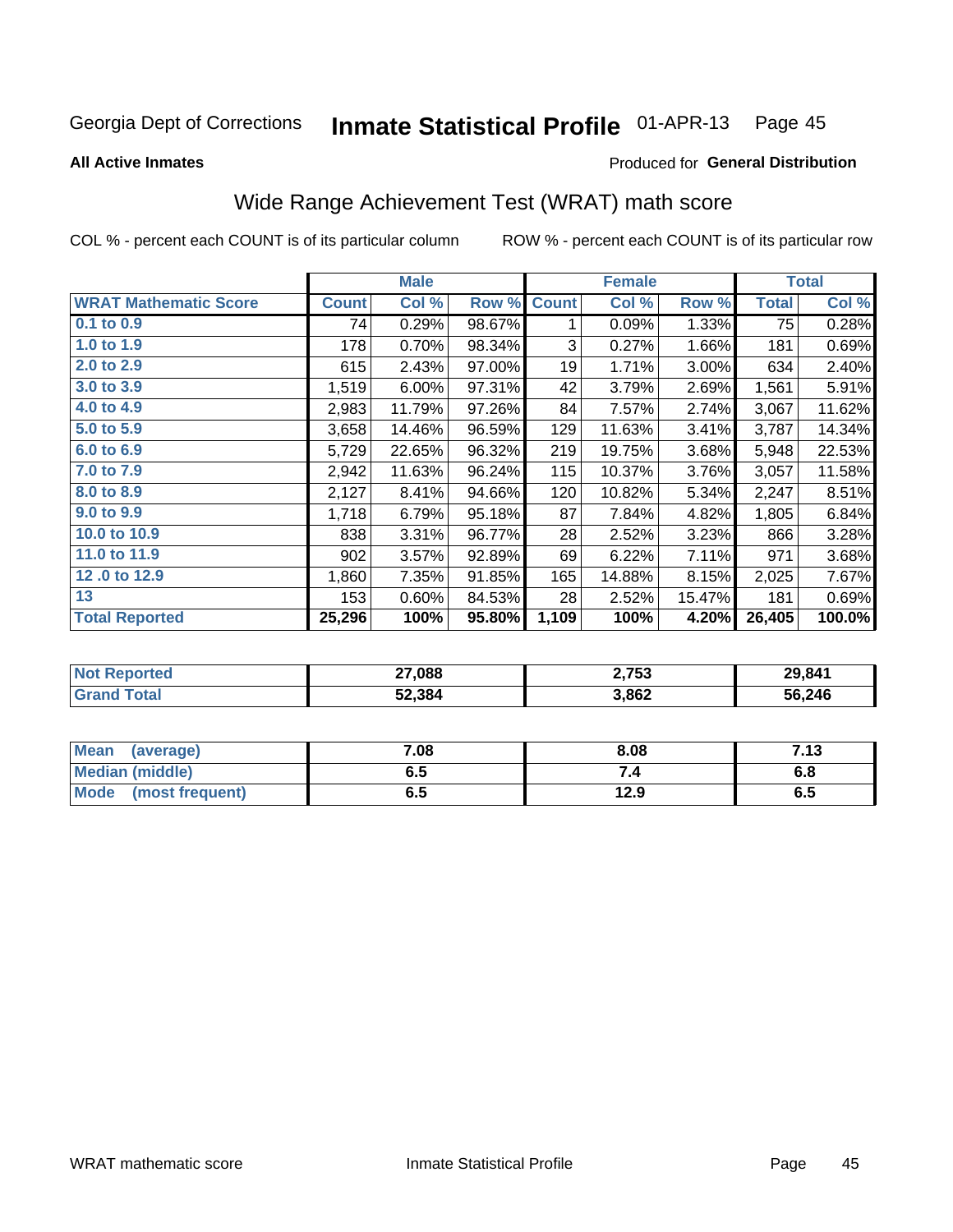#### Inmate Statistical Profile 01-APR-13 Page 45

**All Active Inmates** 

#### Produced for General Distribution

# Wide Range Achievement Test (WRAT) math score

COL % - percent each COUNT is of its particular column

|                              |              | <b>Male</b> |        |              | <b>Female</b> |        |              | <b>Total</b> |
|------------------------------|--------------|-------------|--------|--------------|---------------|--------|--------------|--------------|
| <b>WRAT Mathematic Score</b> | <b>Count</b> | Col %       | Row %  | <b>Count</b> | Col %         | Row %  | <b>Total</b> | Col %        |
| $0.1$ to $0.9$               | 74           | 0.29%       | 98.67% | 1            | 0.09%         | 1.33%  | 75           | 0.28%        |
| 1.0 to 1.9                   | 178          | 0.70%       | 98.34% | 3            | 0.27%         | 1.66%  | 181          | 0.69%        |
| 2.0 to 2.9                   | 615          | 2.43%       | 97.00% | 19           | 1.71%         | 3.00%  | 634          | 2.40%        |
| 3.0 to 3.9                   | 1,519        | 6.00%       | 97.31% | 42           | 3.79%         | 2.69%  | 1,561        | 5.91%        |
| 4.0 to 4.9                   | 2,983        | 11.79%      | 97.26% | 84           | 7.57%         | 2.74%  | 3,067        | 11.62%       |
| 5.0 to 5.9                   | 3,658        | 14.46%      | 96.59% | 129          | 11.63%        | 3.41%  | 3,787        | 14.34%       |
| 6.0 to 6.9                   | 5,729        | 22.65%      | 96.32% | 219          | 19.75%        | 3.68%  | 5,948        | 22.53%       |
| 7.0 to 7.9                   | 2,942        | 11.63%      | 96.24% | 115          | 10.37%        | 3.76%  | 3,057        | 11.58%       |
| 8.0 to 8.9                   | 2,127        | 8.41%       | 94.66% | 120          | 10.82%        | 5.34%  | 2,247        | 8.51%        |
| 9.0 to 9.9                   | 1,718        | 6.79%       | 95.18% | 87           | 7.84%         | 4.82%  | 1,805        | 6.84%        |
| 10.0 to 10.9                 | 838          | 3.31%       | 96.77% | 28           | 2.52%         | 3.23%  | 866          | 3.28%        |
| 11.0 to 11.9                 | 902          | 3.57%       | 92.89% | 69           | 6.22%         | 7.11%  | 971          | 3.68%        |
| 12.0 to 12.9                 | 1,860        | 7.35%       | 91.85% | 165          | 14.88%        | 8.15%  | 2,025        | 7.67%        |
| 13                           | 153          | 0.60%       | 84.53% | 28           | 2.52%         | 15.47% | 181          | 0.69%        |
| <b>Total Reported</b>        | 25,296       | 100%        | 95.80% | 1,109        | 100%          | 4.20%  | 26,405       | 100.0%       |

| Reported<br><b>NOT</b> | 27,088 | 2,753 | 29,841 |
|------------------------|--------|-------|--------|
| `otal                  | 52,384 | 3,862 | 56,246 |

| <b>Mean</b><br>(average)       | 7.08 | 8.08 | 7.13 |
|--------------------------------|------|------|------|
| Median (middle)                | כ.ס  |      | o.o  |
| <b>Mode</b><br>(most frequent) | υ.υ  | 12.9 | დ.g  |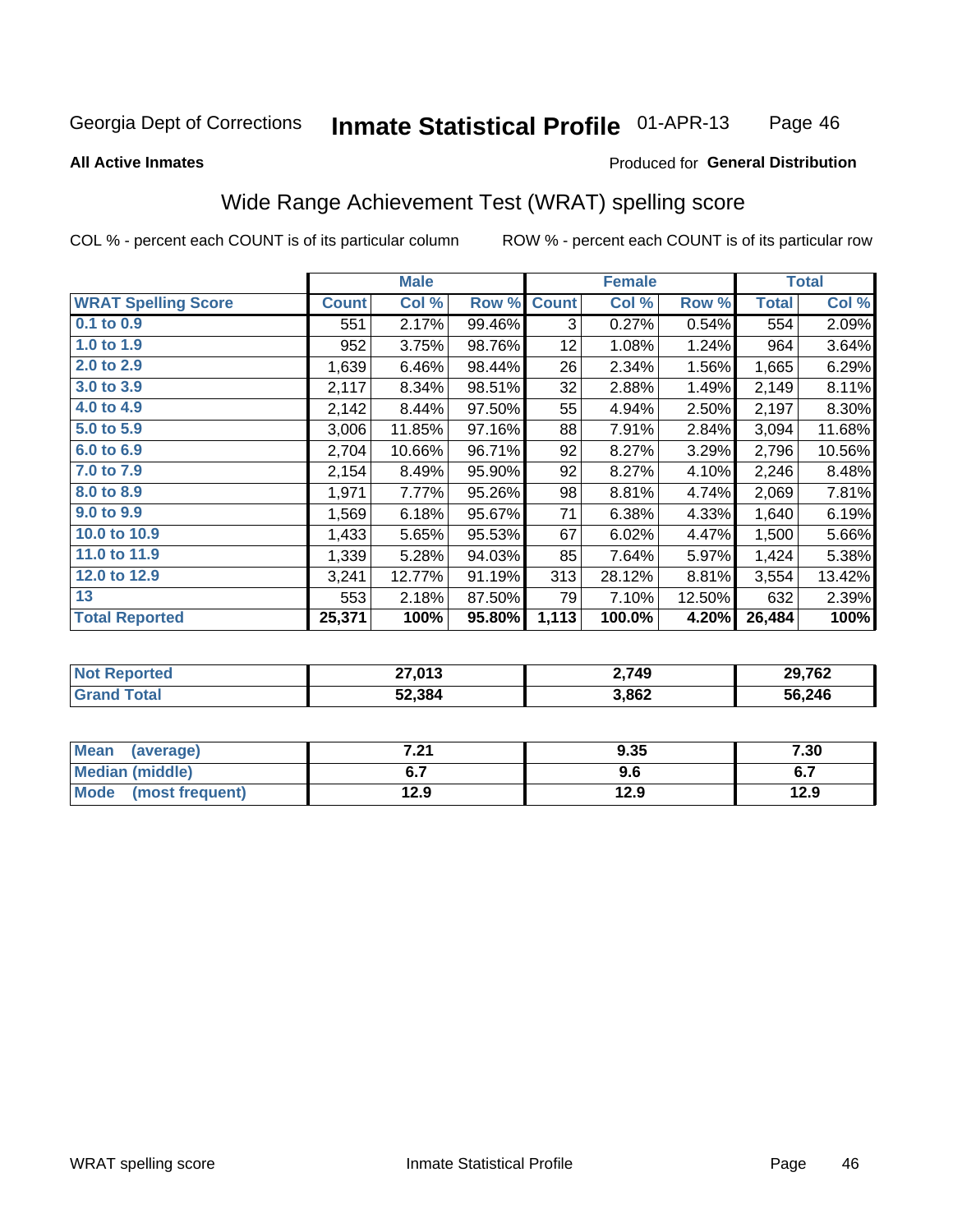#### Inmate Statistical Profile 01-APR-13 Page 46

#### **All Active Inmates**

## Produced for General Distribution

## Wide Range Achievement Test (WRAT) spelling score

COL % - percent each COUNT is of its particular column

|                            |              | <b>Male</b> |        |              | <b>Female</b> |        |              | <b>Total</b> |
|----------------------------|--------------|-------------|--------|--------------|---------------|--------|--------------|--------------|
| <b>WRAT Spelling Score</b> | <b>Count</b> | Col %       | Row %  | <b>Count</b> | Col %         | Row %  | <b>Total</b> | Col %        |
| $0.1$ to $0.9$             | 551          | 2.17%       | 99.46% | 3            | 0.27%         | 0.54%  | 554          | 2.09%        |
| 1.0 to 1.9                 | 952          | 3.75%       | 98.76% | 12           | 1.08%         | 1.24%  | 964          | 3.64%        |
| 2.0 to 2.9                 | 1,639        | 6.46%       | 98.44% | 26           | 2.34%         | 1.56%  | 1,665        | 6.29%        |
| 3.0 to 3.9                 | 2,117        | 8.34%       | 98.51% | 32           | 2.88%         | 1.49%  | 2,149        | 8.11%        |
| 4.0 to 4.9                 | 2,142        | 8.44%       | 97.50% | 55           | 4.94%         | 2.50%  | 2,197        | 8.30%        |
| 5.0 to 5.9                 | 3,006        | 11.85%      | 97.16% | 88           | 7.91%         | 2.84%  | 3,094        | 11.68%       |
| 6.0 to 6.9                 | 2,704        | 10.66%      | 96.71% | 92           | 8.27%         | 3.29%  | 2,796        | 10.56%       |
| 7.0 to 7.9                 | 2,154        | 8.49%       | 95.90% | 92           | 8.27%         | 4.10%  | 2,246        | 8.48%        |
| 8.0 to 8.9                 | 1,971        | 7.77%       | 95.26% | 98           | 8.81%         | 4.74%  | 2,069        | 7.81%        |
| 9.0 to 9.9                 | 1,569        | 6.18%       | 95.67% | 71           | 6.38%         | 4.33%  | 1,640        | 6.19%        |
| 10.0 to 10.9               | 1,433        | 5.65%       | 95.53% | 67           | 6.02%         | 4.47%  | 1,500        | 5.66%        |
| 11.0 to 11.9               | 1,339        | 5.28%       | 94.03% | 85           | 7.64%         | 5.97%  | 1,424        | 5.38%        |
| 12.0 to 12.9               | 3,241        | 12.77%      | 91.19% | 313          | 28.12%        | 8.81%  | 3,554        | 13.42%       |
| 13                         | 553          | 2.18%       | 87.50% | 79           | 7.10%         | 12.50% | 632          | 2.39%        |
| <b>Total Reported</b>      | 25,371       | 100%        | 95.80% | 1,113        | 100.0%        | 4.20%  | 26,484       | 100%         |

| <b>Not Reported</b>    | 27,013 | 2,749 | 29,762 |
|------------------------|--------|-------|--------|
| $\tau$ otal<br>' Grand | 52,384 | 3,862 | 56,246 |

| Mean<br>(average)      | 7.94<br>.Z I | 9.35 | 7.30 |
|------------------------|--------------|------|------|
| <b>Median (middle)</b> | υ. ι         | 9.6  | ν.   |
| Mode (most frequent)   | 12.9         | 12.9 | 12.9 |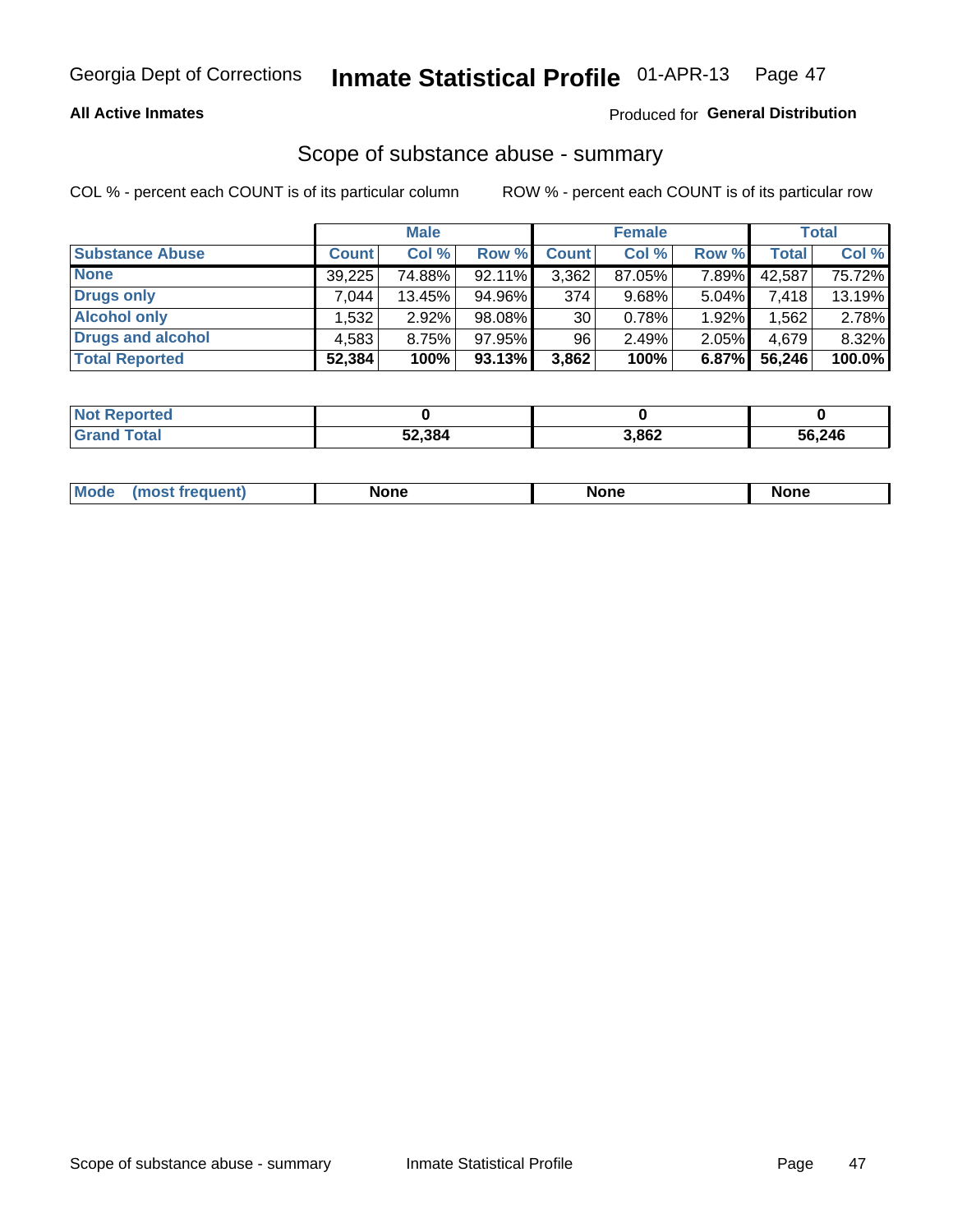### **All Active Inmates**

### Produced for General Distribution

# Scope of substance abuse - summary

COL % - percent each COUNT is of its particular column

|                        |              | <b>Male</b> |           |              | <b>Female</b> |          |              | <b>Total</b> |
|------------------------|--------------|-------------|-----------|--------------|---------------|----------|--------------|--------------|
| <b>Substance Abuse</b> | <b>Count</b> | Col %       | Row %     | <b>Count</b> | Col %         | Row %    | <b>Total</b> | Col %        |
| <b>None</b>            | 39,225       | 74.88%      | 92.11%    | 3,362        | 87.05%        | 7.89%    | 42.587       | 75.72%       |
| <b>Drugs only</b>      | .044         | 13.45%      | 94.96%    | 374          | 9.68%         | $5.04\%$ | 7,418        | 13.19%       |
| <b>Alcohol only</b>    | .532         | $2.92\%$    | 98.08%    | 30           | 0.78%         | 1.92%    | .562         | 2.78%        |
| Drugs and alcohol      | 4,583        | 8.75%       | 97.95%    | 96           | 2.49%         | 2.05%    | 4,679        | 8.32%        |
| <b>Total Reported</b>  | 52,384       | 100%        | $93.13\%$ | 3,862        | 100%          | 6.87%    | 56,246       | 100.0%       |

| <b>Not Reported</b> |        |       |        |
|---------------------|--------|-------|--------|
| <b>Grand Total</b>  | 52,384 | 3,862 | 56,246 |

| Mode<br>None<br><b>None</b><br>None<br>most<br>quenti<br>___ |
|--------------------------------------------------------------|
|--------------------------------------------------------------|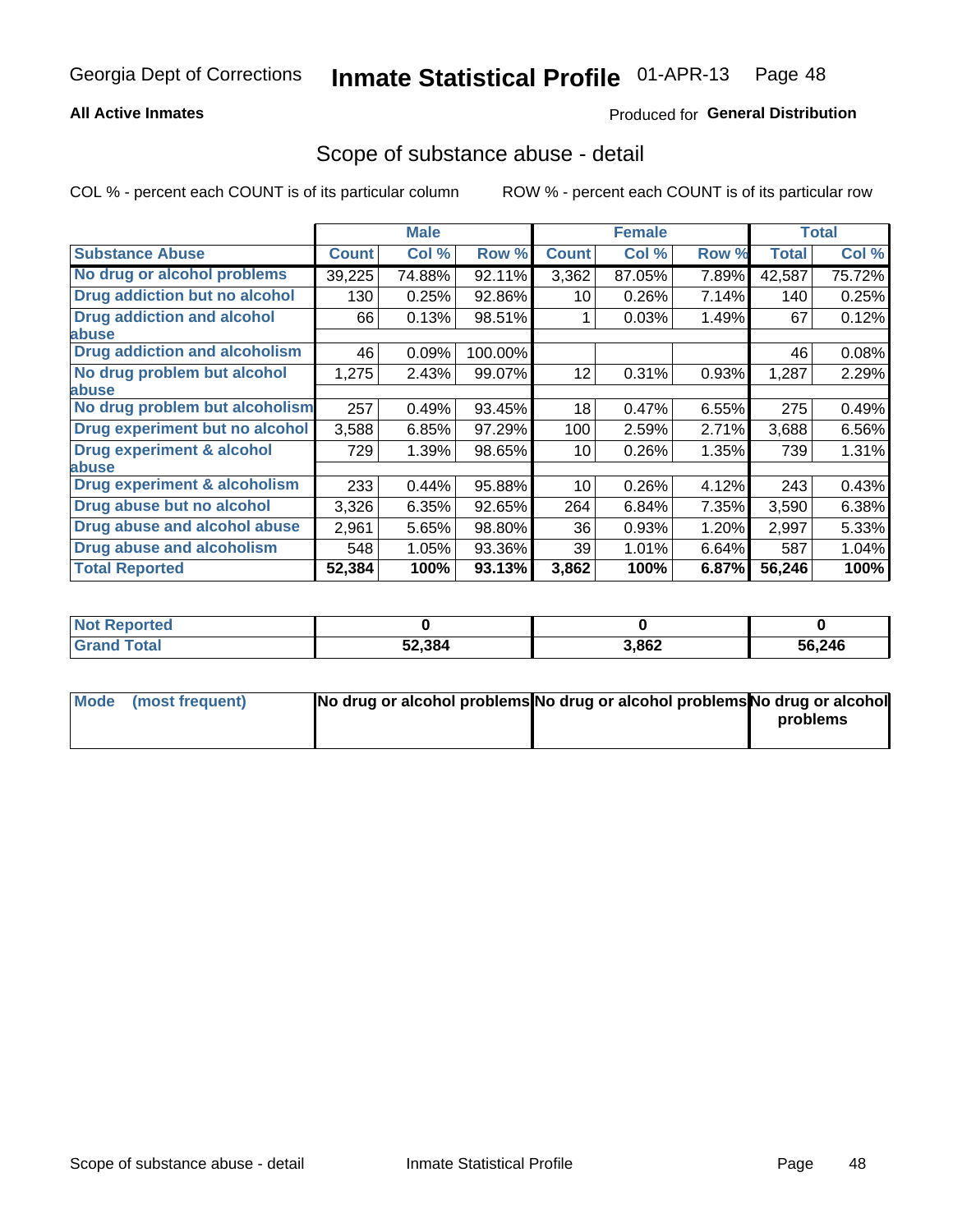### **All Active Inmates**

## **Produced for General Distribution**

## Scope of substance abuse - detail

COL % - percent each COUNT is of its particular column

|                                      |              | <b>Male</b> |         |              | <b>Female</b> |       |        | <b>Total</b> |
|--------------------------------------|--------------|-------------|---------|--------------|---------------|-------|--------|--------------|
| <b>Substance Abuse</b>               | <b>Count</b> | Col %       | Row %   | <b>Count</b> | Col %         | Row % | Total  | Col %        |
| No drug or alcohol problems          | 39,225       | 74.88%      | 92.11%  | 3,362        | 87.05%        | 7.89% | 42,587 | 75.72%       |
| Drug addiction but no alcohol        | 130          | 0.25%       | 92.86%  | 10           | 0.26%         | 7.14% | 140    | 0.25%        |
| <b>Drug addiction and alcohol</b>    | 66           | 0.13%       | 98.51%  |              | 0.03%         | 1.49% | 67     | 0.12%        |
| <b>labuse</b>                        |              |             |         |              |               |       |        |              |
| <b>Drug addiction and alcoholism</b> | 46           | 0.09%       | 100.00% |              |               |       | 46     | 0.08%        |
| No drug problem but alcohol          | 1,275        | 2.43%       | 99.07%  | 12           | 0.31%         | 0.93% | 1,287  | 2.29%        |
| <b>labuse</b>                        |              |             |         |              |               |       |        |              |
| No drug problem but alcoholism       | 257          | 0.49%       | 93.45%  | 18           | 0.47%         | 6.55% | 275    | 0.49%        |
| Drug experiment but no alcohol       | 3,588        | 6.85%       | 97.29%  | 100          | 2.59%         | 2.71% | 3,688  | 6.56%        |
| <b>Drug experiment &amp; alcohol</b> | 729          | 1.39%       | 98.65%  | 10           | 0.26%         | 1.35% | 739    | 1.31%        |
| <b>labuse</b>                        |              |             |         |              |               |       |        |              |
| Drug experiment & alcoholism         | 233          | 0.44%       | 95.88%  | 10           | 0.26%         | 4.12% | 243    | 0.43%        |
| Drug abuse but no alcohol            | 3,326        | 6.35%       | 92.65%  | 264          | 6.84%         | 7.35% | 3,590  | 6.38%        |
| Drug abuse and alcohol abuse         | 2,961        | 5.65%       | 98.80%  | 36           | 0.93%         | 1.20% | 2,997  | 5.33%        |
| <b>Drug abuse and alcoholism</b>     | 548          | 1.05%       | 93.36%  | 39           | 1.01%         | 6.64% | 587    | 1.04%        |
| <b>Total Reported</b>                | 52,384       | 100%        | 93.13%  | 3,862        | 100%          | 6.87% | 56,246 | 100%         |

| ported<br><b>NOT</b> |        |       |        |
|----------------------|--------|-------|--------|
| <b>otal</b>          | 52,384 | 3,862 | 56,246 |

| Mode (most frequent) | No drug or alcohol problems No drug or alcohol problems No drug or alcohol |          |
|----------------------|----------------------------------------------------------------------------|----------|
|                      |                                                                            | problems |
|                      |                                                                            |          |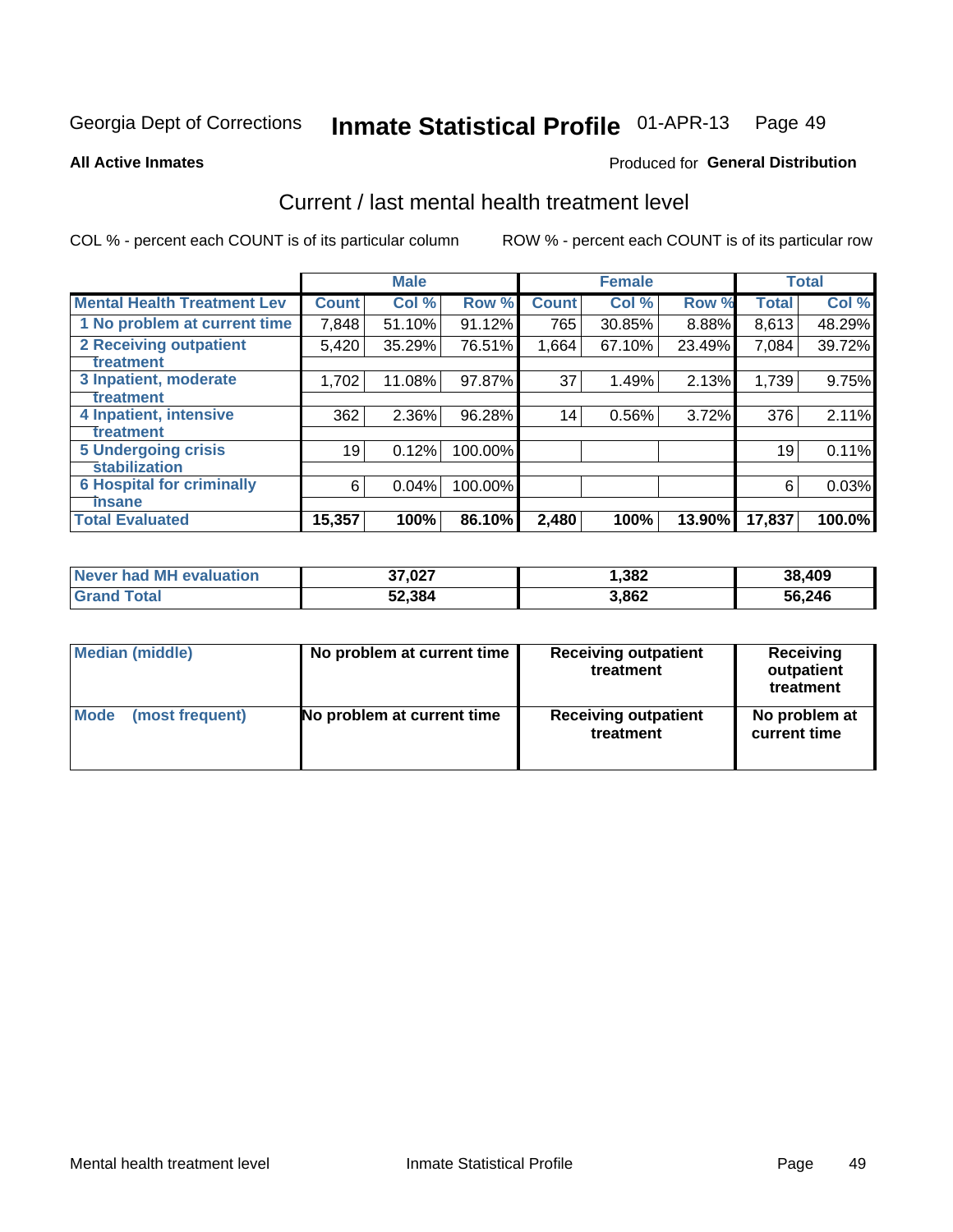#### Inmate Statistical Profile 01-APR-13 Page 49

**All Active Inmates** 

### **Produced for General Distribution**

# Current / last mental health treatment level

COL % - percent each COUNT is of its particular column

|                                    |              | <b>Male</b> |         |              | <b>Female</b> |        |              | <b>Total</b> |
|------------------------------------|--------------|-------------|---------|--------------|---------------|--------|--------------|--------------|
| <b>Mental Health Treatment Lev</b> | <b>Count</b> | Col %       | Row %   | <b>Count</b> | Col %         | Row %  | <b>Total</b> | Col %        |
| 1 No problem at current time       | 7,848        | 51.10%      | 91.12%  | 765          | 30.85%        | 8.88%  | 8,613        | 48.29%       |
| 2 Receiving outpatient             | 5,420        | 35.29%      | 76.51%  | 1,664        | 67.10%        | 23.49% | 7,084        | 39.72%       |
| <b>Treatment</b>                   |              |             |         |              |               |        |              |              |
| 3 Inpatient, moderate              | 1,702        | 11.08%      | 97.87%  | 37           | 1.49%         | 2.13%  | 1,739        | 9.75%        |
| <b>Treatment</b>                   |              |             |         |              |               |        |              |              |
| 4 Inpatient, intensive             | 362          | 2.36%       | 96.28%  | 14           | 0.56%         | 3.72%  | 376          | 2.11%        |
| <b>Treatment</b>                   |              |             |         |              |               |        |              |              |
| <b>5 Undergoing crisis</b>         | 19           | 0.12%       | 100.00% |              |               |        | 19           | 0.11%        |
| <b>stabilization</b>               |              |             |         |              |               |        |              |              |
| <b>6 Hospital for criminally</b>   | 6            | 0.04%       | 100.00% |              |               |        | 6            | 0.03%        |
| <b>Tinsane</b>                     |              |             |         |              |               |        |              |              |
| <b>Total Evaluated</b>             | 15,357       | 100%        | 86.10%  | 2,480        | 100%          | 13.90% | 17,837       | 100.0%       |

| Never had MH evaluation | 37,027 | ,382  | 38,409 |
|-------------------------|--------|-------|--------|
| <b>Grand Total</b>      | 52,384 | 3,862 | 56,246 |

| Median (middle) | No problem at current time | <b>Receiving outpatient</b><br>treatment | <b>Receiving</b><br>outpatient<br>treatment |
|-----------------|----------------------------|------------------------------------------|---------------------------------------------|
| <b>Mode</b>     | No problem at current time | <b>Receiving outpatient</b>              | No problem at                               |
| (most frequent) |                            | treatment                                | current time                                |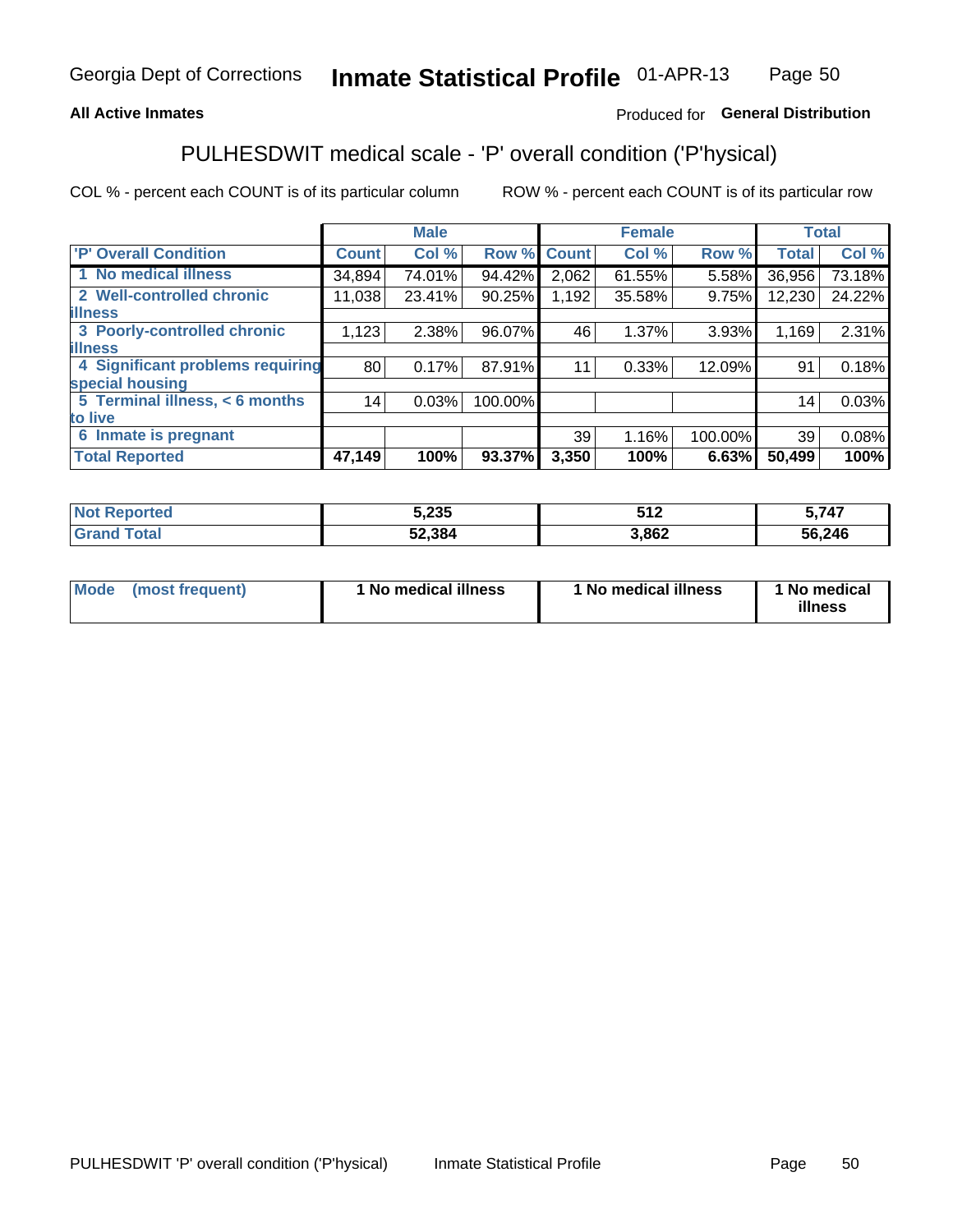### **All Active Inmates**

### Produced for General Distribution

# PULHESDWIT medical scale - 'P' overall condition ('P'hysical)

COL % - percent each COUNT is of its particular column

|                                  |              | <b>Male</b> |         |              | <b>Female</b> |         |              | <b>Total</b> |
|----------------------------------|--------------|-------------|---------|--------------|---------------|---------|--------------|--------------|
| 'P' Overall Condition            | <b>Count</b> | Col %       | Row %   | <b>Count</b> | Col %         | Row %   | <b>Total</b> | Col %        |
| 1 No medical illness             | 34,894       | 74.01%      | 94.42%  | 2,062        | 61.55%        | 5.58%   | 36,956       | 73.18%       |
| 2 Well-controlled chronic        | 11,038       | 23.41%      | 90.25%  | 1,192        | 35.58%        | 9.75%   | 12,230       | 24.22%       |
| <b>illness</b>                   |              |             |         |              |               |         |              |              |
| 3 Poorly-controlled chronic      | 1,123        | 2.38%       | 96.07%  | 46           | 1.37%         | 3.93%   | 1,169        | 2.31%        |
| <b>illness</b>                   |              |             |         |              |               |         |              |              |
| 4 Significant problems requiring | 80           | 0.17%       | 87.91%  | 11           | 0.33%         | 12.09%  | 91           | 0.18%        |
| special housing                  |              |             |         |              |               |         |              |              |
| 5 Terminal illness, < 6 months   | 14           | 0.03%       | 100.00% |              |               |         | 14           | 0.03%        |
| to live                          |              |             |         |              |               |         |              |              |
| 6 Inmate is pregnant             |              |             |         | 39           | 1.16%         | 100.00% | 39           | 0.08%        |
| <b>Total Reported</b>            | 47,149       | 100%        | 93.37%  | 3,350        | 100%          | 6.63%   | 50,499       | 100%         |

| uec | 5,235  | E 4 7<br>. | 747    |
|-----|--------|------------|--------|
|     | 52.384 | ,862       | 56,246 |

| Mode | (most frequent) | 1 No medical illness | 1 No medical illness | 1 No medical<br>illness |
|------|-----------------|----------------------|----------------------|-------------------------|
|------|-----------------|----------------------|----------------------|-------------------------|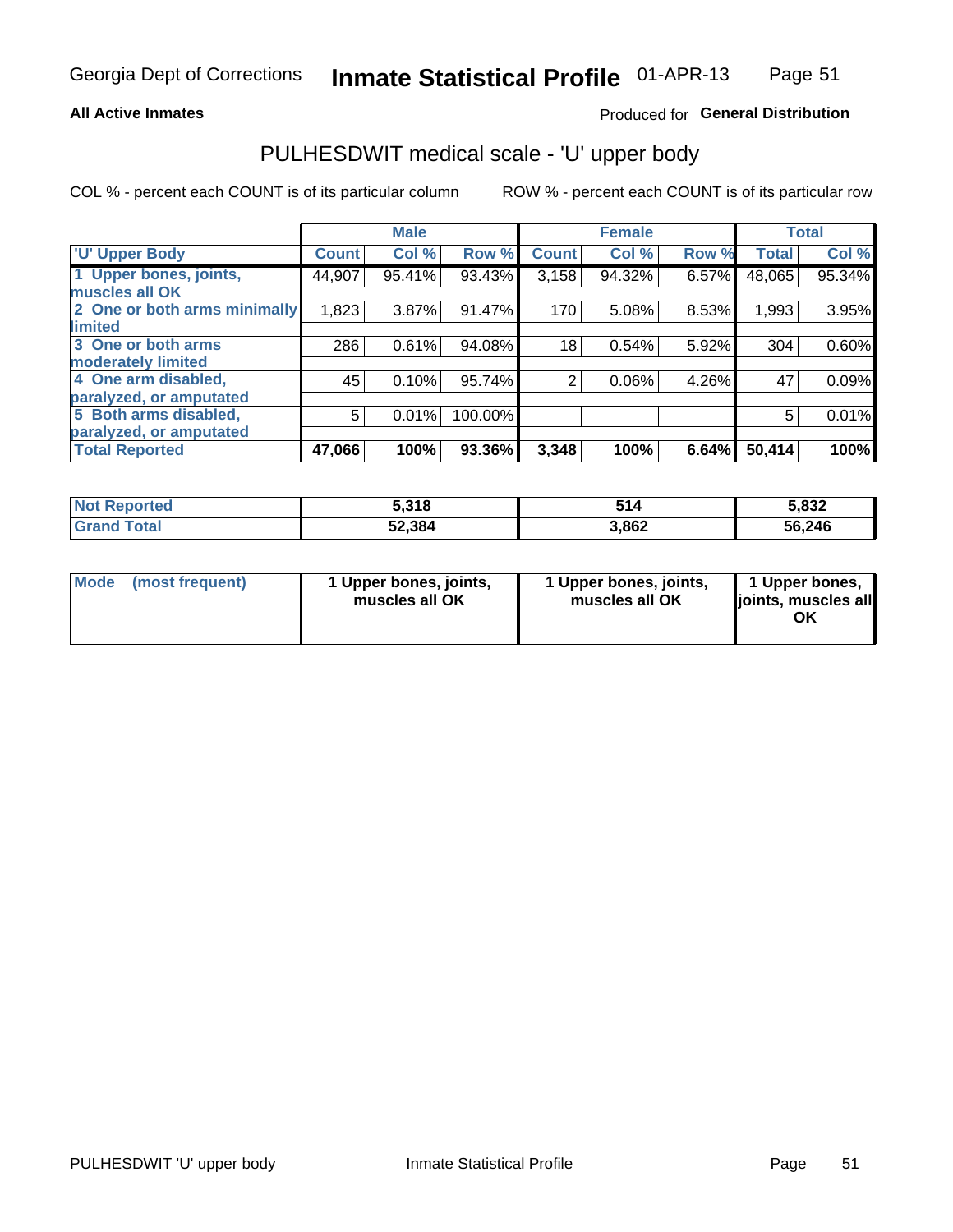#### **All Active Inmates**

### Produced for General Distribution

# PULHESDWIT medical scale - 'U' upper body

COL % - percent each COUNT is of its particular column

|                              |              | <b>Male</b> |         |              | <b>Female</b> |       |              | <b>Total</b> |
|------------------------------|--------------|-------------|---------|--------------|---------------|-------|--------------|--------------|
| <b>U' Upper Body</b>         | <b>Count</b> | Col %       | Row %   | <b>Count</b> | Col %         | Row % | <b>Total</b> | Col %        |
| 1 Upper bones, joints,       | 44,907       | 95.41%      | 93.43%  | 3,158        | 94.32%        | 6.57% | 48,065       | 95.34%       |
| muscles all OK               |              |             |         |              |               |       |              |              |
| 2 One or both arms minimally | 1,823        | 3.87%       | 91.47%  | 170          | 5.08%         | 8.53% | 1,993        | 3.95%        |
| limited                      |              |             |         |              |               |       |              |              |
| 3 One or both arms           | 286          | 0.61%       | 94.08%  | 18           | 0.54%         | 5.92% | 304          | 0.60%        |
| <b>moderately limited</b>    |              |             |         |              |               |       |              |              |
| 4 One arm disabled,          | 45           | 0.10%       | 95.74%  | 2            | 0.06%         | 4.26% | 47           | 0.09%        |
| paralyzed, or amputated      |              |             |         |              |               |       |              |              |
| 5 Both arms disabled,        | 5            | 0.01%       | 100.00% |              |               |       | 5            | 0.01%        |
| paralyzed, or amputated      |              |             |         |              |               |       |              |              |
| <b>Total Reported</b>        | 47,066       | 100%        | 93.36%  | 3,348        | 100%          | 6.64% | 50,414       | 100%         |

| <b>Not Reported</b> | 5,318  | 514   | 5,832  |
|---------------------|--------|-------|--------|
| <b>Grand Total</b>  | 52,384 | 3,862 | 56,246 |

|  | Mode (most frequent) | 1 Upper bones, joints,<br>muscles all OK | 1 Upper bones, joints,<br>muscles all OK | 1 Upper bones,<br>ljoints, muscles all<br>ΟK |
|--|----------------------|------------------------------------------|------------------------------------------|----------------------------------------------|
|--|----------------------|------------------------------------------|------------------------------------------|----------------------------------------------|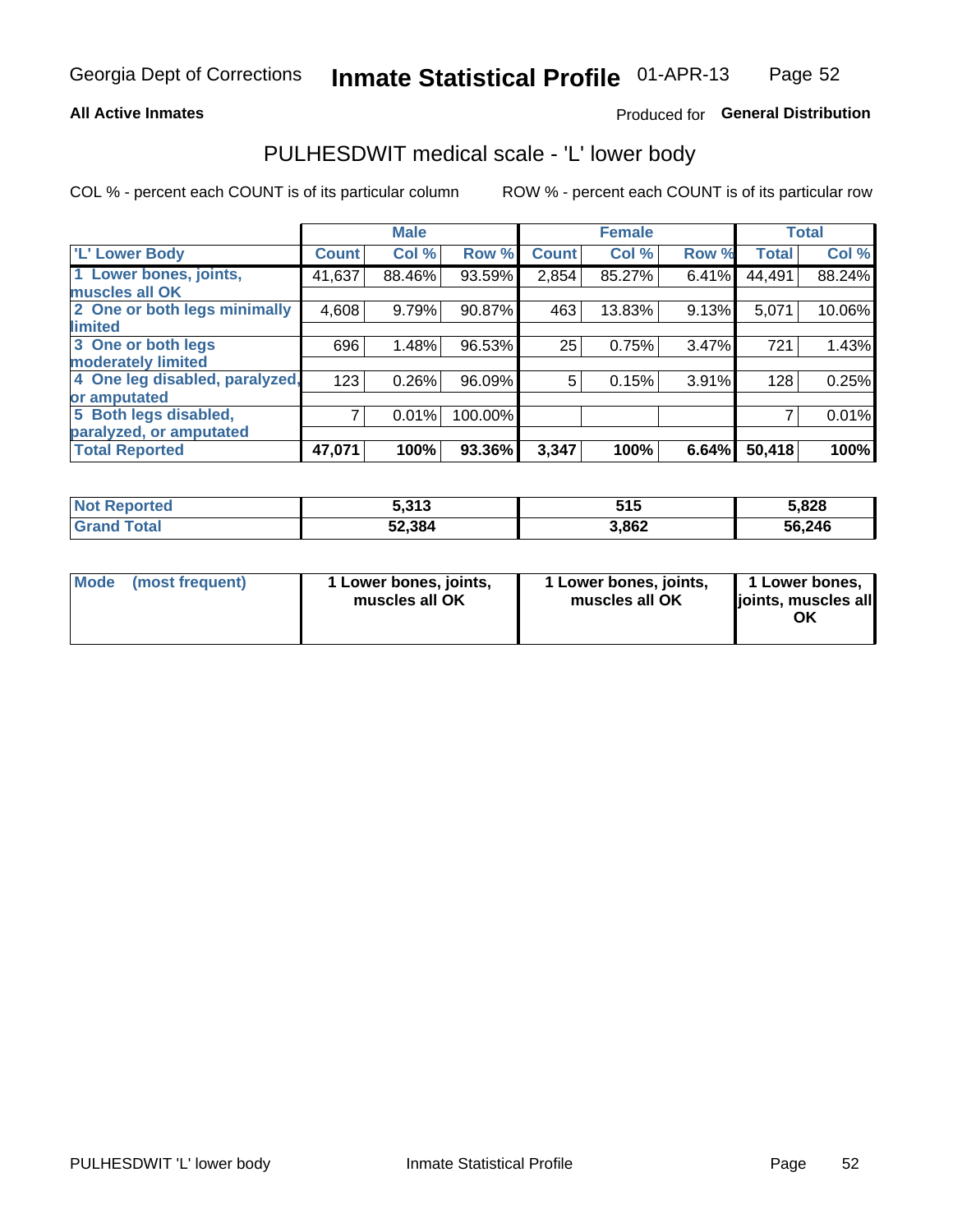#### **All Active Inmates**

## Produced for General Distribution

## PULHESDWIT medical scale - 'L' lower body

COL % - percent each COUNT is of its particular column

|                                |              | <b>Male</b> |         |              | <b>Female</b> |       |              | <b>Total</b> |
|--------------------------------|--------------|-------------|---------|--------------|---------------|-------|--------------|--------------|
| 'L' Lower Body                 | <b>Count</b> | Col %       | Row %   | <b>Count</b> | Col %         | Row % | <b>Total</b> | Col %        |
| 1 Lower bones, joints,         | 41,637       | 88.46%      | 93.59%  | 2,854        | 85.27%        | 6.41% | 44,491       | 88.24%       |
| muscles all OK                 |              |             |         |              |               |       |              |              |
| 2 One or both legs minimally   | 4,608        | 9.79%       | 90.87%  | 463          | 13.83%        | 9.13% | 5,071        | 10.06%       |
| limited                        |              |             |         |              |               |       |              |              |
| 3 One or both legs             | 696          | 1.48%       | 96.53%  | 25           | 0.75%         | 3.47% | 721          | 1.43%        |
| moderately limited             |              |             |         |              |               |       |              |              |
| 4 One leg disabled, paralyzed, | 123          | 0.26%       | 96.09%  | 5            | 0.15%         | 3.91% | 128          | 0.25%        |
| or amputated                   |              |             |         |              |               |       |              |              |
| 5 Both legs disabled,          | 7            | 0.01%       | 100.00% |              |               |       |              | 0.01%        |
| paralyzed, or amputated        |              |             |         |              |               |       |              |              |
| <b>Total Reported</b>          | 47,071       | 100%        | 93.36%  | 3,347        | 100%          | 6.64% | 50,418       | 100%         |

| <b>Not Reported</b> | 242<br><b>J.JIJ</b> | 515   | 5,828  |
|---------------------|---------------------|-------|--------|
| <b>Grand Total</b>  | 52,384              | 3,862 | 56,246 |

|  | Mode (most frequent) | 1 Lower bones, joints,<br>muscles all OK | 1 Lower bones, joints,<br>muscles all OK | 1 Lower bones,<br>joints, muscles all<br>ΟK |
|--|----------------------|------------------------------------------|------------------------------------------|---------------------------------------------|
|--|----------------------|------------------------------------------|------------------------------------------|---------------------------------------------|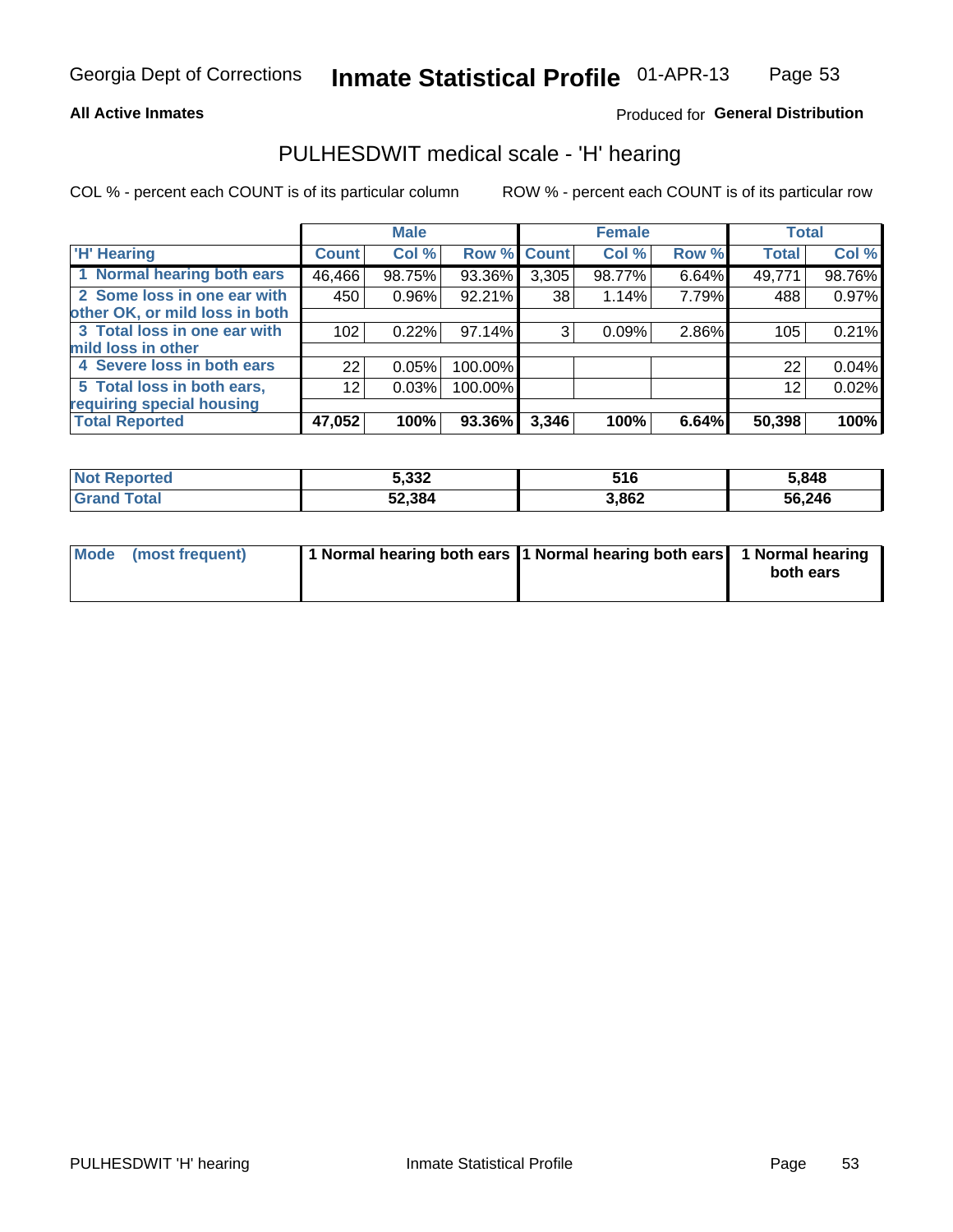#### **All Active Inmates**

### Produced for General Distribution

## PULHESDWIT medical scale - 'H' hearing

COL % - percent each COUNT is of its particular column

|                                |                 | <b>Male</b> |         |             | <b>Female</b> |       | <b>Total</b> |        |
|--------------------------------|-----------------|-------------|---------|-------------|---------------|-------|--------------|--------|
| <b>H' Hearing</b>              | <b>Count!</b>   | Col %       |         | Row % Count | Col %         | Row % | <b>Total</b> | Col %  |
| 1 Normal hearing both ears     | 46,466          | 98.75%      | 93.36%  | 3,305       | 98.77%        | 6.64% | 49,771       | 98.76% |
| 2 Some loss in one ear with    | 450             | 0.96%       | 92.21%  | 38          | 1.14%         | 7.79% | 488          | 0.97%  |
| other OK, or mild loss in both |                 |             |         |             |               |       |              |        |
| 3 Total loss in one ear with   | 102             | 0.22%       | 97.14%  | 3           | 0.09%         | 2.86% | 105          | 0.21%  |
| mild loss in other             |                 |             |         |             |               |       |              |        |
| 4 Severe loss in both ears     | 22              | 0.05%       | 100.00% |             |               |       | 22           | 0.04%  |
| 5 Total loss in both ears,     | 12 <sub>2</sub> | 0.03%       | 100.00% |             |               |       | 12           | 0.02%  |
| requiring special housing      |                 |             |         |             |               |       |              |        |
| <b>Total Reported</b>          | 47,052          | 100%        | 93.36%  | 3,346       | 100%          | 6.64% | 50,398       | 100%   |

| $N$ nt<br>anorted and | 5,332  | 516   | 5,848  |
|-----------------------|--------|-------|--------|
| Гоtal                 | 52,384 | 3,862 | 56,246 |

| Mode (most frequent) | 1 Normal hearing both ears 1 Normal hearing both ears 1 Normal hearing |           |
|----------------------|------------------------------------------------------------------------|-----------|
|                      |                                                                        | both ears |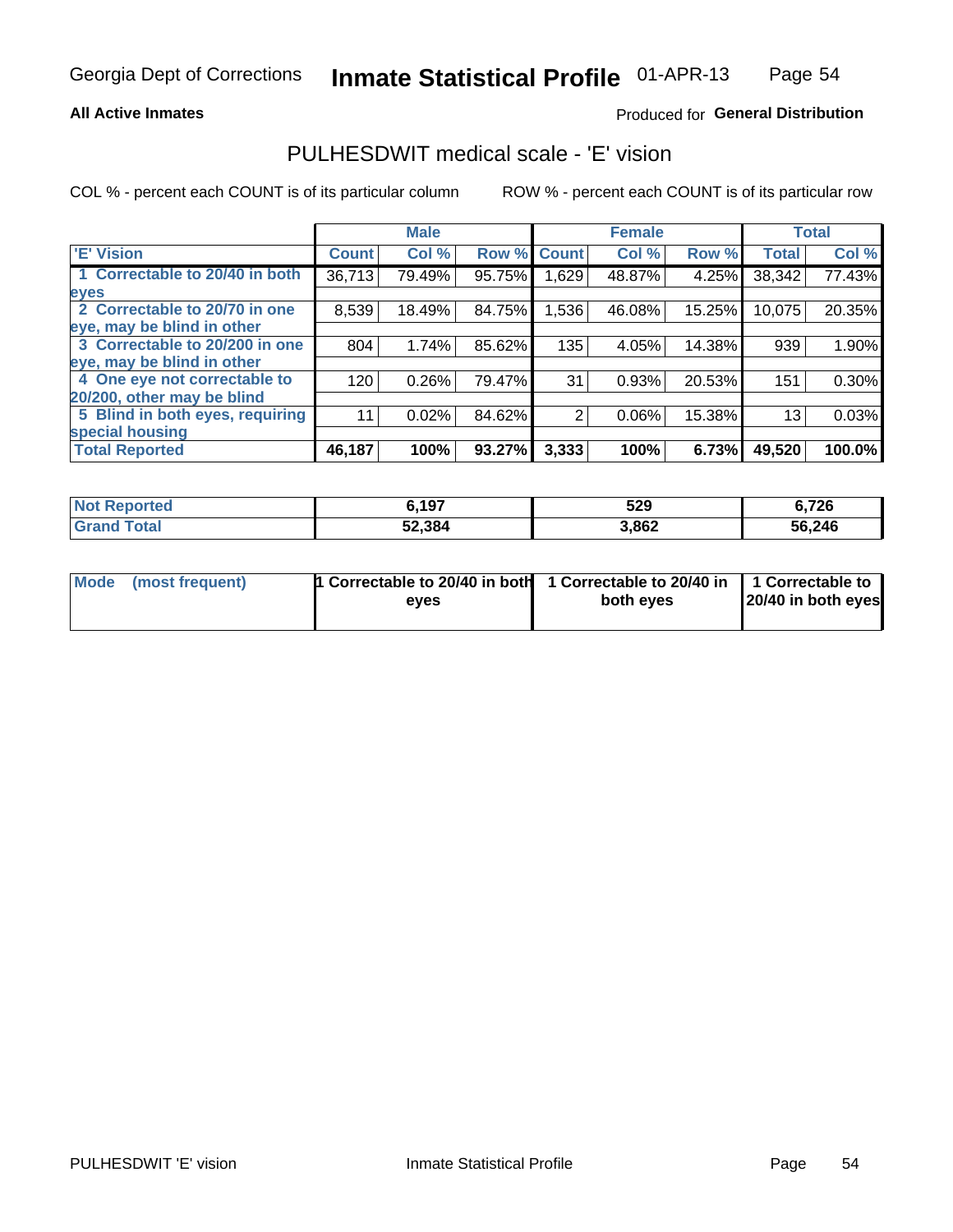### **All Active Inmates**

### Produced for General Distribution

## PULHESDWIT medical scale - 'E' vision

COL % - percent each COUNT is of its particular column

|                                 |              | <b>Male</b> |        |              | <b>Female</b> |        |              | <b>Total</b> |
|---------------------------------|--------------|-------------|--------|--------------|---------------|--------|--------------|--------------|
| 'E' Vision                      | <b>Count</b> | Col %       | Row %  | <b>Count</b> | Col %         | Row %  | <b>Total</b> | Col %        |
| 1 Correctable to 20/40 in both  | 36,713       | 79.49%      | 95.75% | .629         | 48.87%        | 4.25%  | 38,342       | 77.43%       |
| eyes                            |              |             |        |              |               |        |              |              |
| 2 Correctable to 20/70 in one   | 8,539        | 18.49%      | 84.75% | 1,536        | 46.08%        | 15.25% | 10,075       | 20.35%       |
| eye, may be blind in other      |              |             |        |              |               |        |              |              |
| 3 Correctable to 20/200 in one  | 804          | 1.74%       | 85.62% | 135          | 4.05%         | 14.38% | 939          | 1.90%        |
| eye, may be blind in other      |              |             |        |              |               |        |              |              |
| 4 One eye not correctable to    | 120          | 0.26%       | 79.47% | 31           | 0.93%         | 20.53% | 151          | 0.30%        |
| 20/200, other may be blind      |              |             |        |              |               |        |              |              |
| 5 Blind in both eyes, requiring | 11           | 0.02%       | 84.62% | 2            | 0.06%         | 15.38% | 13           | 0.03%        |
| special housing                 |              |             |        |              |               |        |              |              |
| <b>Total Reported</b>           | 46,187       | 100%        | 93.27% | 3,333        | 100%          | 6.73%  | 49,520       | 100.0%       |

| <b>Not Reported</b> | 6,197  | 529   | 6,726  |
|---------------------|--------|-------|--------|
| <b>Total</b>        | 52,384 | 3,862 | 56,246 |

| Mode (most frequent) | 1 Correctable to 20/40 in both<br>eves | 1 Correctable to 20/40 in   1 Correctable to  <br>both eves | 20/40 in both eyes |  |
|----------------------|----------------------------------------|-------------------------------------------------------------|--------------------|--|
|                      |                                        |                                                             |                    |  |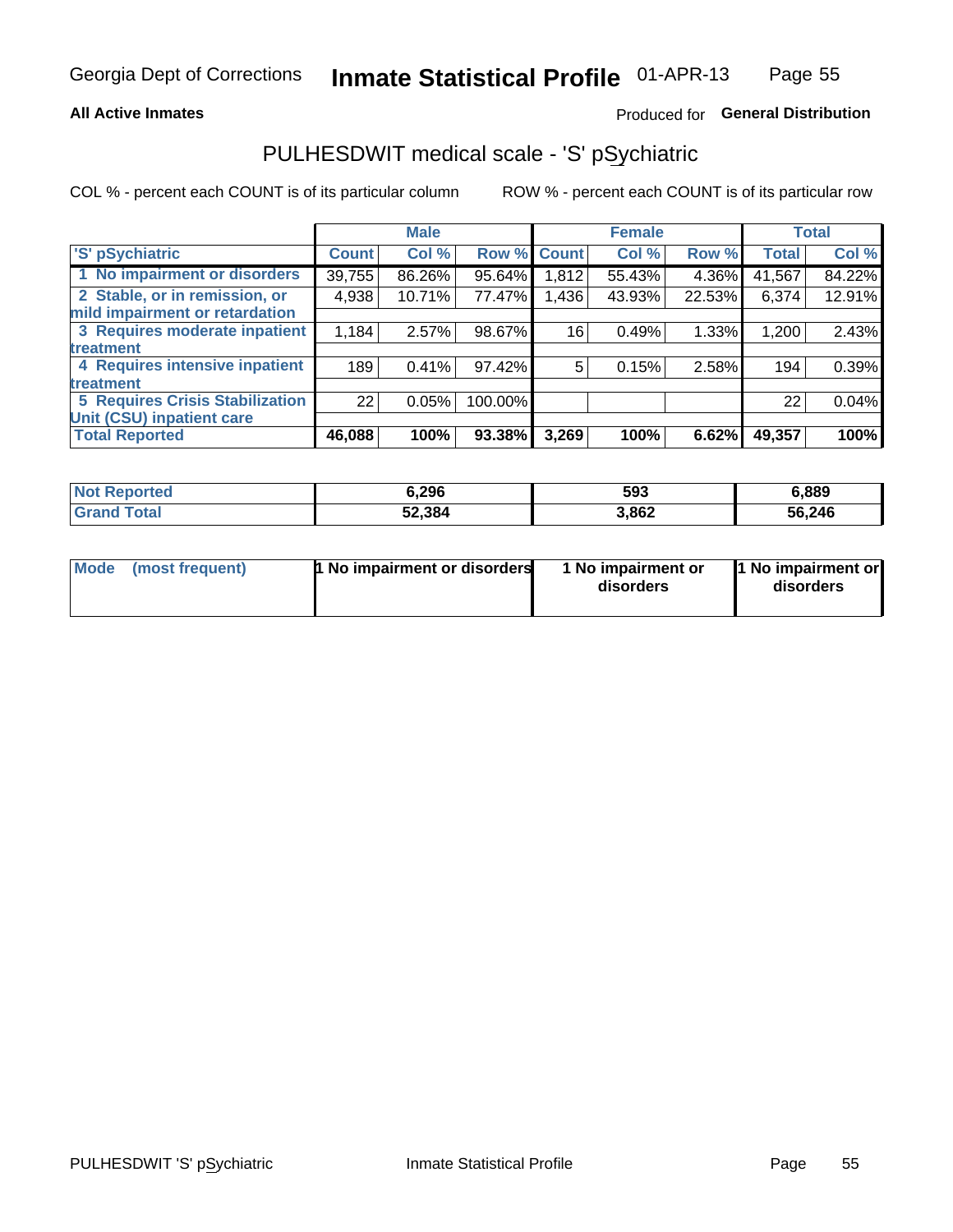### **All Active Inmates**

## Produced for General Distribution

# PULHESDWIT medical scale - 'S' pSychiatric

COL % - percent each COUNT is of its particular column

|                                        |              | <b>Male</b> |         |             | <b>Female</b> |        |              | <b>Total</b> |
|----------------------------------------|--------------|-------------|---------|-------------|---------------|--------|--------------|--------------|
| 'S' pSychiatric                        | <b>Count</b> | Col %       |         | Row % Count | Col %         | Row %  | <b>Total</b> | Col %        |
| 1 No impairment or disorders           | 39,755       | 86.26%      | 95.64%  | 1,812       | 55.43%        | 4.36%  | 41,567       | 84.22%       |
| 2 Stable, or in remission, or          | 4,938        | 10.71%      | 77.47%  | 1,436       | 43.93%        | 22.53% | 6,374        | 12.91%       |
| mild impairment or retardation         |              |             |         |             |               |        |              |              |
| 3 Requires moderate inpatient          | 1,184        | 2.57%       | 98.67%  | 16          | 0.49%         | 1.33%  | 1,200        | 2.43%        |
| treatment                              |              |             |         |             |               |        |              |              |
| 4 Requires intensive inpatient         | 189          | 0.41%       | 97.42%  | 5.          | 0.15%         | 2.58%  | 194          | 0.39%        |
| treatment                              |              |             |         |             |               |        |              |              |
| <b>5 Requires Crisis Stabilization</b> | 22           | 0.05%       | 100.00% |             |               |        | 22           | 0.04%        |
| Unit (CSU) inpatient care              |              |             |         |             |               |        |              |              |
| <b>Total Reported</b>                  | 46,088       | 100%        | 93.38%  | 3,269       | 100%          | 6.62%  | 49,357       | 100%         |

| <b>Not Reported</b> | 6,296  | 593   | 6,889  |
|---------------------|--------|-------|--------|
| Total<br>'Grand     | 52,384 | 3,862 | 56,246 |

| Mode<br>1 No impairment or disorders<br>(most frequent) | 1 No impairment or<br>disorders | 1 No impairment or<br>disorders |
|---------------------------------------------------------|---------------------------------|---------------------------------|
|---------------------------------------------------------|---------------------------------|---------------------------------|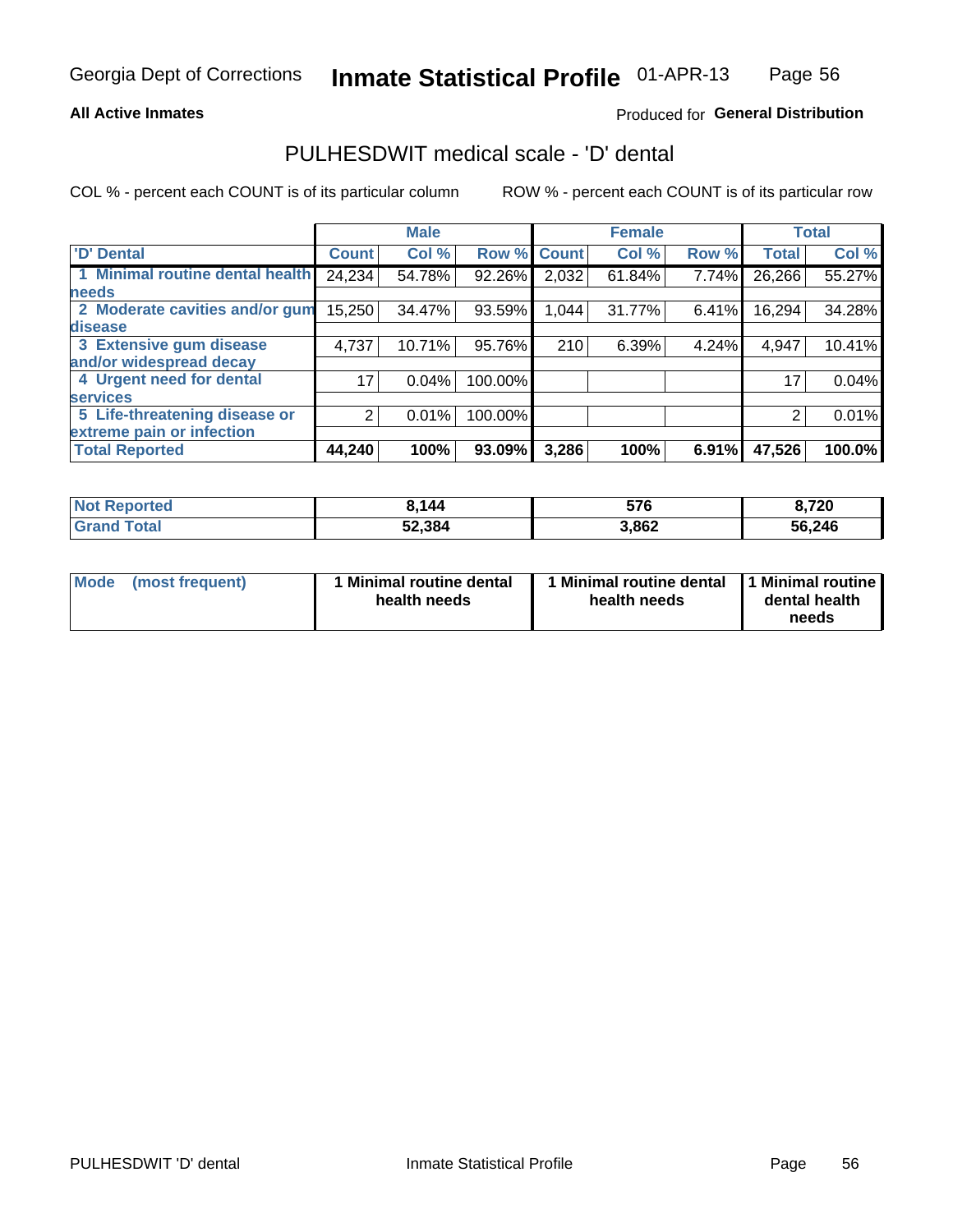#### **All Active Inmates**

### Produced for General Distribution

# PULHESDWIT medical scale - 'D' dental

COL % - percent each COUNT is of its particular column

|                                 |              | <b>Male</b> |         |              | <b>Female</b> |       |              | <b>Total</b> |
|---------------------------------|--------------|-------------|---------|--------------|---------------|-------|--------------|--------------|
| <b>D'</b> Dental                | <b>Count</b> | Col %       | Row %   | <b>Count</b> | Col %         | Row % | <b>Total</b> | Col %        |
| 1 Minimal routine dental health | 24,234       | 54.78%      | 92.26%  | 2,032        | 61.84%        | 7.74% | 26,266       | 55.27%       |
| <b>needs</b>                    |              |             |         |              |               |       |              |              |
| 2 Moderate cavities and/or gum  | 15,250       | 34.47%      | 93.59%  | 1,044        | 31.77%        | 6.41% | 16,294       | 34.28%       |
| disease                         |              |             |         |              |               |       |              |              |
| 3 Extensive gum disease         | 4,737        | 10.71%      | 95.76%  | 210          | 6.39%         | 4.24% | 4,947        | 10.41%       |
| and/or widespread decay         |              |             |         |              |               |       |              |              |
| 4 Urgent need for dental        | 17           | 0.04%       | 100.00% |              |               |       | 17           | 0.04%        |
| <b>Services</b>                 |              |             |         |              |               |       |              |              |
| 5 Life-threatening disease or   | 2            | 0.01%       | 100.00% |              |               |       | 2            | 0.01%        |
| extreme pain or infection       |              |             |         |              |               |       |              |              |
| <b>Total Reported</b>           | 44,240       | 100%        | 93.09%  | 3,286        | 100%          | 6.91% | 47,526       | 100.0%       |

| <b>Not Reported</b> | 3,144  | 576   | 8,720  |
|---------------------|--------|-------|--------|
| <b>Grand Total</b>  | 52,384 | 3,862 | 56,246 |

| 1 Minimal routine dental<br>Mode<br>(most frequent)<br>health needs | 1 Minimal routine dental 1 Minimal routine<br>health needs | dental health<br>needs |
|---------------------------------------------------------------------|------------------------------------------------------------|------------------------|
|---------------------------------------------------------------------|------------------------------------------------------------|------------------------|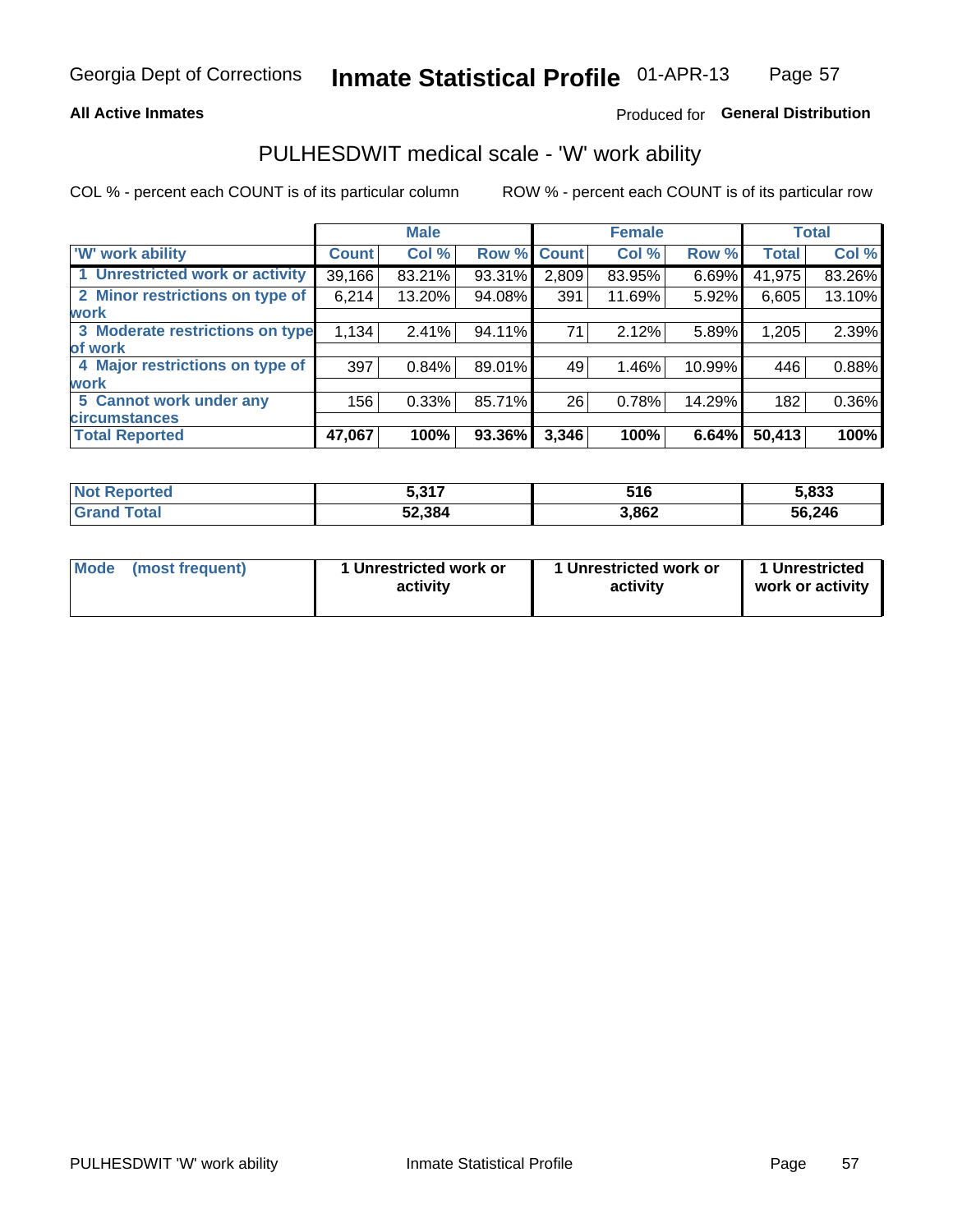### **All Active Inmates**

## Produced for General Distribution

## PULHESDWIT medical scale - 'W' work ability

COL % - percent each COUNT is of its particular column

|                                 |              | <b>Male</b> |        |             | <b>Female</b> |        |              | <b>Total</b> |
|---------------------------------|--------------|-------------|--------|-------------|---------------|--------|--------------|--------------|
| <b>W' work ability</b>          | <b>Count</b> | Col %       |        | Row % Count | Col %         | Row %  | <b>Total</b> | Col %        |
| 1 Unrestricted work or activity | 39,166       | 83.21%      | 93.31% | 2,809       | 83.95%        | 6.69%  | 41,975       | 83.26%       |
| 2 Minor restrictions on type of | 6,214        | 13.20%      | 94.08% | 391         | 11.69%        | 5.92%  | 6,605        | 13.10%       |
| <b>work</b>                     |              |             |        |             |               |        |              |              |
| 3 Moderate restrictions on type | 1,134        | 2.41%       | 94.11% | 71          | 2.12%         | 5.89%  | 1,205        | 2.39%        |
| lof work                        |              |             |        |             |               |        |              |              |
| 4 Major restrictions on type of | 397          | 0.84%       | 89.01% | 49          | 1.46%         | 10.99% | 446          | 0.88%        |
| <b>work</b>                     |              |             |        |             |               |        |              |              |
| 5 Cannot work under any         | 156          | 0.33%       | 85.71% | 26          | 0.78%         | 14.29% | 182          | 0.36%        |
| <b>circumstances</b>            |              |             |        |             |               |        |              |              |
| <b>Total Reported</b>           | 47,067       | 100%        | 93.36% | 3,346       | 100%          | 6.64%  | 50,413       | 100%         |

| <b>Not Reported</b>          | こ 21フ<br>J.J I I | 516   | 5,833  |
|------------------------------|------------------|-------|--------|
| <b>Total</b><br><b>Grand</b> | 52,384           | 3,862 | 56,246 |

| Mode            | 1 Unrestricted work or | 1 Unrestricted work or | 1 Unrestricted   |
|-----------------|------------------------|------------------------|------------------|
| (most frequent) | activity               | activity               | work or activity |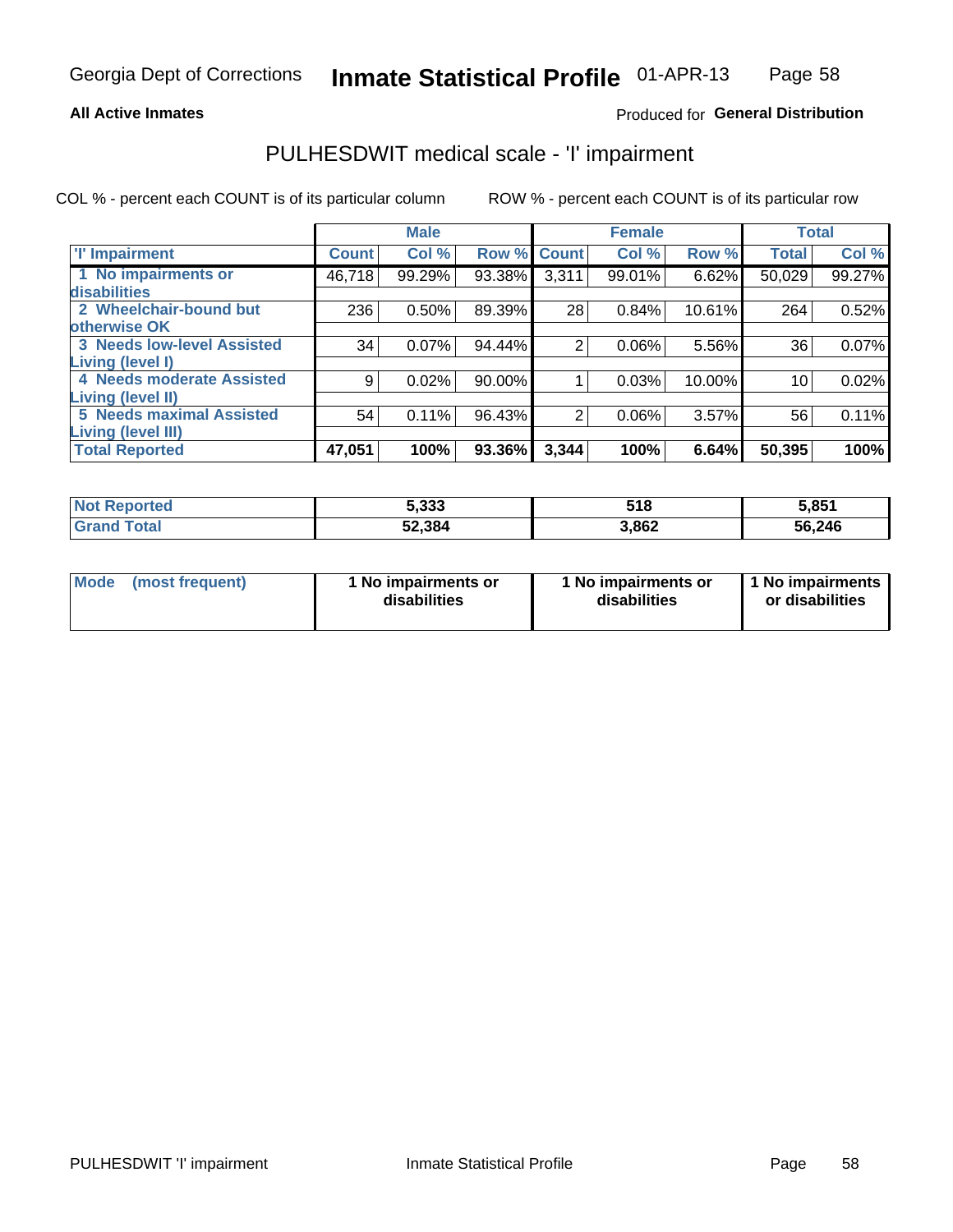#### **All Active Inmates**

### Produced for General Distribution

# PULHESDWIT medical scale - 'I' impairment

COL % - percent each COUNT is of its particular column

|                                   |              | <b>Male</b> |        |             | <b>Female</b> |        | <b>Total</b> |        |
|-----------------------------------|--------------|-------------|--------|-------------|---------------|--------|--------------|--------|
| <b>T' Impairment</b>              | <b>Count</b> | Col %       |        | Row % Count | Col %         | Row %  | <b>Total</b> | Col %  |
| 1 No impairments or               | 46,718       | 99.29%      | 93.38% | 3,311       | 99.01%        | 6.62%  | 50,029       | 99.27% |
| disabilities                      |              |             |        |             |               |        |              |        |
| 2 Wheelchair-bound but            | 236          | 0.50%       | 89.39% | 28          | 0.84%         | 10.61% | 264          | 0.52%  |
| otherwise OK                      |              |             |        |             |               |        |              |        |
| <b>3 Needs low-level Assisted</b> | 34           | 0.07%       | 94.44% | 2           | 0.06%         | 5.56%  | 36           | 0.07%  |
| Living (level I)                  |              |             |        |             |               |        |              |        |
| 4 Needs moderate Assisted         | 9            | 0.02%       | 90.00% |             | 0.03%         | 10.00% | 10           | 0.02%  |
| <b>Living (level II)</b>          |              |             |        |             |               |        |              |        |
| <b>5 Needs maximal Assisted</b>   | 54           | 0.11%       | 96.43% | 2           | 0.06%         | 3.57%  | 56           | 0.11%  |
| <b>Living (level III)</b>         |              |             |        |             |               |        |              |        |
| <b>Total Reported</b>             | 47,051       | 100%        | 93.36% | 3,344       | 100%          | 6.64%  | 50,395       | 100%   |

| <b>Not Reported</b>    | 5,333  | 518   | 5,851  |
|------------------------|--------|-------|--------|
| <b>Total</b><br>'Grand | 52,384 | 3,862 | 56,246 |

| Mode | (most frequent) | 1 No impairments or<br>disabilities | 1 No impairments or<br>disabilities | 1 No impairments<br>or disabilities |
|------|-----------------|-------------------------------------|-------------------------------------|-------------------------------------|
|------|-----------------|-------------------------------------|-------------------------------------|-------------------------------------|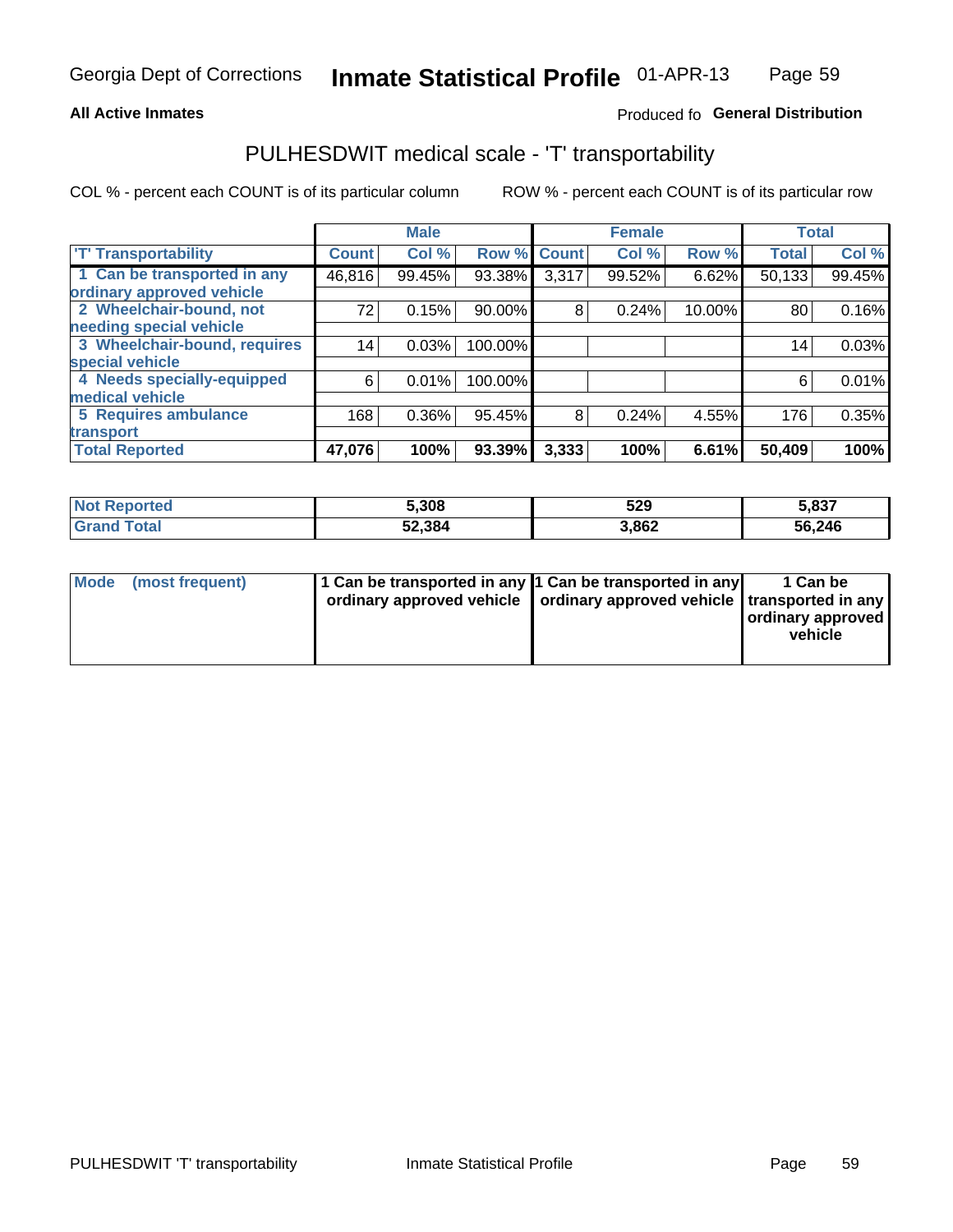### **All Active Inmates**

### Produced fo General Distribution

# PULHESDWIT medical scale - 'T' transportability

COL % - percent each COUNT is of its particular column

|                              |                 | <b>Male</b> |           |              | <b>Female</b> |        | <b>Total</b> |        |
|------------------------------|-----------------|-------------|-----------|--------------|---------------|--------|--------------|--------|
| <b>T' Transportability</b>   | <b>Count</b>    | Col %       | Row %     | <b>Count</b> | Col %         | Row %  | <b>Total</b> | Col %  |
| 1 Can be transported in any  | 46,816          | 99.45%      | 93.38%    | 3,317        | 99.52%        | 6.62%  | 50,133       | 99.45% |
| ordinary approved vehicle    |                 |             |           |              |               |        |              |        |
| 2 Wheelchair-bound, not      | 72              | 0.15%       | $90.00\%$ | 8            | 0.24%         | 10.00% | 80           | 0.16%  |
| needing special vehicle      |                 |             |           |              |               |        |              |        |
| 3 Wheelchair-bound, requires | 14 <sub>1</sub> | 0.03%       | 100.00%   |              |               |        | 14           | 0.03%  |
| special vehicle              |                 |             |           |              |               |        |              |        |
| 4 Needs specially-equipped   | 6               | 0.01%       | 100.00%   |              |               |        | 6            | 0.01%  |
| medical vehicle              |                 |             |           |              |               |        |              |        |
| <b>5 Requires ambulance</b>  | 168             | 0.36%       | 95.45%    | 8            | 0.24%         | 4.55%  | 176          | 0.35%  |
| transport                    |                 |             |           |              |               |        |              |        |
| <b>Total Reported</b>        | 47,076          | 100%        | 93.39%    | 3,333        | 100%          | 6.61%  | 50,409       | 100%   |

| orted      | 5,308  | 529   | 5,837  |
|------------|--------|-------|--------|
| <b>ota</b> | 52,384 | 3,862 | 56,246 |

|  | Mode (most frequent) | 1 Can be transported in any 1 Can be transported in any<br>ordinary approved vehicle   ordinary approved vehicle   transported in any |  | 1 Can be<br>  ordinary approved  <br>vehicle |
|--|----------------------|---------------------------------------------------------------------------------------------------------------------------------------|--|----------------------------------------------|
|--|----------------------|---------------------------------------------------------------------------------------------------------------------------------------|--|----------------------------------------------|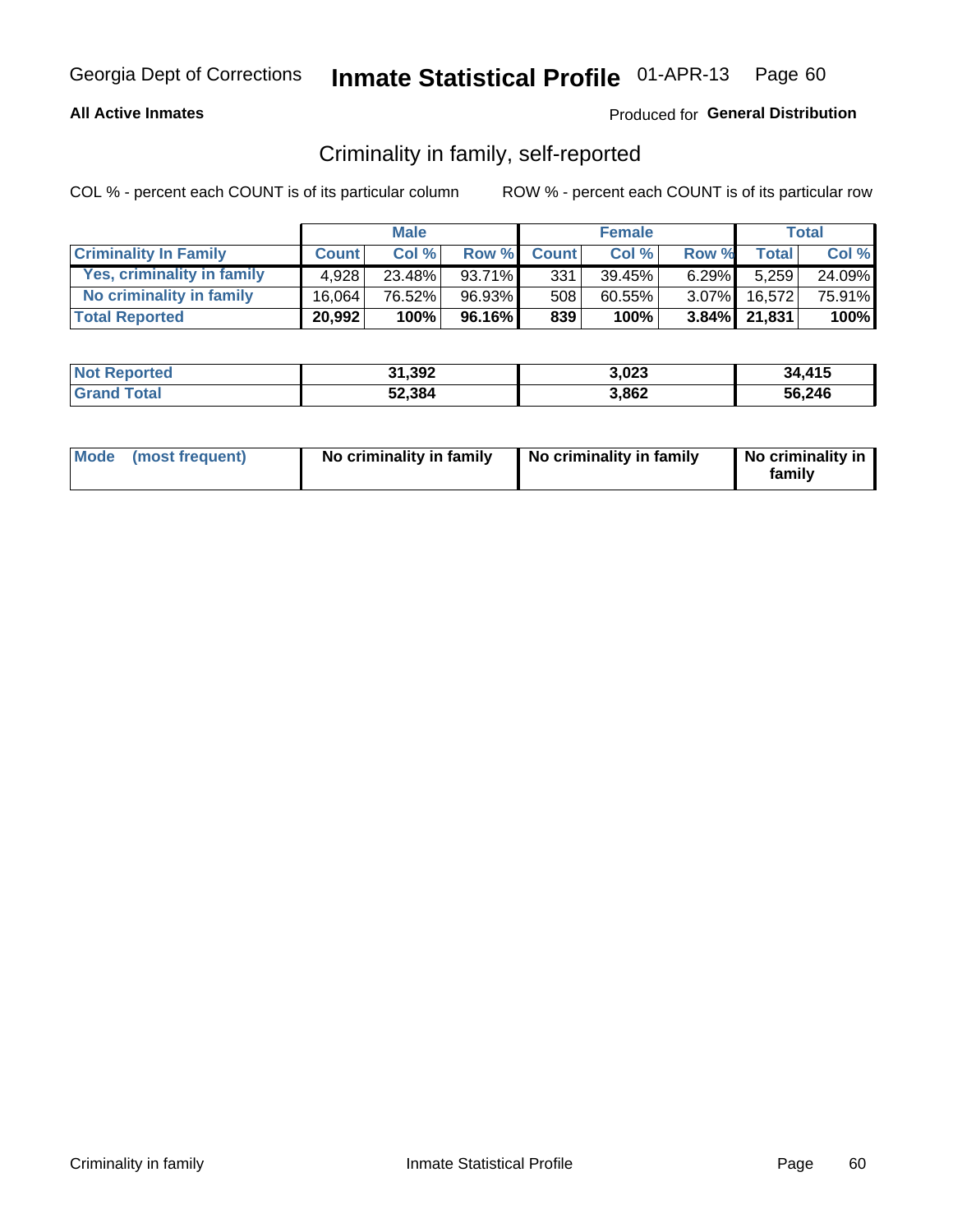### **All Active Inmates**

### Produced for General Distribution

## Criminality in family, self-reported

COL % - percent each COUNT is of its particular column

|                              |              | <b>Male</b> |           |              | <b>Female</b> |          |                 | Total  |
|------------------------------|--------------|-------------|-----------|--------------|---------------|----------|-----------------|--------|
| <b>Criminality In Family</b> | <b>Count</b> | Col%        | Row %     | <b>Count</b> | Col%          | Row %    | <b>Total</b>    | Col %  |
| Yes, criminality in family   | 4.928        | $23.48\%$   | $93.71\%$ | 331          | 39.45%        | $6.29\%$ | 5.259           | 24.09% |
| No criminality in family     | 16,064       | 76.52%      | 96.93%    | 508          | 60.55%        |          | 3.07% 16,572    | 75.91% |
| <b>Total Reported</b>        | 20,992       | 100%        | 96.16%    | 839          | 100%          |          | $3.84\%$ 21,831 | 100%   |

| <b>Not Reported</b> | 31,392 | 3,023 | 34.415 |
|---------------------|--------|-------|--------|
| Total               | 52,384 | 3,862 | 56,246 |

|  | Mode (most frequent) | No criminality in family | No criminality in family | No criminality in<br>family |
|--|----------------------|--------------------------|--------------------------|-----------------------------|
|--|----------------------|--------------------------|--------------------------|-----------------------------|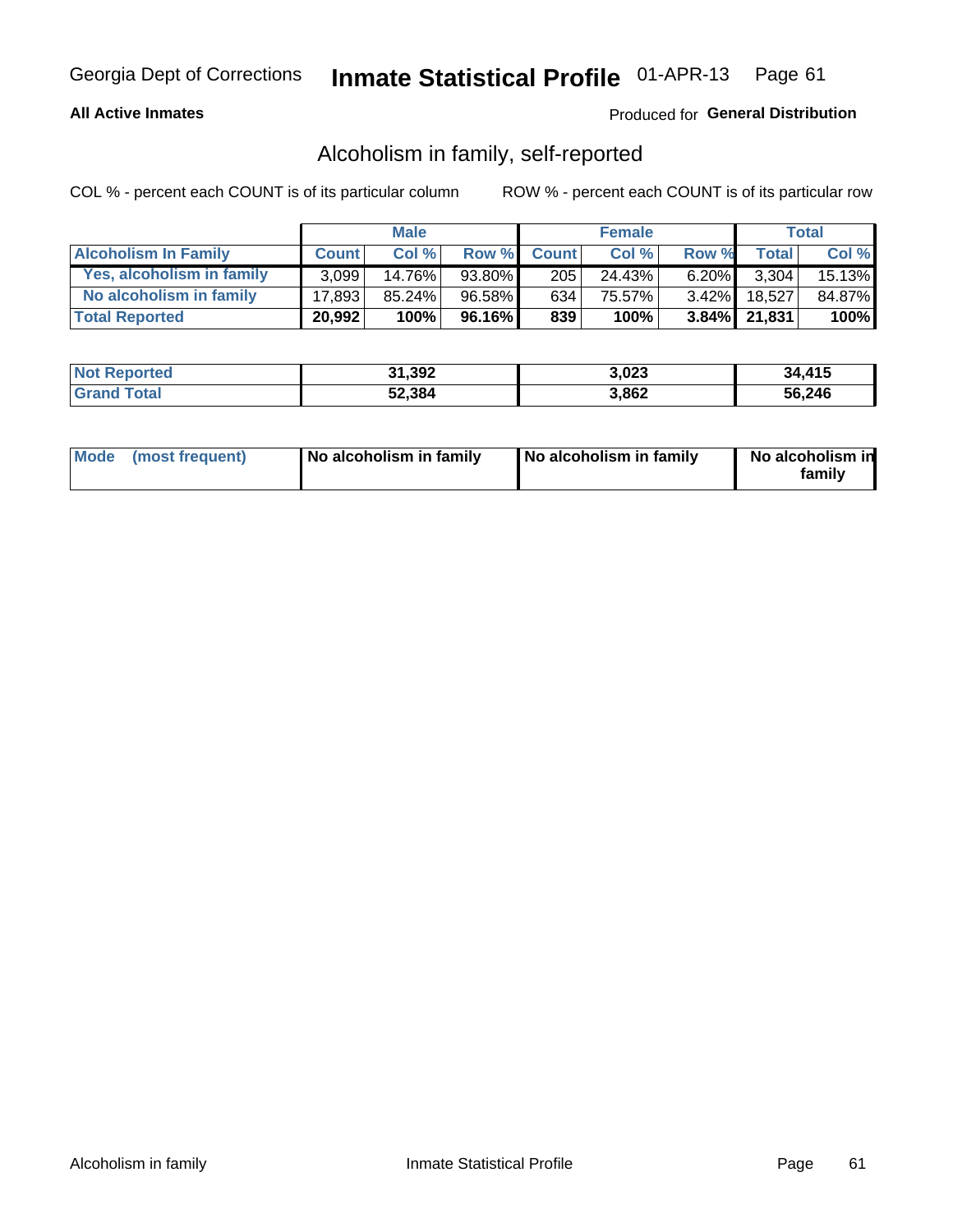### **All Active Inmates**

### Produced for General Distribution

## Alcoholism in family, self-reported

COL % - percent each COUNT is of its particular column

|                             |              | <b>Male</b> |        |              | <b>Female</b> |          |                 | Total   |
|-----------------------------|--------------|-------------|--------|--------------|---------------|----------|-----------------|---------|
| <b>Alcoholism In Family</b> | <b>Count</b> | Col%        | Row %  | <b>Count</b> | Col%          | Row %    | <b>Total</b>    | Col %   |
| Yes, alcoholism in family   | 3.099        | 14.76%      | 93.80% | 205          | 24.43%        | $6.20\%$ | 3.304           | 15.13%  |
| No alcoholism in family     | 17.893       | $85.24\%$   | 96.58% | 634'         | 75.57%        | $3.42\%$ | 18.527          | 84.87%  |
| <b>Total Reported</b>       | 20,992       | 100%        | 96.16% | 839          | 100%          |          | $3.84\%$ 21,831 | $100\%$ |

| <b>Not Reported</b> | 31,392 | 3.023 | 34,415 |
|---------------------|--------|-------|--------|
| <b>Srand Total</b>  | 52,384 | 3.862 | 56,246 |

|  | Mode (most frequent) | No alcoholism in family | No alcoholism in family | No alcoholism in<br>family |
|--|----------------------|-------------------------|-------------------------|----------------------------|
|--|----------------------|-------------------------|-------------------------|----------------------------|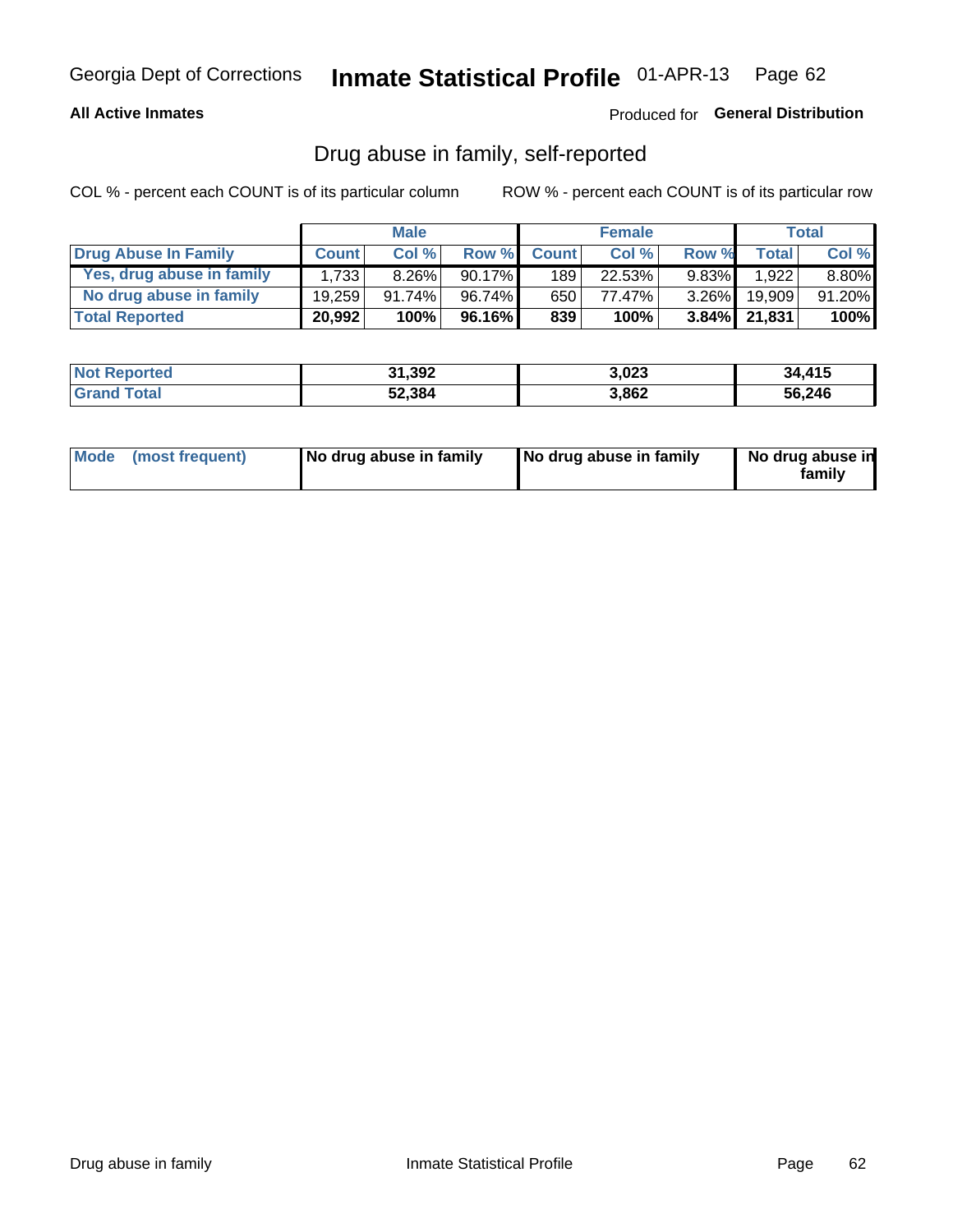### **All Active Inmates**

### Produced for General Distribution

## Drug abuse in family, self-reported

COL % - percent each COUNT is of its particular column

|                           |              | <b>Male</b> |           |              | <b>Female</b> |          |                 | <b>Total</b> |
|---------------------------|--------------|-------------|-----------|--------------|---------------|----------|-----------------|--------------|
| Drug Abuse In Family      | <b>Count</b> | Col%        | Row %     | <b>Count</b> | Col%          | Row %    | Total           | Col %        |
| Yes, drug abuse in family | 1.733        | $8.26\%$    | $90.17\%$ | 189          | 22.53%        | $9.83\%$ | 1.922           | $8.80\%$     |
| No drug abuse in family   | 19.259       | $91.74\%$   | 96.74%    | 650          | 77.47%        | $3.26\%$ | 19.909          | 91.20%       |
| <b>Total Reported</b>     | 20,992       | 100%        | $96.16\%$ | 839          | 100%          |          | $3.84\%$ 21,831 | $100\%$      |

| <b>Not Reported</b> | 31,392 | 3,023 | 34,415 |
|---------------------|--------|-------|--------|
| Total               | 52,384 | 3,862 | 56,246 |

|  | Mode (most frequent) | No drug abuse in family | No drug abuse in family | No drug abuse in<br>familv |
|--|----------------------|-------------------------|-------------------------|----------------------------|
|--|----------------------|-------------------------|-------------------------|----------------------------|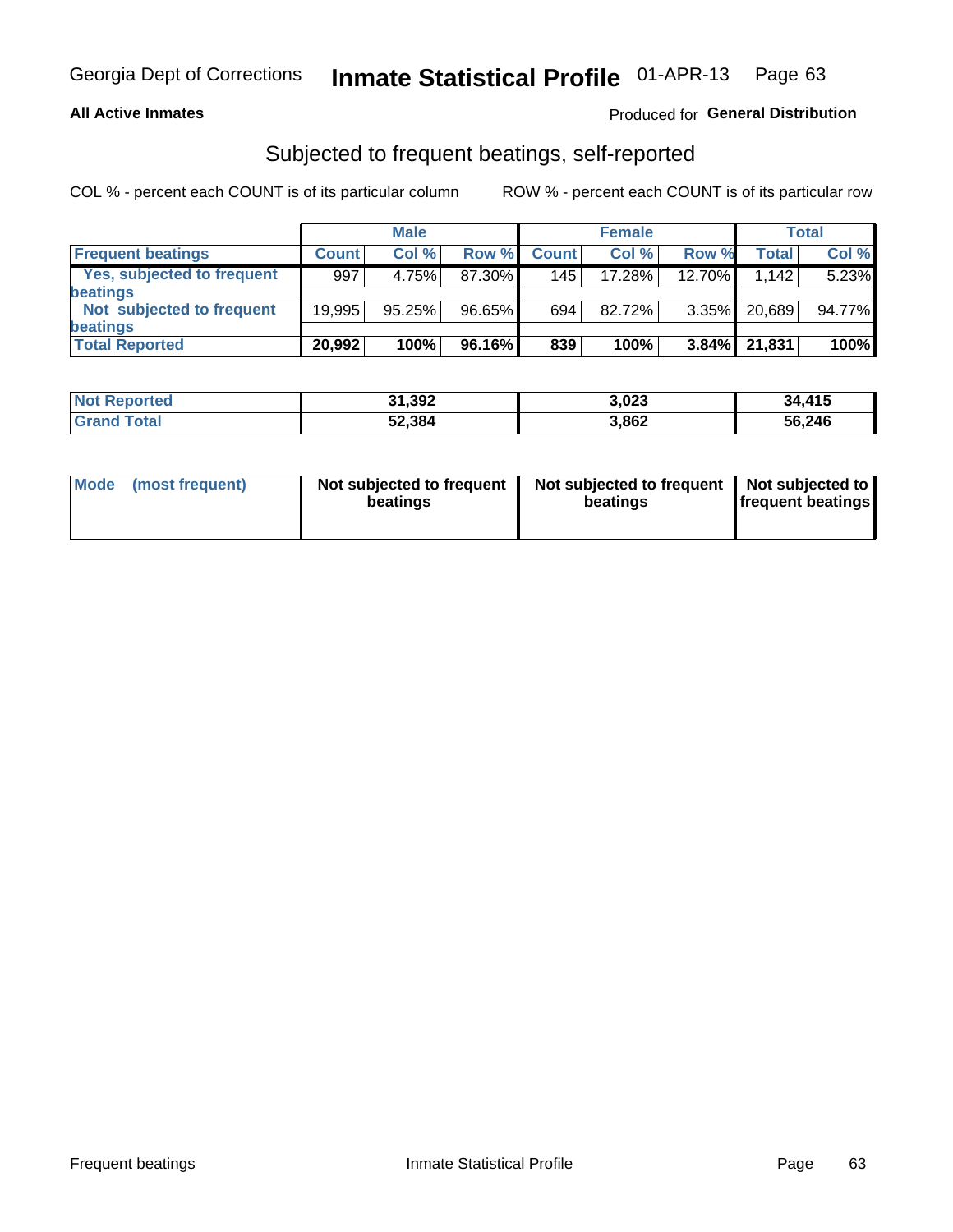### **All Active Inmates**

### Produced for General Distribution

## Subjected to frequent beatings, self-reported

COL % - percent each COUNT is of its particular column

|                            |              | <b>Male</b> |        |              | <b>Female</b> |          |        | Total  |
|----------------------------|--------------|-------------|--------|--------------|---------------|----------|--------|--------|
| <b>Frequent beatings</b>   | <b>Count</b> | Col %       | Row %  | <b>Count</b> | Col %         | Row %    | Total  | Col %  |
| Yes, subjected to frequent | 997          | 4.75%       | 87.30% | 145          | 17.28%        | 12.70%   | 1,142  | 5.23%  |
| <b>beatings</b>            |              |             |        |              |               |          |        |        |
| Not subjected to frequent  | 19.995       | 95.25%      | 96.65% | 694          | 82.72%        | $3.35\%$ | 20,689 | 94.77% |
| <b>beatings</b>            |              |             |        |              |               |          |        |        |
| <b>Total Reported</b>      | 20,992       | 100%        | 96.16% | 839          | 100%          | 3.84%    | 21,831 | 100%   |

| <b>Not Reported</b> | 31,392 | 3,023 | 34,415 |
|---------------------|--------|-------|--------|
| 'Grand Total        | 52,384 | 3,862 | 56,246 |

| Mode (most frequent) | Not subjected to frequent<br>beatings | Not subjected to frequent<br>beatings | Not subjected to<br><b>frequent beatings</b> |
|----------------------|---------------------------------------|---------------------------------------|----------------------------------------------|
|                      |                                       |                                       |                                              |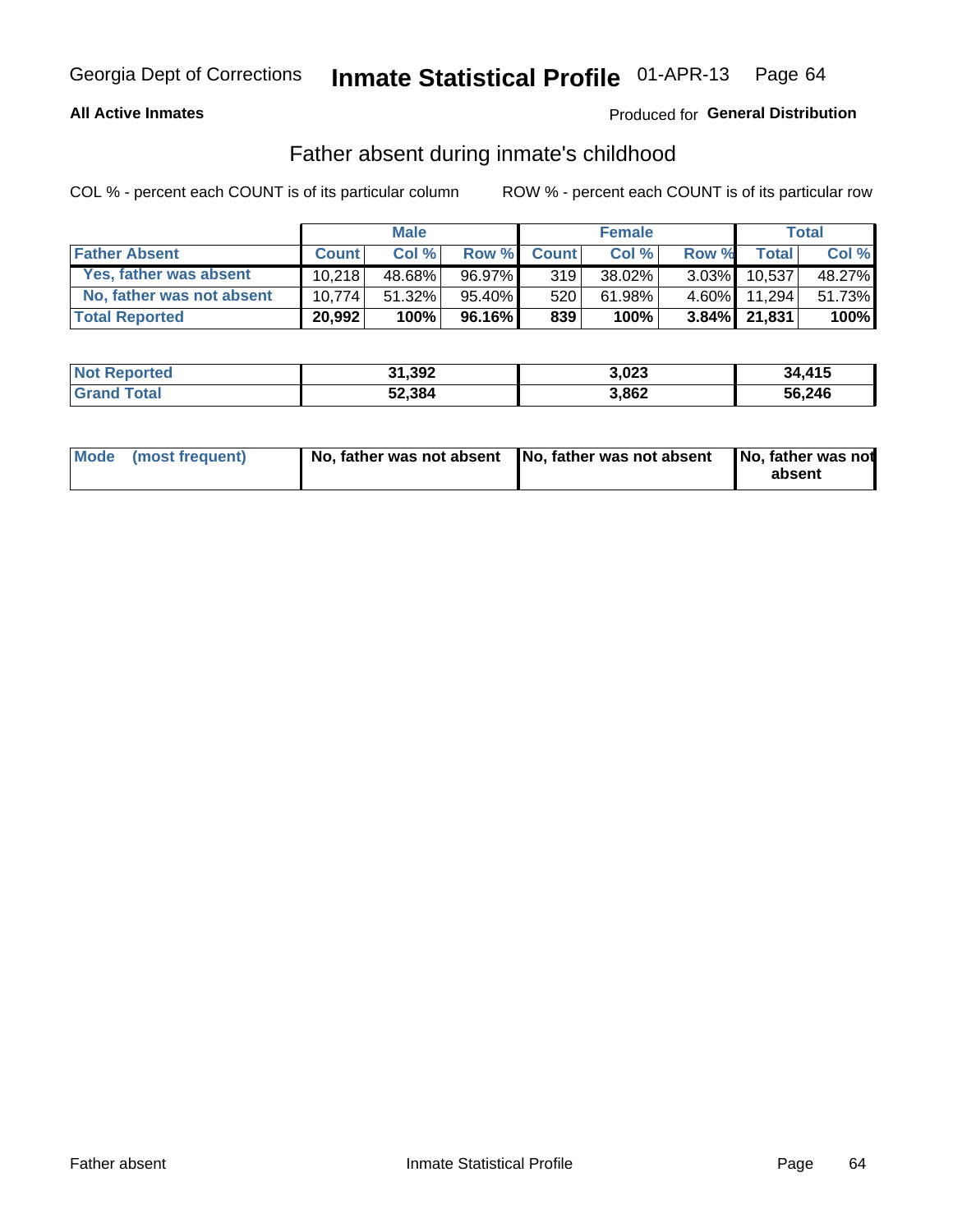### **All Active Inmates**

## Produced for General Distribution

## Father absent during inmate's childhood

COL % - percent each COUNT is of its particular column

|                           |              | <b>Male</b> |           |              | <b>Female</b> |          |              | Total  |
|---------------------------|--------------|-------------|-----------|--------------|---------------|----------|--------------|--------|
| <b>Father Absent</b>      | <b>Count</b> | Col%        | Row %     | <b>Count</b> | Col %         | Row %    | <b>Total</b> | Col %  |
| Yes, father was absent    | 10.218       | 48.68%      | 96.97%    | 319          | 38.02%        | $3.03\%$ | 10.537       | 48.27% |
| No, father was not absent | 10.774       | 51.32%      | $95.40\%$ | 520          | 61.98%        | $4.60\%$ | 11.294       | 51.73% |
| <b>Total Reported</b>     | 20,992       | 100%        | $96.16\%$ | 839          | 100%          |          | 3.84% 21,831 | 100%   |

| <b>Not Reported</b> | 31,392 | 3,023 | 34,415 |
|---------------------|--------|-------|--------|
| <b>Grand Total</b>  | 52,384 | 3,862 | 56,246 |

|  | Mode (most frequent) |  | No, father was not absent No, father was not absent No, father was not | absent |
|--|----------------------|--|------------------------------------------------------------------------|--------|
|--|----------------------|--|------------------------------------------------------------------------|--------|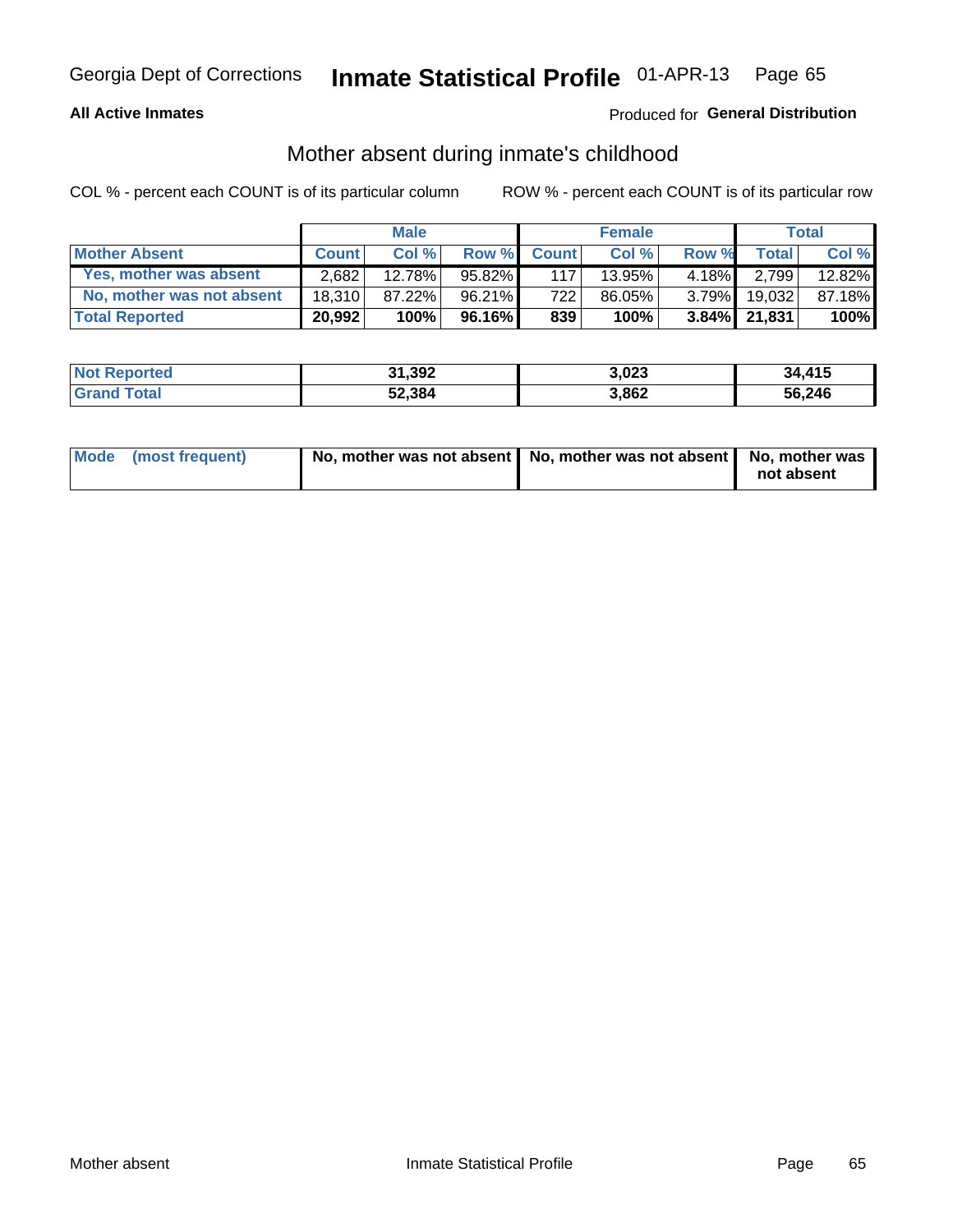### **All Active Inmates**

## Produced for General Distribution

## Mother absent during inmate's childhood

COL % - percent each COUNT is of its particular column

|                           | <b>Male</b>  |        |           | <b>Female</b> |        |          | Total        |        |
|---------------------------|--------------|--------|-----------|---------------|--------|----------|--------------|--------|
| <b>Mother Absent</b>      | <b>Count</b> | Col%   | Row %     | <b>Count</b>  | Col %  | Row %    | <b>Total</b> | Col %  |
| Yes, mother was absent    | 2.682        | 12.78% | $95.82\%$ | 117           | 13.95% | $4.18\%$ | 2,799        | 12.82% |
| No, mother was not absent | 18.310       | 87.22% | 96.21%    | 7221          | 86.05% | $3.79\%$ | 19.032       | 87.18% |
| <b>Total Reported</b>     | 20,992       | 100%   | $96.16\%$ | 839           | 100%   |          | 3.84% 21,831 | 100%   |

| <b>Not Reported</b> | 31,392 | 3,023 | 34.415 |
|---------------------|--------|-------|--------|
| Total               | 52,384 | 3,862 | 56,246 |

| Mode (most frequent) | No, mother was not absent   No, mother was not absent   No, mother was | not absent |
|----------------------|------------------------------------------------------------------------|------------|
|                      |                                                                        |            |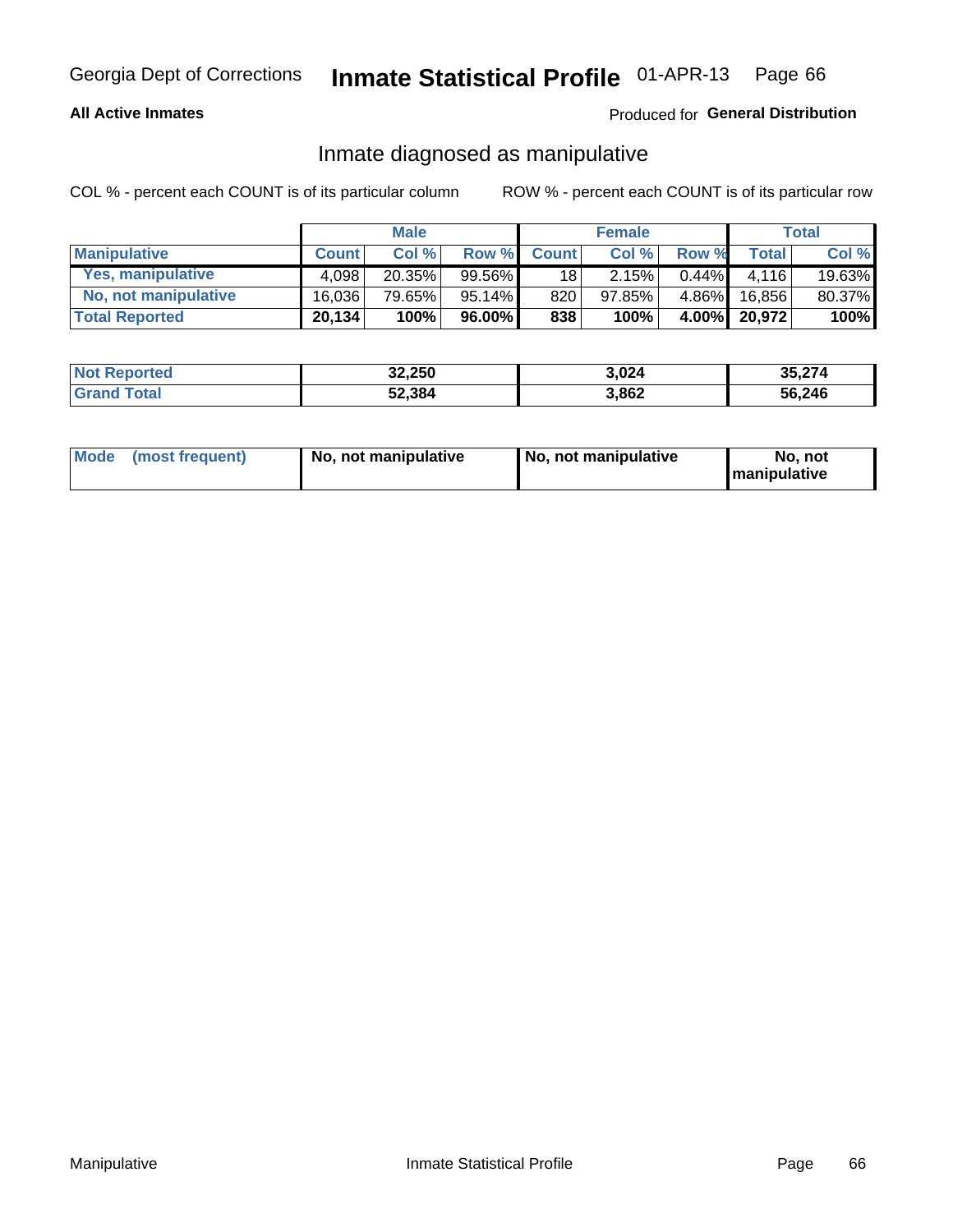### **All Active Inmates**

### Produced for General Distribution

## Inmate diagnosed as manipulative

COL % - percent each COUNT is of its particular column

|                       | <b>Male</b>  |        |        | <b>Female</b>   |        |          | Total        |        |
|-----------------------|--------------|--------|--------|-----------------|--------|----------|--------------|--------|
| <b>Manipulative</b>   | <b>Count</b> | Col %  | Row %  | <b>Count</b>    | Col%   | Row %    | <b>Total</b> | Col %  |
| Yes, manipulative     | 4.098        | 20.35% | 99.56% | 18 <sup>1</sup> | 2.15%  | $0.44\%$ | 4.116        | 19.63% |
| No, not manipulative  | 16.036       | 79.65% | 95.14% | 820             | 97.85% | $4.86\%$ | 16.856       | 80.37% |
| <b>Total Reported</b> | 20,134       | 100%   | 96.00% | 838             | 100%   | $4.00\%$ | 20,972       | 100%   |

| <b>Not Reported</b>   | 32,250 | 3,024 | 35,274 |
|-----------------------|--------|-------|--------|
| <b>Grand</b><br>⊺otal | 52,384 | 3,862 | 56,246 |

|  | Mode (most frequent) | No, not manipulative | , No, not manipulative | No. not<br><b>I</b> manipulative |
|--|----------------------|----------------------|------------------------|----------------------------------|
|--|----------------------|----------------------|------------------------|----------------------------------|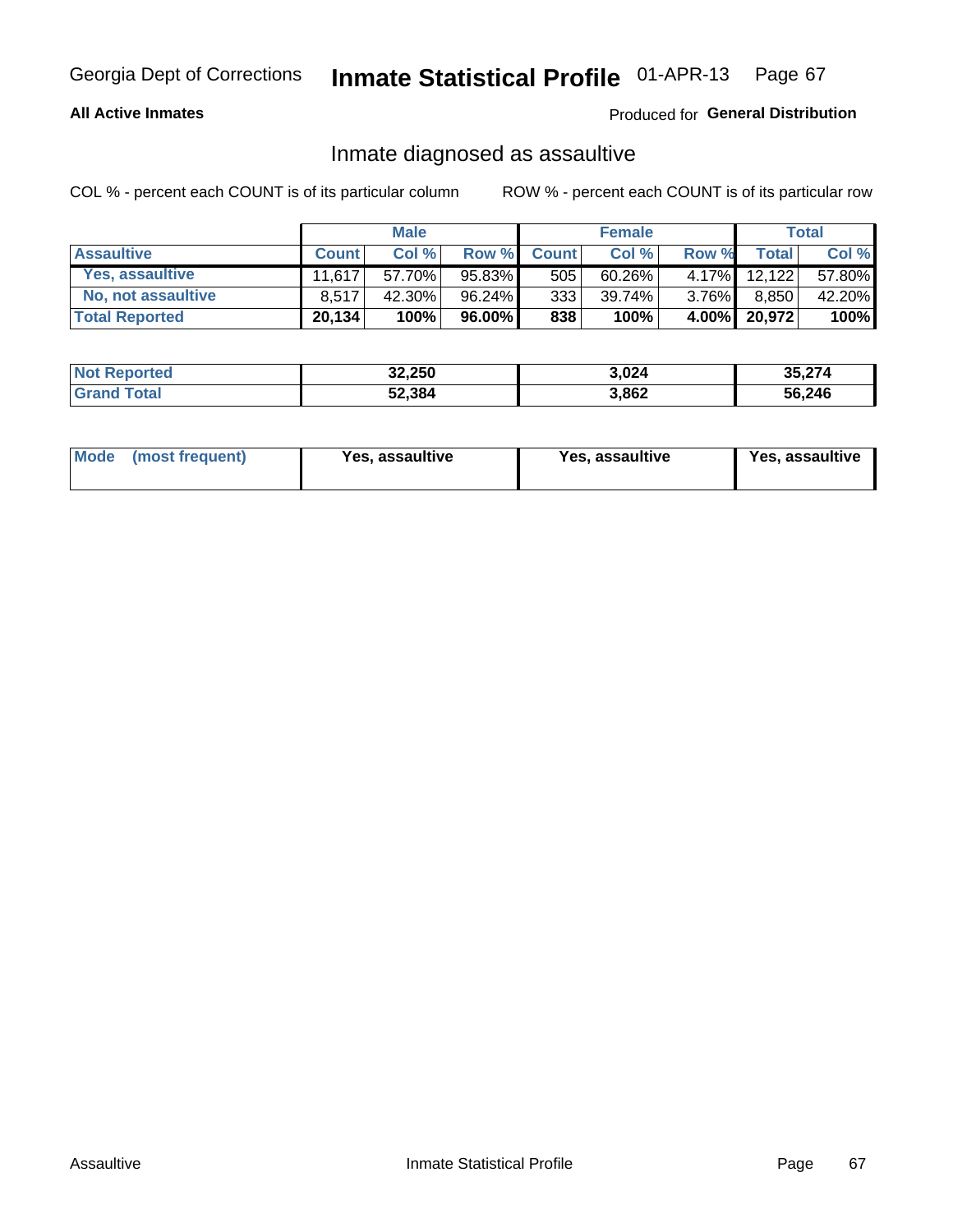### **All Active Inmates**

### Produced for General Distribution

## Inmate diagnosed as assaultive

COL % - percent each COUNT is of its particular column

|                       | <b>Male</b>  |        |           | <b>Female</b> |           |          | <b>Total</b> |        |
|-----------------------|--------------|--------|-----------|---------------|-----------|----------|--------------|--------|
| <b>Assaultive</b>     | <b>Count</b> | Col %  | Row %     | <b>Count</b>  | Col %     | Row %    | Total        | Col %  |
| Yes, assaultive       | 11 617       | 57.70% | 95.83%    | 505           | $60.26\%$ | 4.17%    | 12.122       | 57.80% |
| No, not assaultive    | 8.517        | 42.30% | 96.24%    | 333           | 39.74%    | $3.76\%$ | 8,850        | 42.20% |
| <b>Total Reported</b> | 20,134       | 100%   | $96.00\%$ | 838           | 100%      |          | 4.00% 20,972 | 100%   |

| <b>Not Reported</b> | 32,250 | 3,024 | 35,274 |
|---------------------|--------|-------|--------|
| <b>fotal</b>        | 52,384 | 3,862 | 56,246 |

| Mode (most frequent)<br>Yes, assaultive | Yes, assaultive | <b>Yes, assaultive</b> |
|-----------------------------------------|-----------------|------------------------|
|-----------------------------------------|-----------------|------------------------|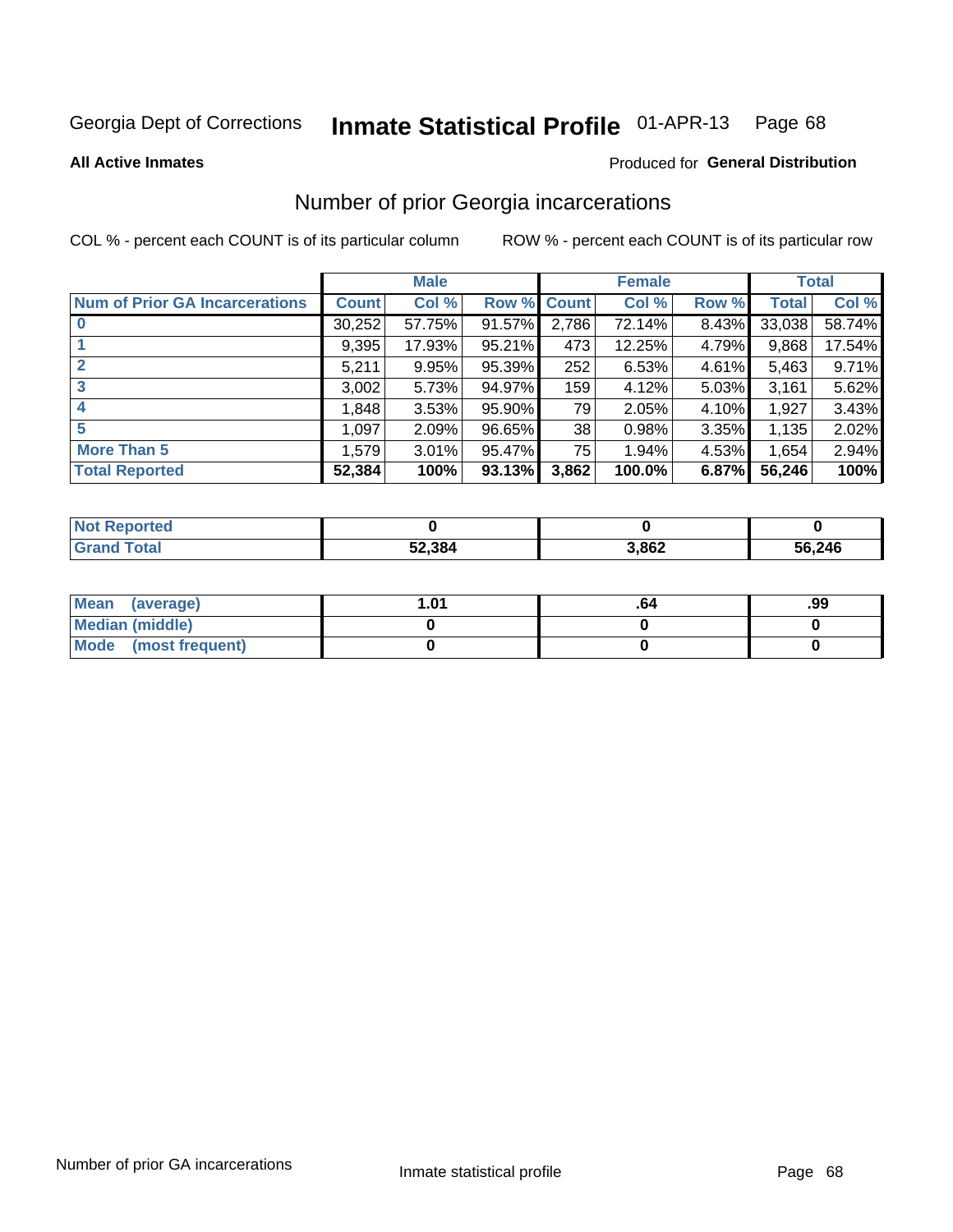#### Inmate Statistical Profile 01-APR-13 Page 68

**All Active Inmates** 

### **Produced for General Distribution**

## Number of prior Georgia incarcerations

COL % - percent each COUNT is of its particular column

|                                       |              | <b>Male</b> |             |       | <b>Female</b> |       |        | <b>Total</b> |
|---------------------------------------|--------------|-------------|-------------|-------|---------------|-------|--------|--------------|
| <b>Num of Prior GA Incarcerations</b> | <b>Count</b> | Col %       | Row % Count |       | Col %         | Row % | Total  | Col %        |
| $\bf{0}$                              | 30,252       | 57.75%      | 91.57%      | 2,786 | 72.14%        | 8.43% | 33,038 | 58.74%       |
|                                       | 9,395        | 17.93%      | $95.21\%$   | 473   | 12.25%        | 4.79% | 9,868  | 17.54%       |
| $\mathbf 2$                           | 5,211        | 9.95%       | 95.39%      | 252   | 6.53%         | 4.61% | 5,463  | 9.71%        |
| 3                                     | 3,002        | 5.73%       | 94.97%      | 159   | 4.12%         | 5.03% | 3,161  | 5.62%        |
| $\boldsymbol{4}$                      | 1,848        | 3.53%       | 95.90%      | 79    | 2.05%         | 4.10% | 1,927  | 3.43%        |
| 5                                     | 1,097        | 2.09%       | 96.65%      | 38    | 0.98%         | 3.35% | 1,135  | 2.02%        |
| <b>More Than 5</b>                    | 1,579        | 3.01%       | 95.47%      | 75    | 1.94%         | 4.53% | 1,654  | 2.94%        |
| <b>Total Reported</b>                 | 52,384       | 100%        | 93.13%      | 3,862 | 100.0%        | 6.87% | 56,246 | 100%         |

| <b>Not Reported</b> |        |       |        |
|---------------------|--------|-------|--------|
| Total<br>Grand      | 52,384 | 3,862 | 56,246 |

| Mean (average)       | l.01 | -ייס | .99 |
|----------------------|------|------|-----|
| Median (middle)      |      |      |     |
| Mode (most frequent) |      |      |     |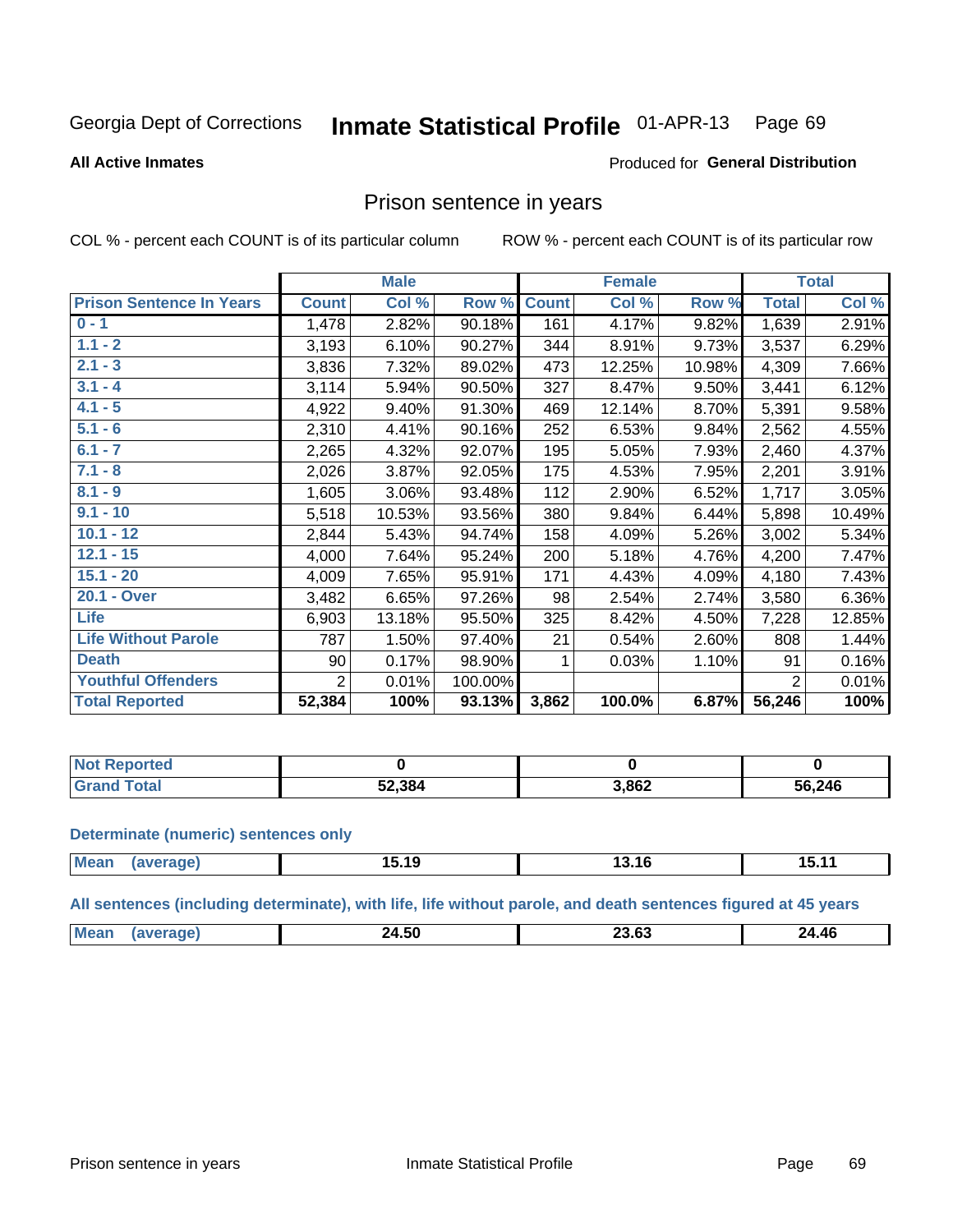#### **Inmate Statistical Profile 01-APR-13** Page 69

#### **All Active Inmates**

#### Produced for General Distribution

## Prison sentence in years

COL % - percent each COUNT is of its particular column

ROW % - percent each COUNT is of its particular row

|                                 | <b>Male</b>    |        |         |              | <b>Female</b> | <b>Total</b> |                |        |
|---------------------------------|----------------|--------|---------|--------------|---------------|--------------|----------------|--------|
| <b>Prison Sentence In Years</b> | <b>Count</b>   | Col %  | Row %   | <b>Count</b> | Col %         | Row %        | <b>Total</b>   | Col %  |
| $0 - 1$                         | 1,478          | 2.82%  | 90.18%  | 161          | 4.17%         | 9.82%        | 1,639          | 2.91%  |
| $1.1 - 2$                       | 3,193          | 6.10%  | 90.27%  | 344          | 8.91%         | 9.73%        | 3,537          | 6.29%  |
| $2.1 - 3$                       | 3,836          | 7.32%  | 89.02%  | 473          | 12.25%        | 10.98%       | 4,309          | 7.66%  |
| $3.1 - 4$                       | 3,114          | 5.94%  | 90.50%  | 327          | 8.47%         | 9.50%        | 3,441          | 6.12%  |
| $4.1 - 5$                       | 4,922          | 9.40%  | 91.30%  | 469          | 12.14%        | 8.70%        | 5,391          | 9.58%  |
| $5.1 - 6$                       | 2,310          | 4.41%  | 90.16%  | 252          | 6.53%         | 9.84%        | 2,562          | 4.55%  |
| $6.1 - 7$                       | 2,265          | 4.32%  | 92.07%  | 195          | 5.05%         | 7.93%        | 2,460          | 4.37%  |
| $7.1 - 8$                       | 2,026          | 3.87%  | 92.05%  | 175          | 4.53%         | 7.95%        | 2,201          | 3.91%  |
| $8.1 - 9$                       | 1,605          | 3.06%  | 93.48%  | 112          | 2.90%         | 6.52%        | 1,717          | 3.05%  |
| $9.1 - 10$                      | 5,518          | 10.53% | 93.56%  | 380          | 9.84%         | 6.44%        | 5,898          | 10.49% |
| $10.1 - 12$                     | 2,844          | 5.43%  | 94.74%  | 158          | 4.09%         | 5.26%        | 3,002          | 5.34%  |
| $12.1 - 15$                     | 4,000          | 7.64%  | 95.24%  | 200          | 5.18%         | 4.76%        | 4,200          | 7.47%  |
| $15.1 - 20$                     | 4,009          | 7.65%  | 95.91%  | 171          | 4.43%         | 4.09%        | 4,180          | 7.43%  |
| 20.1 - Over                     | 3,482          | 6.65%  | 97.26%  | 98           | 2.54%         | 2.74%        | 3,580          | 6.36%  |
| <b>Life</b>                     | 6,903          | 13.18% | 95.50%  | 325          | 8.42%         | 4.50%        | 7,228          | 12.85% |
| <b>Life Without Parole</b>      | 787            | 1.50%  | 97.40%  | 21           | 0.54%         | 2.60%        | 808            | 1.44%  |
| <b>Death</b>                    | 90             | 0.17%  | 98.90%  | 1            | 0.03%         | 1.10%        | 91             | 0.16%  |
| <b>Youthful Offenders</b>       | $\overline{2}$ | 0.01%  | 100.00% |              |               |              | $\overline{2}$ | 0.01%  |
| <b>Total Reported</b>           | 52,384         | 100%   | 93.13%  | 3,862        | 100.0%        | 6.87%        | 56,246         | 100%   |

| <b>Not Reported</b> |        |       |        |
|---------------------|--------|-------|--------|
| <b>otal</b>         | 12.384 | 3,862 | 56,246 |

#### **Determinate (numeric) sentences only**

| <b>Mean</b> | ממו | 15.19 | 13.10 | ---<br>. |
|-------------|-----|-------|-------|----------|
|             |     |       |       |          |

All sentences (including determinate), with life, life without parole, and death sentences figured at 45 years

| $M\Omega$<br>$\sim$<br>24.46<br>4.OU<br>___<br>___ |  |  |  |
|----------------------------------------------------|--|--|--|
|                                                    |  |  |  |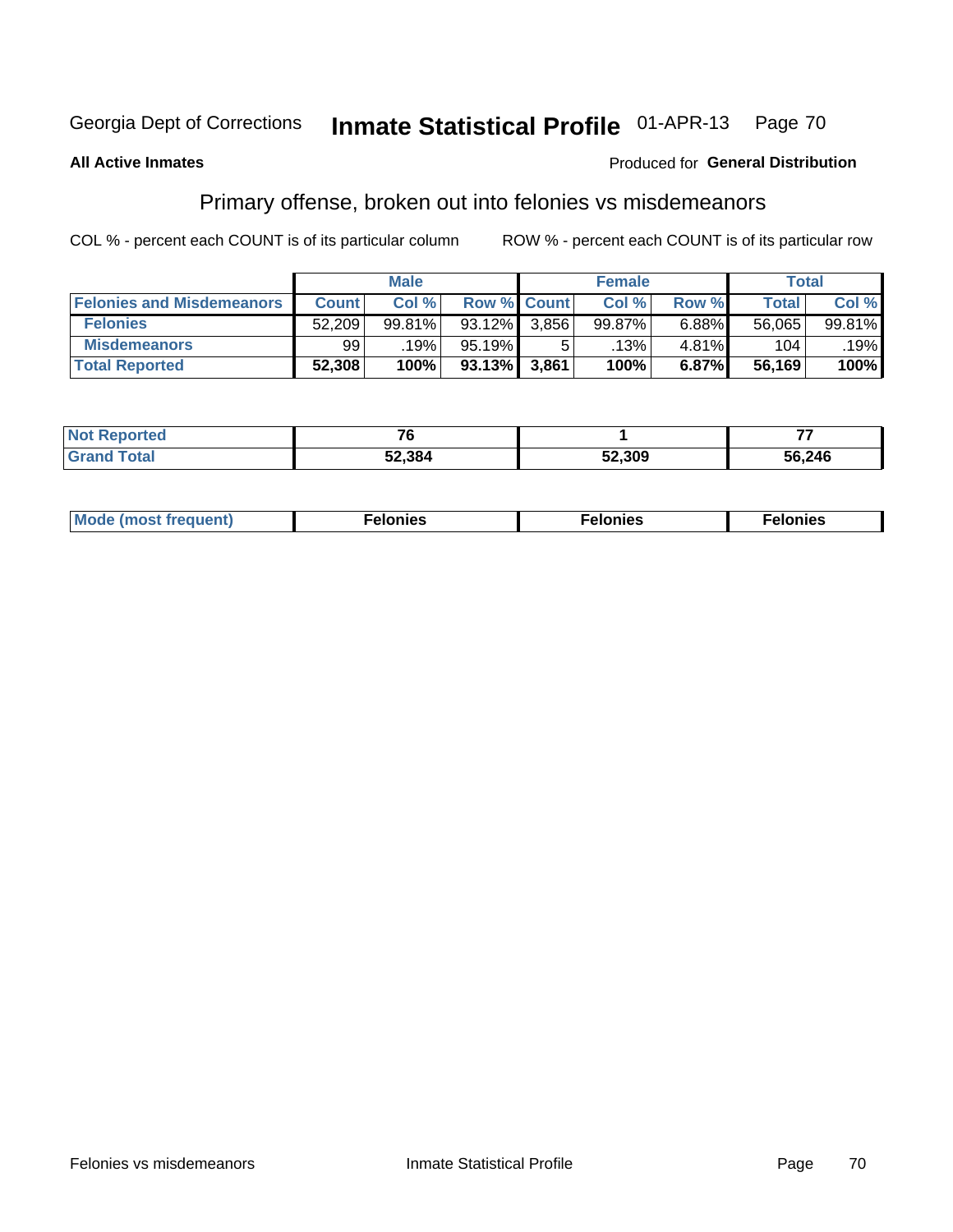#### Inmate Statistical Profile 01-APR-13 Page 70

#### **All Active Inmates**

#### Produced for General Distribution

## Primary offense, broken out into felonies vs misdemeanors

COL % - percent each COUNT is of its particular column

|                                  | <b>Male</b>  |        |           | <b>Female</b>      |        |          | Total        |        |
|----------------------------------|--------------|--------|-----------|--------------------|--------|----------|--------------|--------|
| <b>Felonies and Misdemeanors</b> | <b>Count</b> | Col%   |           | <b>Row % Count</b> | Col%   | Row %    | <b>Total</b> | Col %  |
| <b>Felonies</b>                  | 52,209       | 99.81% | 93.12%    | 3.856              | 99.87% | $6.88\%$ | 56,065       | 99.81% |
| <b>Misdemeanors</b>              | 99           | .19%   | $95.19\%$ |                    | .13%'  | 4.81%    | 104          | .19%   |
| <b>Total Reported</b>            | 52,308       | 100%   | $93.13\%$ | 3,861              | 100%   | 6.87%    | 56,169       | 100%   |

| <b>Not</b><br>- -<br>rted. |        |        |        |  |  |
|----------------------------|--------|--------|--------|--|--|
| <b>Grand</b><br>⊺otal      | 52.384 | 52,309 | 56,246 |  |  |

| Mo | ____ | 11 C.S<br>. | onies<br>. |
|----|------|-------------|------------|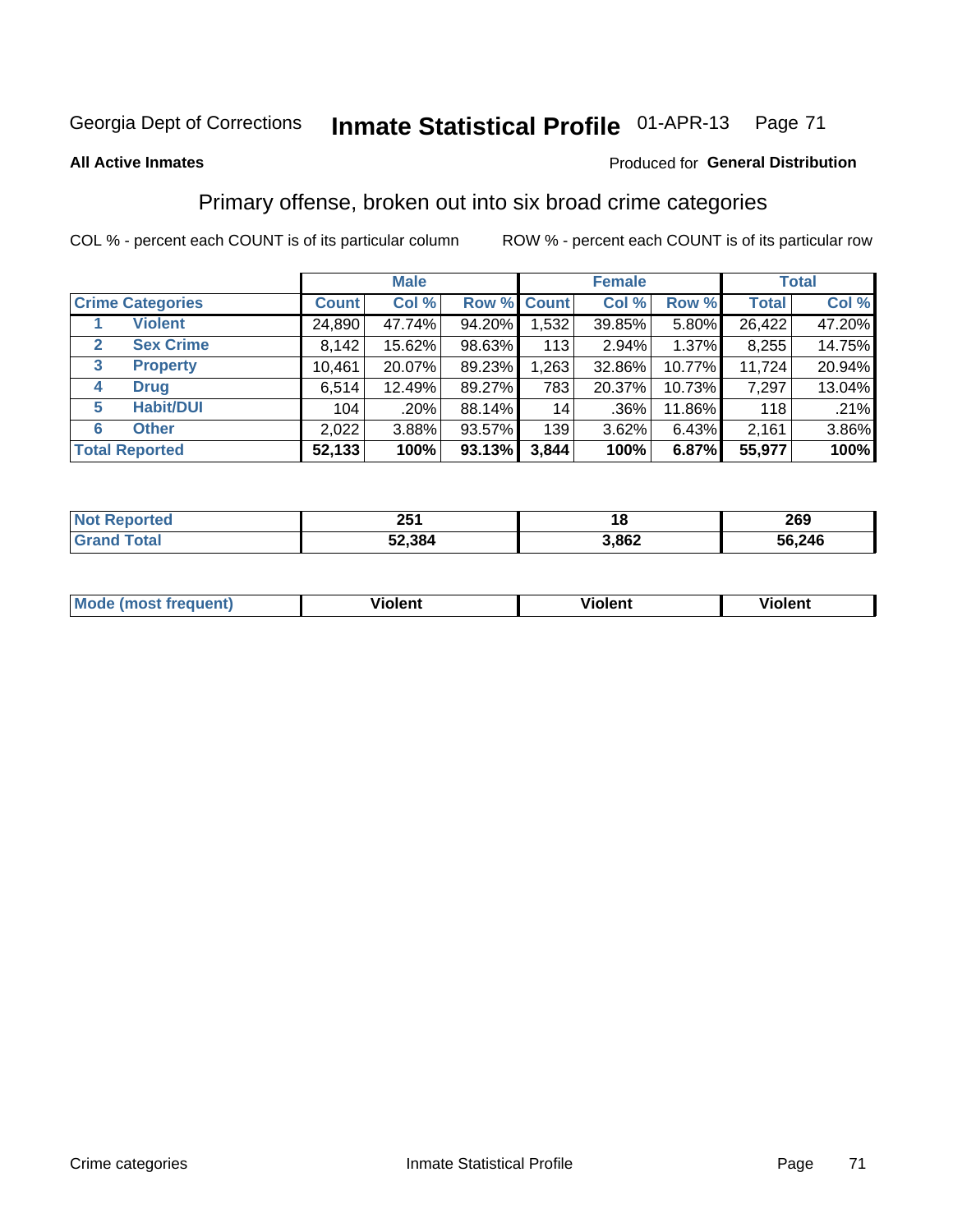# Georgia Dept of Corrections **Inmate Statistical Profile** 01-APR-13 Page 71

#### **All Active Inmates**

#### Produced for **General Distribution**

## Primary offense, broken out into six broad crime categories

COL % - percent each COUNT is of its particular column ROW % - percent each COUNT is of its particular row

|                                  |              | <b>Male</b> |        |             | <b>Female</b> |          |              | <b>Total</b> |  |
|----------------------------------|--------------|-------------|--------|-------------|---------------|----------|--------------|--------------|--|
| <b>Crime Categories</b>          | <b>Count</b> | Col %       |        | Row % Count | Col %         | Row %    | <b>Total</b> | Col %        |  |
| <b>Violent</b>                   | 24,890       | 47.74%      | 94.20% | 1,532       | 39.85%        | 5.80%    | 26,422       | 47.20%       |  |
| <b>Sex Crime</b><br>$\mathbf{2}$ | 8,142        | 15.62%      | 98.63% | 113         | 2.94%         | $1.37\%$ | 8,255        | 14.75%       |  |
| 3<br><b>Property</b>             | 10,461       | 20.07%      | 89.23% | 1,263       | 32.86%        | 10.77%   | 11,724       | 20.94%       |  |
| <b>Drug</b><br>4                 | 6,514        | 12.49%      | 89.27% | 783         | 20.37%        | 10.73%   | 7,297        | 13.04%       |  |
| <b>Habit/DUI</b><br>5            | 104          | .20%        | 88.14% | 14          | $.36\%$       | 11.86%   | 118          | .21%         |  |
| <b>Other</b><br>6                | 2,022        | 3.88%       | 93.57% | 139         | 3.62%         | 6.43%    | 2,161        | 3.86%        |  |
| <b>Total Reported</b>            | 52,133       | 100%        | 93.13% | 3,844       | 100%          | 6.87%    | 55,977       | 100%         |  |

| <b>Reported</b><br><b>NO</b> t | つにく<br>ZJ I | ıa    | 269    |
|--------------------------------|-------------|-------|--------|
| `otal                          | 52,384      | 3,862 | 56,246 |

| Mo<br>uent)<br>nos | .<br>/iolent | <br>Violent | - --<br><b>Tiolent</b> |
|--------------------|--------------|-------------|------------------------|
|                    |              |             |                        |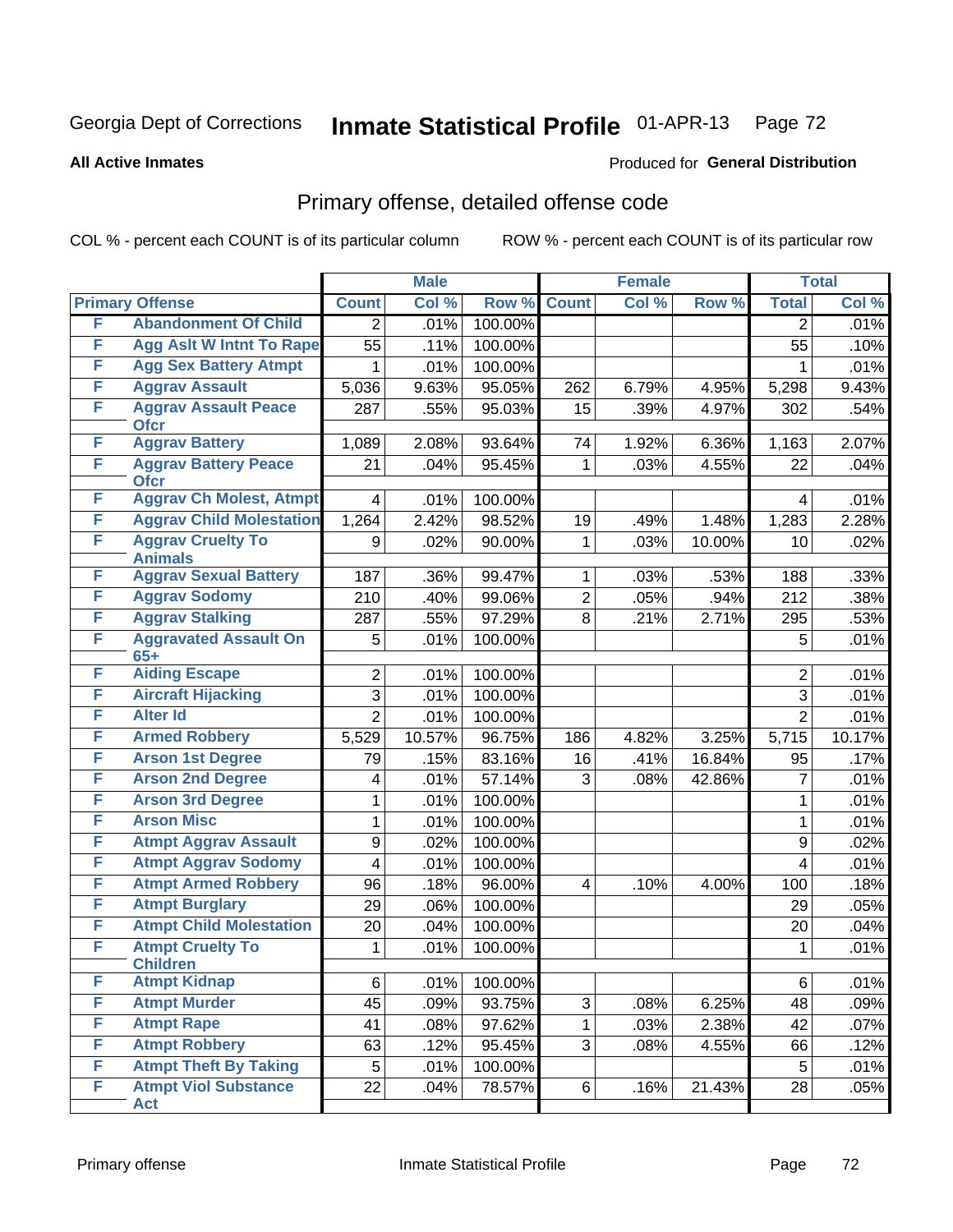# Georgia Dept of Corrections **Inmate Statistical Profile** 01-APR-13 Page 72

**All Active Inmates**

### Produced for **General Distribution**

# Primary offense, detailed offense code

COL % - percent each COUNT is of its particular column ROW % - percent each COUNT is of its particular row

|                 | <b>Male</b>                                                                                                                                                                                           |                                                |                  | <b>Female</b>                                                       |               |                  | <b>Total</b>                                         |
|-----------------|-------------------------------------------------------------------------------------------------------------------------------------------------------------------------------------------------------|------------------------------------------------|------------------|---------------------------------------------------------------------|---------------|------------------|------------------------------------------------------|
| <b>Count</b>    | Col %                                                                                                                                                                                                 |                                                | <b>Count</b>     | Col %                                                               | Row %         | <b>Total</b>     | Col %                                                |
| $\overline{2}$  | .01%                                                                                                                                                                                                  | 100.00%                                        |                  |                                                                     |               | $\overline{2}$   | .01%                                                 |
| $\overline{55}$ | .11%                                                                                                                                                                                                  | 100.00%                                        |                  |                                                                     |               | 55               | .10%                                                 |
| 1               | .01%                                                                                                                                                                                                  | 100.00%                                        |                  |                                                                     |               | 1                | .01%                                                 |
| 5,036           | 9.63%                                                                                                                                                                                                 | 95.05%                                         | 262              | 6.79%                                                               | 4.95%         | 5,298            | 9.43%                                                |
| 287             | .55%                                                                                                                                                                                                  | 95.03%                                         | 15               | .39%                                                                | 4.97%         | 302              | .54%                                                 |
| 1,089           | 2.08%                                                                                                                                                                                                 | 93.64%                                         | 74               | 1.92%                                                               | 6.36%         | 1,163            | 2.07%                                                |
| 21              | .04%                                                                                                                                                                                                  | 95.45%                                         | $\mathbf{1}$     | .03%                                                                | 4.55%         | 22               | .04%                                                 |
| 4               | .01%                                                                                                                                                                                                  | 100.00%                                        |                  |                                                                     |               | 4                | .01%                                                 |
| 1,264           | 2.42%                                                                                                                                                                                                 | 98.52%                                         | 19               | .49%                                                                | 1.48%         | 1,283            | 2.28%                                                |
| 9               | .02%                                                                                                                                                                                                  | 90.00%                                         | $\mathbf{1}$     | .03%                                                                | 10.00%        | 10               | .02%                                                 |
| 187             | .36%                                                                                                                                                                                                  | 99.47%                                         | $\mathbf 1$      | .03%                                                                | .53%          | 188              | .33%                                                 |
| 210             | .40%                                                                                                                                                                                                  | 99.06%                                         | $\overline{2}$   | .05%                                                                | .94%          | $\overline{212}$ | .38%                                                 |
| 287             | .55%                                                                                                                                                                                                  | 97.29%                                         | 8                | .21%                                                                | 2.71%         | 295              | .53%                                                 |
| 5               | .01%                                                                                                                                                                                                  | 100.00%                                        |                  |                                                                     |               | 5                | .01%                                                 |
|                 |                                                                                                                                                                                                       |                                                |                  |                                                                     |               |                  |                                                      |
|                 |                                                                                                                                                                                                       |                                                |                  |                                                                     |               |                  | .01%                                                 |
|                 |                                                                                                                                                                                                       |                                                |                  |                                                                     |               |                  | .01%                                                 |
|                 |                                                                                                                                                                                                       |                                                |                  |                                                                     |               |                  | .01%                                                 |
|                 |                                                                                                                                                                                                       |                                                |                  |                                                                     |               |                  | 10.17%                                               |
| 79              |                                                                                                                                                                                                       |                                                |                  |                                                                     | 16.84%        |                  | .17%                                                 |
| 4               | .01%                                                                                                                                                                                                  | 57.14%                                         |                  | .08%                                                                | 42.86%        | $\overline{7}$   | .01%                                                 |
| 1               |                                                                                                                                                                                                       |                                                |                  |                                                                     |               | 1                | .01%                                                 |
| 1               | .01%                                                                                                                                                                                                  | 100.00%                                        |                  |                                                                     |               | 1                | .01%                                                 |
| 9               | .02%                                                                                                                                                                                                  | 100.00%                                        |                  |                                                                     |               | 9                | .02%                                                 |
| $\overline{4}$  | .01%                                                                                                                                                                                                  | 100.00%                                        |                  |                                                                     |               | $\overline{4}$   | .01%                                                 |
| 96              | .18%                                                                                                                                                                                                  | 96.00%                                         | $\overline{4}$   | .10%                                                                | 4.00%         | 100              | .18%                                                 |
| 29              | .06%                                                                                                                                                                                                  | 100.00%                                        |                  |                                                                     |               | 29               | .05%                                                 |
| 20              | .04%                                                                                                                                                                                                  | 100.00%                                        |                  |                                                                     |               | 20               | .04%                                                 |
| 1               | .01%                                                                                                                                                                                                  | 100.00%                                        |                  |                                                                     |               | 1                | .01%                                                 |
| 6               | .01%                                                                                                                                                                                                  | 100.00%                                        |                  |                                                                     |               | 6                | .01%                                                 |
| 45              | .09%                                                                                                                                                                                                  | 93.75%                                         | 3                | .08%                                                                | 6.25%         | 48               | .09%                                                 |
| 41              | .08%                                                                                                                                                                                                  | 97.62%                                         | $\mathbf{1}$     | .03%                                                                | 2.38%         | 42               | .07%                                                 |
| 63              | .12%                                                                                                                                                                                                  | 95.45%                                         | 3                | .08%                                                                | 4.55%         | 66               | .12%                                                 |
|                 |                                                                                                                                                                                                       |                                                |                  |                                                                     |               |                  |                                                      |
| 5               | .01%                                                                                                                                                                                                  | 100.00%                                        |                  |                                                                     |               | 5                | .01%                                                 |
|                 | <b>Agg Aslt W Intnt To Rape</b><br><b>Aggrav Ch Molest, Atmpt</b><br><b>Aggrav Child Molestation</b><br>$\overline{2}$<br>$\overline{3}$<br>$\overline{2}$<br>5,529<br><b>Atmpt Child Molestation</b> | .01%<br>.01%<br>.01%<br>10.57%<br>.15%<br>.01% | 96.75%<br>83.16% | Row %<br>100.00%<br>100.00%<br>100.00%<br>186<br>16<br>3<br>100.00% | 4.82%<br>.41% | 3.25%            | $\overline{2}$<br>3<br>$\overline{2}$<br>5,715<br>95 |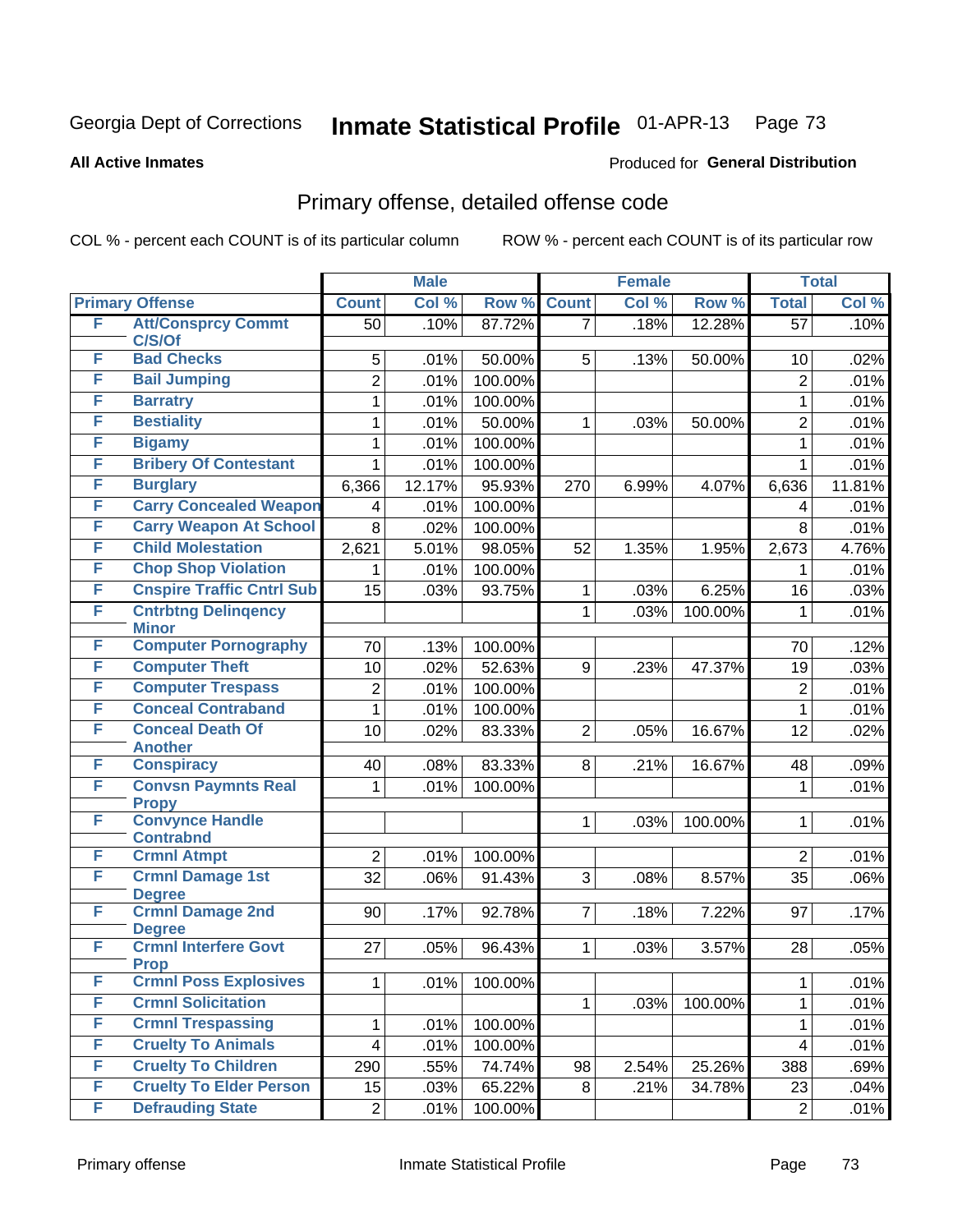Produced for **General Distribution**

#### **All Active Inmates**

### Primary offense, detailed offense code

| <b>Primary Offense</b><br>Col %<br>Row %<br><b>Count</b><br>Col %<br>Row %<br><b>Total</b><br>Col %<br><b>Count</b><br><b>Att/Consprcy Commt</b><br>F<br>.10%<br>.10%<br>87.72%<br>.18%<br>12.28%<br>$\overline{57}$<br>50<br>7<br>C/S/Of<br><b>Bad Checks</b><br>F<br>5<br>.01%<br>50.00%<br>5<br>50.00%<br>.02%<br>.13%<br>10<br>F<br><b>Bail Jumping</b><br>$\overline{2}$<br>.01%<br>100.00%<br>$\overline{2}$<br>.01%<br>F<br><b>Barratry</b><br>.01%<br>100.00%<br>.01%<br>1<br>1<br><b>Bestiality</b><br>F<br>50.00%<br>$\overline{2}$<br>1<br>.01%<br>50.00%<br>.01%<br>.03%<br>1<br>F<br><b>Bigamy</b><br>100.00%<br>1<br>.01%<br>$\mathbf{1}$<br>.01%<br><b>Bribery Of Contestant</b><br>F<br>1<br>.01%<br>100.00%<br>.01%<br>$\mathbf{1}$<br>F<br><b>Burglary</b><br>12.17%<br>95.93%<br>11.81%<br>6,366<br>6.99%<br>6,636<br>270<br>4.07%<br><b>Carry Concealed Weapon</b><br>F<br>100.00%<br>.01%<br>.01%<br>4<br>4<br><b>Carry Weapon At School</b><br>F<br>8<br>.02%<br>100.00%<br>8<br>.01%<br><b>Child Molestation</b><br>F<br>98.05%<br>1.35%<br>2,673<br>4.76%<br>2,621<br>5.01%<br>52<br>1.95%<br><b>Chop Shop Violation</b><br>F<br>100.00%<br>.01%<br>.01%<br>1<br>1<br><b>Cnspire Traffic Cntrl Sub</b><br>F<br>93.75%<br>15<br>6.25%<br>16<br>.03%<br>.03%<br>.03%<br>1<br><b>Cntrbtng Delingency</b><br>F<br>$\mathbf{1}$<br>.03%<br>100.00%<br>.01%<br>1<br><b>Minor</b><br><b>Computer Pornography</b><br>F<br>.12%<br>70<br>100.00%<br>70<br>.13%<br>F<br><b>Computer Theft</b><br>10<br>52.63%<br>9<br>.23%<br>47.37%<br>.03%<br>.02%<br>19<br><b>Computer Trespass</b><br>F<br>$\overline{c}$<br>100.00%<br>$\overline{c}$<br>.01%<br>.01%<br><b>Conceal Contraband</b><br>F<br>1<br>.01%<br>100.00%<br>$\mathbf{1}$<br>.01%<br>F<br><b>Conceal Death Of</b><br>83.33%<br>10<br>2<br>16.67%<br>12<br>.02%<br>.02%<br>.05%<br><b>Another</b><br>F<br><b>Conspiracy</b><br>83.33%<br>.09%<br>40<br>.08%<br>8<br>.21%<br>16.67%<br>48<br><b>Convsn Paymnts Real</b><br>F<br>100.00%<br>1<br>.01%<br>.01%<br>1<br><b>Propy</b><br><b>Convynce Handle</b><br>F<br>.01%<br>$\mathbf{1}$<br>.03%<br>100.00%<br>$\mathbf{1}$<br><b>Contrabnd</b><br><b>Crmnl Atmpt</b><br>F<br>$\overline{2}$<br>.01%<br>100.00%<br>$\overline{2}$<br>.01%<br><b>Crmnl Damage 1st</b><br>F<br>32<br>3<br>.06%<br>91.43%<br>.08%<br>8.57%<br>35<br>.06%<br><b>Degree</b><br><b>Crmnl Damage 2nd</b><br>F<br>7<br>.17%<br>90<br>.17%<br>92.78%<br>.18%<br>7.22%<br>97<br><b>Degree</b><br><b>Crmnl Interfere Govt</b><br>F<br>27<br>.05%<br>96.43%<br>$\mathbf{1}$<br>3.57%<br>.05%<br>.03%<br>28<br><b>Prop</b><br><b>Crmnl Poss Explosives</b><br>F<br>1<br>100.00%<br>.01%<br>.01%<br>1<br><b>Crmnl Solicitation</b><br>F<br>.01%<br>.03%<br>100.00%<br>1<br>1<br>F<br><b>Crmnl Trespassing</b><br>1<br>100.00%<br>.01%<br>.01%<br>1<br><b>Cruelty To Animals</b><br>F<br>$\overline{\mathbf{4}}$<br>.01%<br>100.00%<br>4<br>.01%<br><b>Cruelty To Children</b><br>F<br>290<br>74.74%<br>388<br>.55%<br>98<br>2.54%<br>25.26%<br>.69%<br>F<br><b>Cruelty To Elder Person</b><br>15<br>.03%<br>65.22%<br>8<br>.21%<br>34.78%<br>23<br>.04%<br><b>Defrauding State</b><br>F<br>.01%<br>$\overline{2}$<br>.01%<br>100.00%<br>$\overline{2}$ |  | <b>Male</b> |  | <b>Female</b> |  |  | <b>Total</b> |  |
|-------------------------------------------------------------------------------------------------------------------------------------------------------------------------------------------------------------------------------------------------------------------------------------------------------------------------------------------------------------------------------------------------------------------------------------------------------------------------------------------------------------------------------------------------------------------------------------------------------------------------------------------------------------------------------------------------------------------------------------------------------------------------------------------------------------------------------------------------------------------------------------------------------------------------------------------------------------------------------------------------------------------------------------------------------------------------------------------------------------------------------------------------------------------------------------------------------------------------------------------------------------------------------------------------------------------------------------------------------------------------------------------------------------------------------------------------------------------------------------------------------------------------------------------------------------------------------------------------------------------------------------------------------------------------------------------------------------------------------------------------------------------------------------------------------------------------------------------------------------------------------------------------------------------------------------------------------------------------------------------------------------------------------------------------------------------------------------------------------------------------------------------------------------------------------------------------------------------------------------------------------------------------------------------------------------------------------------------------------------------------------------------------------------------------------------------------------------------------------------------------------------------------------------------------------------------------------------------------------------------------------------------------------------------------------------------------------------------------------------------------------------------------------------------------------------------------------------------------------------------------------------------------------------------------------------------------------------------------------------------------------------------------------------------------------------------------------------------------------------------------------------------------------------------------------------------------------------------------------------------------|--|-------------|--|---------------|--|--|--------------|--|
|                                                                                                                                                                                                                                                                                                                                                                                                                                                                                                                                                                                                                                                                                                                                                                                                                                                                                                                                                                                                                                                                                                                                                                                                                                                                                                                                                                                                                                                                                                                                                                                                                                                                                                                                                                                                                                                                                                                                                                                                                                                                                                                                                                                                                                                                                                                                                                                                                                                                                                                                                                                                                                                                                                                                                                                                                                                                                                                                                                                                                                                                                                                                                                                                                                                 |  |             |  |               |  |  |              |  |
|                                                                                                                                                                                                                                                                                                                                                                                                                                                                                                                                                                                                                                                                                                                                                                                                                                                                                                                                                                                                                                                                                                                                                                                                                                                                                                                                                                                                                                                                                                                                                                                                                                                                                                                                                                                                                                                                                                                                                                                                                                                                                                                                                                                                                                                                                                                                                                                                                                                                                                                                                                                                                                                                                                                                                                                                                                                                                                                                                                                                                                                                                                                                                                                                                                                 |  |             |  |               |  |  |              |  |
|                                                                                                                                                                                                                                                                                                                                                                                                                                                                                                                                                                                                                                                                                                                                                                                                                                                                                                                                                                                                                                                                                                                                                                                                                                                                                                                                                                                                                                                                                                                                                                                                                                                                                                                                                                                                                                                                                                                                                                                                                                                                                                                                                                                                                                                                                                                                                                                                                                                                                                                                                                                                                                                                                                                                                                                                                                                                                                                                                                                                                                                                                                                                                                                                                                                 |  |             |  |               |  |  |              |  |
|                                                                                                                                                                                                                                                                                                                                                                                                                                                                                                                                                                                                                                                                                                                                                                                                                                                                                                                                                                                                                                                                                                                                                                                                                                                                                                                                                                                                                                                                                                                                                                                                                                                                                                                                                                                                                                                                                                                                                                                                                                                                                                                                                                                                                                                                                                                                                                                                                                                                                                                                                                                                                                                                                                                                                                                                                                                                                                                                                                                                                                                                                                                                                                                                                                                 |  |             |  |               |  |  |              |  |
|                                                                                                                                                                                                                                                                                                                                                                                                                                                                                                                                                                                                                                                                                                                                                                                                                                                                                                                                                                                                                                                                                                                                                                                                                                                                                                                                                                                                                                                                                                                                                                                                                                                                                                                                                                                                                                                                                                                                                                                                                                                                                                                                                                                                                                                                                                                                                                                                                                                                                                                                                                                                                                                                                                                                                                                                                                                                                                                                                                                                                                                                                                                                                                                                                                                 |  |             |  |               |  |  |              |  |
|                                                                                                                                                                                                                                                                                                                                                                                                                                                                                                                                                                                                                                                                                                                                                                                                                                                                                                                                                                                                                                                                                                                                                                                                                                                                                                                                                                                                                                                                                                                                                                                                                                                                                                                                                                                                                                                                                                                                                                                                                                                                                                                                                                                                                                                                                                                                                                                                                                                                                                                                                                                                                                                                                                                                                                                                                                                                                                                                                                                                                                                                                                                                                                                                                                                 |  |             |  |               |  |  |              |  |
|                                                                                                                                                                                                                                                                                                                                                                                                                                                                                                                                                                                                                                                                                                                                                                                                                                                                                                                                                                                                                                                                                                                                                                                                                                                                                                                                                                                                                                                                                                                                                                                                                                                                                                                                                                                                                                                                                                                                                                                                                                                                                                                                                                                                                                                                                                                                                                                                                                                                                                                                                                                                                                                                                                                                                                                                                                                                                                                                                                                                                                                                                                                                                                                                                                                 |  |             |  |               |  |  |              |  |
|                                                                                                                                                                                                                                                                                                                                                                                                                                                                                                                                                                                                                                                                                                                                                                                                                                                                                                                                                                                                                                                                                                                                                                                                                                                                                                                                                                                                                                                                                                                                                                                                                                                                                                                                                                                                                                                                                                                                                                                                                                                                                                                                                                                                                                                                                                                                                                                                                                                                                                                                                                                                                                                                                                                                                                                                                                                                                                                                                                                                                                                                                                                                                                                                                                                 |  |             |  |               |  |  |              |  |
|                                                                                                                                                                                                                                                                                                                                                                                                                                                                                                                                                                                                                                                                                                                                                                                                                                                                                                                                                                                                                                                                                                                                                                                                                                                                                                                                                                                                                                                                                                                                                                                                                                                                                                                                                                                                                                                                                                                                                                                                                                                                                                                                                                                                                                                                                                                                                                                                                                                                                                                                                                                                                                                                                                                                                                                                                                                                                                                                                                                                                                                                                                                                                                                                                                                 |  |             |  |               |  |  |              |  |
|                                                                                                                                                                                                                                                                                                                                                                                                                                                                                                                                                                                                                                                                                                                                                                                                                                                                                                                                                                                                                                                                                                                                                                                                                                                                                                                                                                                                                                                                                                                                                                                                                                                                                                                                                                                                                                                                                                                                                                                                                                                                                                                                                                                                                                                                                                                                                                                                                                                                                                                                                                                                                                                                                                                                                                                                                                                                                                                                                                                                                                                                                                                                                                                                                                                 |  |             |  |               |  |  |              |  |
|                                                                                                                                                                                                                                                                                                                                                                                                                                                                                                                                                                                                                                                                                                                                                                                                                                                                                                                                                                                                                                                                                                                                                                                                                                                                                                                                                                                                                                                                                                                                                                                                                                                                                                                                                                                                                                                                                                                                                                                                                                                                                                                                                                                                                                                                                                                                                                                                                                                                                                                                                                                                                                                                                                                                                                                                                                                                                                                                                                                                                                                                                                                                                                                                                                                 |  |             |  |               |  |  |              |  |
|                                                                                                                                                                                                                                                                                                                                                                                                                                                                                                                                                                                                                                                                                                                                                                                                                                                                                                                                                                                                                                                                                                                                                                                                                                                                                                                                                                                                                                                                                                                                                                                                                                                                                                                                                                                                                                                                                                                                                                                                                                                                                                                                                                                                                                                                                                                                                                                                                                                                                                                                                                                                                                                                                                                                                                                                                                                                                                                                                                                                                                                                                                                                                                                                                                                 |  |             |  |               |  |  |              |  |
|                                                                                                                                                                                                                                                                                                                                                                                                                                                                                                                                                                                                                                                                                                                                                                                                                                                                                                                                                                                                                                                                                                                                                                                                                                                                                                                                                                                                                                                                                                                                                                                                                                                                                                                                                                                                                                                                                                                                                                                                                                                                                                                                                                                                                                                                                                                                                                                                                                                                                                                                                                                                                                                                                                                                                                                                                                                                                                                                                                                                                                                                                                                                                                                                                                                 |  |             |  |               |  |  |              |  |
|                                                                                                                                                                                                                                                                                                                                                                                                                                                                                                                                                                                                                                                                                                                                                                                                                                                                                                                                                                                                                                                                                                                                                                                                                                                                                                                                                                                                                                                                                                                                                                                                                                                                                                                                                                                                                                                                                                                                                                                                                                                                                                                                                                                                                                                                                                                                                                                                                                                                                                                                                                                                                                                                                                                                                                                                                                                                                                                                                                                                                                                                                                                                                                                                                                                 |  |             |  |               |  |  |              |  |
|                                                                                                                                                                                                                                                                                                                                                                                                                                                                                                                                                                                                                                                                                                                                                                                                                                                                                                                                                                                                                                                                                                                                                                                                                                                                                                                                                                                                                                                                                                                                                                                                                                                                                                                                                                                                                                                                                                                                                                                                                                                                                                                                                                                                                                                                                                                                                                                                                                                                                                                                                                                                                                                                                                                                                                                                                                                                                                                                                                                                                                                                                                                                                                                                                                                 |  |             |  |               |  |  |              |  |
|                                                                                                                                                                                                                                                                                                                                                                                                                                                                                                                                                                                                                                                                                                                                                                                                                                                                                                                                                                                                                                                                                                                                                                                                                                                                                                                                                                                                                                                                                                                                                                                                                                                                                                                                                                                                                                                                                                                                                                                                                                                                                                                                                                                                                                                                                                                                                                                                                                                                                                                                                                                                                                                                                                                                                                                                                                                                                                                                                                                                                                                                                                                                                                                                                                                 |  |             |  |               |  |  |              |  |
|                                                                                                                                                                                                                                                                                                                                                                                                                                                                                                                                                                                                                                                                                                                                                                                                                                                                                                                                                                                                                                                                                                                                                                                                                                                                                                                                                                                                                                                                                                                                                                                                                                                                                                                                                                                                                                                                                                                                                                                                                                                                                                                                                                                                                                                                                                                                                                                                                                                                                                                                                                                                                                                                                                                                                                                                                                                                                                                                                                                                                                                                                                                                                                                                                                                 |  |             |  |               |  |  |              |  |
|                                                                                                                                                                                                                                                                                                                                                                                                                                                                                                                                                                                                                                                                                                                                                                                                                                                                                                                                                                                                                                                                                                                                                                                                                                                                                                                                                                                                                                                                                                                                                                                                                                                                                                                                                                                                                                                                                                                                                                                                                                                                                                                                                                                                                                                                                                                                                                                                                                                                                                                                                                                                                                                                                                                                                                                                                                                                                                                                                                                                                                                                                                                                                                                                                                                 |  |             |  |               |  |  |              |  |
|                                                                                                                                                                                                                                                                                                                                                                                                                                                                                                                                                                                                                                                                                                                                                                                                                                                                                                                                                                                                                                                                                                                                                                                                                                                                                                                                                                                                                                                                                                                                                                                                                                                                                                                                                                                                                                                                                                                                                                                                                                                                                                                                                                                                                                                                                                                                                                                                                                                                                                                                                                                                                                                                                                                                                                                                                                                                                                                                                                                                                                                                                                                                                                                                                                                 |  |             |  |               |  |  |              |  |
|                                                                                                                                                                                                                                                                                                                                                                                                                                                                                                                                                                                                                                                                                                                                                                                                                                                                                                                                                                                                                                                                                                                                                                                                                                                                                                                                                                                                                                                                                                                                                                                                                                                                                                                                                                                                                                                                                                                                                                                                                                                                                                                                                                                                                                                                                                                                                                                                                                                                                                                                                                                                                                                                                                                                                                                                                                                                                                                                                                                                                                                                                                                                                                                                                                                 |  |             |  |               |  |  |              |  |
|                                                                                                                                                                                                                                                                                                                                                                                                                                                                                                                                                                                                                                                                                                                                                                                                                                                                                                                                                                                                                                                                                                                                                                                                                                                                                                                                                                                                                                                                                                                                                                                                                                                                                                                                                                                                                                                                                                                                                                                                                                                                                                                                                                                                                                                                                                                                                                                                                                                                                                                                                                                                                                                                                                                                                                                                                                                                                                                                                                                                                                                                                                                                                                                                                                                 |  |             |  |               |  |  |              |  |
|                                                                                                                                                                                                                                                                                                                                                                                                                                                                                                                                                                                                                                                                                                                                                                                                                                                                                                                                                                                                                                                                                                                                                                                                                                                                                                                                                                                                                                                                                                                                                                                                                                                                                                                                                                                                                                                                                                                                                                                                                                                                                                                                                                                                                                                                                                                                                                                                                                                                                                                                                                                                                                                                                                                                                                                                                                                                                                                                                                                                                                                                                                                                                                                                                                                 |  |             |  |               |  |  |              |  |
|                                                                                                                                                                                                                                                                                                                                                                                                                                                                                                                                                                                                                                                                                                                                                                                                                                                                                                                                                                                                                                                                                                                                                                                                                                                                                                                                                                                                                                                                                                                                                                                                                                                                                                                                                                                                                                                                                                                                                                                                                                                                                                                                                                                                                                                                                                                                                                                                                                                                                                                                                                                                                                                                                                                                                                                                                                                                                                                                                                                                                                                                                                                                                                                                                                                 |  |             |  |               |  |  |              |  |
|                                                                                                                                                                                                                                                                                                                                                                                                                                                                                                                                                                                                                                                                                                                                                                                                                                                                                                                                                                                                                                                                                                                                                                                                                                                                                                                                                                                                                                                                                                                                                                                                                                                                                                                                                                                                                                                                                                                                                                                                                                                                                                                                                                                                                                                                                                                                                                                                                                                                                                                                                                                                                                                                                                                                                                                                                                                                                                                                                                                                                                                                                                                                                                                                                                                 |  |             |  |               |  |  |              |  |
|                                                                                                                                                                                                                                                                                                                                                                                                                                                                                                                                                                                                                                                                                                                                                                                                                                                                                                                                                                                                                                                                                                                                                                                                                                                                                                                                                                                                                                                                                                                                                                                                                                                                                                                                                                                                                                                                                                                                                                                                                                                                                                                                                                                                                                                                                                                                                                                                                                                                                                                                                                                                                                                                                                                                                                                                                                                                                                                                                                                                                                                                                                                                                                                                                                                 |  |             |  |               |  |  |              |  |
|                                                                                                                                                                                                                                                                                                                                                                                                                                                                                                                                                                                                                                                                                                                                                                                                                                                                                                                                                                                                                                                                                                                                                                                                                                                                                                                                                                                                                                                                                                                                                                                                                                                                                                                                                                                                                                                                                                                                                                                                                                                                                                                                                                                                                                                                                                                                                                                                                                                                                                                                                                                                                                                                                                                                                                                                                                                                                                                                                                                                                                                                                                                                                                                                                                                 |  |             |  |               |  |  |              |  |
|                                                                                                                                                                                                                                                                                                                                                                                                                                                                                                                                                                                                                                                                                                                                                                                                                                                                                                                                                                                                                                                                                                                                                                                                                                                                                                                                                                                                                                                                                                                                                                                                                                                                                                                                                                                                                                                                                                                                                                                                                                                                                                                                                                                                                                                                                                                                                                                                                                                                                                                                                                                                                                                                                                                                                                                                                                                                                                                                                                                                                                                                                                                                                                                                                                                 |  |             |  |               |  |  |              |  |
|                                                                                                                                                                                                                                                                                                                                                                                                                                                                                                                                                                                                                                                                                                                                                                                                                                                                                                                                                                                                                                                                                                                                                                                                                                                                                                                                                                                                                                                                                                                                                                                                                                                                                                                                                                                                                                                                                                                                                                                                                                                                                                                                                                                                                                                                                                                                                                                                                                                                                                                                                                                                                                                                                                                                                                                                                                                                                                                                                                                                                                                                                                                                                                                                                                                 |  |             |  |               |  |  |              |  |
|                                                                                                                                                                                                                                                                                                                                                                                                                                                                                                                                                                                                                                                                                                                                                                                                                                                                                                                                                                                                                                                                                                                                                                                                                                                                                                                                                                                                                                                                                                                                                                                                                                                                                                                                                                                                                                                                                                                                                                                                                                                                                                                                                                                                                                                                                                                                                                                                                                                                                                                                                                                                                                                                                                                                                                                                                                                                                                                                                                                                                                                                                                                                                                                                                                                 |  |             |  |               |  |  |              |  |
|                                                                                                                                                                                                                                                                                                                                                                                                                                                                                                                                                                                                                                                                                                                                                                                                                                                                                                                                                                                                                                                                                                                                                                                                                                                                                                                                                                                                                                                                                                                                                                                                                                                                                                                                                                                                                                                                                                                                                                                                                                                                                                                                                                                                                                                                                                                                                                                                                                                                                                                                                                                                                                                                                                                                                                                                                                                                                                                                                                                                                                                                                                                                                                                                                                                 |  |             |  |               |  |  |              |  |
|                                                                                                                                                                                                                                                                                                                                                                                                                                                                                                                                                                                                                                                                                                                                                                                                                                                                                                                                                                                                                                                                                                                                                                                                                                                                                                                                                                                                                                                                                                                                                                                                                                                                                                                                                                                                                                                                                                                                                                                                                                                                                                                                                                                                                                                                                                                                                                                                                                                                                                                                                                                                                                                                                                                                                                                                                                                                                                                                                                                                                                                                                                                                                                                                                                                 |  |             |  |               |  |  |              |  |
|                                                                                                                                                                                                                                                                                                                                                                                                                                                                                                                                                                                                                                                                                                                                                                                                                                                                                                                                                                                                                                                                                                                                                                                                                                                                                                                                                                                                                                                                                                                                                                                                                                                                                                                                                                                                                                                                                                                                                                                                                                                                                                                                                                                                                                                                                                                                                                                                                                                                                                                                                                                                                                                                                                                                                                                                                                                                                                                                                                                                                                                                                                                                                                                                                                                 |  |             |  |               |  |  |              |  |
|                                                                                                                                                                                                                                                                                                                                                                                                                                                                                                                                                                                                                                                                                                                                                                                                                                                                                                                                                                                                                                                                                                                                                                                                                                                                                                                                                                                                                                                                                                                                                                                                                                                                                                                                                                                                                                                                                                                                                                                                                                                                                                                                                                                                                                                                                                                                                                                                                                                                                                                                                                                                                                                                                                                                                                                                                                                                                                                                                                                                                                                                                                                                                                                                                                                 |  |             |  |               |  |  |              |  |
|                                                                                                                                                                                                                                                                                                                                                                                                                                                                                                                                                                                                                                                                                                                                                                                                                                                                                                                                                                                                                                                                                                                                                                                                                                                                                                                                                                                                                                                                                                                                                                                                                                                                                                                                                                                                                                                                                                                                                                                                                                                                                                                                                                                                                                                                                                                                                                                                                                                                                                                                                                                                                                                                                                                                                                                                                                                                                                                                                                                                                                                                                                                                                                                                                                                 |  |             |  |               |  |  |              |  |
|                                                                                                                                                                                                                                                                                                                                                                                                                                                                                                                                                                                                                                                                                                                                                                                                                                                                                                                                                                                                                                                                                                                                                                                                                                                                                                                                                                                                                                                                                                                                                                                                                                                                                                                                                                                                                                                                                                                                                                                                                                                                                                                                                                                                                                                                                                                                                                                                                                                                                                                                                                                                                                                                                                                                                                                                                                                                                                                                                                                                                                                                                                                                                                                                                                                 |  |             |  |               |  |  |              |  |
|                                                                                                                                                                                                                                                                                                                                                                                                                                                                                                                                                                                                                                                                                                                                                                                                                                                                                                                                                                                                                                                                                                                                                                                                                                                                                                                                                                                                                                                                                                                                                                                                                                                                                                                                                                                                                                                                                                                                                                                                                                                                                                                                                                                                                                                                                                                                                                                                                                                                                                                                                                                                                                                                                                                                                                                                                                                                                                                                                                                                                                                                                                                                                                                                                                                 |  |             |  |               |  |  |              |  |
|                                                                                                                                                                                                                                                                                                                                                                                                                                                                                                                                                                                                                                                                                                                                                                                                                                                                                                                                                                                                                                                                                                                                                                                                                                                                                                                                                                                                                                                                                                                                                                                                                                                                                                                                                                                                                                                                                                                                                                                                                                                                                                                                                                                                                                                                                                                                                                                                                                                                                                                                                                                                                                                                                                                                                                                                                                                                                                                                                                                                                                                                                                                                                                                                                                                 |  |             |  |               |  |  |              |  |
|                                                                                                                                                                                                                                                                                                                                                                                                                                                                                                                                                                                                                                                                                                                                                                                                                                                                                                                                                                                                                                                                                                                                                                                                                                                                                                                                                                                                                                                                                                                                                                                                                                                                                                                                                                                                                                                                                                                                                                                                                                                                                                                                                                                                                                                                                                                                                                                                                                                                                                                                                                                                                                                                                                                                                                                                                                                                                                                                                                                                                                                                                                                                                                                                                                                 |  |             |  |               |  |  |              |  |
|                                                                                                                                                                                                                                                                                                                                                                                                                                                                                                                                                                                                                                                                                                                                                                                                                                                                                                                                                                                                                                                                                                                                                                                                                                                                                                                                                                                                                                                                                                                                                                                                                                                                                                                                                                                                                                                                                                                                                                                                                                                                                                                                                                                                                                                                                                                                                                                                                                                                                                                                                                                                                                                                                                                                                                                                                                                                                                                                                                                                                                                                                                                                                                                                                                                 |  |             |  |               |  |  |              |  |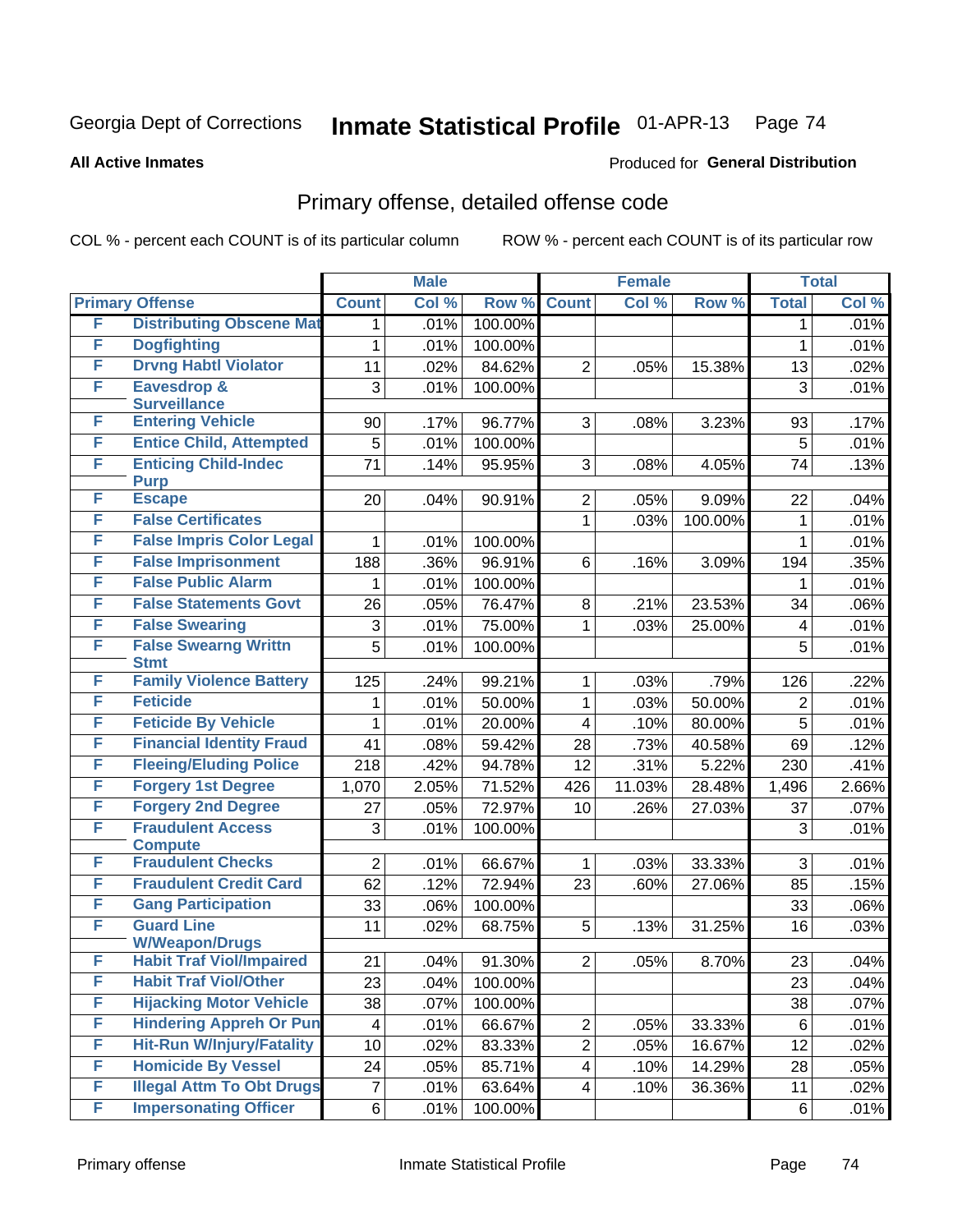**All Active Inmates**

#### Produced for **General Distribution**

### Primary offense, detailed offense code

|   |                                            |                | <b>Male</b> |         | <b>Female</b>           |        |         |                | <b>Total</b> |
|---|--------------------------------------------|----------------|-------------|---------|-------------------------|--------|---------|----------------|--------------|
|   | <b>Primary Offense</b>                     | <b>Count</b>   | Col %       | Row %   | <b>Count</b>            | Col %  | Row %   | <b>Total</b>   | Col %        |
| F | <b>Distributing Obscene Mat</b>            | 1.             | .01%        | 100.00% |                         |        |         | 1              | .01%         |
| F | <b>Dogfighting</b>                         | 1              | .01%        | 100.00% |                         |        |         | 1              | .01%         |
| F | <b>Drvng Habtl Violator</b>                | 11             | .02%        | 84.62%  | $\overline{2}$          | .05%   | 15.38%  | 13             | .02%         |
| F | <b>Eavesdrop &amp;</b>                     | 3              | .01%        | 100.00% |                         |        |         | 3              | .01%         |
|   | <b>Surveillance</b>                        |                |             |         |                         |        |         |                |              |
| F | <b>Entering Vehicle</b>                    | 90             | .17%        | 96.77%  | 3                       | .08%   | 3.23%   | 93             | .17%         |
| F | <b>Entice Child, Attempted</b>             | 5              | .01%        | 100.00% |                         |        |         | 5              | .01%         |
| F | <b>Enticing Child-Indec</b><br><b>Purp</b> | 71             | .14%        | 95.95%  | 3                       | .08%   | 4.05%   | 74             | .13%         |
| F | <b>Escape</b>                              | 20             | .04%        | 90.91%  | $\overline{2}$          | .05%   | 9.09%   | 22             | .04%         |
| F | <b>False Certificates</b>                  |                |             |         | $\mathbf{1}$            | .03%   | 100.00% | 1              | .01%         |
| F | <b>False Impris Color Legal</b>            | 1              | .01%        | 100.00% |                         |        |         | 1              | .01%         |
| F | <b>False Imprisonment</b>                  | 188            | .36%        | 96.91%  | 6                       | .16%   | 3.09%   | 194            | .35%         |
| F | <b>False Public Alarm</b>                  | 1              | .01%        | 100.00% |                         |        |         | 1              | .01%         |
| F | <b>False Statements Govt</b>               | 26             | .05%        | 76.47%  | 8                       | .21%   | 23.53%  | 34             | $.06\%$      |
| F | <b>False Swearing</b>                      |                |             | 75.00%  |                         |        | 25.00%  |                |              |
| F | <b>False Swearng Writtn</b>                | 3              | .01%        |         | 1                       | .03%   |         | 4              | .01%         |
|   | <b>Stmt</b>                                | $\overline{5}$ | .01%        | 100.00% |                         |        |         | 5              | .01%         |
| F | <b>Family Violence Battery</b>             | 125            | .24%        | 99.21%  | $\mathbf 1$             | .03%   | .79%    | 126            | .22%         |
| F | <b>Feticide</b>                            | 1              | .01%        | 50.00%  | 1                       | .03%   | 50.00%  | $\overline{2}$ | .01%         |
| F | <b>Feticide By Vehicle</b>                 | 1              | .01%        | 20.00%  | $\overline{\mathbf{4}}$ | .10%   | 80.00%  | 5              | .01%         |
| F | <b>Financial Identity Fraud</b>            | 41             | .08%        | 59.42%  | 28                      | .73%   | 40.58%  | 69             | .12%         |
| F | <b>Fleeing/Eluding Police</b>              | 218            | .42%        | 94.78%  | 12                      | .31%   | 5.22%   | 230            | .41%         |
| F | <b>Forgery 1st Degree</b>                  | 1,070          | 2.05%       | 71.52%  | 426                     | 11.03% | 28.48%  | 1,496          | 2.66%        |
| F | <b>Forgery 2nd Degree</b>                  | 27             | .05%        | 72.97%  | 10                      | .26%   | 27.03%  | 37             | .07%         |
| F | <b>Fraudulent Access</b>                   | 3              | .01%        | 100.00% |                         |        |         | 3              | .01%         |
|   | <b>Compute</b>                             |                |             |         |                         |        |         |                |              |
| F | <b>Fraudulent Checks</b>                   | $\overline{2}$ | .01%        | 66.67%  | $\mathbf{1}$            | .03%   | 33.33%  | 3              | .01%         |
| F | <b>Fraudulent Credit Card</b>              | 62             | .12%        | 72.94%  | 23                      | .60%   | 27.06%  | 85             | .15%         |
| F | <b>Gang Participation</b>                  | 33             | .06%        | 100.00% |                         |        |         | 33             | $.06\%$      |
| F | <b>Guard Line</b><br><b>W/Weapon/Drugs</b> | 11             | .02%        | 68.75%  | 5                       | .13%   | 31.25%  | 16             | .03%         |
| F | <b>Habit Traf Viol/Impaired</b>            | 21             | .04%        | 91.30%  | 2 <sup>1</sup>          | .05%   | 8.70%   | 23             | .04%         |
| F | <b>Habit Traf Viol/Other</b>               | 23             | .04%        | 100.00% |                         |        |         | 23             | .04%         |
| F | <b>Hijacking Motor Vehicle</b>             | 38             | .07%        | 100.00% |                         |        |         | 38             | .07%         |
| F | <b>Hindering Appreh Or Pun</b>             | 4              | .01%        | 66.67%  | $\overline{2}$          | .05%   | 33.33%  | 6              | .01%         |
| F | <b>Hit-Run W/Injury/Fatality</b>           | 10             | .02%        | 83.33%  | $\overline{2}$          | .05%   | 16.67%  | 12             | .02%         |
| F | <b>Homicide By Vessel</b>                  | 24             | .05%        | 85.71%  | $\overline{4}$          | .10%   | 14.29%  | 28             | .05%         |
| F | <b>Illegal Attm To Obt Drugs</b>           | $\overline{7}$ | .01%        |         | $\overline{4}$          |        | 36.36%  | 11             | .02%         |
| F | <b>Impersonating Officer</b>               |                |             | 63.64%  |                         | .10%   |         |                |              |
|   |                                            | 6              | .01%        | 100.00% |                         |        |         | 6              | .01%         |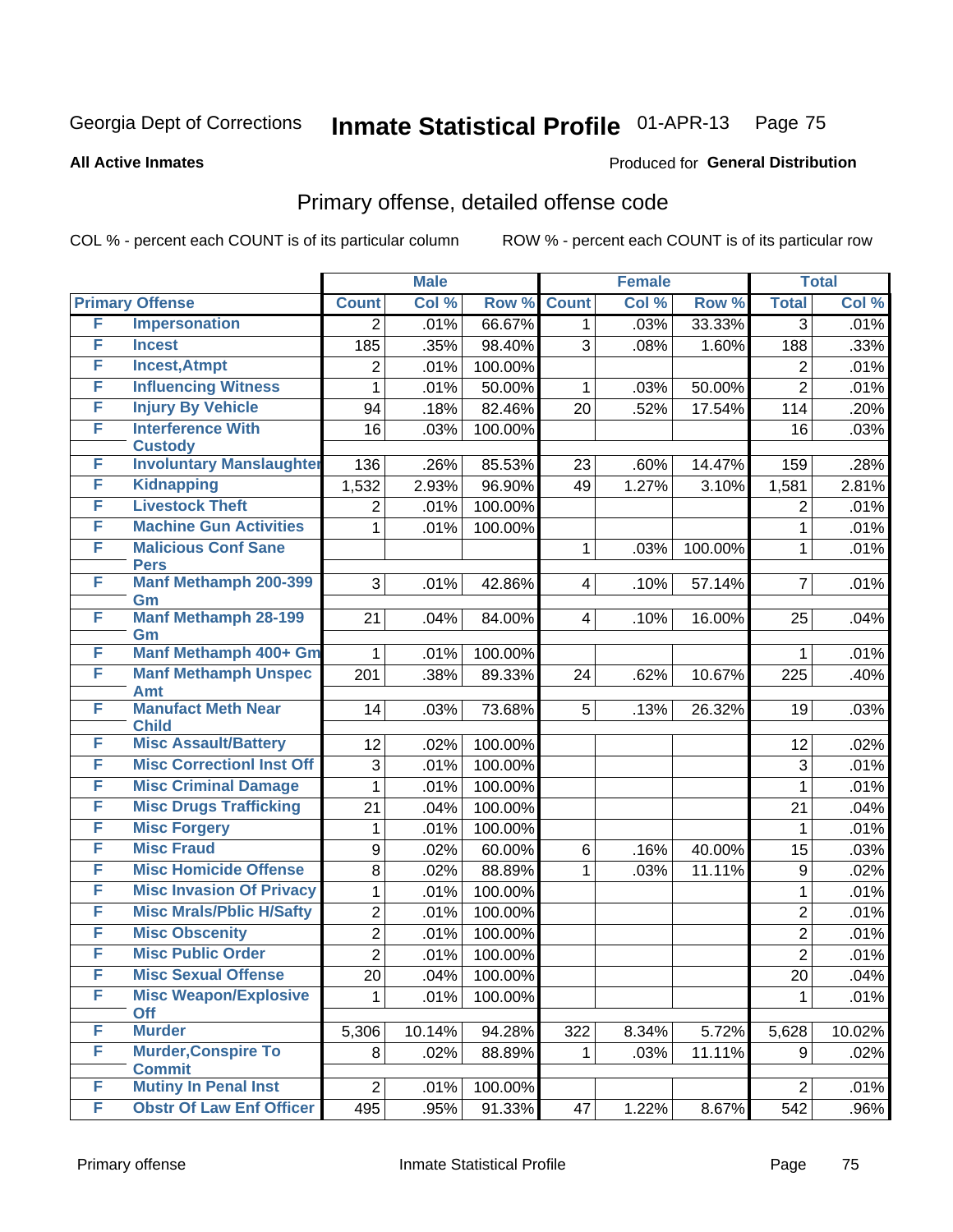Produced for **General Distribution**

#### **All Active Inmates**

### Primary offense, detailed offense code

|   |                                              | <b>Male</b>    |        |         | <b>Female</b> |       | <b>Total</b> |                |        |
|---|----------------------------------------------|----------------|--------|---------|---------------|-------|--------------|----------------|--------|
|   | <b>Primary Offense</b>                       | <b>Count</b>   | Col %  | Row %   | <b>Count</b>  | Col % | Row %        | <b>Total</b>   | Col %  |
| F | <b>Impersonation</b>                         | $\overline{2}$ | .01%   | 66.67%  | 1.            | .03%  | 33.33%       | $\overline{3}$ | .01%   |
| F | <b>Incest</b>                                | 185            | .35%   | 98.40%  | 3             | .08%  | 1.60%        | 188            | .33%   |
| F | <b>Incest, Atmpt</b>                         | $\overline{2}$ | .01%   | 100.00% |               |       |              | 2              | .01%   |
| F | <b>Influencing Witness</b>                   | 1              | .01%   | 50.00%  | 1             | .03%  | 50.00%       | $\overline{2}$ | .01%   |
| F | <b>Injury By Vehicle</b>                     | 94             | .18%   | 82.46%  | 20            | .52%  | 17.54%       | 114            | .20%   |
| F | <b>Interference With</b>                     | 16             | .03%   | 100.00% |               |       |              | 16             | .03%   |
|   | <b>Custody</b>                               |                |        |         |               |       |              |                |        |
| F | <b>Involuntary Manslaughter</b>              | 136            | .26%   | 85.53%  | 23            | .60%  | 14.47%       | 159            | .28%   |
| F | <b>Kidnapping</b>                            | 1,532          | 2.93%  | 96.90%  | 49            | 1.27% | 3.10%        | 1,581          | 2.81%  |
| F | <b>Livestock Theft</b>                       | $\overline{2}$ | .01%   | 100.00% |               |       |              | 2              | .01%   |
| F | <b>Machine Gun Activities</b>                | 1              | .01%   | 100.00% |               |       |              | 1              | .01%   |
| F | <b>Malicious Conf Sane</b>                   |                |        |         | 1             | .03%  | 100.00%      | 1              | .01%   |
| F | <b>Pers</b><br><b>Manf Methamph 200-399</b>  | 3              | .01%   | 42.86%  | 4             | .10%  | 57.14%       | $\overline{7}$ | .01%   |
|   | Gm                                           |                |        |         |               |       |              |                |        |
| F | <b>Manf Methamph 28-199</b>                  | 21             | .04%   | 84.00%  | 4             | .10%  | 16.00%       | 25             | .04%   |
|   | Gm                                           |                |        |         |               |       |              |                |        |
| F | <b>Manf Methamph 400+ Gm</b>                 |                | .01%   | 100.00% |               |       |              | 1              | .01%   |
| F | <b>Manf Methamph Unspec</b>                  | 201            | .38%   | 89.33%  | 24            | .62%  | 10.67%       | 225            | .40%   |
| F | <b>Amt</b><br><b>Manufact Meth Near</b>      | 14             | .03%   | 73.68%  | 5             |       | 26.32%       | 19             | .03%   |
|   | <b>Child</b>                                 |                |        |         |               | .13%  |              |                |        |
| F | <b>Misc Assault/Battery</b>                  | 12             | .02%   | 100.00% |               |       |              | 12             | .02%   |
| F | <b>Misc Correctionl Inst Off</b>             | 3              | .01%   | 100.00% |               |       |              | 3              | .01%   |
| F | <b>Misc Criminal Damage</b>                  | 1              | .01%   | 100.00% |               |       |              | 1              | .01%   |
| F | <b>Misc Drugs Trafficking</b>                | 21             | .04%   | 100.00% |               |       |              | 21             | .04%   |
| F | <b>Misc Forgery</b>                          | 1              | .01%   | 100.00% |               |       |              | 1              | .01%   |
| F | <b>Misc Fraud</b>                            | 9              | .02%   | 60.00%  | 6             | .16%  | 40.00%       | 15             | .03%   |
| F | <b>Misc Homicide Offense</b>                 | 8              | .02%   | 88.89%  | 1             | .03%  | 11.11%       | 9              | .02%   |
| F | <b>Misc Invasion Of Privacy</b>              | 1              | .01%   | 100.00% |               |       |              | $\mathbf{1}$   | .01%   |
| F | <b>Misc Mrals/Pblic H/Safty</b>              | $\overline{2}$ | .01%   | 100.00% |               |       |              | $\overline{2}$ | .01%   |
| F | <b>Misc Obscenity</b>                        | $\overline{2}$ | .01%   | 100.00% |               |       |              | $\overline{2}$ | .01%   |
| F | <b>Misc Public Order</b>                     | $\overline{2}$ | .01%   | 100.00% |               |       |              | $\overline{2}$ | .01%   |
| F | <b>Misc Sexual Offense</b>                   | 20             | .04%   | 100.00% |               |       |              | 20             | .04%   |
| F | <b>Misc Weapon/Explosive</b>                 |                | .01%   | 100.00% |               |       |              |                | .01%   |
|   | <b>Off</b>                                   |                |        |         |               |       |              |                |        |
| F | <b>Murder</b>                                | 5,306          | 10.14% | 94.28%  | 322           | 8.34% | 5.72%        | 5,628          | 10.02% |
| F | <b>Murder, Conspire To</b>                   | 8              | .02%   | 88.89%  | 1             | .03%  | 11.11%       | 9              | .02%   |
| F | <b>Commit</b><br><b>Mutiny In Penal Inst</b> | $\overline{2}$ | .01%   | 100.00% |               |       |              | $\overline{2}$ | .01%   |
| F | <b>Obstr Of Law Enf Officer</b>              | 495            |        |         |               |       |              |                |        |
|   |                                              |                | .95%   | 91.33%  | 47            | 1.22% | 8.67%        | 542            | .96%   |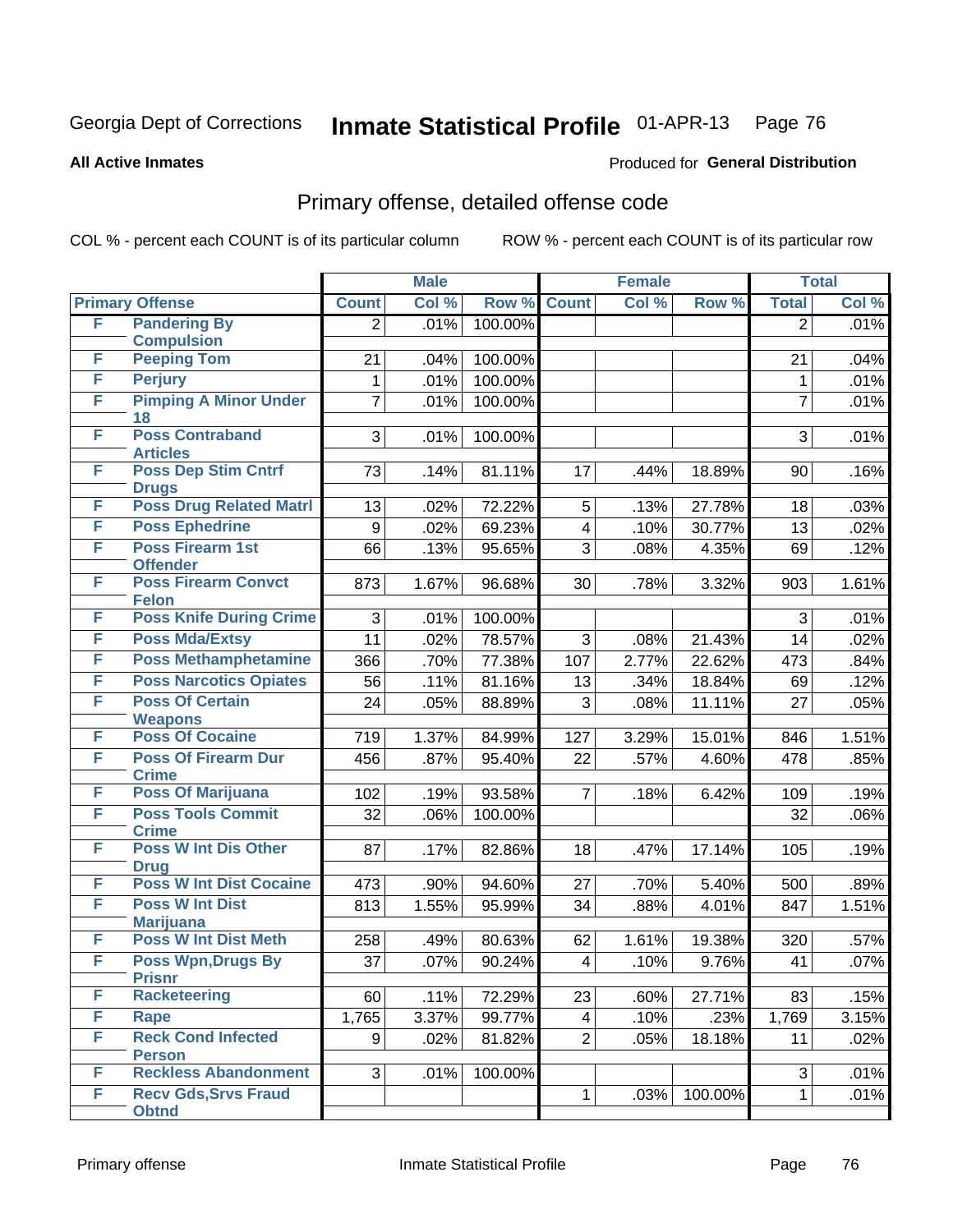**All Active Inmates**

#### Produced for **General Distribution**

### Primary offense, detailed offense code

|        |                                             |                | <b>Male</b> |         |              | <b>Female</b> |         |                | <b>Total</b> |
|--------|---------------------------------------------|----------------|-------------|---------|--------------|---------------|---------|----------------|--------------|
|        | <b>Primary Offense</b>                      | <b>Count</b>   | Col %       | Row %   | <b>Count</b> | Col %         | Row %   | <b>Total</b>   | Col %        |
| F      | <b>Pandering By</b>                         | $\overline{2}$ | .01%        | 100.00% |              |               |         | $\overline{2}$ | .01%         |
|        | <b>Compulsion</b>                           |                |             |         |              |               |         |                |              |
| F      | <b>Peeping Tom</b>                          | 21             | .04%        | 100.00% |              |               |         | 21             | .04%         |
| F<br>F | <b>Perjury</b>                              | $\mathbf{1}$   | .01%        | 100.00% |              |               |         | $\mathbf{1}$   | .01%         |
|        | <b>Pimping A Minor Under</b><br>18          | 7              | .01%        | 100.00% |              |               |         | $\overline{7}$ | .01%         |
| F      | <b>Poss Contraband</b>                      | 3              | .01%        | 100.00% |              |               |         | 3              | .01%         |
|        | <b>Articles</b>                             |                |             |         |              |               |         |                |              |
| F      | <b>Poss Dep Stim Cntrf</b><br><b>Drugs</b>  | 73             | .14%        | 81.11%  | 17           | .44%          | 18.89%  | 90             | .16%         |
| F      | <b>Poss Drug Related Matri</b>              | 13             | .02%        | 72.22%  | 5            | .13%          | 27.78%  | 18             | .03%         |
| F      | <b>Poss Ephedrine</b>                       | 9              | .02%        | 69.23%  | 4            | .10%          | 30.77%  | 13             | .02%         |
| F      | Poss Firearm 1st<br><b>Offender</b>         | 66             | .13%        | 95.65%  | 3            | .08%          | 4.35%   | 69             | .12%         |
| F      | <b>Poss Firearm Convct</b><br><b>Felon</b>  | 873            | 1.67%       | 96.68%  | 30           | .78%          | 3.32%   | 903            | 1.61%        |
| F      | <b>Poss Knife During Crime</b>              | 3              | .01%        | 100.00% |              |               |         | 3              | .01%         |
| F      | <b>Poss Mda/Extsy</b>                       | 11             | .02%        | 78.57%  | 3            | .08%          | 21.43%  | 14             | .02%         |
| F      | <b>Poss Methamphetamine</b>                 | 366            | .70%        | 77.38%  | 107          | 2.77%         | 22.62%  | 473            | .84%         |
| F      | <b>Poss Narcotics Opiates</b>               | 56             | .11%        | 81.16%  | 13           | .34%          | 18.84%  | 69             | .12%         |
| F      | <b>Poss Of Certain</b>                      | 24             | .05%        | 88.89%  | 3            | .08%          | 11.11%  | 27             | .05%         |
| F      | <b>Weapons</b><br><b>Poss Of Cocaine</b>    | 719            | 1.37%       | 84.99%  | 127          | 3.29%         | 15.01%  | 846            | 1.51%        |
| F      | <b>Poss Of Firearm Dur</b>                  |                |             |         |              |               |         |                |              |
|        | <b>Crime</b>                                | 456            | .87%        | 95.40%  | 22           | .57%          | 4.60%   | 478            | .85%         |
| F      | <b>Poss Of Marijuana</b>                    | 102            | .19%        | 93.58%  | 7            | .18%          | 6.42%   | 109            | .19%         |
| F      | <b>Poss Tools Commit</b><br><b>Crime</b>    | 32             | .06%        | 100.00% |              |               |         | 32             | .06%         |
| F      | <b>Poss W Int Dis Other</b><br><b>Drug</b>  | 87             | .17%        | 82.86%  | 18           | .47%          | 17.14%  | 105            | .19%         |
| F      | <b>Poss W Int Dist Cocaine</b>              | 473            | .90%        | 94.60%  | 27           | .70%          | 5.40%   | 500            | .89%         |
| F      | <b>Poss W Int Dist</b>                      | 813            | 1.55%       | 95.99%  | 34           | .88%          | 4.01%   | 847            | 1.51%        |
|        | <b>Marijuana</b>                            |                |             |         |              |               |         |                |              |
| F      | <b>Poss W Int Dist Meth</b>                 | 258            | .49%        | 80.63%  | 62           | 1.61%         | 19.38%  | 320            | .57%         |
| F      | <b>Poss Wpn, Drugs By</b><br><b>Prisnr</b>  | 37             | .07%        | 90.24%  | 4            | .10%          | 9.76%   | 41             | .07%         |
| F      | <b>Racketeering</b>                         | 60             | .11%        | 72.29%  | 23           | .60%          | 27.71%  | 83             | .15%         |
| F      | Rape                                        | 1,765          | 3.37%       | 99.77%  | 4            | .10%          | .23%    | 1,769          | 3.15%        |
| F      | <b>Reck Cond Infected</b>                   | 9              | .02%        | 81.82%  | 2            | .05%          | 18.18%  | 11             | .02%         |
|        | <b>Person</b>                               |                |             |         |              |               |         |                |              |
| F      | <b>Reckless Abandonment</b>                 | 3              | .01%        | 100.00% |              |               |         | 3              | .01%         |
| F      | <b>Recv Gds, Srvs Fraud</b><br><b>Obtnd</b> |                |             |         | 1            | .03%          | 100.00% | $\mathbf{1}$   | .01%         |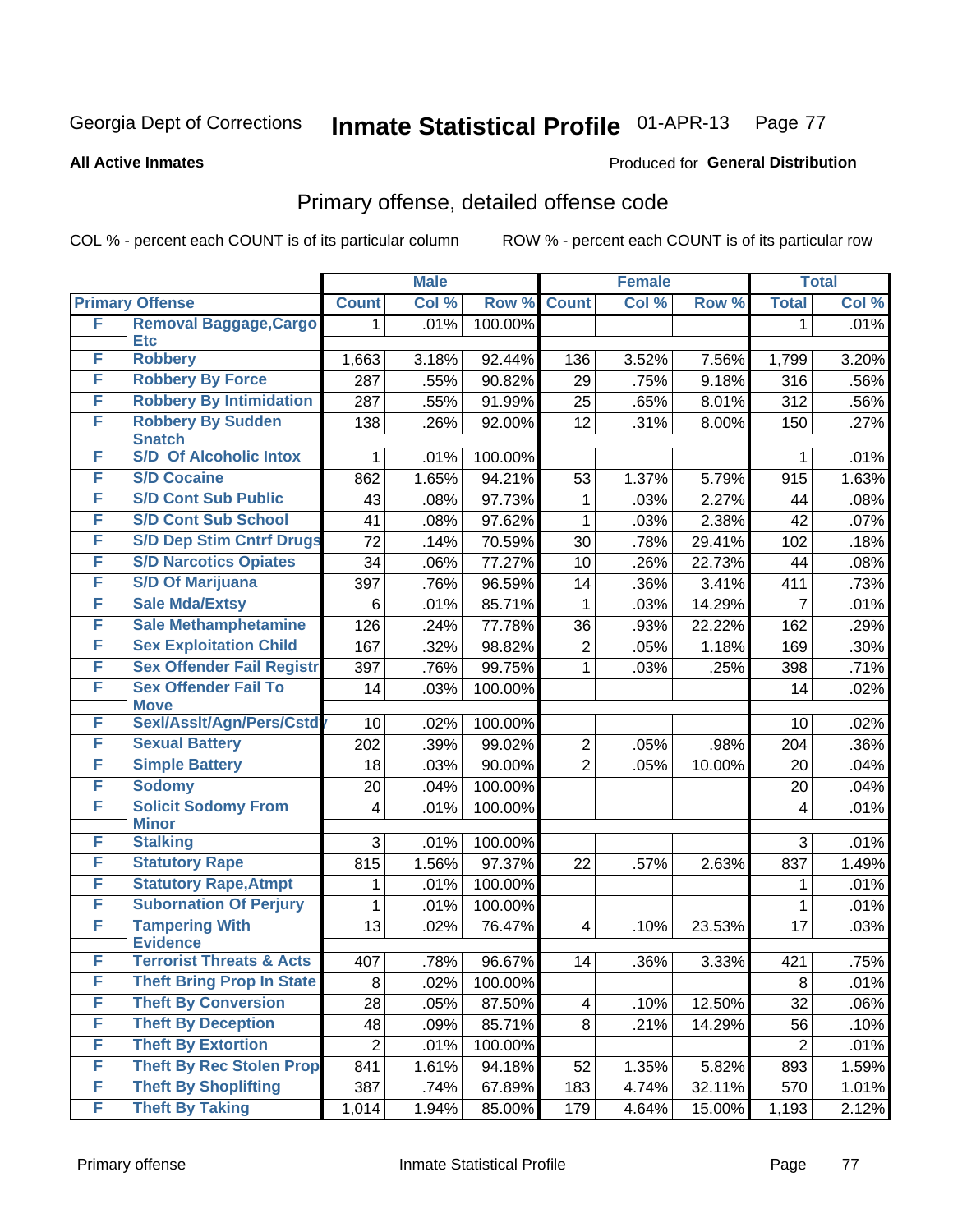**All Active Inmates**

#### Produced for **General Distribution**

### Primary offense, detailed offense code

|   |                                           | <b>Male</b>    |       | <b>Female</b> |                |       | <b>Total</b> |                |         |
|---|-------------------------------------------|----------------|-------|---------------|----------------|-------|--------------|----------------|---------|
|   | <b>Primary Offense</b>                    | <b>Count</b>   | Col % | Row %         | <b>Count</b>   | Col % | Row %        | <b>Total</b>   | Col %   |
| F | <b>Removal Baggage, Cargo</b>             | 1              | .01%  | 100.00%       |                |       |              | $\mathbf{1}$   | .01%    |
|   | <b>Etc</b><br><b>Robbery</b>              |                |       |               |                |       |              |                |         |
| F |                                           | 1,663          | 3.18% | 92.44%        | 136            | 3.52% | 7.56%        | 1,799          | 3.20%   |
| F | <b>Robbery By Force</b>                   | 287            | .55%  | 90.82%        | 29             | .75%  | 9.18%        | 316            | .56%    |
| F | <b>Robbery By Intimidation</b>            | 287            | .55%  | 91.99%        | 25             | .65%  | 8.01%        | 312            | .56%    |
| F | <b>Robbery By Sudden</b><br><b>Snatch</b> | 138            | .26%  | 92.00%        | 12             | .31%  | 8.00%        | 150            | .27%    |
| F | <b>S/D Of Alcoholic Intox</b>             | 1.             | .01%  | 100.00%       |                |       |              | $\mathbf 1$    | .01%    |
| F | <b>S/D Cocaine</b>                        | 862            | 1.65% | 94.21%        | 53             | 1.37% | 5.79%        | 915            | 1.63%   |
| F | <b>S/D Cont Sub Public</b>                | 43             | .08%  | 97.73%        | 1              | .03%  | 2.27%        | 44             | .08%    |
| F | <b>S/D Cont Sub School</b>                | 41             | .08%  | 97.62%        | 1              | .03%  | 2.38%        | 42             | .07%    |
| F | <b>S/D Dep Stim Cntrf Drugs</b>           | 72             | .14%  | 70.59%        | 30             | .78%  | 29.41%       | 102            | .18%    |
| F | <b>S/D Narcotics Opiates</b>              | 34             | .06%  | 77.27%        | 10             | .26%  | 22.73%       | 44             | .08%    |
| F | <b>S/D Of Marijuana</b>                   | 397            | .76%  | 96.59%        | 14             | .36%  | 3.41%        | 411            | .73%    |
| F | <b>Sale Mda/Extsy</b>                     | 6              | .01%  | 85.71%        | $\mathbf{1}$   | .03%  | 14.29%       | $\overline{7}$ | .01%    |
| F | <b>Sale Methamphetamine</b>               | 126            | .24%  | 77.78%        | 36             | .93%  | 22.22%       | 162            | .29%    |
| F | <b>Sex Exploitation Child</b>             | 167            | .32%  | 98.82%        | $\mathbf{2}$   | .05%  | 1.18%        | 169            | $.30\%$ |
| F | <b>Sex Offender Fail Registr</b>          | 397            | .76%  | 99.75%        | $\mathbf{1}$   | .03%  | .25%         | 398            | .71%    |
| F | <b>Sex Offender Fail To</b>               | 14             | .03%  | 100.00%       |                |       |              | 14             | .02%    |
| F | <b>Move</b><br>Sexl/Asslt/Agn/Pers/Cstd   | 10             | .02%  | 100.00%       |                |       |              | 10             | .02%    |
| F | <b>Sexual Battery</b>                     | 202            | .39%  | 99.02%        | $\overline{2}$ | .05%  | .98%         | 204            | $.36\%$ |
| F | <b>Simple Battery</b>                     | 18             | .03%  | 90.00%        | $\overline{2}$ | .05%  | 10.00%       | 20             | .04%    |
| F | <b>Sodomy</b>                             | 20             | .04%  | 100.00%       |                |       |              | 20             | .04%    |
| F | <b>Solicit Sodomy From</b>                | 4              | .01%  | 100.00%       |                |       |              | 4              | .01%    |
|   | <b>Minor</b>                              |                |       |               |                |       |              |                |         |
| F | <b>Stalking</b>                           | 3              | .01%  | 100.00%       |                |       |              | 3              | .01%    |
| F | <b>Statutory Rape</b>                     | 815            | 1.56% | 97.37%        | 22             | .57%  | 2.63%        | 837            | 1.49%   |
| F | <b>Statutory Rape, Atmpt</b>              | 1              | .01%  | 100.00%       |                |       |              | 1              | .01%    |
| F | <b>Subornation Of Perjury</b>             | 1              | .01%  | 100.00%       |                |       |              | 1              | .01%    |
| F | <b>Tampering With</b>                     | 13             | .02%  | 76.47%        | $\overline{4}$ | .10%  | 23.53%       | 17             | .03%    |
|   | <b>Evidence</b>                           |                |       |               |                |       |              |                |         |
| F | <b>Terrorist Threats &amp; Acts</b>       | 407            | .78%  | 96.67%        | 14             | .36%  | 3.33%        | 421            | .75%    |
| F | <b>Theft Bring Prop In State</b>          | 8              | .02%  | 100.00%       |                |       |              | 8              | .01%    |
| F | <b>Theft By Conversion</b>                | 28             | .05%  | 87.50%        | 4              | .10%  | 12.50%       | 32             | .06%    |
| F | <b>Theft By Deception</b>                 | 48             | .09%  | 85.71%        | 8              | .21%  | 14.29%       | 56             | .10%    |
| F | <b>Theft By Extortion</b>                 | $\overline{2}$ | .01%  | 100.00%       |                |       |              | $\overline{2}$ | .01%    |
| F | <b>Theft By Rec Stolen Prop</b>           | 841            | 1.61% | 94.18%        | 52             | 1.35% | 5.82%        | 893            | 1.59%   |
| F | <b>Theft By Shoplifting</b>               | 387            | .74%  | 67.89%        | 183            | 4.74% | 32.11%       | 570            | 1.01%   |
| F | <b>Theft By Taking</b>                    | 1,014          | 1.94% | 85.00%        | 179            | 4.64% | 15.00%       | 1,193          | 2.12%   |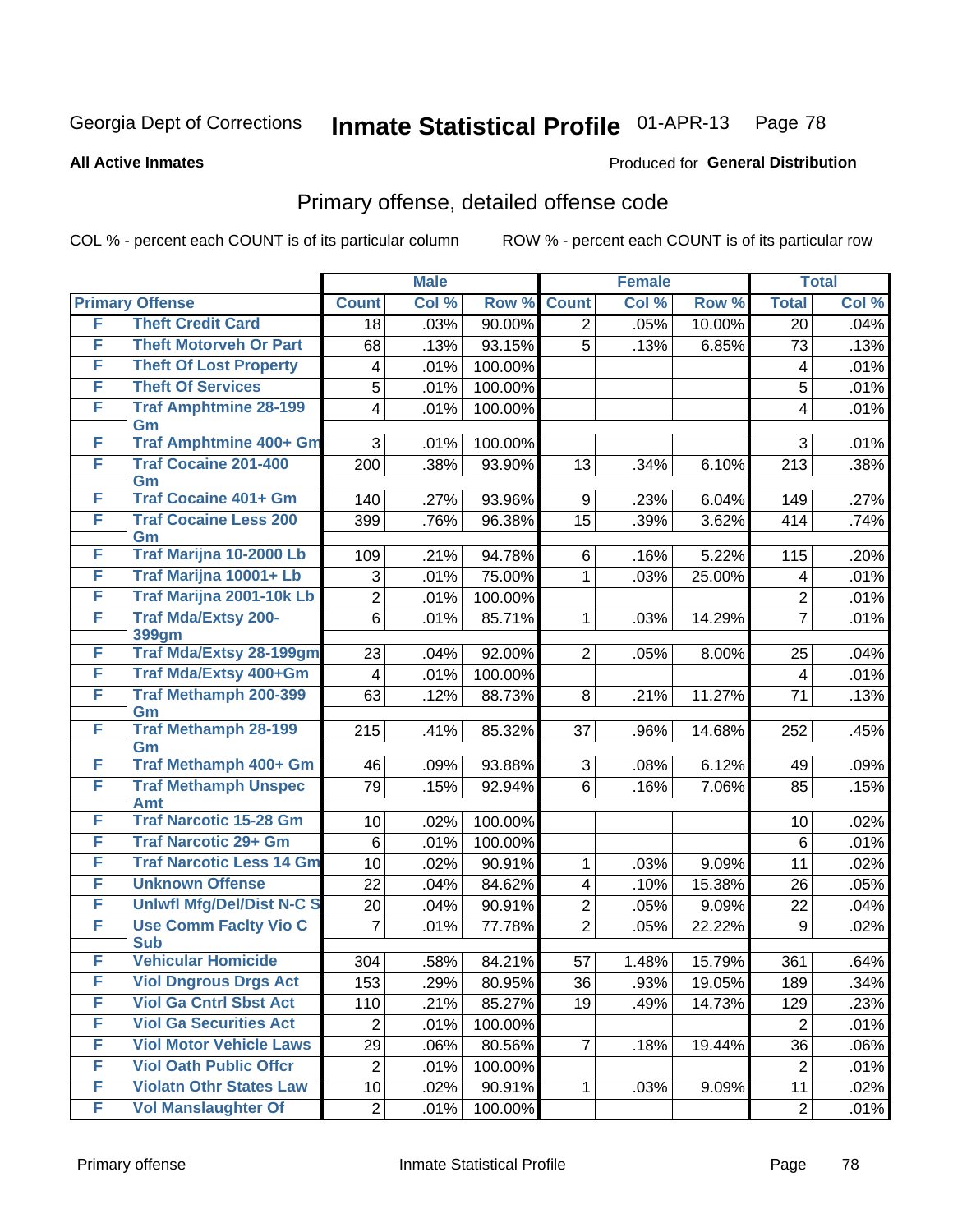Produced for **General Distribution**

#### **All Active Inmates**

### Primary offense, detailed offense code

|        |                                         |                  | <b>Male</b> |         |                | <b>Female</b> |        |                  | <b>Total</b> |
|--------|-----------------------------------------|------------------|-------------|---------|----------------|---------------|--------|------------------|--------------|
|        | <b>Primary Offense</b>                  | <b>Count</b>     | Col %       | Row %   | <b>Count</b>   | Col %         | Row %  | <b>Total</b>     | Col %        |
| F      | <b>Theft Credit Card</b>                | 18               | .03%        | 90.00%  | $\overline{2}$ | .05%          | 10.00% | 20               | .04%         |
| F      | <b>Theft Motorveh Or Part</b>           | 68               | .13%        | 93.15%  | 5              | .13%          | 6.85%  | 73               | .13%         |
| F      | <b>Theft Of Lost Property</b>           | 4                | .01%        | 100.00% |                |               |        | 4                | .01%         |
| F      | <b>Theft Of Services</b>                | 5                | .01%        | 100.00% |                |               |        | 5                | .01%         |
| F      | <b>Traf Amphtmine 28-199</b>            | 4                | .01%        | 100.00% |                |               |        | 4                | .01%         |
|        | Gm<br><b>Traf Amphtmine 400+ Gm</b>     |                  |             |         |                |               |        |                  |              |
| F<br>F |                                         | 3                | .01%        | 100.00% |                |               |        | 3                | .01%         |
|        | <b>Traf Cocaine 201-400</b><br>Gm       | 200              | .38%        | 93.90%  | 13             | .34%          | 6.10%  | 213              | .38%         |
| F      | <b>Traf Cocaine 401+ Gm</b>             | 140              | .27%        | 93.96%  | 9              | .23%          | 6.04%  | 149              | .27%         |
| F      | <b>Traf Cocaine Less 200</b>            | 399              | .76%        | 96.38%  | 15             | .39%          | 3.62%  | 414              | .74%         |
|        | Gm                                      |                  |             |         |                |               |        |                  |              |
| F      | Traf Marijna 10-2000 Lb                 | 109              | .21%        | 94.78%  | 6              | .16%          | 5.22%  | 115              | .20%         |
| F      | Traf Marijna 10001+ Lb                  | 3                | .01%        | 75.00%  | 1              | .03%          | 25.00% | 4                | .01%         |
| F      | Traf Marijna 2001-10k Lb                | $\overline{c}$   | .01%        | 100.00% |                |               |        | $\overline{c}$   | .01%         |
| F      | <b>Traf Mda/Extsy 200-</b>              | $\,6$            | .01%        | 85.71%  | 1              | .03%          | 14.29% | $\overline{7}$   | .01%         |
| F      | 399gm<br><b>Traf Mda/Extsy 28-199gm</b> | 23               | .04%        | 92.00%  | $\overline{2}$ | .05%          | 8.00%  | 25               | .04%         |
| F      | Traf Mda/Extsy 400+Gm                   | $\overline{4}$   | .01%        | 100.00% |                |               |        | $\overline{4}$   | .01%         |
| F      | <b>Traf Methamph 200-399</b>            | 63               | .12%        | 88.73%  | 8              | .21%          | 11.27% | 71               | .13%         |
|        | Gm                                      |                  |             |         |                |               |        |                  |              |
| F      | <b>Traf Methamph 28-199</b>             | 215              | .41%        | 85.32%  | 37             | .96%          | 14.68% | 252              | .45%         |
|        | Gm                                      |                  |             |         |                |               |        |                  |              |
| F      | Traf Methamph 400+ Gm                   | 46               | .09%        | 93.88%  | 3              | .08%          | 6.12%  | 49               | .09%         |
| F      | <b>Traf Methamph Unspec</b>             | 79               | .15%        | 92.94%  | 6              | .16%          | 7.06%  | 85               | .15%         |
| F      | Amt<br><b>Traf Narcotic 15-28 Gm</b>    | 10               | .02%        | 100.00% |                |               |        | 10               | .02%         |
| F      | <b>Traf Narcotic 29+ Gm</b>             | 6                | .01%        | 100.00% |                |               |        | 6                | .01%         |
| F      | <b>Traf Narcotic Less 14 Gm</b>         | 10               | .02%        | 90.91%  | 1              | .03%          | 9.09%  | 11               | .02%         |
| F      | <b>Unknown Offense</b>                  | 22               | .04%        | 84.62%  | 4              | .10%          | 15.38% | 26               | .05%         |
| F      | <b>Uniwfl Mfg/Del/Dist N-C S</b>        | 20               | .04%        | 90.91%  | $\overline{2}$ | .05%          | 9.09%  | 22               | .04%         |
| F      | <b>Use Comm Facity Vio C</b>            | $\overline{7}$   | .01%        | 77.78%  | $\overline{2}$ | .05%          | 22.22% | $\boldsymbol{9}$ | .02%         |
|        | <b>Sub</b>                              |                  |             |         |                |               |        |                  |              |
| F      | <b>Vehicular Homicide</b>               | 304              | .58%        | 84.21%  | 57             | 1.48%         | 15.79% | 361              | .64%         |
| F      | <b>Viol Dngrous Drgs Act</b>            | 153              | .29%        | 80.95%  | 36             | .93%          | 19.05% | 189              | .34%         |
| F      | <b>Viol Ga Cntrl Sbst Act</b>           | 110              | .21%        | 85.27%  | 19             | .49%          | 14.73% | 129              | .23%         |
| F      | <b>Viol Ga Securities Act</b>           | $\boldsymbol{2}$ | .01%        | 100.00% |                |               |        | $\overline{2}$   | .01%         |
| F      | <b>Viol Motor Vehicle Laws</b>          | 29               | .06%        | 80.56%  | 7              | .18%          | 19.44% | 36               | .06%         |
| F      | <b>Viol Oath Public Offcr</b>           | $\mathbf 2$      | .01%        | 100.00% |                |               |        | $\overline{2}$   | .01%         |
| F      | <b>Violatn Othr States Law</b>          | 10               | .02%        | 90.91%  | 1              | .03%          | 9.09%  | 11               | .02%         |
| F      | <b>Vol Manslaughter Of</b>              | $\overline{c}$   | .01%        | 100.00% |                |               |        | $\mathbf{2}$     | .01%         |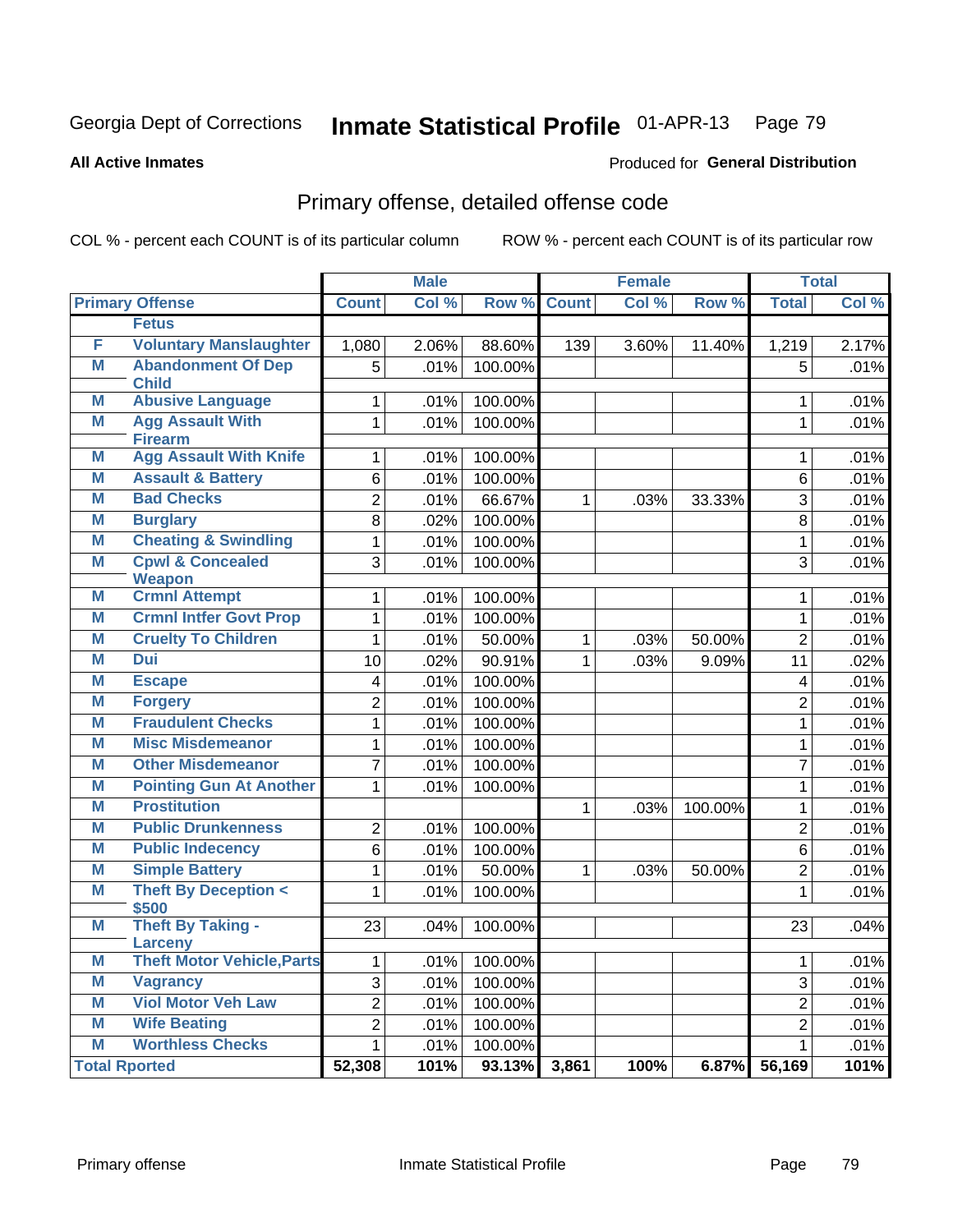Produced for **General Distribution**

#### **All Active Inmates**

# Primary offense, detailed offense code

|   |                                              |                | <b>Male</b> |         |              | <b>Female</b> |         |                         | <b>Total</b> |
|---|----------------------------------------------|----------------|-------------|---------|--------------|---------------|---------|-------------------------|--------------|
|   | <b>Primary Offense</b>                       | <b>Count</b>   | Col %       | Row %   | <b>Count</b> | Col %         | Row %   | <b>Total</b>            | Col %        |
|   | <b>Fetus</b>                                 |                |             |         |              |               |         |                         |              |
| F | <b>Voluntary Manslaughter</b>                | 1,080          | 2.06%       | 88.60%  | 139          | 3.60%         | 11.40%  | 1,219                   | 2.17%        |
| M | <b>Abandonment Of Dep</b>                    | $\overline{5}$ | .01%        | 100.00% |              |               |         | $\overline{5}$          | .01%         |
|   | <b>Child</b>                                 |                |             |         |              |               |         |                         |              |
| M | <b>Abusive Language</b>                      | $\mathbf{1}$   | .01%        | 100.00% |              |               |         | $\mathbf{1}$            | .01%         |
| M | <b>Agg Assault With</b><br><b>Firearm</b>    | $\overline{1}$ | .01%        | 100.00% |              |               |         | $\mathbf{1}$            | .01%         |
| M | <b>Agg Assault With Knife</b>                | 1              | .01%        | 100.00% |              |               |         | $\mathbf{1}$            | .01%         |
| M | <b>Assault &amp; Battery</b>                 | 6              | .01%        | 100.00% |              |               |         | 6                       | .01%         |
| M | <b>Bad Checks</b>                            | $\overline{2}$ | .01%        | 66.67%  | $\mathbf{1}$ | .03%          | 33.33%  | $\overline{3}$          | .01%         |
| M | <b>Burglary</b>                              | $\overline{8}$ | .02%        | 100.00% |              |               |         | $\overline{8}$          | .01%         |
| M | <b>Cheating &amp; Swindling</b>              | $\mathbf{1}$   | .01%        | 100.00% |              |               |         | $\overline{1}$          | .01%         |
| M | <b>Cpwl &amp; Concealed</b><br><b>Weapon</b> | 3              | .01%        | 100.00% |              |               |         | $\overline{3}$          | .01%         |
| M | <b>Crmnl Attempt</b>                         | $\mathbf{1}$   | .01%        | 100.00% |              |               |         | $\mathbf{1}$            | .01%         |
| M | <b>Crmnl Intfer Govt Prop</b>                | 1              | .01%        | 100.00% |              |               |         | $\mathbf{1}$            | .01%         |
| M | <b>Cruelty To Children</b>                   | $\mathbf 1$    | .01%        | 50.00%  | $\mathbf 1$  | .03%          | 50.00%  | $\overline{2}$          | .01%         |
| M | <b>Dui</b>                                   | 10             | .02%        | 90.91%  | $\mathbf{1}$ | .03%          | 9.09%   | $\overline{11}$         | .02%         |
| M | <b>Escape</b>                                | 4              | .01%        | 100.00% |              |               |         | $\overline{\mathbf{4}}$ | .01%         |
| M | <b>Forgery</b>                               | $\overline{2}$ | .01%        | 100.00% |              |               |         | $\overline{2}$          | .01%         |
| M | <b>Fraudulent Checks</b>                     | $\overline{1}$ | .01%        | 100.00% |              |               |         | 1                       | .01%         |
| M | <b>Misc Misdemeanor</b>                      | $\mathbf 1$    | .01%        | 100.00% |              |               |         | 1                       | .01%         |
| M | <b>Other Misdemeanor</b>                     | $\overline{7}$ | .01%        | 100.00% |              |               |         | $\overline{7}$          | .01%         |
| M | <b>Pointing Gun At Another</b>               | 1              | .01%        | 100.00% |              |               |         | $\mathbf{1}$            | .01%         |
| M | <b>Prostitution</b>                          |                |             |         | $\mathbf{1}$ | .03%          | 100.00% | $\mathbf{1}$            | .01%         |
| M | <b>Public Drunkenness</b>                    | $\overline{2}$ | .01%        | 100.00% |              |               |         | $\overline{2}$          | .01%         |
| M | <b>Public Indecency</b>                      | 6              | .01%        | 100.00% |              |               |         | $\overline{6}$          | .01%         |
| M | <b>Simple Battery</b>                        | $\mathbf{1}$   | .01%        | 50.00%  | $\mathbf{1}$ | .03%          | 50.00%  | $\overline{2}$          | .01%         |
| M | <b>Theft By Deception &lt;</b>               | $\mathbf{1}$   | .01%        | 100.00% |              |               |         | $\mathbf{1}$            | .01%         |
| M | \$500<br>Theft By Taking -                   | 23             | .04%        | 100.00% |              |               |         | 23                      | .04%         |
|   | <b>Larceny</b>                               |                |             |         |              |               |         |                         |              |
| M | <b>Theft Motor Vehicle, Parts</b>            | $\mathbf{1}$   | .01%        | 100.00% |              |               |         | $\mathbf{1}$            | .01%         |
| M | <b>Vagrancy</b>                              | 3              | .01%        | 100.00% |              |               |         | 3                       | .01%         |
| M | <b>Viol Motor Veh Law</b>                    | $\overline{2}$ | .01%        | 100.00% |              |               |         | $\overline{2}$          | .01%         |
| M | <b>Wife Beating</b>                          | $\overline{2}$ | .01%        | 100.00% |              |               |         | $\overline{2}$          | .01%         |
| M | <b>Worthless Checks</b>                      | $\mathbf{1}$   | .01%        | 100.00% |              |               |         | $\mathbf{1}$            | .01%         |
|   | <b>Total Rported</b>                         | 52,308         | 101%        | 93.13%  | 3,861        | 100%          | 6.87%   | 56,169                  | 101%         |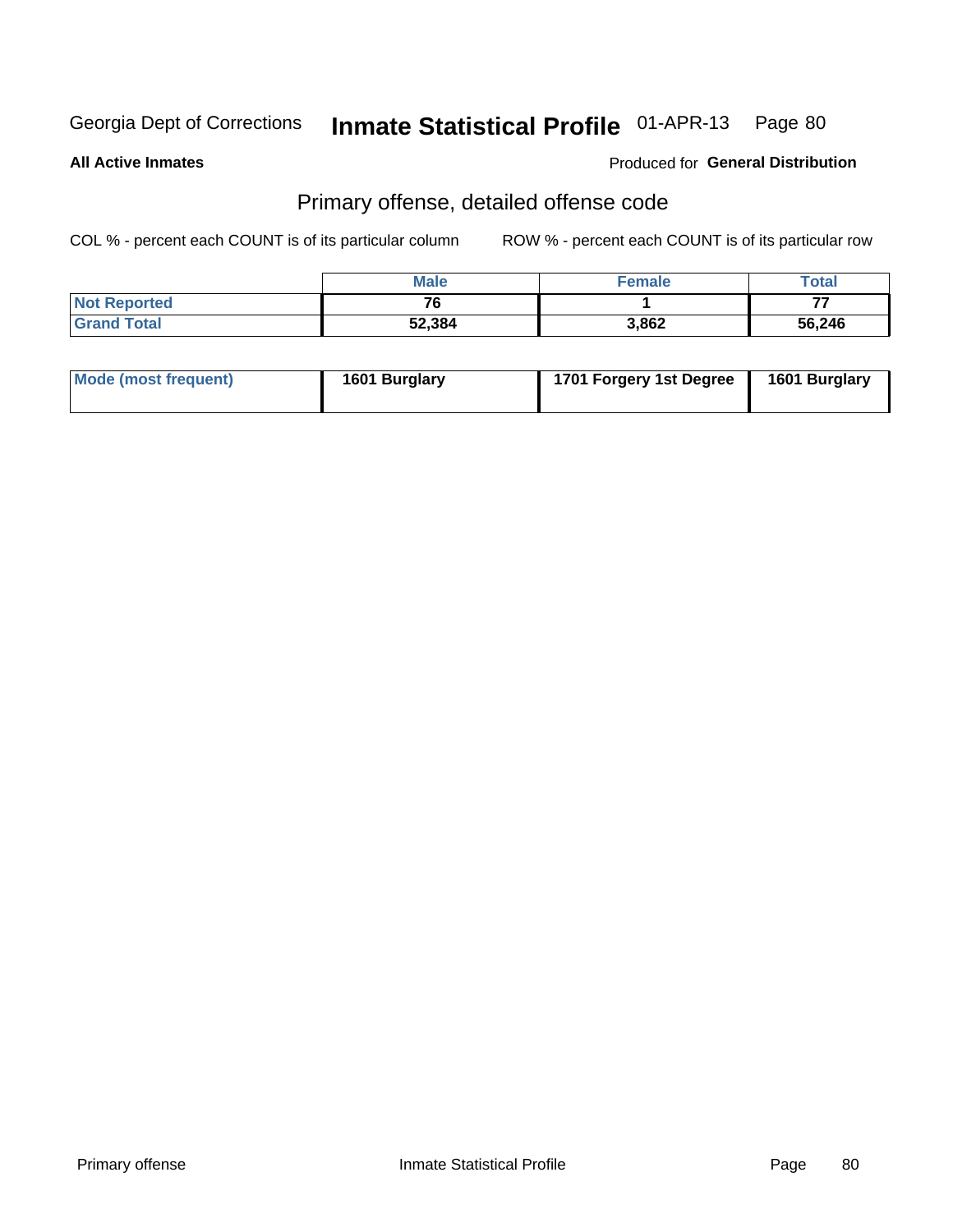**All Active Inmates**

#### Produced for **General Distribution**

### Primary offense, detailed offense code

|                     | <b>Male</b> | <b>Female</b> | Total  |
|---------------------|-------------|---------------|--------|
| <b>Not Reported</b> | 76          |               | $- -$  |
| <b>Grand Total</b>  | 52,384      | 3,862         | 56,246 |

| Mode (most frequent) | 1601 Burglary | 1701 Forgery 1st Degree | 1601 Burglary |
|----------------------|---------------|-------------------------|---------------|
|----------------------|---------------|-------------------------|---------------|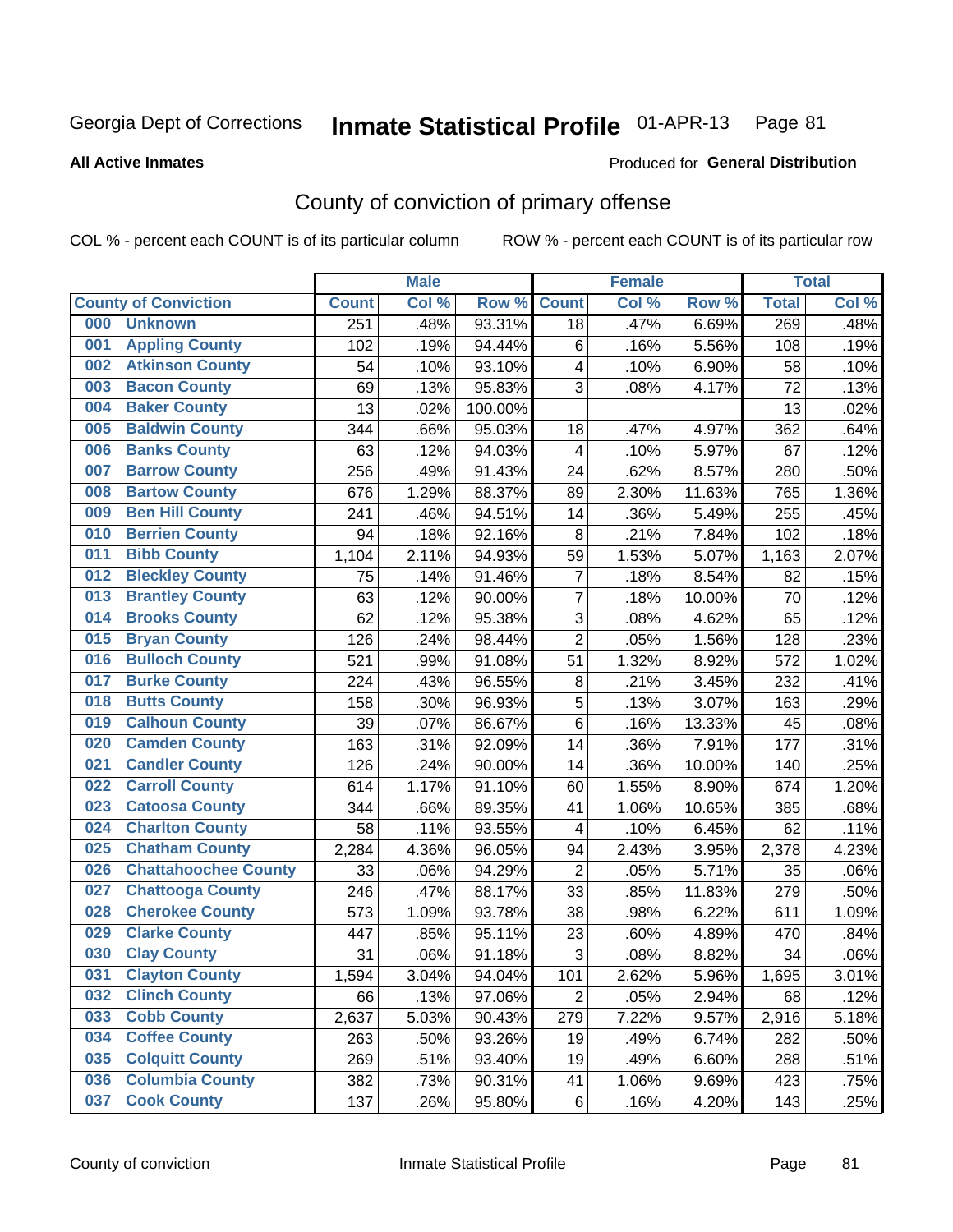#### **All Active Inmates**

#### Produced for **General Distribution**

### County of conviction of primary offense

|                                    |              | <b>Male</b> |         |                         | <b>Female</b> |        |              | <b>Total</b> |
|------------------------------------|--------------|-------------|---------|-------------------------|---------------|--------|--------------|--------------|
| <b>County of Conviction</b>        | <b>Count</b> | Col %       | Row %   | <b>Count</b>            | Col %         | Row %  | <b>Total</b> | Col %        |
| <b>Unknown</b><br>000              | 251          | .48%        | 93.31%  | 18                      | .47%          | 6.69%  | 269          | .48%         |
| <b>Appling County</b><br>001       | 102          | .19%        | 94.44%  | 6                       | .16%          | 5.56%  | 108          | .19%         |
| <b>Atkinson County</b><br>002      | 54           | .10%        | 93.10%  | 4                       | .10%          | 6.90%  | 58           | .10%         |
| <b>Bacon County</b><br>003         | 69           | .13%        | 95.83%  | 3                       | .08%          | 4.17%  | 72           | .13%         |
| <b>Baker County</b><br>004         | 13           | .02%        | 100.00% |                         |               |        | 13           | .02%         |
| <b>Baldwin County</b><br>005       | 344          | .66%        | 95.03%  | 18                      | .47%          | 4.97%  | 362          | .64%         |
| <b>Banks County</b><br>006         | 63           | .12%        | 94.03%  | $\overline{\mathbf{4}}$ | .10%          | 5.97%  | 67           | .12%         |
| <b>Barrow County</b><br>007        | 256          | .49%        | 91.43%  | 24                      | .62%          | 8.57%  | 280          | .50%         |
| <b>Bartow County</b><br>008        | 676          | 1.29%       | 88.37%  | 89                      | 2.30%         | 11.63% | 765          | 1.36%        |
| <b>Ben Hill County</b><br>009      | 241          | .46%        | 94.51%  | 14                      | .36%          | 5.49%  | 255          | .45%         |
| <b>Berrien County</b><br>010       | 94           | .18%        | 92.16%  | 8                       | .21%          | 7.84%  | 102          | .18%         |
| <b>Bibb County</b><br>011          | 1,104        | 2.11%       | 94.93%  | 59                      | 1.53%         | 5.07%  | 1,163        | 2.07%        |
| <b>Bleckley County</b><br>012      | 75           | .14%        | 91.46%  | $\overline{7}$          | .18%          | 8.54%  | 82           | .15%         |
| <b>Brantley County</b><br>013      | 63           | .12%        | 90.00%  | $\overline{7}$          | .18%          | 10.00% | 70           | .12%         |
| <b>Brooks County</b><br>014        | 62           | .12%        | 95.38%  | 3                       | .08%          | 4.62%  | 65           | .12%         |
| 015<br><b>Bryan County</b>         | 126          | .24%        | 98.44%  | $\overline{2}$          | .05%          | 1.56%  | 128          | .23%         |
| <b>Bulloch County</b><br>016       | 521          | .99%        | 91.08%  | 51                      | 1.32%         | 8.92%  | 572          | 1.02%        |
| <b>Burke County</b><br>017         | 224          | .43%        | 96.55%  | 8                       | .21%          | 3.45%  | 232          | .41%         |
| <b>Butts County</b><br>018         | 158          | .30%        | 96.93%  | 5                       | .13%          | 3.07%  | 163          | .29%         |
| <b>Calhoun County</b><br>019       | 39           | .07%        | 86.67%  | 6                       | .16%          | 13.33% | 45           | .08%         |
| <b>Camden County</b><br>020        | 163          | .31%        | 92.09%  | 14                      | .36%          | 7.91%  | 177          | .31%         |
| <b>Candler County</b><br>021       | 126          | .24%        | 90.00%  | 14                      | .36%          | 10.00% | 140          | .25%         |
| <b>Carroll County</b><br>022       | 614          | 1.17%       | 91.10%  | 60                      | 1.55%         | 8.90%  | 674          | 1.20%        |
| <b>Catoosa County</b><br>023       | 344          | .66%        | 89.35%  | 41                      | 1.06%         | 10.65% | 385          | .68%         |
| <b>Charlton County</b><br>024      | 58           | .11%        | 93.55%  | 4                       | .10%          | 6.45%  | 62           | .11%         |
| 025<br><b>Chatham County</b>       | 2,284        | 4.36%       | 96.05%  | 94                      | 2.43%         | 3.95%  | 2,378        | 4.23%        |
| <b>Chattahoochee County</b><br>026 | 33           | .06%        | 94.29%  | $\overline{2}$          | .05%          | 5.71%  | 35           | .06%         |
| <b>Chattooga County</b><br>027     | 246          | .47%        | 88.17%  | 33                      | .85%          | 11.83% | 279          | .50%         |
| <b>Cherokee County</b><br>028      | 573          | 1.09%       | 93.78%  | 38                      | .98%          | 6.22%  | 611          | 1.09%        |
| <b>Clarke County</b><br>029        | 447          | .85%        | 95.11%  | 23                      | .60%          | 4.89%  | 470          | .84%         |
| <b>Clay County</b><br>030          | 31           | .06%        | 91.18%  | 3                       | .08%          | 8.82%  | 34           | .06%         |
| 031<br><b>Clayton County</b>       | 1,594        | 3.04%       | 94.04%  | 101                     | 2.62%         | 5.96%  | 1,695        | 3.01%        |
| <b>Clinch County</b><br>032        | 66           | .13%        | 97.06%  | $\overline{2}$          | .05%          | 2.94%  | 68           | .12%         |
| <b>Cobb County</b><br>033          | 2,637        | 5.03%       | 90.43%  | 279                     | 7.22%         | 9.57%  | 2,916        | 5.18%        |
| <b>Coffee County</b><br>034        | 263          | .50%        | 93.26%  | 19                      | .49%          | 6.74%  | 282          | .50%         |
| <b>Colquitt County</b><br>035      | 269          | .51%        | 93.40%  | 19                      | .49%          | 6.60%  | 288          | .51%         |
| <b>Columbia County</b><br>036      | 382          | .73%        | 90.31%  | 41                      | 1.06%         | 9.69%  | 423          | .75%         |
| <b>Cook County</b><br>037          | 137          | .26%        | 95.80%  | 6                       | .16%          | 4.20%  | 143          | .25%         |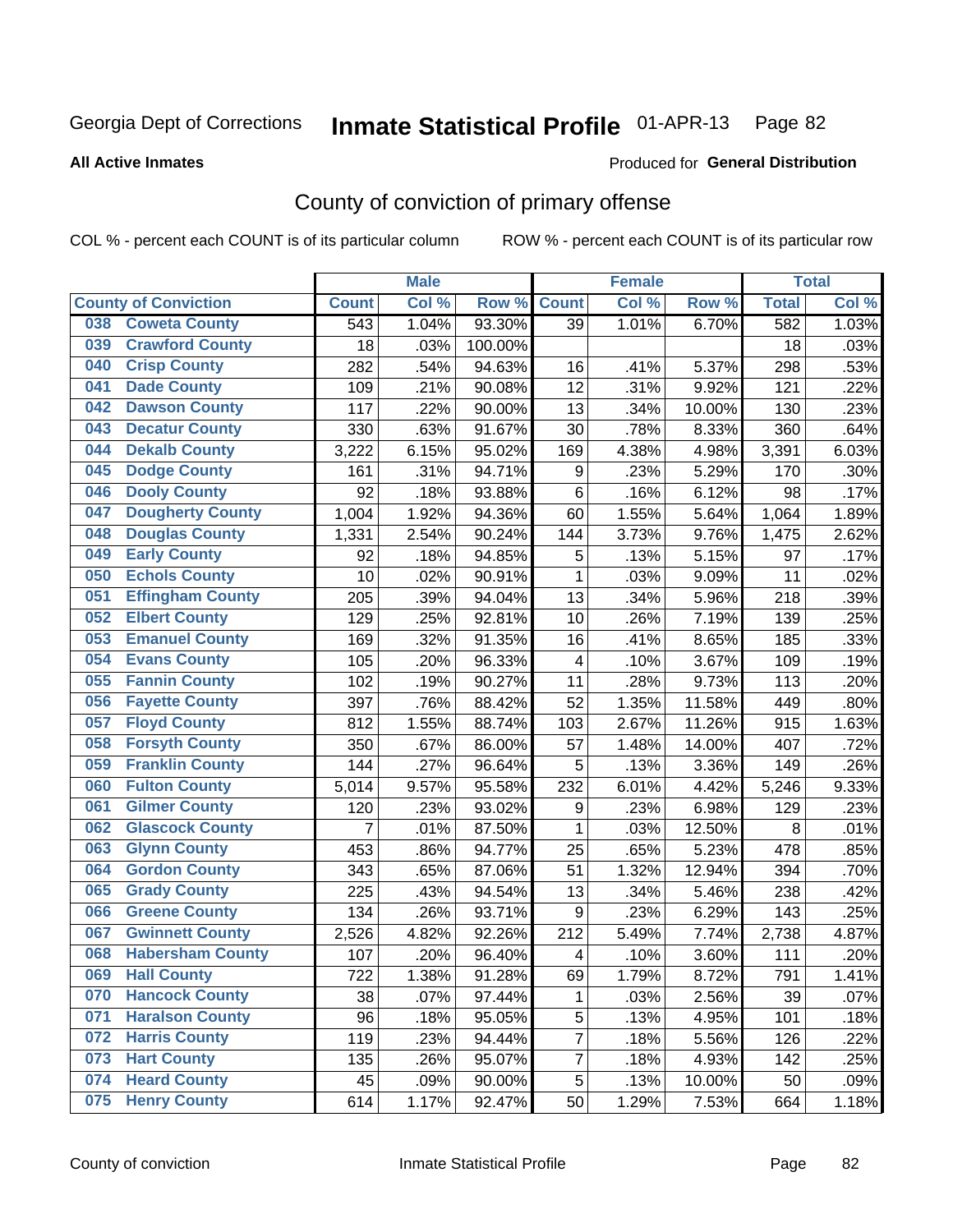#### **All Active Inmates**

#### Produced for **General Distribution**

### County of conviction of primary offense

|                             |                         |                | <b>Male</b> |         |                         | <b>Female</b> |        |              | <b>Total</b> |
|-----------------------------|-------------------------|----------------|-------------|---------|-------------------------|---------------|--------|--------------|--------------|
| <b>County of Conviction</b> |                         | <b>Count</b>   | Col %       | Row %   | <b>Count</b>            | Col %         | Row %  | <b>Total</b> | Col %        |
| 038                         | <b>Coweta County</b>    | 543            | 1.04%       | 93.30%  | 39                      | 1.01%         | 6.70%  | 582          | 1.03%        |
| 039                         | <b>Crawford County</b>  | 18             | .03%        | 100.00% |                         |               |        | 18           | .03%         |
| <b>Crisp County</b><br>040  |                         | 282            | .54%        | 94.63%  | 16                      | .41%          | 5.37%  | 298          | .53%         |
| <b>Dade County</b><br>041   |                         | 109            | .21%        | 90.08%  | 12                      | .31%          | 9.92%  | 121          | .22%         |
| 042                         | <b>Dawson County</b>    | 117            | .22%        | 90.00%  | 13                      | .34%          | 10.00% | 130          | .23%         |
| 043                         | <b>Decatur County</b>   | 330            | .63%        | 91.67%  | 30                      | .78%          | 8.33%  | 360          | .64%         |
| <b>Dekalb County</b><br>044 |                         | 3,222          | 6.15%       | 95.02%  | 169                     | 4.38%         | 4.98%  | 3,391        | 6.03%        |
| <b>Dodge County</b><br>045  |                         | 161            | .31%        | 94.71%  | 9                       | .23%          | 5.29%  | 170          | .30%         |
| <b>Dooly County</b><br>046  |                         | 92             | .18%        | 93.88%  | 6                       | .16%          | 6.12%  | 98           | .17%         |
| 047                         | <b>Dougherty County</b> | 1,004          | 1.92%       | 94.36%  | 60                      | 1.55%         | 5.64%  | 1,064        | 1.89%        |
| 048                         | <b>Douglas County</b>   | 1,331          | 2.54%       | 90.24%  | 144                     | 3.73%         | 9.76%  | 1,475        | 2.62%        |
| <b>Early County</b><br>049  |                         | 92             | .18%        | 94.85%  | 5                       | .13%          | 5.15%  | 97           | .17%         |
| <b>Echols County</b><br>050 |                         | 10             | .02%        | 90.91%  | $\mathbf{1}$            | .03%          | 9.09%  | 11           | .02%         |
| 051                         | <b>Effingham County</b> | 205            | .39%        | 94.04%  | 13                      | .34%          | 5.96%  | 218          | .39%         |
| <b>Elbert County</b><br>052 |                         | 129            | .25%        | 92.81%  | 10                      | .26%          | 7.19%  | 139          | .25%         |
| 053                         | <b>Emanuel County</b>   | 169            | .32%        | 91.35%  | 16                      | .41%          | 8.65%  | 185          | .33%         |
| <b>Evans County</b><br>054  |                         | 105            | .20%        | 96.33%  | $\overline{\mathbf{4}}$ | .10%          | 3.67%  | 109          | .19%         |
| <b>Fannin County</b><br>055 |                         | 102            | .19%        | 90.27%  | 11                      | .28%          | 9.73%  | 113          | .20%         |
| 056                         | <b>Fayette County</b>   | 397            | .76%        | 88.42%  | 52                      | 1.35%         | 11.58% | 449          | .80%         |
| <b>Floyd County</b><br>057  |                         | 812            | 1.55%       | 88.74%  | 103                     | 2.67%         | 11.26% | 915          | 1.63%        |
| 058                         | <b>Forsyth County</b>   | 350            | .67%        | 86.00%  | 57                      | 1.48%         | 14.00% | 407          | .72%         |
| 059                         | <b>Franklin County</b>  | 144            | .27%        | 96.64%  | 5                       | .13%          | 3.36%  | 149          | .26%         |
| <b>Fulton County</b><br>060 |                         | 5,014          | 9.57%       | 95.58%  | 232                     | 6.01%         | 4.42%  | 5,246        | 9.33%        |
| <b>Gilmer County</b><br>061 |                         | 120            | .23%        | 93.02%  | 9                       | .23%          | 6.98%  | 129          | .23%         |
| 062                         | <b>Glascock County</b>  | $\overline{7}$ | .01%        | 87.50%  | 1                       | .03%          | 12.50% | 8            | .01%         |
| 063<br><b>Glynn County</b>  |                         | 453            | .86%        | 94.77%  | 25                      | .65%          | 5.23%  | 478          | .85%         |
| 064                         | <b>Gordon County</b>    | 343            | .65%        | 87.06%  | 51                      | 1.32%         | 12.94% | 394          | .70%         |
| <b>Grady County</b><br>065  |                         | 225            | .43%        | 94.54%  | 13                      | .34%          | 5.46%  | 238          | .42%         |
| 066                         | <b>Greene County</b>    | 134            | .26%        | 93.71%  | 9                       | .23%          | 6.29%  | 143          | .25%         |
| 067                         | <b>Gwinnett County</b>  | 2,526          | 4.82%       | 92.26%  | 212                     | 5.49%         | 7.74%  | 2,738        | 4.87%        |
| 068                         | <b>Habersham County</b> | 107            | .20%        | 96.40%  | 4                       | .10%          | 3.60%  | 111          | .20%         |
| 069<br><b>Hall County</b>   |                         | 722            | 1.38%       | 91.28%  | 69                      | 1.79%         | 8.72%  | 791          | 1.41%        |
| 070                         | <b>Hancock County</b>   | 38             | .07%        | 97.44%  | 1                       | .03%          | 2.56%  | 39           | .07%         |
| 071                         | <b>Haralson County</b>  | 96             | .18%        | 95.05%  | 5                       | .13%          | 4.95%  | 101          | .18%         |
| <b>Harris County</b><br>072 |                         | 119            | .23%        | 94.44%  | $\overline{7}$          | .18%          | 5.56%  | 126          | .22%         |
| <b>Hart County</b><br>073   |                         | 135            | .26%        | 95.07%  | $\overline{7}$          | .18%          | 4.93%  | 142          | .25%         |
| <b>Heard County</b><br>074  |                         | 45             | .09%        | 90.00%  | 5                       | .13%          | 10.00% | 50           | .09%         |
| <b>Henry County</b><br>075  |                         | 614            | 1.17%       | 92.47%  | 50                      | 1.29%         | 7.53%  | 664          | 1.18%        |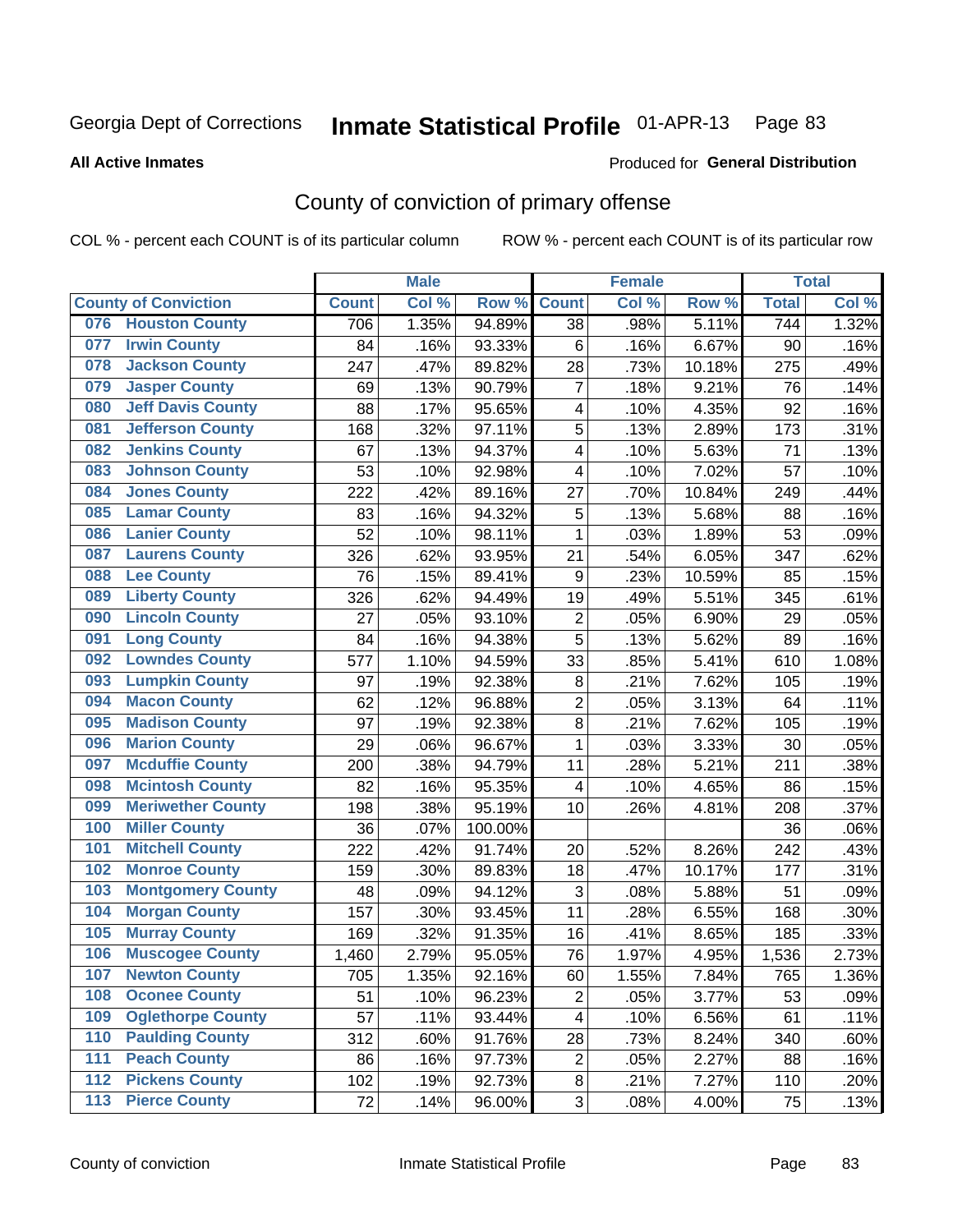**All Active Inmates**

#### Produced for **General Distribution**

### County of conviction of primary offense

|                                 |              | <b>Male</b> |         |                         | <b>Female</b> |        |              | <b>Total</b> |
|---------------------------------|--------------|-------------|---------|-------------------------|---------------|--------|--------------|--------------|
| <b>County of Conviction</b>     | <b>Count</b> | Col %       | Row %   | <b>Count</b>            | Col %         | Row %  | <b>Total</b> | Col %        |
| <b>Houston County</b><br>076    | 706          | 1.35%       | 94.89%  | 38                      | .98%          | 5.11%  | 744          | 1.32%        |
| <b>Irwin County</b><br>077      | 84           | .16%        | 93.33%  | 6                       | .16%          | 6.67%  | 90           | .16%         |
| <b>Jackson County</b><br>078    | 247          | .47%        | 89.82%  | 28                      | .73%          | 10.18% | 275          | .49%         |
| <b>Jasper County</b><br>079     | 69           | .13%        | 90.79%  | $\overline{7}$          | .18%          | 9.21%  | 76           | .14%         |
| <b>Jeff Davis County</b><br>080 | 88           | .17%        | 95.65%  | 4                       | .10%          | 4.35%  | 92           | .16%         |
| 081<br><b>Jefferson County</b>  | 168          | .32%        | 97.11%  | 5                       | .13%          | 2.89%  | 173          | .31%         |
| <b>Jenkins County</b><br>082    | 67           | .13%        | 94.37%  | 4                       | .10%          | 5.63%  | 71           | .13%         |
| <b>Johnson County</b><br>083    | 53           | .10%        | 92.98%  | 4                       | .10%          | 7.02%  | 57           | .10%         |
| <b>Jones County</b><br>084      | 222          | .42%        | 89.16%  | 27                      | .70%          | 10.84% | 249          | .44%         |
| <b>Lamar County</b><br>085      | 83           | .16%        | 94.32%  | 5                       | .13%          | 5.68%  | 88           | .16%         |
| <b>Lanier County</b><br>086     | 52           | .10%        | 98.11%  | 1                       | .03%          | 1.89%  | 53           | .09%         |
| <b>Laurens County</b><br>087    | 326          | .62%        | 93.95%  | 21                      | .54%          | 6.05%  | 347          | .62%         |
| <b>Lee County</b><br>088        | 76           | .15%        | 89.41%  | $\boldsymbol{9}$        | .23%          | 10.59% | 85           | .15%         |
| <b>Liberty County</b><br>089    | 326          | .62%        | 94.49%  | 19                      | .49%          | 5.51%  | 345          | .61%         |
| <b>Lincoln County</b><br>090    | 27           | .05%        | 93.10%  | $\mathbf 2$             | .05%          | 6.90%  | 29           | .05%         |
| <b>Long County</b><br>091       | 84           | .16%        | 94.38%  | 5                       | .13%          | 5.62%  | 89           | .16%         |
| <b>Lowndes County</b><br>092    | 577          | 1.10%       | 94.59%  | 33                      | .85%          | 5.41%  | 610          | 1.08%        |
| <b>Lumpkin County</b><br>093    | 97           | .19%        | 92.38%  | 8                       | .21%          | 7.62%  | 105          | .19%         |
| <b>Macon County</b><br>094      | 62           | .12%        | 96.88%  | $\overline{c}$          | .05%          | 3.13%  | 64           | .11%         |
| <b>Madison County</b><br>095    | 97           | .19%        | 92.38%  | 8                       | .21%          | 7.62%  | 105          | .19%         |
| <b>Marion County</b><br>096     | 29           | .06%        | 96.67%  | $\mathbf{1}$            | .03%          | 3.33%  | 30           | .05%         |
| <b>Mcduffie County</b><br>097   | 200          | .38%        | 94.79%  | 11                      | .28%          | 5.21%  | 211          | .38%         |
| <b>Mcintosh County</b><br>098   | 82           | .16%        | 95.35%  | $\overline{\mathbf{4}}$ | .10%          | 4.65%  | 86           | .15%         |
| <b>Meriwether County</b><br>099 | 198          | .38%        | 95.19%  | 10                      | .26%          | 4.81%  | 208          | .37%         |
| <b>Miller County</b><br>100     | 36           | .07%        | 100.00% |                         |               |        | 36           | .06%         |
| <b>Mitchell County</b><br>101   | 222          | .42%        | 91.74%  | 20                      | .52%          | 8.26%  | 242          | .43%         |
| <b>Monroe County</b><br>102     | 159          | .30%        | 89.83%  | 18                      | .47%          | 10.17% | 177          | .31%         |
| <b>Montgomery County</b><br>103 | 48           | .09%        | 94.12%  | 3                       | .08%          | 5.88%  | 51           | .09%         |
| <b>Morgan County</b><br>104     | 157          | .30%        | 93.45%  | 11                      | .28%          | 6.55%  | 168          | .30%         |
| <b>Murray County</b><br>105     | 169          | .32%        | 91.35%  | 16                      | $.41\%$       | 8.65%  | 185          | .33%         |
| <b>Muscogee County</b><br>106   | 1,460        | 2.79%       | 95.05%  | 76                      | 1.97%         | 4.95%  | 1,536        | 2.73%        |
| 107<br><b>Newton County</b>     | 705          | 1.35%       | 92.16%  | 60                      | 1.55%         | 7.84%  | 765          | 1.36%        |
| <b>Oconee County</b><br>108     | 51           | .10%        | 96.23%  | $\overline{2}$          | .05%          | 3.77%  | 53           | .09%         |
| <b>Oglethorpe County</b><br>109 | 57           | .11%        | 93.44%  | 4                       | .10%          | 6.56%  | 61           | .11%         |
| <b>Paulding County</b><br>110   | 312          | .60%        | 91.76%  | 28                      | .73%          | 8.24%  | 340          | .60%         |
| <b>Peach County</b><br>111      | 86           | .16%        | 97.73%  | $\overline{2}$          | .05%          | 2.27%  | 88           | .16%         |
| <b>Pickens County</b><br>112    | 102          | .19%        | 92.73%  | 8                       | .21%          | 7.27%  | 110          | .20%         |
| <b>Pierce County</b><br>$113$   | 72           | .14%        | 96.00%  | 3                       | .08%          | 4.00%  | 75           | .13%         |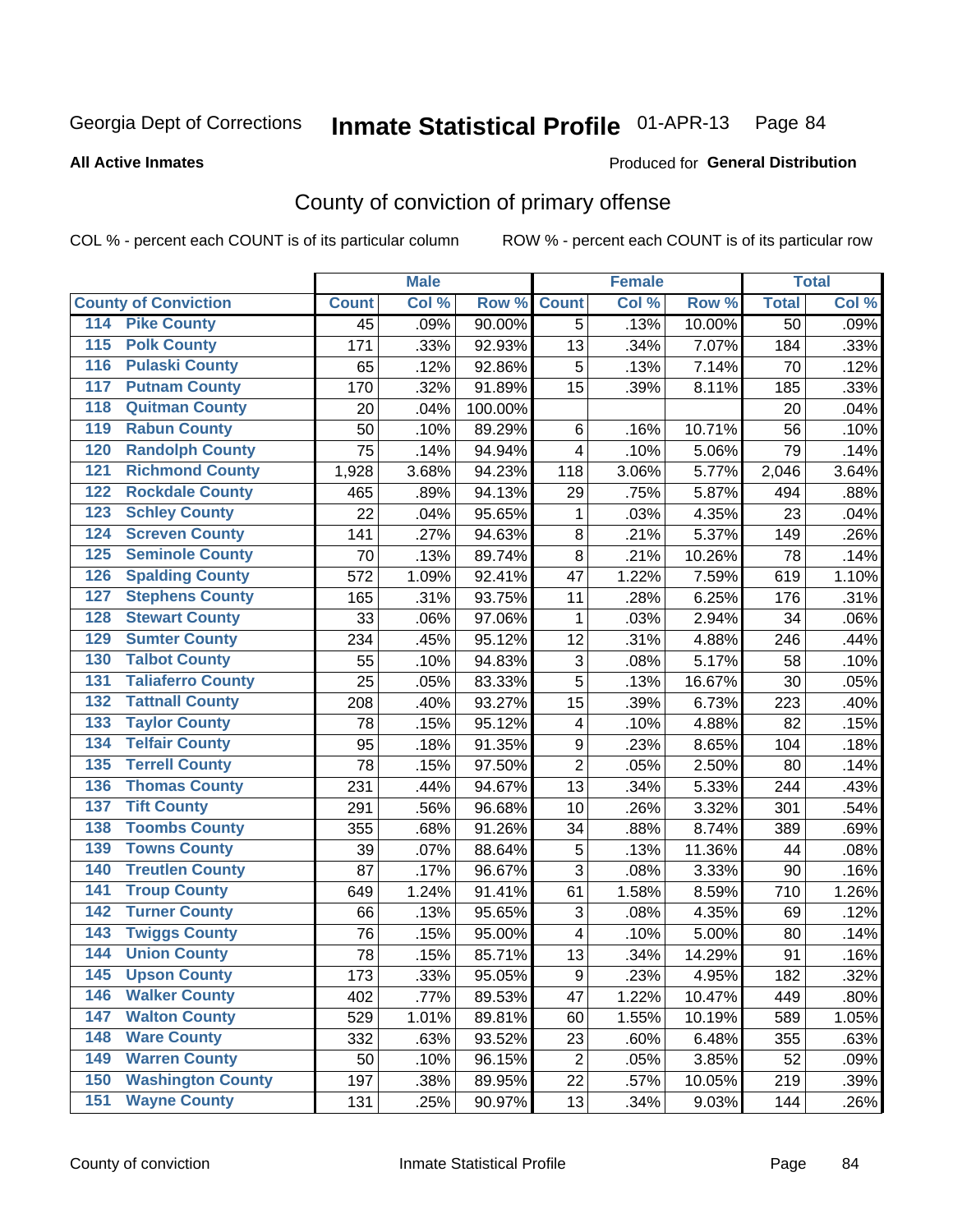Produced for **General Distribution**

#### **All Active Inmates**

### County of conviction of primary offense

|                                          |              | <b>Male</b> |         |                         | <b>Female</b> |        |              | <b>Total</b> |
|------------------------------------------|--------------|-------------|---------|-------------------------|---------------|--------|--------------|--------------|
| <b>County of Conviction</b>              | <b>Count</b> | Col %       | Row %   | <b>Count</b>            | Col %         | Row %  | <b>Total</b> | Col %        |
| 114 Pike County                          | 45           | .09%        | 90.00%  | $\overline{5}$          | .13%          | 10.00% | 50           | .09%         |
| <b>Polk County</b><br>$\overline{115}$   | 171          | .33%        | 92.93%  | 13                      | .34%          | 7.07%  | 184          | .33%         |
| <b>Pulaski County</b><br>116             | 65           | .12%        | 92.86%  | 5                       | .13%          | 7.14%  | 70           | .12%         |
| 117<br><b>Putnam County</b>              | 170          | .32%        | 91.89%  | 15                      | .39%          | 8.11%  | 185          | .33%         |
| <b>Quitman County</b><br>118             | 20           | .04%        | 100.00% |                         |               |        | 20           | .04%         |
| <b>Rabun County</b><br>119               | 50           | .10%        | 89.29%  | 6                       | .16%          | 10.71% | 56           | .10%         |
| <b>Randolph County</b><br>120            | 75           | .14%        | 94.94%  | $\overline{4}$          | .10%          | 5.06%  | 79           | .14%         |
| <b>Richmond County</b><br>121            | 1,928        | 3.68%       | 94.23%  | 118                     | 3.06%         | 5.77%  | 2,046        | 3.64%        |
| <b>Rockdale County</b><br>122            | 465          | .89%        | 94.13%  | 29                      | .75%          | 5.87%  | 494          | .88%         |
| <b>Schley County</b><br>123              | 22           | .04%        | 95.65%  | 1                       | .03%          | 4.35%  | 23           | .04%         |
| <b>Screven County</b><br>124             | 141          | .27%        | 94.63%  | 8                       | .21%          | 5.37%  | 149          | .26%         |
| <b>Seminole County</b><br>125            | 70           | .13%        | 89.74%  | 8                       | .21%          | 10.26% | 78           | .14%         |
| <b>Spalding County</b><br>126            | 572          | 1.09%       | 92.41%  | 47                      | 1.22%         | 7.59%  | 619          | 1.10%        |
| <b>Stephens County</b><br>127            | 165          | .31%        | 93.75%  | 11                      | .28%          | 6.25%  | 176          | .31%         |
| <b>Stewart County</b><br>128             | 33           | .06%        | 97.06%  | $\mathbf{1}$            | .03%          | 2.94%  | 34           | .06%         |
| <b>Sumter County</b><br>129              | 234          | .45%        | 95.12%  | 12                      | .31%          | 4.88%  | 246          | .44%         |
| <b>Talbot County</b><br>130              | 55           | .10%        | 94.83%  | 3                       | .08%          | 5.17%  | 58           | .10%         |
| <b>Taliaferro County</b><br>131          | 25           | .05%        | 83.33%  | 5                       | .13%          | 16.67% | 30           | .05%         |
| <b>Tattnall County</b><br>132            | 208          | .40%        | 93.27%  | 15                      | .39%          | 6.73%  | 223          | .40%         |
| <b>Taylor County</b><br>133              | 78           | .15%        | 95.12%  | 4                       | .10%          | 4.88%  | 82           | .15%         |
| <b>Telfair County</b><br>134             | 95           | .18%        | 91.35%  | $\mathsf g$             | .23%          | 8.65%  | 104          | .18%         |
| <b>Terrell County</b><br>135             | 78           | .15%        | 97.50%  | $\overline{2}$          | .05%          | 2.50%  | 80           | .14%         |
| <b>Thomas County</b><br>136              | 231          | .44%        | 94.67%  | 13                      | .34%          | 5.33%  | 244          | .43%         |
| <b>Tift County</b><br>137                | 291          | .56%        | 96.68%  | 10                      | .26%          | 3.32%  | 301          | .54%         |
| <b>Toombs County</b><br>138              | 355          | .68%        | 91.26%  | 34                      | .88%          | 8.74%  | 389          | .69%         |
| <b>Towns County</b><br>139               | 39           | .07%        | 88.64%  | $\mathbf 5$             | .13%          | 11.36% | 44           | .08%         |
| <b>Treutlen County</b><br>140            | 87           | .17%        | 96.67%  | 3                       | .08%          | 3.33%  | 90           | .16%         |
| <b>Troup County</b><br>141               | 649          | 1.24%       | 91.41%  | 61                      | 1.58%         | 8.59%  | 710          | 1.26%        |
| <b>Turner County</b><br>142              | 66           | .13%        | 95.65%  | 3                       | .08%          | 4.35%  | 69           | .12%         |
| <b>Twiggs County</b><br>$\overline{143}$ | 76           | .15%        | 95.00%  | $\overline{\mathbf{4}}$ | .10%          | 5.00%  | 80           | .14%         |
| <b>Union County</b><br>144               | 78           | .15%        | 85.71%  | 13                      | .34%          | 14.29% | 91           | .16%         |
| 145<br><b>Upson County</b>               | 173          | .33%        | 95.05%  | 9                       | .23%          | 4.95%  | 182          | .32%         |
| <b>Walker County</b><br>146              | 402          | .77%        | 89.53%  | 47                      | 1.22%         | 10.47% | 449          | .80%         |
| <b>Walton County</b><br>147              | 529          | 1.01%       | 89.81%  | 60                      | 1.55%         | 10.19% | 589          | 1.05%        |
| <b>Ware County</b><br>148                | 332          | .63%        | 93.52%  | 23                      | .60%          | 6.48%  | 355          | .63%         |
| <b>Warren County</b><br>149              | 50           | .10%        | 96.15%  | $\overline{2}$          | .05%          | 3.85%  | 52           | .09%         |
| <b>Washington County</b><br>150          | 197          | .38%        | 89.95%  | 22                      | .57%          | 10.05% | 219          | .39%         |
| <b>Wayne County</b><br>151               | 131          | .25%        | 90.97%  | 13                      | .34%          | 9.03%  | 144          | .26%         |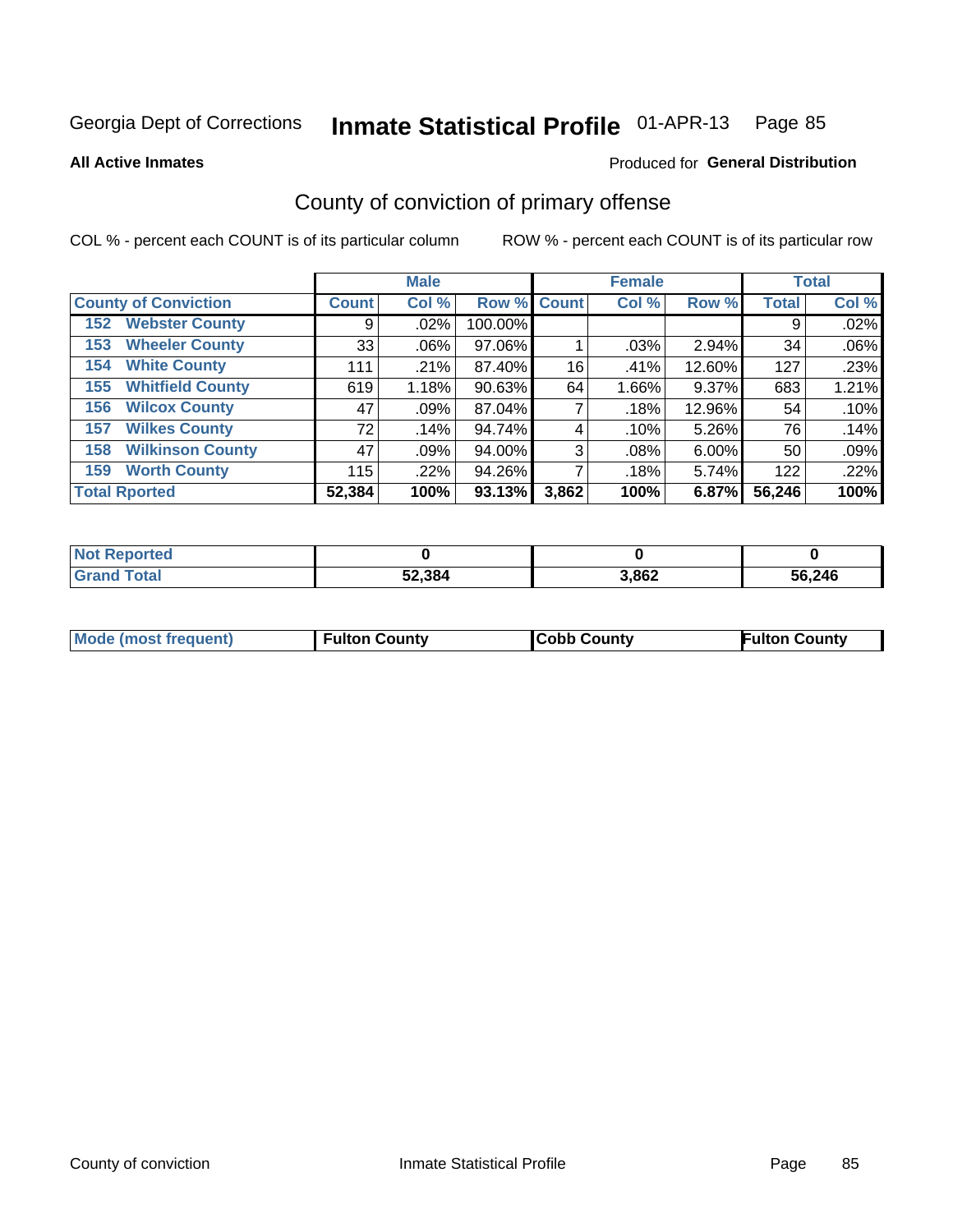**All Active Inmates**

#### Produced for **General Distribution**

### County of conviction of primary offense

|                                |              | <b>Male</b> |             |       | <b>Female</b> |          |              | <b>Total</b> |
|--------------------------------|--------------|-------------|-------------|-------|---------------|----------|--------------|--------------|
| <b>County of Conviction</b>    | <b>Count</b> | Col %       | Row % Count |       | Col %         | Row %    | <b>Total</b> | Col %        |
| <b>Webster County</b><br>152   | 9            | $.02\%$     | 100.00%     |       |               |          | 9            | .02%         |
| <b>Wheeler County</b><br>153   | 33           | $.06\%$     | 97.06%      |       | .03%          | 2.94%    | 34           | .06%         |
| <b>White County</b><br>154     | 111          | .21%        | 87.40%      | 16    | .41%          | 12.60%   | 127          | .23%         |
| <b>Whitfield County</b><br>155 | 619          | 1.18%       | 90.63%      | 64    | 1.66%         | 9.37%    | 683          | 1.21%        |
| <b>Wilcox County</b><br>156    | 47           | .09%        | 87.04%      |       | .18%          | 12.96%   | 54           | .10%         |
| <b>Wilkes County</b><br>157    | 72           | .14%        | 94.74%      | 4     | .10%          | 5.26%    | 76           | .14%         |
| <b>Wilkinson County</b><br>158 | 47           | .09%        | 94.00%      | 3     | $.08\%$       | $6.00\%$ | 50           | .09%         |
| <b>Worth County</b><br>159     | 115          | .22%        | 94.26%      |       | .18%          | 5.74%    | 122          | .22%         |
| <b>Total Rported</b>           | 52,384       | 100%        | 93.13%      | 3,862 | 100%          | 6.87%    | 56,246       | 100%         |

| <b>Not Reported</b> |        |       |        |
|---------------------|--------|-------|--------|
| <b>Grand Total</b>  | 52,384 | 3,862 | 56,246 |

| Mode (most frequent) | <b>Fulton County</b> | <b>Cobb County</b> | <b>Fulton County</b> |
|----------------------|----------------------|--------------------|----------------------|
|                      |                      |                    |                      |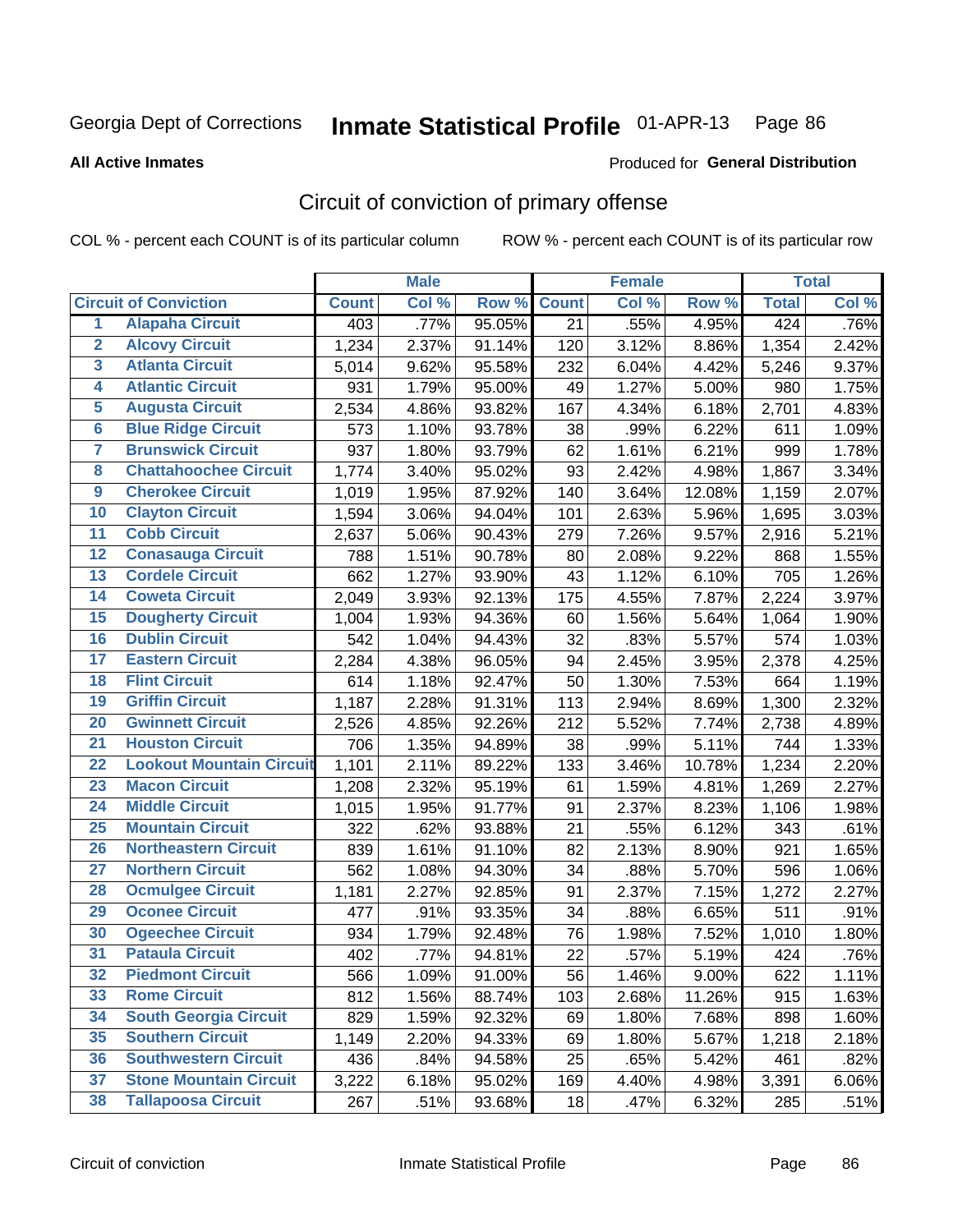Produced for **General Distribution**

#### **All Active Inmates**

### Circuit of conviction of primary offense

|                         |                                 |              | <b>Male</b> |        |              | <b>Female</b> |          |              | <b>Total</b> |
|-------------------------|---------------------------------|--------------|-------------|--------|--------------|---------------|----------|--------------|--------------|
|                         | <b>Circuit of Conviction</b>    | <b>Count</b> | Col %       | Row %  | <b>Count</b> | Col %         | Row %    | <b>Total</b> | Col %        |
| $\overline{1}$          | <b>Alapaha Circuit</b>          | 403          | .77%        | 95.05% | 21           | .55%          | 4.95%    | 424          | .76%         |
| $\overline{2}$          | <b>Alcovy Circuit</b>           | 1,234        | 2.37%       | 91.14% | 120          | 3.12%         | 8.86%    | 1,354        | 2.42%        |
| $\overline{\mathbf{3}}$ | <b>Atlanta Circuit</b>          | 5,014        | 9.62%       | 95.58% | 232          | 6.04%         | 4.42%    | 5,246        | 9.37%        |
| 4                       | <b>Atlantic Circuit</b>         | 931          | 1.79%       | 95.00% | 49           | 1.27%         | 5.00%    | 980          | 1.75%        |
| 5                       | <b>Augusta Circuit</b>          | 2,534        | 4.86%       | 93.82% | 167          | 4.34%         | 6.18%    | 2,701        | 4.83%        |
| $\overline{\mathbf{6}}$ | <b>Blue Ridge Circuit</b>       | 573          | 1.10%       | 93.78% | 38           | .99%          | 6.22%    | 611          | 1.09%        |
| $\overline{\mathbf{7}}$ | <b>Brunswick Circuit</b>        | 937          | 1.80%       | 93.79% | 62           | 1.61%         | 6.21%    | 999          | 1.78%        |
| 8                       | <b>Chattahoochee Circuit</b>    | 1,774        | 3.40%       | 95.02% | 93           | 2.42%         | 4.98%    | 1,867        | 3.34%        |
| $\overline{9}$          | <b>Cherokee Circuit</b>         | 1,019        | 1.95%       | 87.92% | 140          | 3.64%         | 12.08%   | 1,159        | 2.07%        |
| 10                      | <b>Clayton Circuit</b>          | 1,594        | 3.06%       | 94.04% | 101          | 2.63%         | 5.96%    | 1,695        | 3.03%        |
| 11                      | <b>Cobb Circuit</b>             | 2,637        | 5.06%       | 90.43% | 279          | 7.26%         | 9.57%    | 2,916        | 5.21%        |
| 12                      | <b>Conasauga Circuit</b>        | 788          | 1.51%       | 90.78% | 80           | 2.08%         | 9.22%    | 868          | 1.55%        |
| 13                      | <b>Cordele Circuit</b>          | 662          | 1.27%       | 93.90% | 43           | 1.12%         | 6.10%    | 705          | 1.26%        |
| 14                      | <b>Coweta Circuit</b>           | 2,049        | 3.93%       | 92.13% | 175          | 4.55%         | 7.87%    | 2,224        | 3.97%        |
| 15                      | <b>Dougherty Circuit</b>        | 1,004        | 1.93%       | 94.36% | 60           | 1.56%         | 5.64%    | 1,064        | 1.90%        |
| 16                      | <b>Dublin Circuit</b>           | 542          | 1.04%       | 94.43% | 32           | .83%          | 5.57%    | 574          | 1.03%        |
| 17                      | <b>Eastern Circuit</b>          | 2,284        | 4.38%       | 96.05% | 94           | 2.45%         | 3.95%    | 2,378        | 4.25%        |
| 18                      | <b>Flint Circuit</b>            | 614          | 1.18%       | 92.47% | 50           | 1.30%         | 7.53%    | 664          | 1.19%        |
| 19                      | <b>Griffin Circuit</b>          | 1,187        | 2.28%       | 91.31% | 113          | 2.94%         | 8.69%    | 1,300        | 2.32%        |
| 20                      | <b>Gwinnett Circuit</b>         | 2,526        | 4.85%       | 92.26% | 212          | 5.52%         | 7.74%    | 2,738        | 4.89%        |
| $\overline{21}$         | <b>Houston Circuit</b>          | 706          | 1.35%       | 94.89% | 38           | .99%          | 5.11%    | 744          | 1.33%        |
| $\overline{22}$         | <b>Lookout Mountain Circuit</b> | 1,101        | 2.11%       | 89.22% | 133          | 3.46%         | 10.78%   | 1,234        | 2.20%        |
| 23                      | <b>Macon Circuit</b>            | 1,208        | 2.32%       | 95.19% | 61           | 1.59%         | 4.81%    | 1,269        | 2.27%        |
| 24                      | <b>Middle Circuit</b>           | 1,015        | 1.95%       | 91.77% | 91           | 2.37%         | 8.23%    | 1,106        | 1.98%        |
| 25                      | <b>Mountain Circuit</b>         | 322          | .62%        | 93.88% | 21           | .55%          | 6.12%    | 343          | .61%         |
| 26                      | <b>Northeastern Circuit</b>     | 839          | 1.61%       | 91.10% | 82           | 2.13%         | 8.90%    | 921          | 1.65%        |
| $\overline{27}$         | <b>Northern Circuit</b>         | 562          | 1.08%       | 94.30% | 34           | .88%          | 5.70%    | 596          | 1.06%        |
| 28                      | <b>Ocmulgee Circuit</b>         | 1,181        | 2.27%       | 92.85% | 91           | 2.37%         | 7.15%    | 1,272        | 2.27%        |
| 29                      | <b>Oconee Circuit</b>           | 477          | .91%        | 93.35% | 34           | .88%          | 6.65%    | 511          | .91%         |
| 30                      | <b>Ogeechee Circuit</b>         | 934          | 1.79%       | 92.48% | 76           | 1.98%         | 7.52%    | 1,010        | 1.80%        |
| $\overline{31}$         | <b>Pataula Circuit</b>          | 402          | .77%        | 94.81% | 22           | .57%          | 5.19%    | 424          | .76%         |
| 32                      | <b>Piedmont Circuit</b>         | 566          | 1.09%       | 91.00% | 56           | 1.46%         | $9.00\%$ | 622          | 1.11%        |
| 33                      | <b>Rome Circuit</b>             | 812          | 1.56%       | 88.74% | 103          | 2.68%         | 11.26%   | 915          | 1.63%        |
| 34                      | <b>South Georgia Circuit</b>    | 829          | 1.59%       | 92.32% | 69           | 1.80%         | 7.68%    | 898          | 1.60%        |
| 35                      | <b>Southern Circuit</b>         | 1,149        | 2.20%       | 94.33% | 69           | 1.80%         | 5.67%    | 1,218        | 2.18%        |
| 36                      | <b>Southwestern Circuit</b>     | 436          | .84%        | 94.58% | 25           | .65%          | 5.42%    | 461          | .82%         |
| 37                      | <b>Stone Mountain Circuit</b>   | 3,222        | 6.18%       | 95.02% | 169          | 4.40%         | 4.98%    | 3,391        | 6.06%        |
| 38                      | <b>Tallapoosa Circuit</b>       | 267          | .51%        | 93.68% | 18           | .47%          | 6.32%    | 285          | .51%         |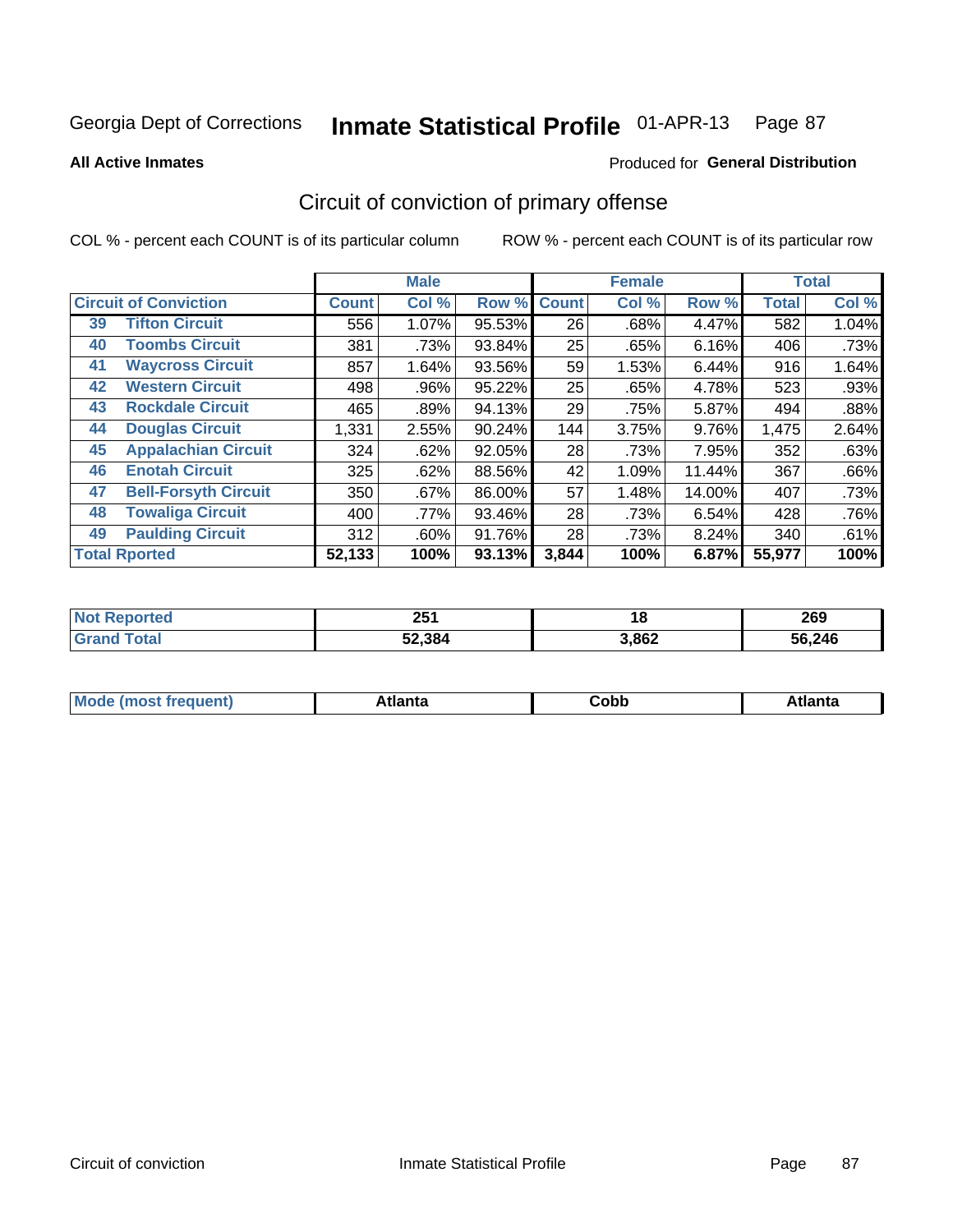Produced for **General Distribution**

#### **All Active Inmates**

# Circuit of conviction of primary offense

|                                   |              | <b>Male</b> |        |              | <b>Female</b> |        |              | <b>Total</b> |
|-----------------------------------|--------------|-------------|--------|--------------|---------------|--------|--------------|--------------|
| <b>Circuit of Conviction</b>      | <b>Count</b> | Col %       | Row %  | <b>Count</b> | Col %         | Row %  | <b>Total</b> | Col %        |
| <b>Tifton Circuit</b><br>39       | 556          | 1.07%       | 95.53% | 26           | .68%          | 4.47%  | 582          | 1.04%        |
| <b>Toombs Circuit</b><br>40       | 381          | .73%        | 93.84% | 25           | .65%          | 6.16%  | 406          | .73%         |
| <b>Waycross Circuit</b><br>41     | 857          | 1.64%       | 93.56% | 59           | 1.53%         | 6.44%  | 916          | 1.64%        |
| <b>Western Circuit</b><br>42      | 498          | .96%        | 95.22% | 25           | .65%          | 4.78%  | 523          | .93%         |
| <b>Rockdale Circuit</b><br>43     | 465          | .89%        | 94.13% | 29           | .75%          | 5.87%  | 494          | .88%         |
| <b>Douglas Circuit</b><br>44      | 1,331        | 2.55%       | 90.24% | 144          | 3.75%         | 9.76%  | 1,475        | 2.64%        |
| 45<br><b>Appalachian Circuit</b>  | 324          | .62%        | 92.05% | 28           | .73%          | 7.95%  | 352          | .63%         |
| <b>Enotah Circuit</b><br>46       | 325          | .62%        | 88.56% | 42           | 1.09%         | 11.44% | 367          | .66%         |
| <b>Bell-Forsyth Circuit</b><br>47 | 350          | .67%        | 86.00% | 57           | 1.48%         | 14.00% | 407          | .73%         |
| <b>Towaliga Circuit</b><br>48     | 400          | .77%        | 93.46% | 28           | .73%          | 6.54%  | 428          | .76%         |
| <b>Paulding Circuit</b><br>49     | 312          | $.60\%$     | 91.76% | 28           | .73%          | 8.24%  | 340          | .61%         |
| <b>Total Rported</b>              | 52,133       | 100%        | 93.13% | 3,844        | 100%          | 6.87%  | 55,977       | 100%         |

| тeс | OE.<br>ZJ I | 1 ៦   | 269        |
|-----|-------------|-------|------------|
|     | 52,384      | 3,862 | .246<br>56 |

| M<br>- - -<br>.<br>.<br>⊂opp<br>нс |
|------------------------------------|
|------------------------------------|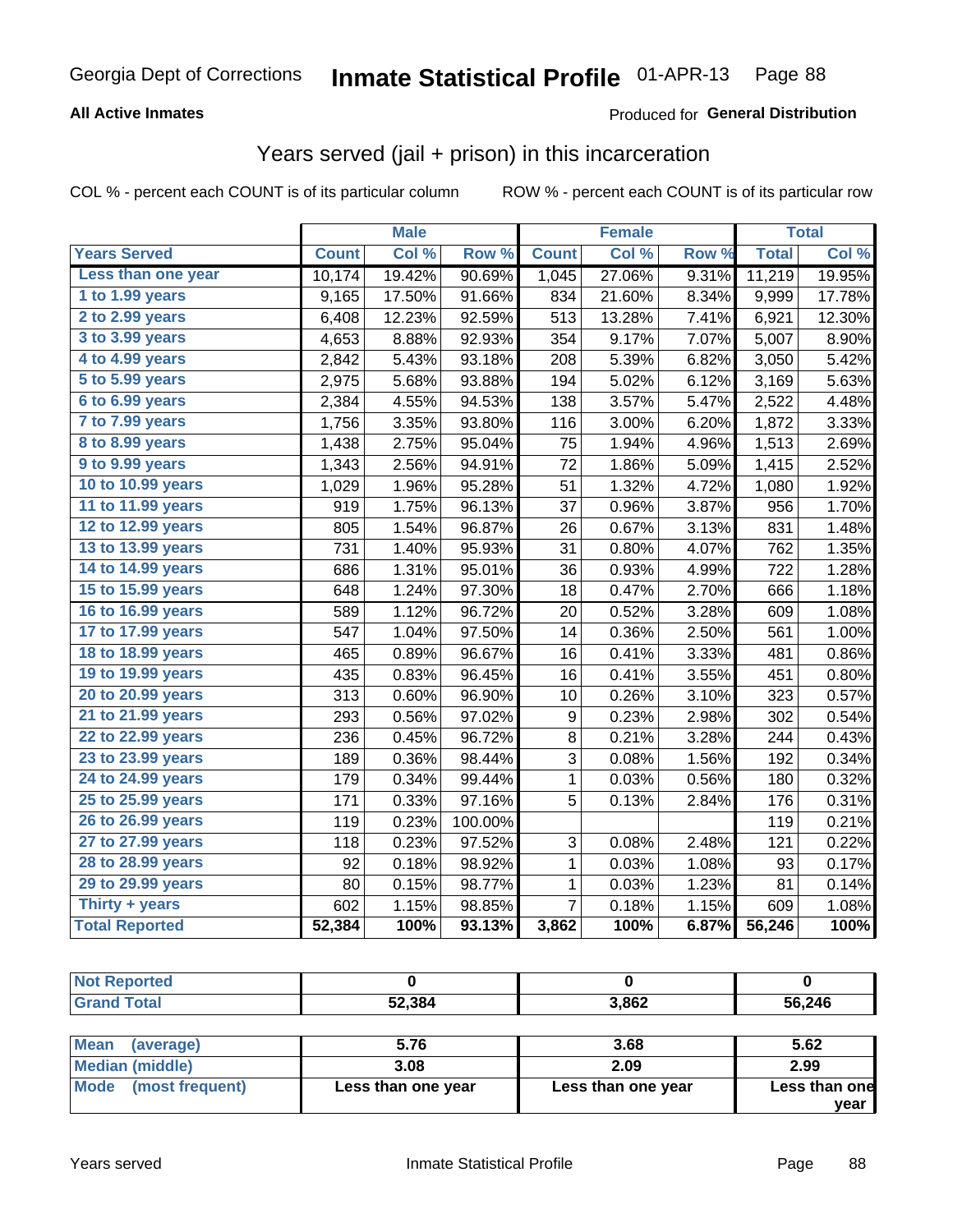#### **All Active Inmates**

#### Produced for **General Distribution**

#### Years served (jail + prison) in this incarceration

|                       |              | <b>Male</b> |         |                | <b>Female</b> |       |              | <b>Total</b> |
|-----------------------|--------------|-------------|---------|----------------|---------------|-------|--------------|--------------|
| <b>Years Served</b>   | <b>Count</b> | Col %       | Row %   | <b>Count</b>   | Col %         | Row % | <b>Total</b> | Col %        |
| Less than one year    | 10,174       | 19.42%      | 90.69%  | 1,045          | 27.06%        | 9.31% | 11,219       | 19.95%       |
| 1 to 1.99 years       | 9,165        | 17.50%      | 91.66%  | 834            | 21.60%        | 8.34% | 9,999        | 17.78%       |
| 2 to 2.99 years       | 6,408        | 12.23%      | 92.59%  | 513            | 13.28%        | 7.41% | 6,921        | 12.30%       |
| 3 to 3.99 years       | 4,653        | 8.88%       | 92.93%  | 354            | 9.17%         | 7.07% | 5,007        | 8.90%        |
| 4 to 4.99 years       | 2,842        | 5.43%       | 93.18%  | 208            | 5.39%         | 6.82% | 3,050        | 5.42%        |
| 5 to 5.99 years       | 2,975        | 5.68%       | 93.88%  | 194            | 5.02%         | 6.12% | 3,169        | 5.63%        |
| 6 to 6.99 years       | 2,384        | 4.55%       | 94.53%  | 138            | 3.57%         | 5.47% | 2,522        | 4.48%        |
| 7 to 7.99 years       | 1,756        | 3.35%       | 93.80%  | 116            | 3.00%         | 6.20% | 1,872        | 3.33%        |
| 8 to 8.99 years       | 1,438        | 2.75%       | 95.04%  | 75             | 1.94%         | 4.96% | 1,513        | 2.69%        |
| 9 to 9.99 years       | 1,343        | 2.56%       | 94.91%  | 72             | 1.86%         | 5.09% | 1,415        | 2.52%        |
| 10 to 10.99 years     | 1,029        | 1.96%       | 95.28%  | 51             | 1.32%         | 4.72% | 1,080        | 1.92%        |
| 11 to 11.99 years     | 919          | 1.75%       | 96.13%  | 37             | 0.96%         | 3.87% | 956          | 1.70%        |
| 12 to 12.99 years     | 805          | 1.54%       | 96.87%  | 26             | 0.67%         | 3.13% | 831          | 1.48%        |
| 13 to 13.99 years     | 731          | 1.40%       | 95.93%  | 31             | 0.80%         | 4.07% | 762          | 1.35%        |
| 14 to 14.99 years     | 686          | 1.31%       | 95.01%  | 36             | 0.93%         | 4.99% | 722          | 1.28%        |
| 15 to 15.99 years     | 648          | 1.24%       | 97.30%  | 18             | 0.47%         | 2.70% | 666          | 1.18%        |
| 16 to 16.99 years     | 589          | 1.12%       | 96.72%  | 20             | 0.52%         | 3.28% | 609          | 1.08%        |
| 17 to 17.99 years     | 547          | 1.04%       | 97.50%  | 14             | 0.36%         | 2.50% | 561          | 1.00%        |
| 18 to 18.99 years     | 465          | 0.89%       | 96.67%  | 16             | 0.41%         | 3.33% | 481          | 0.86%        |
| 19 to 19.99 years     | 435          | 0.83%       | 96.45%  | 16             | 0.41%         | 3.55% | 451          | 0.80%        |
| 20 to 20.99 years     | 313          | 0.60%       | 96.90%  | 10             | 0.26%         | 3.10% | 323          | 0.57%        |
| 21 to 21.99 years     | 293          | 0.56%       | 97.02%  | 9              | 0.23%         | 2.98% | 302          | 0.54%        |
| 22 to 22.99 years     | 236          | 0.45%       | 96.72%  | 8              | 0.21%         | 3.28% | 244          | 0.43%        |
| 23 to 23.99 years     | 189          | 0.36%       | 98.44%  | 3              | 0.08%         | 1.56% | 192          | 0.34%        |
| 24 to 24.99 years     | 179          | 0.34%       | 99.44%  | 1              | 0.03%         | 0.56% | 180          | 0.32%        |
| 25 to 25.99 years     | 171          | 0.33%       | 97.16%  | 5              | 0.13%         | 2.84% | 176          | 0.31%        |
| 26 to 26.99 years     | 119          | 0.23%       | 100.00% |                |               |       | 119          | 0.21%        |
| 27 to 27.99 years     | 118          | 0.23%       | 97.52%  | 3              | 0.08%         | 2.48% | 121          | 0.22%        |
| 28 to 28.99 years     | 92           | 0.18%       | 98.92%  | 1              | 0.03%         | 1.08% | 93           | 0.17%        |
| 29 to 29.99 years     | 80           | 0.15%       | 98.77%  | $\mathbf 1$    | 0.03%         | 1.23% | 81           | 0.14%        |
| Thirty + years        | 602          | 1.15%       | 98.85%  | $\overline{7}$ | 0.18%         | 1.15% | 609          | 1.08%        |
| <b>Total Reported</b> | 52,384       | 100%        | 93.13%  | 3,862          | 100%          | 6.87% | 56,246       | 100%         |

| NO.<br>ı tea         |        |       |        |
|----------------------|--------|-------|--------|
| υιαι<br>$\mathbf{v}$ | 52,384 | 3,862 | 56,246 |

| <b>Mean</b><br>(average) | 5.76               | 3.68               | 5.62          |
|--------------------------|--------------------|--------------------|---------------|
| Median (middle)          | 3.08               | 2.09               | 2.99          |
| Mode (most frequent)     | Less than one year | Less than one year | Less than one |
|                          |                    |                    | vear          |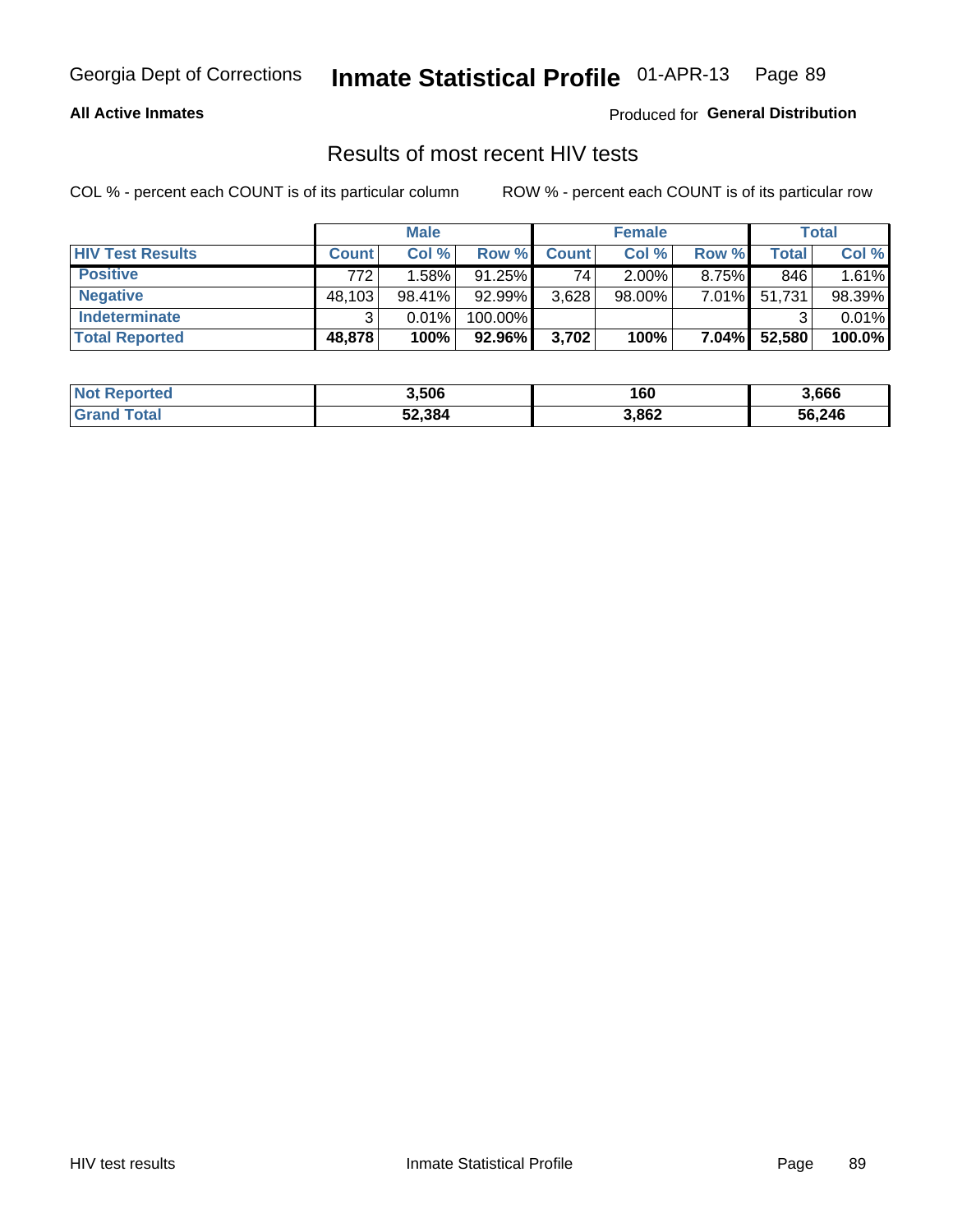#### **All Active Inmates**

Produced for **General Distribution**

#### Results of most recent HIV tests

|                         |              | <b>Male</b> |           |              | <b>Female</b> |          |        | <b>Total</b> |
|-------------------------|--------------|-------------|-----------|--------------|---------------|----------|--------|--------------|
| <b>HIV Test Results</b> | <b>Count</b> | Col %       | Row %I    | <b>Count</b> | Col %         | Row %    | Total  | Col %        |
| <b>Positive</b>         | 772          | 1.58%       | $91.25\%$ | 74           | $2.00\%$      | 8.75%    | 846    | 1.61%        |
| <b>Negative</b>         | 48,103       | $98.41\%$   | 92.99%    | 3,628        | $98.00\%$     | 7.01%    | 51,731 | 98.39%       |
| <b>Indeterminate</b>    | ີ            | 0.01%       | 100.00%   |              |               |          |        | 0.01%        |
| <b>Total Reported</b>   | 48,878       | 100%        | 92.96%    | 3,702        | 100%          | $7.04\%$ | 52,580 | 100.0%       |

| <b>Not Reported</b> | 3,506  | 160   | 3,666  |
|---------------------|--------|-------|--------|
| Total<br>' Grand    | 52,384 | 3,862 | 56,246 |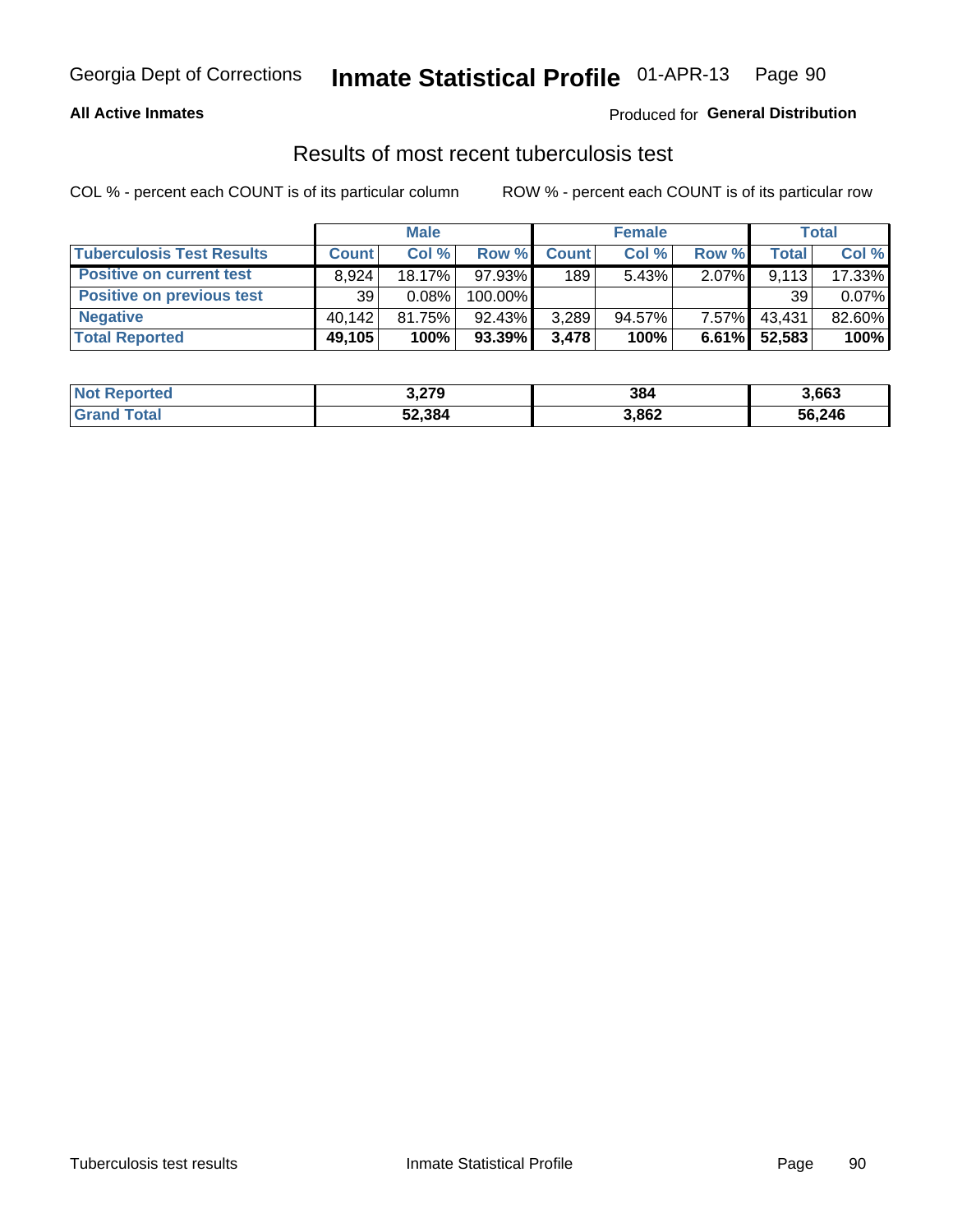#### **All Active Inmates**

#### Produced for **General Distribution**

#### Results of most recent tuberculosis test

|                                  | <b>Male</b>  |        |           | <b>Female</b> |           |          | Total   |        |
|----------------------------------|--------------|--------|-----------|---------------|-----------|----------|---------|--------|
| <b>Tuberculosis Test Results</b> | <b>Count</b> | Col%   | Row %I    | <b>Count</b>  | Col %     | Row %    | Total i | Col %  |
| <b>Positive on current test</b>  | 8.924        | 18.17% | 97.93%    | 189           | 5.43%     | 2.07%    | 9,113   | 17.33% |
| <b>Positive on previous test</b> | 39           | 0.08%  | 100.00%   |               |           |          | 39      | 0.07%  |
| <b>Negative</b>                  | 40.142       | 81.75% | 92.43%    | 3,289         | $94.57\%$ | 7.57%    | 43,431  | 82.60% |
| <b>Total Reported</b>            | 49,105       | 100%   | $93.39\%$ | 3.478         | 100%      | $6.61\%$ | 52,583  | 100%   |

| <b>Not Reported</b> | 3,279  | 384   | 3,663  |
|---------------------|--------|-------|--------|
| Total<br>' Grand    | 52,384 | 3,862 | 56,246 |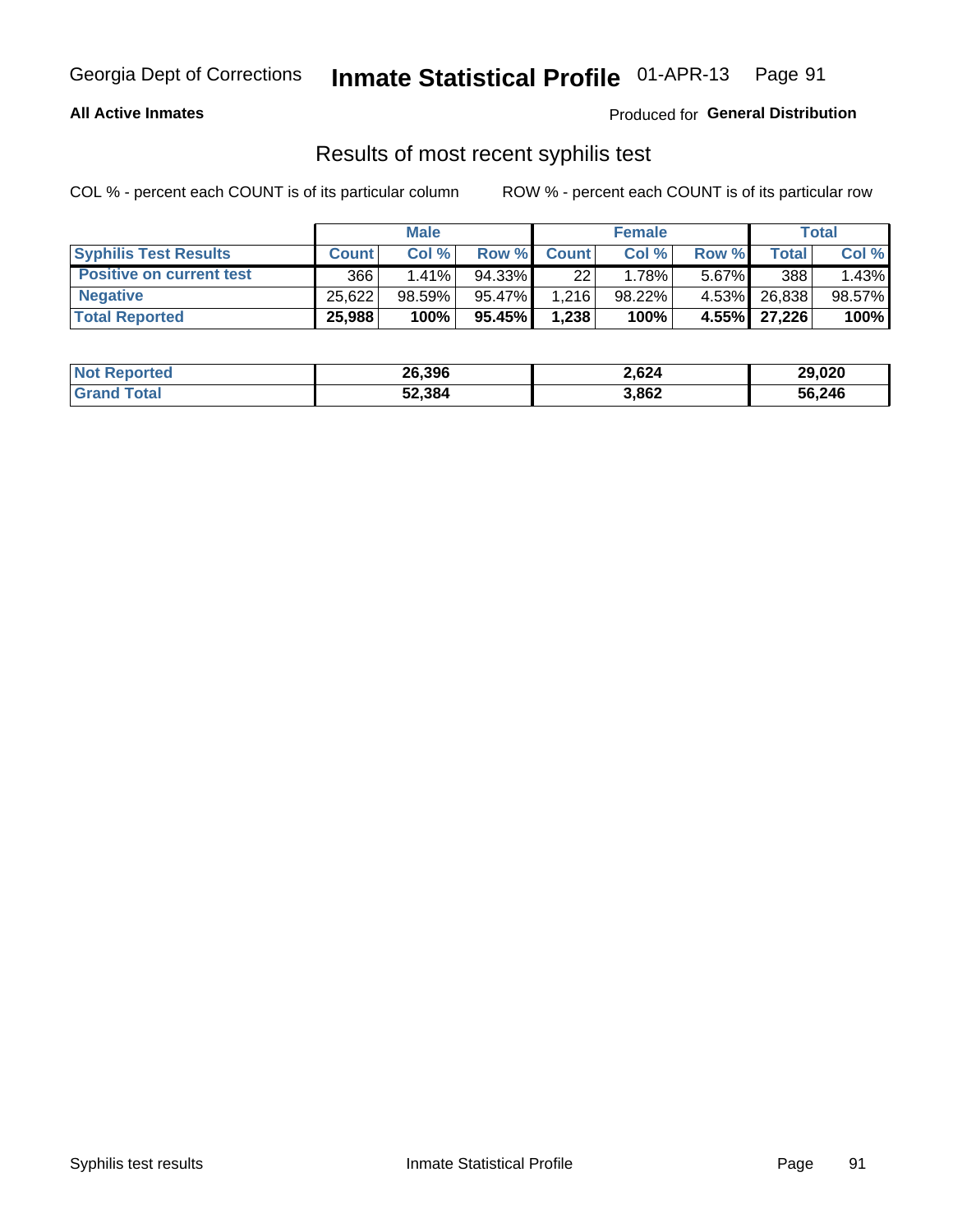#### **All Active Inmates**

Produced for **General Distribution**

#### Results of most recent syphilis test

|                                 | <b>Male</b>  |           |        | <b>Female</b> |        |          | Total          |        |
|---------------------------------|--------------|-----------|--------|---------------|--------|----------|----------------|--------|
| <b>Syphilis Test Results</b>    | <b>Count</b> | Col%      | Row %  | <b>Count</b>  | Col %  | Row %    | Total I        | Col %  |
| <b>Positive on current test</b> | 366          | $1.41\%$  | 94.33% | 22            | 1.78%  | $5.67\%$ | 388            | 1.43%  |
| <b>Negative</b>                 | 25.622       | $98.59\%$ | 95.47% | 1.216         | 98.22% | 4.53%    | 26,838         | 98.57% |
| <b>Total Reported</b>           | 25,988       | 100%      | 95.45% | 1,238         | 100%   |          | 4.55%   27,226 | 100%   |

| <b>Not Reported</b> | 26,396 | 2,624 | 29,020 |
|---------------------|--------|-------|--------|
| <b>Grand Total</b>  | 52,384 | 3,862 | 56,246 |